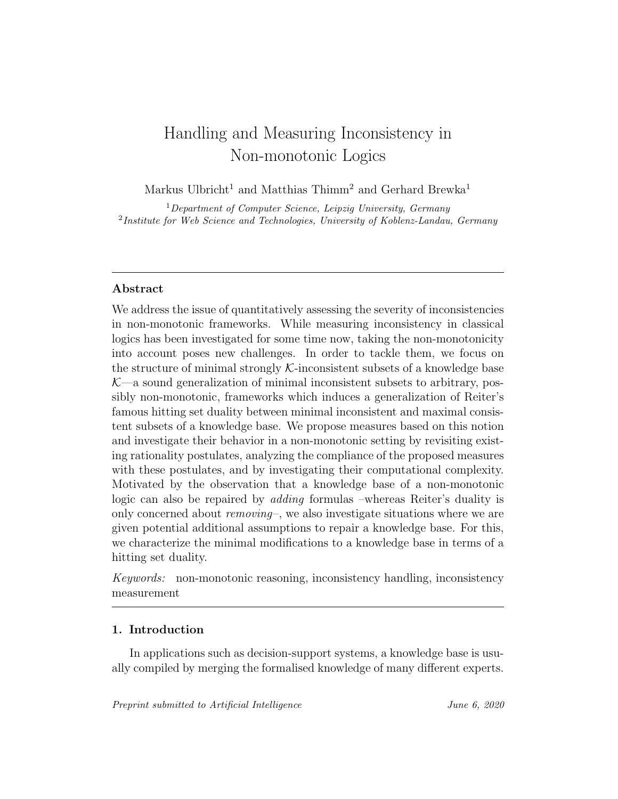# Handling and Measuring Inconsistency in Non-monotonic Logics

Markus Ulbricht<sup>1</sup> and Matthias Thimm<sup>2</sup> and Gerhard Brewka<sup>1</sup>

<sup>1</sup>Department of Computer Science, Leipzig University, Germany <sup>2</sup>Institute for Web Science and Technologies, University of Koblenz-Landau, Germany

## Abstract

We address the issue of quantitatively assessing the severity of inconsistencies in non-monotonic frameworks. While measuring inconsistency in classical logics has been investigated for some time now, taking the non-monotonicity into account poses new challenges. In order to tackle them, we focus on the structure of minimal strongly  $K$ -inconsistent subsets of a knowledge base  $K$ —a sound generalization of minimal inconsistent subsets to arbitrary, possibly non-monotonic, frameworks which induces a generalization of Reiter's famous hitting set duality between minimal inconsistent and maximal consistent subsets of a knowledge base. We propose measures based on this notion and investigate their behavior in a non-monotonic setting by revisiting existing rationality postulates, analyzing the compliance of the proposed measures with these postulates, and by investigating their computational complexity. Motivated by the observation that a knowledge base of a non-monotonic logic can also be repaired by adding formulas –whereas Reiter's duality is only concerned about  $removing$ , we also investigate situations where we are given potential additional assumptions to repair a knowledge base. For this, we characterize the minimal modifications to a knowledge base in terms of a hitting set duality.

Keywords: non-monotonic reasoning, inconsistency handling, inconsistency measurement

### 1. Introduction

In applications such as decision-support systems, a knowledge base is usually compiled by merging the formalised knowledge of many different experts.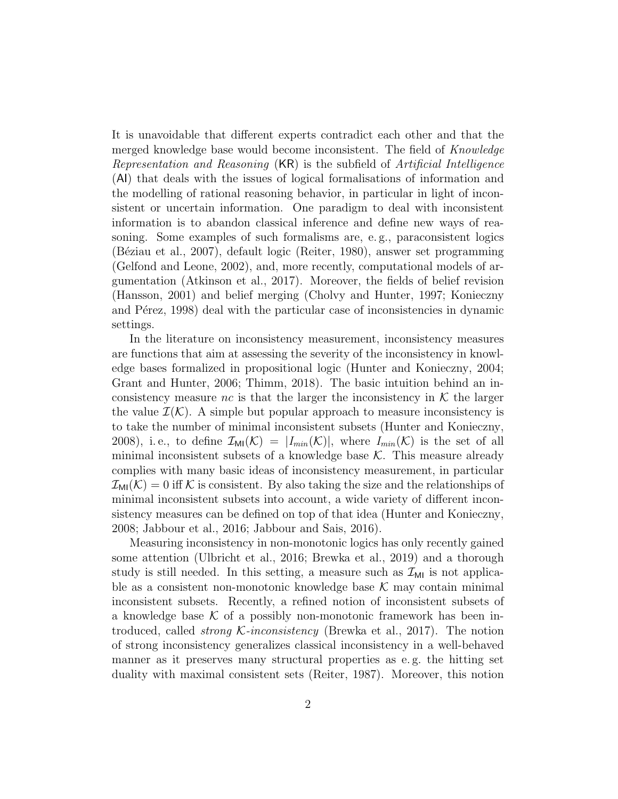It is unavoidable that different experts contradict each other and that the merged knowledge base would become inconsistent. The field of Knowledge Representation and Reasoning (KR) is the subfield of Artificial Intelligence (AI) that deals with the issues of logical formalisations of information and the modelling of rational reasoning behavior, in particular in light of inconsistent or uncertain information. One paradigm to deal with inconsistent information is to abandon classical inference and define new ways of reasoning. Some examples of such formalisms are, e. g., paraconsistent logics (B´eziau et al., 2007), default logic (Reiter, 1980), answer set programming (Gelfond and Leone, 2002), and, more recently, computational models of argumentation (Atkinson et al., 2017). Moreover, the fields of belief revision (Hansson, 2001) and belief merging (Cholvy and Hunter, 1997; Konieczny and P<sub>e</sub>rez, 1998) deal with the particular case of inconsistencies in dynamic settings.

In the literature on inconsistency measurement, inconsistency measures are functions that aim at assessing the severity of the inconsistency in knowledge bases formalized in propositional logic (Hunter and Konieczny, 2004; Grant and Hunter, 2006; Thimm, 2018). The basic intuition behind an inconsistency measure nc is that the larger the inconsistency in  $K$  the larger the value  $\mathcal{I}(\mathcal{K})$ . A simple but popular approach to measure inconsistency is to take the number of minimal inconsistent subsets (Hunter and Konieczny, 2008), i.e., to define  $\mathcal{I}_{\text{MI}}(\mathcal{K}) = |I_{\min}(\mathcal{K})|$ , where  $I_{\min}(\mathcal{K})$  is the set of all minimal inconsistent subsets of a knowledge base  $K$ . This measure already complies with many basic ideas of inconsistency measurement, in particular  $\mathcal{I}_{\text{MI}}(\mathcal{K}) = 0$  iff K is consistent. By also taking the size and the relationships of minimal inconsistent subsets into account, a wide variety of different inconsistency measures can be defined on top of that idea (Hunter and Konieczny, 2008; Jabbour et al., 2016; Jabbour and Sais, 2016).

Measuring inconsistency in non-monotonic logics has only recently gained some attention (Ulbricht et al., 2016; Brewka et al., 2019) and a thorough study is still needed. In this setting, a measure such as  $\mathcal{I}_{MI}$  is not applicable as a consistent non-monotonic knowledge base  $K$  may contain minimal inconsistent subsets. Recently, a refined notion of inconsistent subsets of a knowledge base  $K$  of a possibly non-monotonic framework has been introduced, called *strong*  $\mathcal{K}\text{-}inconsistency$  (Brewka et al., 2017). The notion of strong inconsistency generalizes classical inconsistency in a well-behaved manner as it preserves many structural properties as e. g. the hitting set duality with maximal consistent sets (Reiter, 1987). Moreover, this notion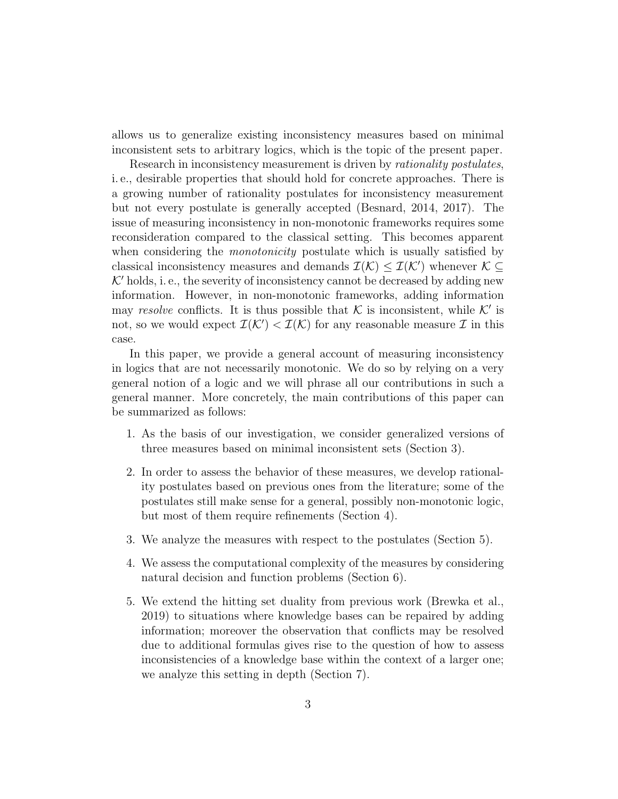allows us to generalize existing inconsistency measures based on minimal inconsistent sets to arbitrary logics, which is the topic of the present paper.

Research in inconsistency measurement is driven by *rationality postulates*, i. e., desirable properties that should hold for concrete approaches. There is a growing number of rationality postulates for inconsistency measurement but not every postulate is generally accepted (Besnard, 2014, 2017). The issue of measuring inconsistency in non-monotonic frameworks requires some reconsideration compared to the classical setting. This becomes apparent when considering the *monotonicity* postulate which is usually satisfied by classical inconsistency measures and demands  $\mathcal{I}(\mathcal{K}) \leq \mathcal{I}(\mathcal{K}')$  whenever  $\mathcal{K} \subseteq$  $K'$  holds, i. e., the severity of inconsistency cannot be decreased by adding new information. However, in non-monotonic frameworks, adding information may resolve conflicts. It is thus possible that  $K$  is inconsistent, while  $K'$  is not, so we would expect  $\mathcal{I}(\mathcal{K}') < \mathcal{I}(\mathcal{K})$  for any reasonable measure  $\mathcal I$  in this case.

In this paper, we provide a general account of measuring inconsistency in logics that are not necessarily monotonic. We do so by relying on a very general notion of a logic and we will phrase all our contributions in such a general manner. More concretely, the main contributions of this paper can be summarized as follows:

- 1. As the basis of our investigation, we consider generalized versions of three measures based on minimal inconsistent sets (Section 3).
- 2. In order to assess the behavior of these measures, we develop rationality postulates based on previous ones from the literature; some of the postulates still make sense for a general, possibly non-monotonic logic, but most of them require refinements (Section 4).
- 3. We analyze the measures with respect to the postulates (Section 5).
- 4. We assess the computational complexity of the measures by considering natural decision and function problems (Section 6).
- 5. We extend the hitting set duality from previous work (Brewka et al., 2019) to situations where knowledge bases can be repaired by adding information; moreover the observation that conflicts may be resolved due to additional formulas gives rise to the question of how to assess inconsistencies of a knowledge base within the context of a larger one; we analyze this setting in depth (Section 7).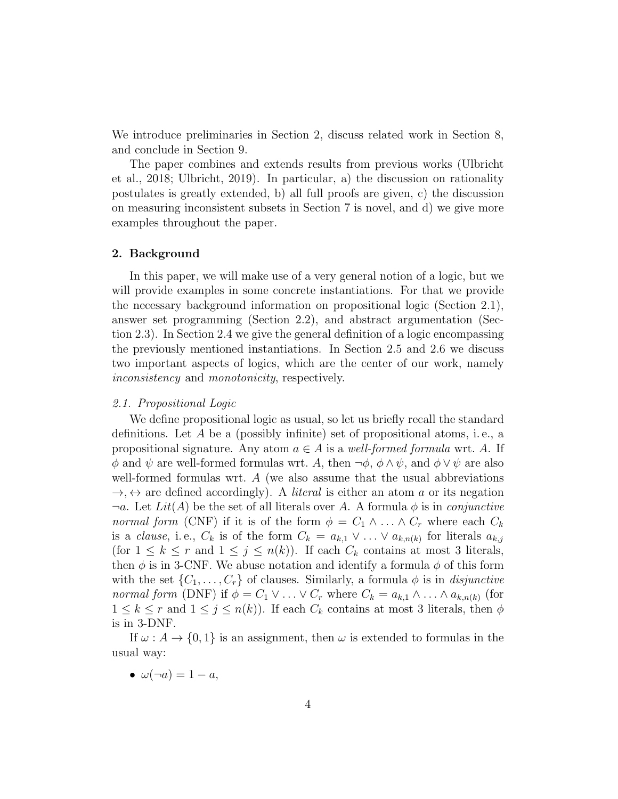We introduce preliminaries in Section 2, discuss related work in Section 8, and conclude in Section 9.

The paper combines and extends results from previous works (Ulbricht et al., 2018; Ulbricht, 2019). In particular, a) the discussion on rationality postulates is greatly extended, b) all full proofs are given, c) the discussion on measuring inconsistent subsets in Section 7 is novel, and d) we give more examples throughout the paper.

#### 2. Background

In this paper, we will make use of a very general notion of a logic, but we will provide examples in some concrete instantiations. For that we provide the necessary background information on propositional logic (Section 2.1), answer set programming (Section 2.2), and abstract argumentation (Section 2.3). In Section 2.4 we give the general definition of a logic encompassing the previously mentioned instantiations. In Section 2.5 and 2.6 we discuss two important aspects of logics, which are the center of our work, namely inconsistency and monotonicity, respectively.

#### 2.1. Propositional Logic

We define propositional logic as usual, so let us briefly recall the standard definitions. Let A be a (possibly infinite) set of propositional atoms, i. e., a propositional signature. Any atom  $a \in A$  is a well-formed formula wrt. A. If  $\phi$  and  $\psi$  are well-formed formulas wrt. A, then  $\neg \phi$ ,  $\phi \wedge \psi$ , and  $\phi \vee \psi$  are also well-formed formulas wrt. A (we also assume that the usual abbreviations  $\rightarrow$ ,  $\leftrightarrow$  are defined accordingly). A *literal* is either an atom a or its negation  $\neg a$ . Let  $Lit(A)$  be the set of all literals over A. A formula  $\phi$  is in *conjunctive* normal form (CNF) if it is of the form  $\phi = C_1 \wedge ... \wedge C_r$  where each  $C_k$ is a *clause*, i.e.,  $C_k$  is of the form  $C_k = a_{k,1} \vee \ldots \vee a_{k,n(k)}$  for literals  $a_{k,j}$ (for  $1 \leq k \leq r$  and  $1 \leq j \leq n(k)$ ). If each  $C_k$  contains at most 3 literals, then  $\phi$  is in 3-CNF. We abuse notation and identify a formula  $\phi$  of this form with the set  $\{C_1, \ldots, C_r\}$  of clauses. Similarly, a formula  $\phi$  is in *disjunctive* normal form (DNF) if  $\phi = C_1 \vee ... \vee C_r$  where  $C_k = a_{k,1} \wedge ... \wedge a_{k,n(k)}$  (for  $1 \leq k \leq r$  and  $1 \leq j \leq n(k)$ . If each  $C_k$  contains at most 3 literals, then  $\phi$ is in 3-DNF.

If  $\omega: A \to \{0, 1\}$  is an assignment, then  $\omega$  is extended to formulas in the usual way:

•  $\omega(\neg a) = 1 - a$ ,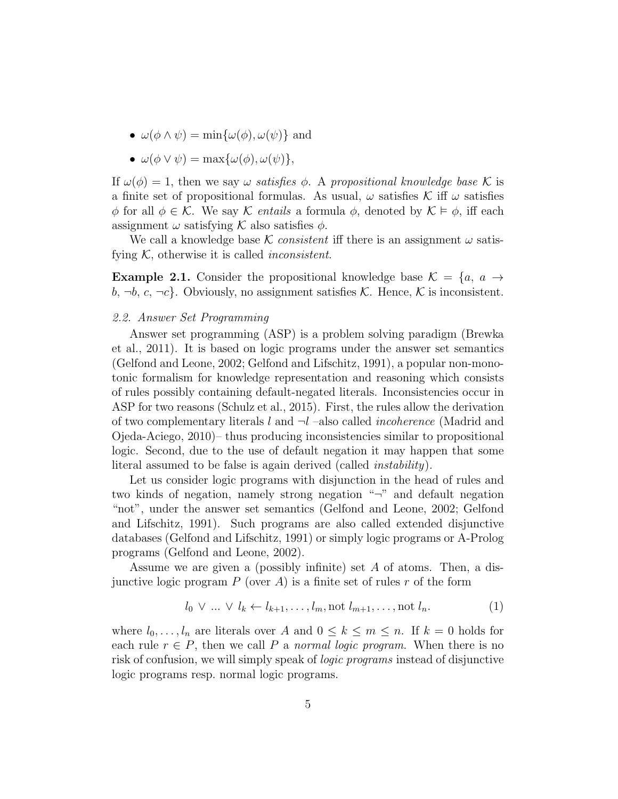- $\omega(\phi \wedge \psi) = \min{\{\omega(\phi), \omega(\psi)\}}$  and
- $\omega(\phi \vee \psi) = \max{\{\omega(\phi), \omega(\psi)\}},$

If  $\omega(\phi) = 1$ , then we say  $\omega$  satisfies  $\phi$ . A propositional knowledge base K is a finite set of propositional formulas. As usual,  $\omega$  satisfies K iff  $\omega$  satisfies  $\phi$  for all  $\phi \in \mathcal{K}$ . We say  $\mathcal{K}$  entails a formula  $\phi$ , denoted by  $\mathcal{K} \models \phi$ , iff each assignment  $\omega$  satisfying K also satisfies  $\phi$ .

We call a knowledge base K consistent iff there is an assignment  $\omega$  satisfying  $K$ , otherwise it is called *inconsistent*.

**Example 2.1.** Consider the propositional knowledge base  $\mathcal{K} = \{a, a \rightarrow a\}$  $b, \neg b, c, \neg c$ . Obviously, no assignment satisfies K. Hence, K is inconsistent.

#### 2.2. Answer Set Programming

Answer set programming (ASP) is a problem solving paradigm (Brewka et al., 2011). It is based on logic programs under the answer set semantics (Gelfond and Leone, 2002; Gelfond and Lifschitz, 1991), a popular non-monotonic formalism for knowledge representation and reasoning which consists of rules possibly containing default-negated literals. Inconsistencies occur in ASP for two reasons (Schulz et al., 2015). First, the rules allow the derivation of two complementary literals l and  $\neg l$  –also called *incoherence* (Madrid and Ojeda-Aciego, 2010)– thus producing inconsistencies similar to propositional logic. Second, due to the use of default negation it may happen that some literal assumed to be false is again derived (called instability).

Let us consider logic programs with disjunction in the head of rules and two kinds of negation, namely strong negation "¬" and default negation "not", under the answer set semantics (Gelfond and Leone, 2002; Gelfond and Lifschitz, 1991). Such programs are also called extended disjunctive databases (Gelfond and Lifschitz, 1991) or simply logic programs or A-Prolog programs (Gelfond and Leone, 2002).

Assume we are given a (possibly infinite) set A of atoms. Then, a disjunctive logic program  $P$  (over  $A$ ) is a finite set of rules r of the form

$$
l_0 \vee ... \vee l_k \leftarrow l_{k+1}, ..., l_m, \text{not } l_{m+1}, ..., \text{not } l_n.
$$
 (1)

where  $l_0, \ldots, l_n$  are literals over A and  $0 \leq k \leq m \leq n$ . If  $k = 0$  holds for each rule  $r \in P$ , then we call P a normal logic program. When there is no risk of confusion, we will simply speak of logic programs instead of disjunctive logic programs resp. normal logic programs.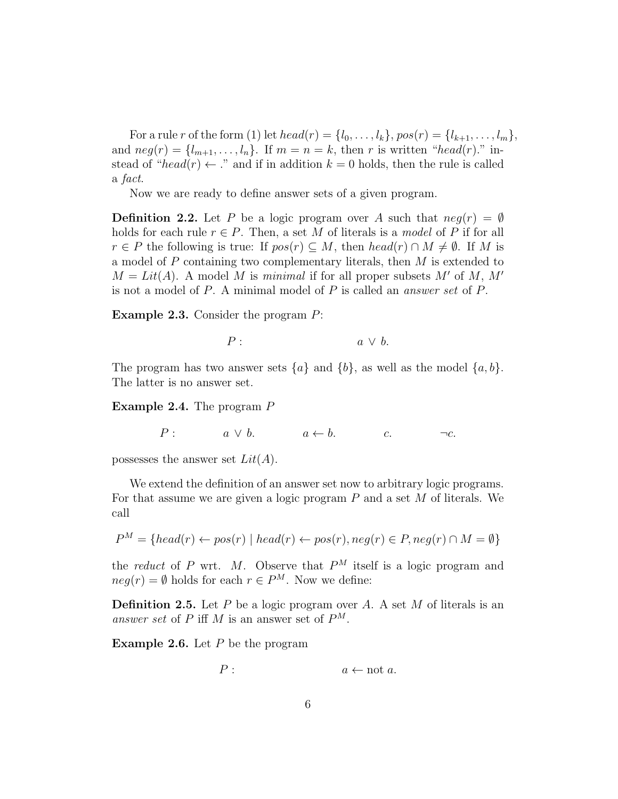For a rule r of the form (1) let  $head(r) = \{l_0, ..., l_k\}$ ,  $pos(r) = \{l_{k+1}, ..., l_m\}$ , and  $neg(r) = \{l_{m+1}, \ldots, l_n\}$ . If  $m = n = k$ , then r is written "head(r)." instead of "head(r)  $\leftarrow$  ." and if in addition  $k = 0$  holds, then the rule is called a fact.

Now we are ready to define answer sets of a given program.

**Definition 2.2.** Let P be a logic program over A such that  $neg(r) = \emptyset$ holds for each rule  $r \in P$ . Then, a set M of literals is a model of P if for all  $r \in P$  the following is true: If  $pos(r) \subseteq M$ , then  $head(r) \cap M \neq \emptyset$ . If M is a model of P containing two complementary literals, then M is extended to  $M = Lit(A)$ . A model M is minimal if for all proper subsets M' of M, M' is not a model of P. A minimal model of P is called an answer set of P.

Example 2.3. Consider the program P:

$$
P: a \vee b.
$$

The program has two answer sets  $\{a\}$  and  $\{b\}$ , as well as the model  $\{a, b\}$ . The latter is no answer set.

Example 2.4. The program P

 $P: a \vee b. \qquad a \leftarrow b. \qquad c. \qquad \neg c.$ 

possesses the answer set  $Lit(A)$ .

We extend the definition of an answer set now to arbitrary logic programs. For that assume we are given a logic program  $P$  and a set  $M$  of literals. We call

$$
P^M = \{head(r) \leftarrow pos(r) \mid head(r) \leftarrow pos(r), neg(r) \in P, neg(r) \cap M = \emptyset\}
$$

the reduct of P wrt. M. Observe that  $P^M$  itself is a logic program and  $neg(r) = \emptyset$  holds for each  $r \in P^M$ . Now we define:

**Definition 2.5.** Let  $P$  be a logic program over  $A$ . A set  $M$  of literals is an answer set of P iff M is an answer set of  $P^M$ .

**Example 2.6.** Let  $P$  be the program

$$
P: \qquad \qquad a \leftarrow \text{not } a.
$$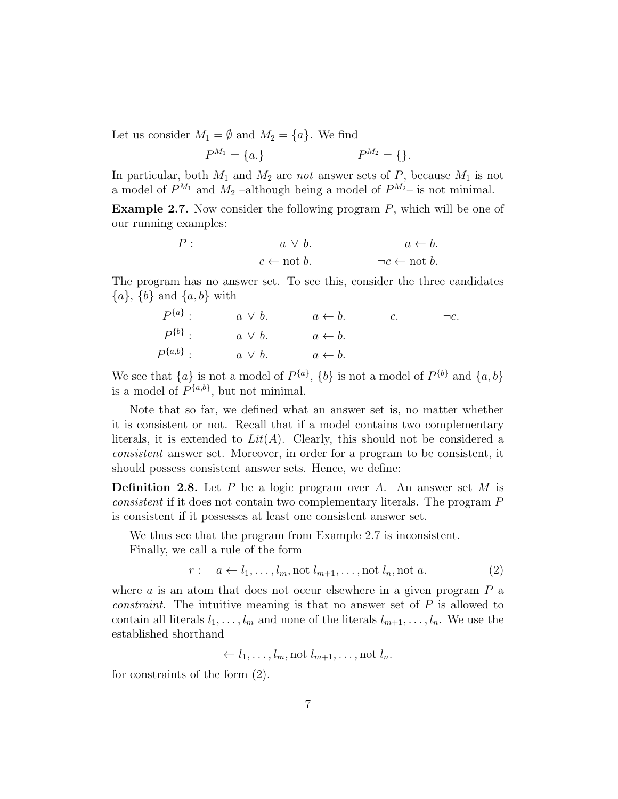Let us consider  $M_1 = \emptyset$  and  $M_2 = \{a\}$ . We find

$$
P^{M_1} = \{a.\} \qquad P^{M_2} = \{\}.
$$

In particular, both  $M_1$  and  $M_2$  are not answer sets of  $P$ , because  $M_1$  is not a model of  $P^{M_1}$  and  $M_2$  -although being a model of  $P^{M_2}$ - is not minimal.

**Example 2.7.** Now consider the following program  $P$ , which will be one of our running examples:

$$
P: \t a \lor b. \t a \leftarrow b.
$$
  

$$
c \leftarrow \text{not } b. \t \neg c \leftarrow \text{not } b.
$$

The program has no answer set. To see this, consider the three candidates  ${a}, {b}$  and  ${a}, {b}$  with

$$
P^{\{a\}}: a \vee b. \t a \leftarrow b. \t c. \t -c.
$$
  

$$
P^{\{b\}}: a \vee b. \t a \leftarrow b.
$$
  

$$
P^{\{a,b\}}: a \vee b. \t a \leftarrow b.
$$

We see that  $\{a\}$  is not a model of  $P^{\{a\}}$ ,  $\{b\}$  is not a model of  $P^{\{b\}}$  and  $\{a,b\}$ is a model of  $P^{\{a,b\}}$ , but not minimal.

Note that so far, we defined what an answer set is, no matter whether it is consistent or not. Recall that if a model contains two complementary literals, it is extended to  $Lit(A)$ . Clearly, this should not be considered a consistent answer set. Moreover, in order for a program to be consistent, it should possess consistent answer sets. Hence, we define:

**Definition 2.8.** Let  $P$  be a logic program over  $A$ . An answer set  $M$  is consistent if it does not contain two complementary literals. The program P is consistent if it possesses at least one consistent answer set.

We thus see that the program from Example 2.7 is inconsistent.

Finally, we call a rule of the form

 $r: a \leftarrow l_1, \ldots, l_m, \text{not } l_{m+1}, \ldots, \text{not } l_n, \text{not } a.$  (2)

where  $\alpha$  is an atom that does not occur elsewhere in a given program  $P$  a constraint. The intuitive meaning is that no answer set of P is allowed to contain all literals  $l_1, \ldots, l_m$  and none of the literals  $l_{m+1}, \ldots, l_n$ . We use the established shorthand

$$
\leftarrow l_1, \ldots, l_m, \text{not } l_{m+1}, \ldots, \text{not } l_n.
$$

for constraints of the form (2).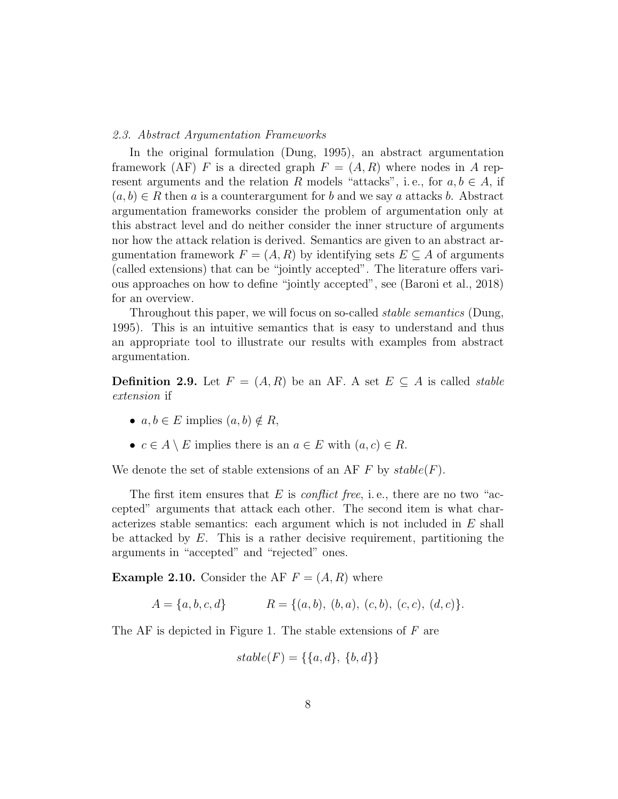#### 2.3. Abstract Argumentation Frameworks

In the original formulation (Dung, 1995), an abstract argumentation framework (AF) F is a directed graph  $F = (A, R)$  where nodes in A represent arguments and the relation R models "attacks", i.e., for  $a, b \in A$ , if  $(a, b) \in R$  then a is a counterargument for b and we say a attacks b. Abstract argumentation frameworks consider the problem of argumentation only at this abstract level and do neither consider the inner structure of arguments nor how the attack relation is derived. Semantics are given to an abstract argumentation framework  $F = (A, R)$  by identifying sets  $E \subseteq A$  of arguments (called extensions) that can be "jointly accepted". The literature offers various approaches on how to define "jointly accepted", see (Baroni et al., 2018) for an overview.

Throughout this paper, we will focus on so-called *stable semantics* (Dung, 1995). This is an intuitive semantics that is easy to understand and thus an appropriate tool to illustrate our results with examples from abstract argumentation.

**Definition 2.9.** Let  $F = (A, R)$  be an AF. A set  $E \subseteq A$  is called *stable* extension if

- $a, b \in E$  implies  $(a, b) \notin R$ ,
- $c \in A \setminus E$  implies there is an  $a \in E$  with  $(a, c) \in R$ .

We denote the set of stable extensions of an AF F by  $stable(F)$ .

The first item ensures that E is *conflict free*, i.e., there are no two "accepted" arguments that attack each other. The second item is what characterizes stable semantics: each argument which is not included in E shall be attacked by  $E$ . This is a rather decisive requirement, partitioning the arguments in "accepted" and "rejected" ones.

**Example 2.10.** Consider the AF  $F = (A, R)$  where

$$
A = \{a, b, c, d\} \qquad R = \{(a, b), (b, a), (c, b), (c, c), (d, c)\}.
$$

The AF is depicted in Figure 1. The stable extensions of  $F$  are

$$
stable(F) = \{\{a, d\}, \{b, d\}\}\
$$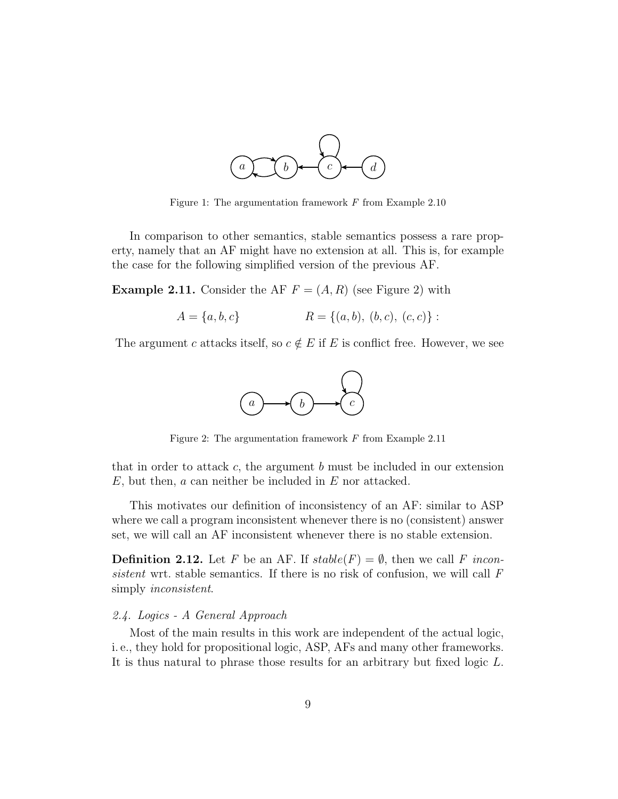

Figure 1: The argumentation framework  $F$  from Example 2.10

In comparison to other semantics, stable semantics possess a rare property, namely that an AF might have no extension at all. This is, for example the case for the following simplified version of the previous AF.

**Example 2.11.** Consider the AF  $F = (A, R)$  (see Figure 2) with

$$
A = \{a, b, c\} \qquad R = \{(a, b), (b, c), (c, c)\}:
$$

The argument c attacks itself, so  $c \notin E$  if E is conflict free. However, we see



Figure 2: The argumentation framework  $F$  from Example 2.11

that in order to attack c, the argument  $b$  must be included in our extension  $E$ , but then,  $a$  can neither be included in  $E$  nor attacked.

This motivates our definition of inconsistency of an AF: similar to ASP where we call a program inconsistent whenever there is no (consistent) answer set, we will call an AF inconsistent whenever there is no stable extension.

**Definition 2.12.** Let F be an AF. If  $stable(F) = \emptyset$ , then we call F inconsistent wrt. stable semantics. If there is no risk of confusion, we will call  $F$ simply inconsistent.

# 2.4. Logics - A General Approach

Most of the main results in this work are independent of the actual logic, i. e., they hold for propositional logic, ASP, AFs and many other frameworks. It is thus natural to phrase those results for an arbitrary but fixed logic L.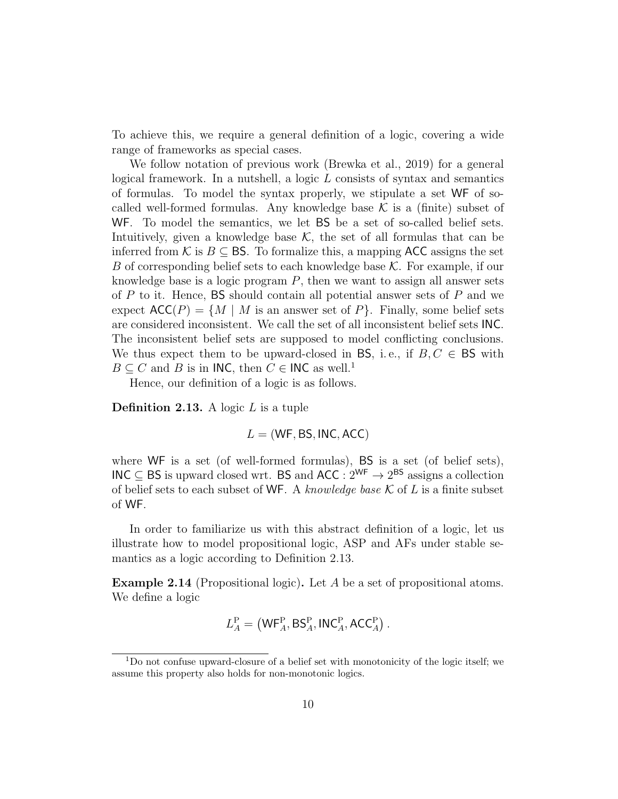To achieve this, we require a general definition of a logic, covering a wide range of frameworks as special cases.

We follow notation of previous work (Brewka et al., 2019) for a general logical framework. In a nutshell, a logic  $L$  consists of syntax and semantics of formulas. To model the syntax properly, we stipulate a set WF of socalled well-formed formulas. Any knowledge base  $K$  is a (finite) subset of WF. To model the semantics, we let BS be a set of so-called belief sets. Intuitively, given a knowledge base  $K$ , the set of all formulas that can be inferred from K is  $B \subseteq BS$ . To formalize this, a mapping ACC assigns the set B of corresponding belief sets to each knowledge base  $K$ . For example, if our knowledge base is a logic program  $P$ , then we want to assign all answer sets of  $P$  to it. Hence, BS should contain all potential answer sets of  $P$  and we expect  $\mathsf{ACC}(P) = \{M \mid M \text{ is an answer set of } P\}.$  Finally, some belief sets are considered inconsistent. We call the set of all inconsistent belief sets INC. The inconsistent belief sets are supposed to model conflicting conclusions. We thus expect them to be upward-closed in BS, i.e., if  $B, C \in \mathsf{BS}$  with  $B \subseteq C$  and B is in INC, then  $C \in \mathsf{INC}$  as well.<sup>1</sup>

Hence, our definition of a logic is as follows.

**Definition 2.13.** A logic  $L$  is a tuple

 $L = (WF, BS, INC, ACC)$ 

where WF is a set (of well-formed formulas), BS is a set (of belief sets), INC ⊆ BS is upward closed wrt. BS and ACC :  $2^{WF}$  →  $2^{BS}$  assigns a collection of belief sets to each subset of WF. A knowledge base  $K$  of L is a finite subset of WF.

In order to familiarize us with this abstract definition of a logic, let us illustrate how to model propositional logic, ASP and AFs under stable semantics as a logic according to Definition 2.13.

Example 2.14 (Propositional logic). Let A be a set of propositional atoms. We define a logic

$$
L_A^{\mathcal{P}} = (\mathsf{WF}_A^{\mathcal{P}}, \mathsf{BS}_A^{\mathcal{P}}, \mathsf{INC}_A^{\mathcal{P}}, \mathsf{ACC}_A^{\mathcal{P}}).
$$

<sup>1</sup>Do not confuse upward-closure of a belief set with monotonicity of the logic itself; we assume this property also holds for non-monotonic logics.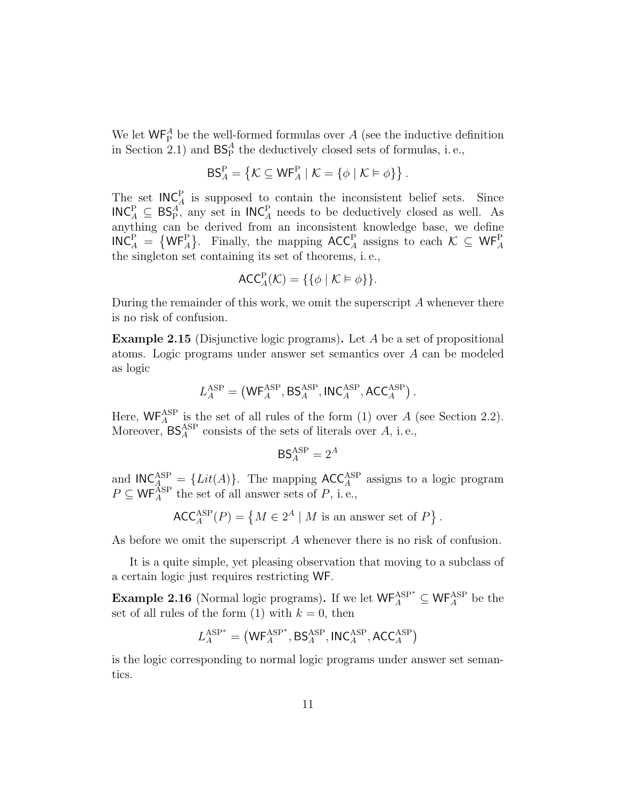We let  $\mathsf{WF}_{\mathsf{P}}^A$  be the well-formed formulas over A (see the inductive definition in Section 2.1) and  $BS_P^A$  the deductively closed sets of formulas, i.e.,

$$
\mathsf{BS}_{A}^{\mathsf{P}} = \left\{ \mathcal{K} \subseteq \mathsf{WF}_{A}^{\mathsf{P}} \mid \mathcal{K} = \left\{ \phi \mid \mathcal{K} \vDash \phi \right\} \right\}.
$$

The set  $INC_A^P$  is supposed to contain the inconsistent belief sets. Since  $INC_A^P \subseteq BS_P^A$ , any set in  $INC_A^P$  needs to be deductively closed as well. As anything can be derived from an inconsistent knowledge base, we define  $INC_A^P = \{ WF_A^P\}$ . Finally, the mapping  $ACC_A^P$  assigns to each  $K \subseteq WF_A^P$ the singleton set containing its set of theorems, i. e.,

$$
\mathsf{ACC}^{\mathrm{P}}_A(\mathcal{K}) = \{ \{\phi \mid \mathcal{K} \vDash \phi \} \}.
$$

During the remainder of this work, we omit the superscript  $A$  whenever there is no risk of confusion.

Example 2.15 (Disjunctive logic programs). Let A be a set of propositional atoms. Logic programs under answer set semantics over A can be modeled as logic

$$
L_A^{\rm ASP} = \left(\mathsf{WF}_A^{\rm ASP}, \mathsf{BS}_A^{\rm ASP}, \mathsf{INC}_A^{\rm ASP}, \mathsf{ACC}_A^{\rm ASP}\right).
$$

Here,  $WF_A^{ASP}$  is the set of all rules of the form (1) over A (see Section 2.2). Moreover,  $BS_A^{ASP}$  consists of the sets of literals over  $A$ , i.e.,

$$
\mathsf{BS}_A^{\text{ASP}} = 2^A
$$

and  **The mapping**  $\text{ACC}_{A}^{\text{ASP}}$  **assigns to a logic program**  $P \subseteq \mathsf{WF}_{A}^{\overline{\text{ASP}}}$  the set of all answer sets of  $P$ , i.e.,

$$
\mathsf{ACC}_A^{\mathrm{ASP}}(P) = \left\{ M \in 2^A \mid M \text{ is an answer set of } P \right\}.
$$

As before we omit the superscript A whenever there is no risk of confusion.

It is a quite simple, yet pleasing observation that moving to a subclass of a certain logic just requires restricting WF.

**Example 2.16** (Normal logic programs). If we let  $\mathsf{WF}_{A}^{\text{ASP}} \subseteq \mathsf{WF}_{A}^{\text{ASP}}$  be the set of all rules of the form (1) with  $k = 0$ , then

$$
L_A^{\rm ASP*} = \left(\mathsf{WF}_A^{\rm ASP*}, \mathsf{BS}_A^{\rm ASP}, \mathsf{INC}_A^{\rm ASP}, \mathsf{ACC}_A^{\rmASP}\right)
$$

is the logic corresponding to normal logic programs under answer set semantics.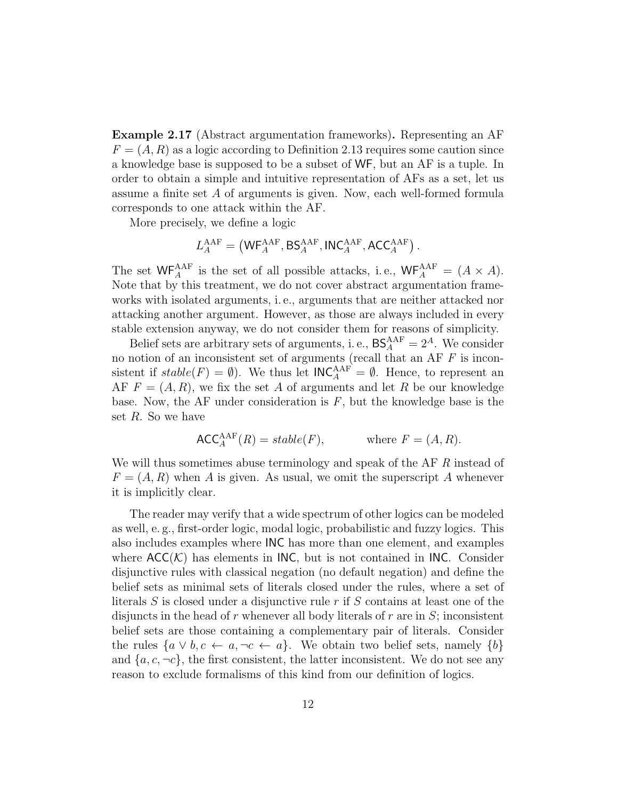Example 2.17 (Abstract argumentation frameworks). Representing an AF  $F = (A, R)$  as a logic according to Definition 2.13 requires some caution since a knowledge base is supposed to be a subset of WF, but an AF is a tuple. In order to obtain a simple and intuitive representation of AFs as a set, let us assume a finite set A of arguments is given. Now, each well-formed formula corresponds to one attack within the AF.

More precisely, we define a logic

$$
L_A^{\rm AAF} = \left(\mathsf{WF}_A^{\rm AAF}, \mathsf{BS}_A^{\rm AAF}, \mathsf{INC}_A^{\rm AAF}, \mathsf{ACC}_A^{\rm AAF}\right).
$$

The set  $WF_A^{AAF}$  is the set of all possible attacks, i.e.,  $WF_A^{AAF} = (A \times A)$ . Note that by this treatment, we do not cover abstract argumentation frameworks with isolated arguments, i. e., arguments that are neither attacked nor attacking another argument. However, as those are always included in every stable extension anyway, we do not consider them for reasons of simplicity.

Belief sets are arbitrary sets of arguments, i.e.,  $BS_A^{AAF} = 2^A$ . We consider no notion of an inconsistent set of arguments (recall that an AF  $F$  is inconsistent if  $stable(F) = \emptyset$ . We thus let  $INC_A^{AAF} = \emptyset$ . Hence, to represent an AF  $F = (A, R)$ , we fix the set A of arguments and let R be our knowledge base. Now, the AF under consideration is  $F$ , but the knowledge base is the set  $R$ . So we have

$$
\mathsf{ACC}_A^{\mathsf{AAF}}(R) = stable(F), \qquad \text{where } F = (A, R).
$$

We will thus sometimes abuse terminology and speak of the AF R instead of  $F = (A, R)$  when A is given. As usual, we omit the superscript A whenever it is implicitly clear.

The reader may verify that a wide spectrum of other logics can be modeled as well, e. g., first-order logic, modal logic, probabilistic and fuzzy logics. This also includes examples where INC has more than one element, and examples where  $ACC(\mathcal{K})$  has elements in INC, but is not contained in INC. Consider disjunctive rules with classical negation (no default negation) and define the belief sets as minimal sets of literals closed under the rules, where a set of literals  $S$  is closed under a disjunctive rule  $r$  if  $S$  contains at least one of the disjuncts in the head of r whenever all body literals of r are in  $S$ ; inconsistent belief sets are those containing a complementary pair of literals. Consider the rules  $\{a \lor b, c \leftarrow a, \neg c \leftarrow a\}$ . We obtain two belief sets, namely  $\{b\}$ and  $\{a, c, \neg c\}$ , the first consistent, the latter inconsistent. We do not see any reason to exclude formalisms of this kind from our definition of logics.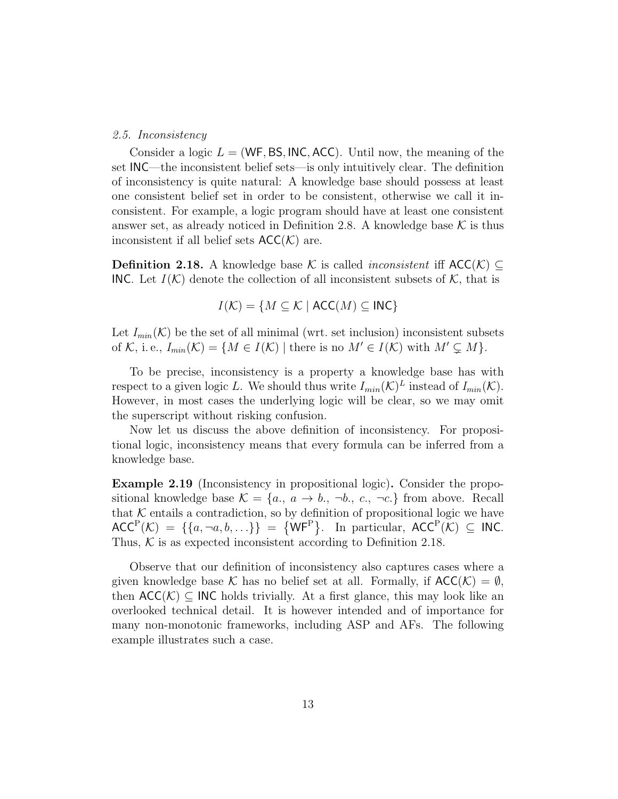#### 2.5. Inconsistency

Consider a logic  $L = (WF, BS, INC, ACC)$ . Until now, the meaning of the set INC—the inconsistent belief sets—is only intuitively clear. The definition of inconsistency is quite natural: A knowledge base should possess at least one consistent belief set in order to be consistent, otherwise we call it inconsistent. For example, a logic program should have at least one consistent answer set, as already noticed in Definition 2.8. A knowledge base  $\mathcal K$  is thus inconsistent if all belief sets  $ACC(\mathcal{K})$  are.

**Definition 2.18.** A knowledge base K is called *inconsistent* iff  $\mathsf{ACC}(\mathcal{K}) \subseteq$ INC. Let  $I(\mathcal{K})$  denote the collection of all inconsistent subsets of  $\mathcal{K}$ , that is

$$
I(\mathcal{K}) = \{ M \subseteq \mathcal{K} \mid \text{ACC}(M) \subseteq \text{INC} \}
$$

Let  $I_{min}(\mathcal{K})$  be the set of all minimal (wrt. set inclusion) inconsistent subsets of K, i.e.,  $I_{min}(\mathcal{K}) = \{M \in I(\mathcal{K}) \mid \text{there is no } M' \in I(\mathcal{K}) \text{ with } M' \subsetneq M\}.$ 

To be precise, inconsistency is a property a knowledge base has with respect to a given logic L. We should thus write  $I_{min}(\mathcal{K})^L$  instead of  $I_{min}(\mathcal{K})$ . However, in most cases the underlying logic will be clear, so we may omit the superscript without risking confusion.

Now let us discuss the above definition of inconsistency. For propositional logic, inconsistency means that every formula can be inferred from a knowledge base.

Example 2.19 (Inconsistency in propositional logic). Consider the propositional knowledge base  $\mathcal{K} = \{a_1, a \rightarrow b_1, \neg b_2, c_3, \neg c_4\}$  from above. Recall that  $K$  entails a contradiction, so by definition of propositional logic we have  $ACC^P(\mathcal{K}) = \{\{a, \neg a, b, \ldots\}\} = \{WF^P\}.$  In particular,  $ACC^P(\mathcal{K}) \subseteq \mathsf{INC}.$ Thus,  $K$  is as expected inconsistent according to Definition 2.18.

Observe that our definition of inconsistency also captures cases where a given knowledge base K has no belief set at all. Formally, if  $ACC(\mathcal{K}) = \emptyset$ , then  $ACC(\mathcal{K}) \subseteq \mathsf{INC}$  holds trivially. At a first glance, this may look like an overlooked technical detail. It is however intended and of importance for many non-monotonic frameworks, including ASP and AFs. The following example illustrates such a case.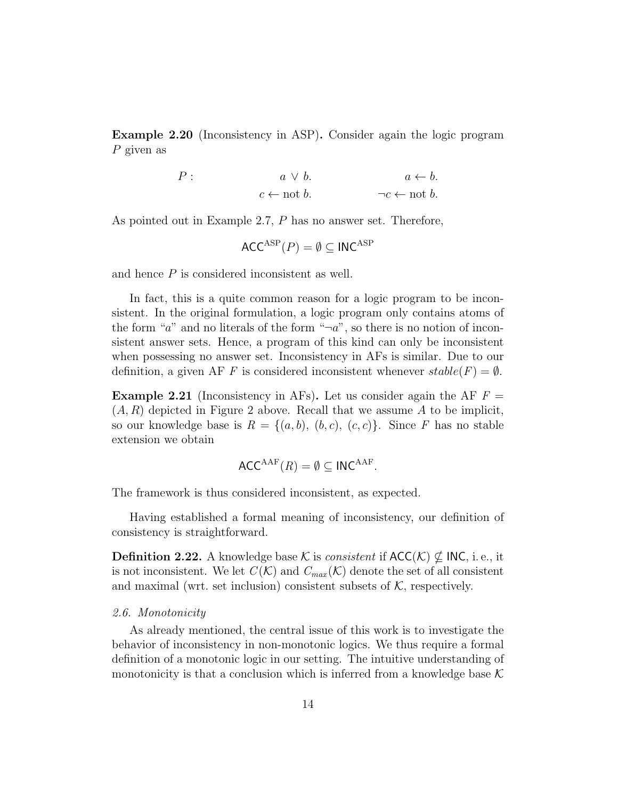Example 2.20 (Inconsistency in ASP). Consider again the logic program P given as

$$
P: \t a \lor b. \t a \leftarrow b.
$$
  

$$
c \leftarrow \text{not } b. \t \neg c \leftarrow \text{not } b.
$$

As pointed out in Example 2.7, P has no answer set. Therefore,

$$
\mathsf{ACC}^{\mathrm{ASP}}(P) = \emptyset \subseteq \mathsf{INC}^{\mathrm{ASP}}
$$

and hence P is considered inconsistent as well.

In fact, this is a quite common reason for a logic program to be inconsistent. In the original formulation, a logic program only contains atoms of the form " $a$ " and no literals of the form " $\neg a$ ", so there is no notion of inconsistent answer sets. Hence, a program of this kind can only be inconsistent when possessing no answer set. Inconsistency in AFs is similar. Due to our definition, a given AF F is considered inconsistent whenever  $stable(F) = \emptyset$ .

**Example 2.21** (Inconsistency in AFs). Let us consider again the AF  $F =$  $(A, R)$  depicted in Figure 2 above. Recall that we assume A to be implicit, so our knowledge base is  $R = \{(a, b), (b, c), (c, c)\}\$ . Since F has no stable extension we obtain

$$
\mathsf{ACC}^{\mathsf{AAF}}(R) = \emptyset \subseteq \mathsf{INC}^{\mathsf{AAF}}.
$$

The framework is thus considered inconsistent, as expected.

Having established a formal meaning of inconsistency, our definition of consistency is straightforward.

**Definition 2.22.** A knowledge base K is *consistent* if  $\mathsf{ACC}(\mathcal{K}) \nsubseteq \mathsf{INC}, i.e., it$ is not inconsistent. We let  $C(K)$  and  $C_{max}(K)$  denote the set of all consistent and maximal (wrt. set inclusion) consistent subsets of  $K$ , respectively.

#### 2.6. Monotonicity

As already mentioned, the central issue of this work is to investigate the behavior of inconsistency in non-monotonic logics. We thus require a formal definition of a monotonic logic in our setting. The intuitive understanding of monotonicity is that a conclusion which is inferred from a knowledge base  $K$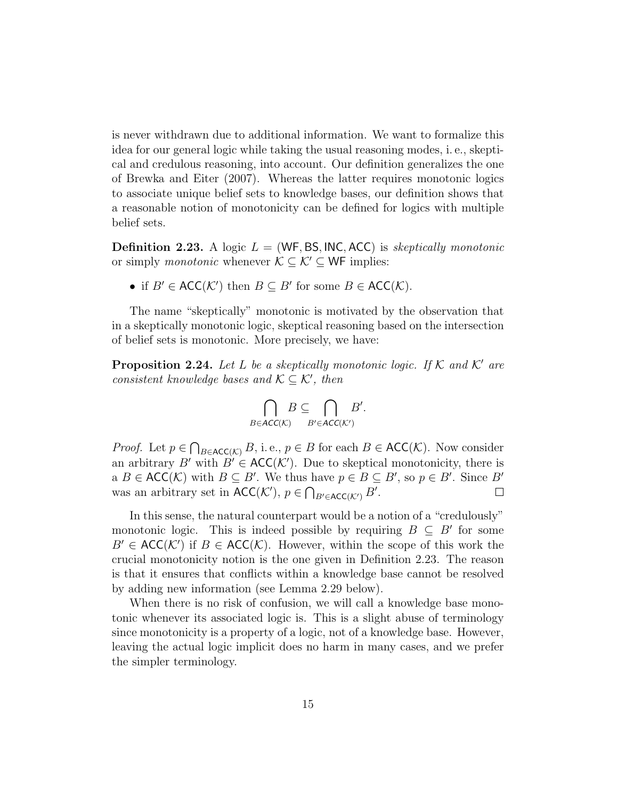is never withdrawn due to additional information. We want to formalize this idea for our general logic while taking the usual reasoning modes, i. e., skeptical and credulous reasoning, into account. Our definition generalizes the one of Brewka and Eiter (2007). Whereas the latter requires monotonic logics to associate unique belief sets to knowledge bases, our definition shows that a reasonable notion of monotonicity can be defined for logics with multiple belief sets.

**Definition 2.23.** A logic  $L = (WF, BS, INC, ACC)$  is skeptically monotonic or simply *monotonic* whenever  $\mathcal{K} \subseteq \mathcal{K}' \subseteq \mathsf{WF}$  implies:

• if  $B' \in \mathsf{ACC}(\mathcal{K}')$  then  $B \subseteq B'$  for some  $B \in \mathsf{ACC}(\mathcal{K})$ .

The name "skeptically" monotonic is motivated by the observation that in a skeptically monotonic logic, skeptical reasoning based on the intersection of belief sets is monotonic. More precisely, we have:

**Proposition 2.24.** Let L be a skeptically monotonic logic. If K and K' are consistent knowledge bases and  $K \subseteq K'$ , then

$$
\bigcap_{B \in ACC(K)} B \subseteq \bigcap_{B' \in ACC(K')} B'.
$$

*Proof.* Let  $p \in \bigcap_{B \in \text{ACC}(\mathcal{K})} B$ , i.e.,  $p \in B$  for each  $B \in \text{ACC}(\mathcal{K})$ . Now consider an arbitrary B' with  $B' \in ACC(K')$ . Due to skeptical monotonicity, there is a  $B \in \mathsf{ACC}(\mathcal{K})$  with  $B \subseteq B'$ . We thus have  $p \in B \subseteq B'$ , so  $p \in B'$ . Since B' was an arbitrary set in  $\mathsf{ACC}(\mathcal{K}'), p \in \bigcap_{B' \in \mathsf{ACC}(\mathcal{K}')} B'.$  $\Box$ 

In this sense, the natural counterpart would be a notion of a "credulously" monotonic logic. This is indeed possible by requiring  $B \subseteq B'$  for some  $B' \in ACC(K')$  if  $B \in ACC(K)$ . However, within the scope of this work the crucial monotonicity notion is the one given in Definition 2.23. The reason is that it ensures that conflicts within a knowledge base cannot be resolved by adding new information (see Lemma 2.29 below).

When there is no risk of confusion, we will call a knowledge base monotonic whenever its associated logic is. This is a slight abuse of terminology since monotonicity is a property of a logic, not of a knowledge base. However, leaving the actual logic implicit does no harm in many cases, and we prefer the simpler terminology.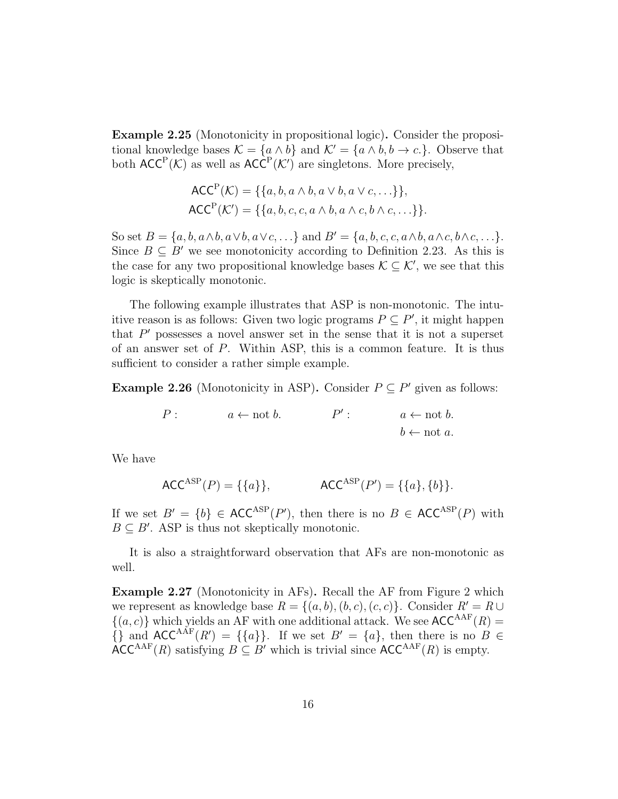Example 2.25 (Monotonicity in propositional logic). Consider the propositional knowledge bases  $\mathcal{K} = \{a \wedge b\}$  and  $\mathcal{K}' = \{a \wedge b, b \rightarrow c.\}$ . Observe that both  $ACC^P(\mathcal{K})$  as well as  $ACC^P(\mathcal{K}')$  are singletons. More precisely,

$$
\mathsf{ACC}^{\mathsf{P}}(\mathcal{K}) = \{\{a, b, a \wedge b, a \vee b, a \vee c, \ldots\}\},
$$

$$
\mathsf{ACC}^{\mathsf{P}}(\mathcal{K}') = \{\{a, b, c, c, a \wedge b, a \wedge c, b \wedge c, \ldots\}\}.
$$

So set  $B = \{a, b, a \wedge b, a \vee b, a \vee c, \ldots\}$  and  $B' = \{a, b, c, c, a \wedge b, a \wedge c, b \wedge c, \ldots\}.$ Since  $B \subseteq B'$  we see monotonicity according to Definition 2.23. As this is the case for any two propositional knowledge bases  $\mathcal{K} \subseteq \mathcal{K}'$ , we see that this logic is skeptically monotonic.

The following example illustrates that ASP is non-monotonic. The intuitive reason is as follows: Given two logic programs  $P \subseteq P'$ , it might happen that  $P'$  possesses a novel answer set in the sense that it is not a superset of an answer set of P. Within ASP, this is a common feature. It is thus sufficient to consider a rather simple example.

**Example 2.26** (Monotonicity in ASP). Consider  $P \subseteq P'$  given as follows:

$$
P: \t a \leftarrow \text{not } b. \t P': \t a \leftarrow \text{not } b. \\ b \leftarrow \text{not } a.
$$

We have

$$
\mathsf{ACC}^{\mathrm{ASP}}(P) = \{\{a\}\}, \qquad \mathsf{ACC}^{\mathrm{ASP}}(P') = \{\{a\}, \{b\}\}.
$$

If we set  $B' = \{b\} \in \text{ACC}^{\text{ASP}}(P')$ , then there is no  $B \in \text{ACC}^{\text{ASP}}(P)$  with  $B \subseteq B'$ . ASP is thus not skeptically monotonic.

It is also a straightforward observation that AFs are non-monotonic as well.

Example 2.27 (Monotonicity in AFs). Recall the AF from Figure 2 which we represent as knowledge base  $R = \{(a, b), (b, c), (c, c)\}\)$ . Consider  $R' = R \cup$  $\{(a, c)\}\$  which yields an AF with one additional attack. We see  $\mathsf{ACC}^{\mathsf{AAF}}(R) =$  $\{\}\$ and  $ACC^{AAF}(R') = \{\{a\}\}\$ . If we set  $B' = \{a\}\$ , then there is no  $B \in$  $\text{ACC}^{\text{AAF}}(R)$  satisfying  $B \subseteq B'$  which is trivial since  $\text{ACC}^{\text{AAF}}(R)$  is empty.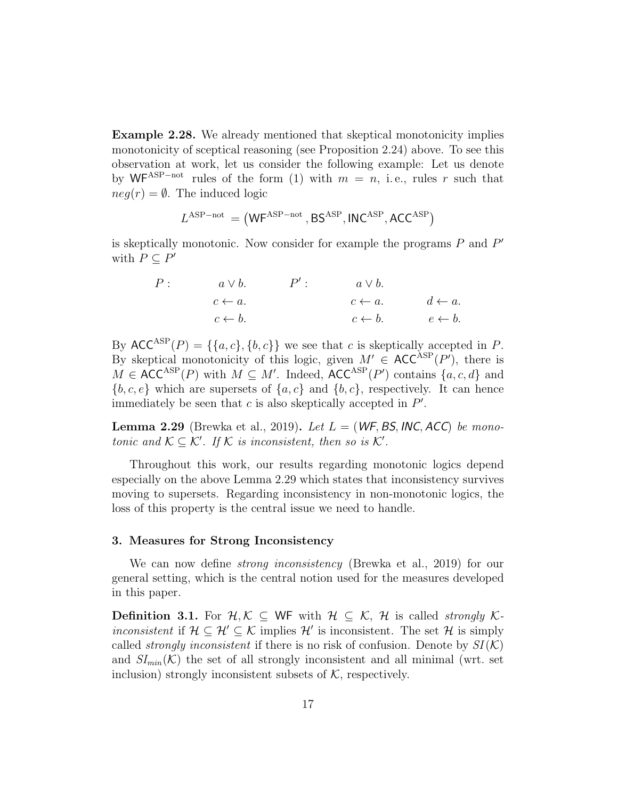Example 2.28. We already mentioned that skeptical monotonicity implies monotonicity of sceptical reasoning (see Proposition 2.24) above. To see this observation at work, let us consider the following example: Let us denote by WF<sup>ASP-not</sup> rules of the form (1) with  $m = n$ , i.e., rules r such that  $neg(r) = \emptyset$ . The induced logic

$$
\mathit{L}^{\mathrm{ASP-not}}\,=\bigl(\mathsf{WF}^{\mathrm{ASP-not}}\,,\mathsf{BS}^{\mathrm{ASP}},\mathsf{INC}^{\mathrm{ASP}},\mathsf{ACC}^{\mathrm{ASP}}\bigr)
$$

is skeptically monotonic. Now consider for example the programs  $P$  and  $P'$ with  $P \subseteq P'$ 

$$
P: \t a \lor b. \t P': \t a \lor b.
$$
  
\n
$$
c \leftarrow a. \t c \leftarrow b. \t d \leftarrow a.
$$
  
\n
$$
c \leftarrow b. \t e \leftarrow b.
$$
  
\n
$$
c \leftarrow b. \t e \leftarrow b.
$$

By  $ACC^{ASP}(P) = \{\{a, c\}, \{b, c\}\}\$  we see that c is skeptically accepted in P. By skeptical monotonicity of this logic, given  $M' \in ACC^{ASP}(P')$ , there is  $M \in \text{ACC}^{\text{ASP}}(P)$  with  $M \subseteq M'$ . Indeed,  $\text{ACC}^{\text{ASP}}(P')$  contains  $\{a, c, d\}$  and  ${b, c, e}$  which are supersets of  ${a, c}$  and  ${b, c}$ , respectively. It can hence immediately be seen that  $c$  is also skeptically accepted in  $P'$ .

**Lemma 2.29** (Brewka et al., 2019). Let  $L = (WF, BS, INC, ACC)$  be monotonic and  $\mathcal{K} \subseteq \mathcal{K}'$ . If  $\mathcal{K}$  is inconsistent, then so is  $\mathcal{K}'$ .

Throughout this work, our results regarding monotonic logics depend especially on the above Lemma 2.29 which states that inconsistency survives moving to supersets. Regarding inconsistency in non-monotonic logics, the loss of this property is the central issue we need to handle.

#### 3. Measures for Strong Inconsistency

We can now define *strong inconsistency* (Brewka et al., 2019) for our general setting, which is the central notion used for the measures developed in this paper.

**Definition 3.1.** For  $\mathcal{H}, \mathcal{K}$  ⊂ WF with  $\mathcal{H}$  ⊂  $\mathcal{K}, \mathcal{H}$  is called *strongly*  $\mathcal{K}$ *inconsistent* if  $\mathcal{H} \subseteq \mathcal{H}' \subseteq \mathcal{K}$  implies  $\mathcal{H}'$  is inconsistent. The set  $\mathcal{H}$  is simply called *strongly inconsistent* if there is no risk of confusion. Denote by  $SI(K)$ and  $SI_{min}(\mathcal{K})$  the set of all strongly inconsistent and all minimal (wrt. set inclusion) strongly inconsistent subsets of  $K$ , respectively.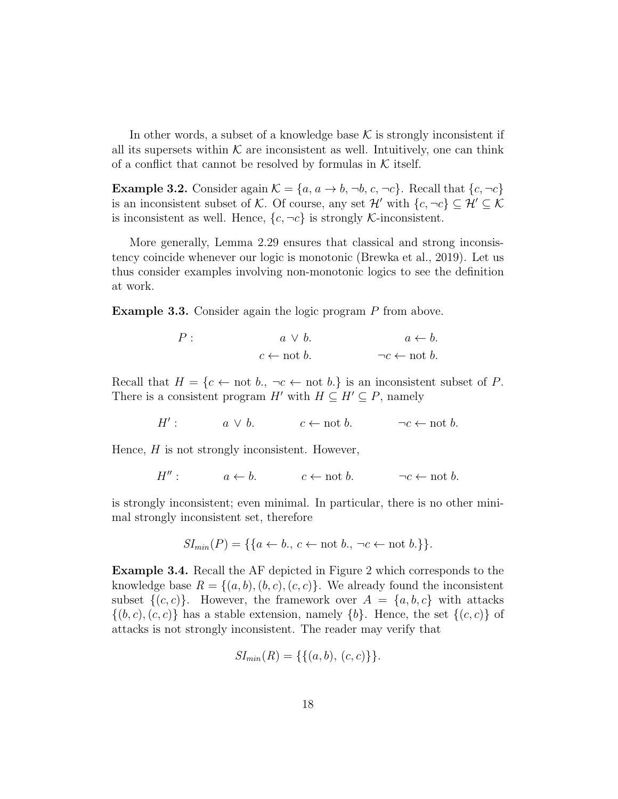In other words, a subset of a knowledge base  $K$  is strongly inconsistent if all its supersets within  $K$  are inconsistent as well. Intuitively, one can think of a conflict that cannot be resolved by formulas in  $K$  itself.

**Example 3.2.** Consider again  $\mathcal{K} = \{a, a \rightarrow b, \neg b, c, \neg c\}$ . Recall that  $\{c, \neg c\}$ is an inconsistent subset of K. Of course, any set  $\mathcal{H}'$  with  $\{c, \neg c\} \subseteq \mathcal{H}' \subseteq \mathcal{K}$ is inconsistent as well. Hence,  $\{c, \neg c\}$  is strongly K-inconsistent.

More generally, Lemma 2.29 ensures that classical and strong inconsistency coincide whenever our logic is monotonic (Brewka et al., 2019). Let us thus consider examples involving non-monotonic logics to see the definition at work.

Example 3.3. Consider again the logic program P from above.

$$
P: \t a \lor b. \t a \leftarrow b.
$$
  

$$
c \leftarrow \text{not } b. \t \neg c \leftarrow \text{not } b.
$$

Recall that  $H = \{c \leftarrow \text{not } b, \neg c \leftarrow \text{not } b.\}$  is an inconsistent subset of P. There is a consistent program H' with  $H \subseteq H' \subseteq P$ , namely

> $H'$  $a \lor b$ .  $c \leftarrow \text{not } b$ .  $\neg c \leftarrow \text{not } b$ .

Hence,  $H$  is not strongly inconsistent. However,

$$
H'': \qquad a \leftarrow b. \qquad c \leftarrow \text{not } b. \qquad \neg c \leftarrow \text{not } b.
$$

is strongly inconsistent; even minimal. In particular, there is no other minimal strongly inconsistent set, therefore

$$
SI_{min}(P) = \{\{a \leftarrow b., c \leftarrow not b., \neg c \leftarrow not b.\}\}.
$$

Example 3.4. Recall the AF depicted in Figure 2 which corresponds to the knowledge base  $R = \{(a, b), (b, c), (c, c)\}.$  We already found the inconsistent subset  $\{(c, c)\}\$ . However, the framework over  $A = \{a, b, c\}$  with attacks  $\{(b, c), (c, c)\}\$  has a stable extension, namely  $\{b\}$ . Hence, the set  $\{(c, c)\}\$  of attacks is not strongly inconsistent. The reader may verify that

$$
SI_{min}(R) = \{\{(a, b), (c, c)\}\}.
$$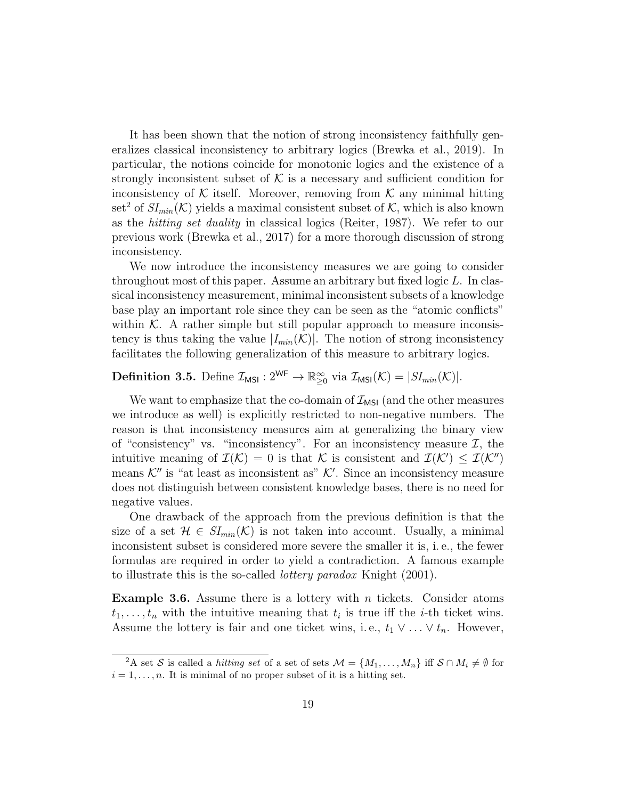It has been shown that the notion of strong inconsistency faithfully generalizes classical inconsistency to arbitrary logics (Brewka et al., 2019). In particular, the notions coincide for monotonic logics and the existence of a strongly inconsistent subset of  $K$  is a necessary and sufficient condition for inconsistency of  $K$  itself. Moreover, removing from  $K$  any minimal hitting set<sup>2</sup> of  $SI_{min}(\mathcal{K})$  yields a maximal consistent subset of  $\mathcal{K}$ , which is also known as the hitting set duality in classical logics (Reiter, 1987). We refer to our previous work (Brewka et al., 2017) for a more thorough discussion of strong inconsistency.

We now introduce the inconsistency measures we are going to consider throughout most of this paper. Assume an arbitrary but fixed logic L. In classical inconsistency measurement, minimal inconsistent subsets of a knowledge base play an important role since they can be seen as the "atomic conflicts" within  $K$ . A rather simple but still popular approach to measure inconsistency is thus taking the value  $|I_{min}(\mathcal{K})|$ . The notion of strong inconsistency facilitates the following generalization of this measure to arbitrary logics.

**Definition 3.5.** Define  $\mathcal{I}_{MSI}: 2^{WF} \to \mathbb{R}^{\infty}_{\geq 0}$  via  $\mathcal{I}_{MSI}(\mathcal{K}) = |SI_{min}(\mathcal{K})|$ .

We want to emphasize that the co-domain of  $\mathcal{I}_{MSI}$  (and the other measures we introduce as well) is explicitly restricted to non-negative numbers. The reason is that inconsistency measures aim at generalizing the binary view of "consistency" vs. "inconsistency". For an inconsistency measure  $\mathcal{I}$ , the intuitive meaning of  $\mathcal{I}(\mathcal{K}) = 0$  is that K is consistent and  $\mathcal{I}(\mathcal{K}') \leq \mathcal{I}(\mathcal{K}'')$ means  $K''$  is "at least as inconsistent as"  $K'$ . Since an inconsistency measure does not distinguish between consistent knowledge bases, there is no need for negative values.

One drawback of the approach from the previous definition is that the size of a set  $\mathcal{H} \in SI_{min}(\mathcal{K})$  is not taken into account. Usually, a minimal inconsistent subset is considered more severe the smaller it is, i. e., the fewer formulas are required in order to yield a contradiction. A famous example to illustrate this is the so-called *lottery paradox* Knight (2001).

**Example 3.6.** Assume there is a lottery with n tickets. Consider atoms  $t_1, \ldots, t_n$  with the intuitive meaning that  $t_i$  is true iff the *i*-th ticket wins. Assume the lottery is fair and one ticket wins, i.e.,  $t_1 \vee \ldots \vee t_n$ . However,

<sup>&</sup>lt;sup>2</sup>A set S is called a *hitting set* of a set of sets  $\mathcal{M} = \{M_1, \ldots, M_n\}$  iff  $S \cap M_i \neq \emptyset$  for  $i = 1, \ldots, n$ . It is minimal of no proper subset of it is a hitting set.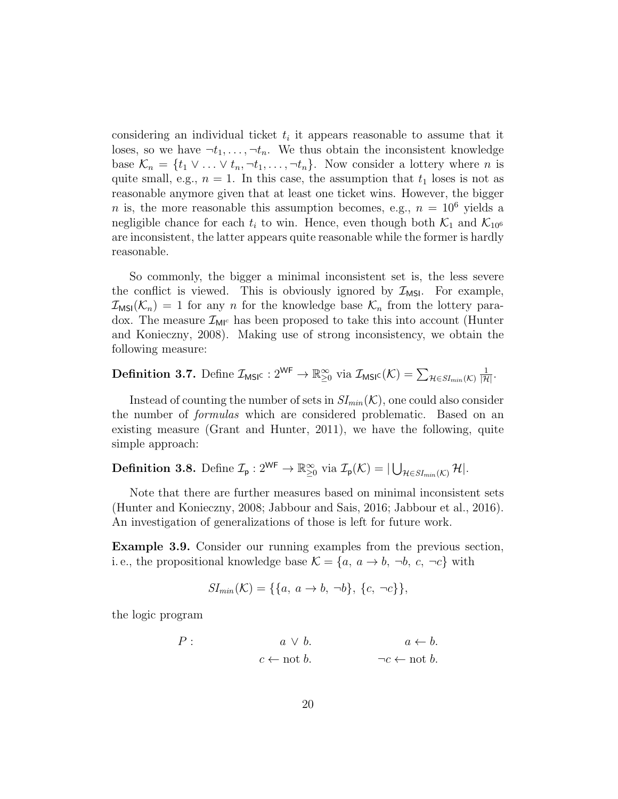considering an individual ticket  $t_i$  it appears reasonable to assume that it loses, so we have  $\neg t_1, \ldots, \neg t_n$ . We thus obtain the inconsistent knowledge base  $\mathcal{K}_n = \{t_1 \vee \ldots \vee t_n, \neg t_1, \ldots, \neg t_n\}$ . Now consider a lottery where n is quite small, e.g.,  $n = 1$ . In this case, the assumption that  $t_1$  loses is not as reasonable anymore given that at least one ticket wins. However, the bigger *n* is, the more reasonable this assumption becomes, e.g.,  $n = 10^6$  yields a negligible chance for each  $t_i$  to win. Hence, even though both  $\mathcal{K}_1$  and  $\mathcal{K}_{10^6}$ are inconsistent, the latter appears quite reasonable while the former is hardly reasonable.

So commonly, the bigger a minimal inconsistent set is, the less severe the conflict is viewed. This is obviously ignored by  $\mathcal{I}_{MSI}$ . For example,  $\mathcal{I}_{MSI}(\mathcal{K}_n) = 1$  for any n for the knowledge base  $\mathcal{K}_n$  from the lottery paradox. The measure  $\mathcal{I}_{\mathsf{M}^{\mathsf{IC}}}$  has been proposed to take this into account (Hunter and Konieczny, 2008). Making use of strong inconsistency, we obtain the following measure:

**Definition 3.7.** Define  $\mathcal{I}_{\text{MSIC}}: 2^{\text{WF}} \to \mathbb{R}^{\infty}_{\geq 0}$  via  $\mathcal{I}_{\text{MSIC}}(\mathcal{K}) = \sum_{\mathcal{H} \in SI_{min}(\mathcal{K})}$  $\frac{1}{|\mathcal{H}|}$ .

Instead of counting the number of sets in  $SI_{min}(\mathcal{K})$ , one could also consider the number of formulas which are considered problematic. Based on an existing measure (Grant and Hunter, 2011), we have the following, quite simple approach:

**Definition 3.8.** Define  $\mathcal{I}_{\mathsf{p}}: 2^{\mathsf{WF}} \to \mathbb{R}^{\infty}_{\geq 0}$  via  $\mathcal{I}_{\mathsf{p}}(\mathcal{K}) = | \bigcup_{\mathcal{H} \in SI_{min}(\mathcal{K})} \mathcal{H}|.$ 

Note that there are further measures based on minimal inconsistent sets (Hunter and Konieczny, 2008; Jabbour and Sais, 2016; Jabbour et al., 2016). An investigation of generalizations of those is left for future work.

Example 3.9. Consider our running examples from the previous section, i.e., the propositional knowledge base  $\mathcal{K} = \{a, a \rightarrow b, \neg b, c, \neg c\}$  with

$$
SI_{min}(\mathcal{K}) = \{\{a, a \to b, \neg b\}, \{c, \neg c\}\},\
$$

the logic program

$$
P: \t a \lor b. \t a \leftarrow b.
$$
  

$$
c \leftarrow \text{not } b. \t \neg c \leftarrow \text{not } b.
$$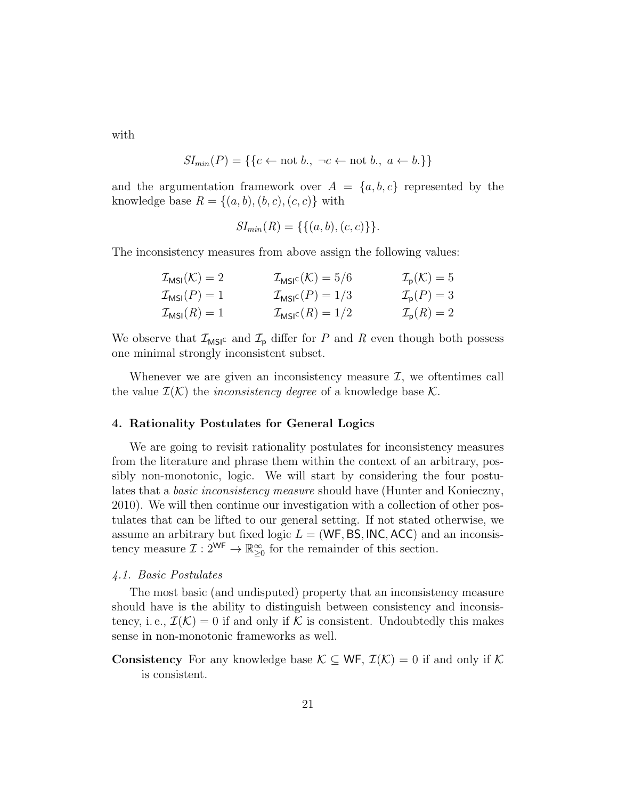with

$$
SI_{min}(P) = \{\{c \leftarrow not b., \neg c \leftarrow not b., a \leftarrow b.\}\}
$$

and the argumentation framework over  $A = \{a, b, c\}$  represented by the knowledge base  $R = \{(a, b), (b, c), (c, c)\}\$  with

$$
SI_{min}(R) = \{\{(a, b), (c, c)\}\}.
$$

The inconsistency measures from above assign the following values:

| $\mathcal{I}_{MSI}(\mathcal{K})=2$ | $\mathcal{I}_{\text{MSIC}}(\mathcal{K}) = 5/6$ | $\mathcal{I}_{\mathsf{p}}(\mathcal{K})=5$ |
|------------------------------------|------------------------------------------------|-------------------------------------------|
| $\mathcal{I}_{MSI}(P)=1$           | $\mathcal{I}_{\text{MSIC}}(P)=1/3$             | $\mathcal{I}_{\mathsf{p}}(P)=3$           |
| $\mathcal{I}_{MSI}(R)=1$           | $\mathcal{I}_{\text{MSIC}}(R) = 1/2$           | $\mathcal{I}_{\mathsf{p}}(R)=2$           |

We observe that  $\mathcal{I}_{MSI}$  and  $\mathcal{I}_{p}$  differ for P and R even though both possess one minimal strongly inconsistent subset.

Whenever we are given an inconsistency measure  $\mathcal{I}$ , we oftentimes call the value  $\mathcal{I}(\mathcal{K})$  the *inconsistency degree* of a knowledge base  $\mathcal{K}$ .

#### 4. Rationality Postulates for General Logics

We are going to revisit rationality postulates for inconsistency measures from the literature and phrase them within the context of an arbitrary, possibly non-monotonic, logic. We will start by considering the four postulates that a *basic inconsistency measure* should have (Hunter and Konieczny, 2010). We will then continue our investigation with a collection of other postulates that can be lifted to our general setting. If not stated otherwise, we assume an arbitrary but fixed logic  $L = (WF, BS, INC, ACC)$  and an inconsistency measure  $\mathcal{I}: 2^{WF} \to \mathbb{R}^{\infty}_{\geq 0}$  for the remainder of this section.

#### 4.1. Basic Postulates

The most basic (and undisputed) property that an inconsistency measure should have is the ability to distinguish between consistency and inconsistency, i. e.,  $\mathcal{I}(\mathcal{K})=0$  if and only if K is consistent. Undoubtedly this makes sense in non-monotonic frameworks as well.

**Consistency** For any knowledge base  $\mathcal{K} \subseteq \mathsf{WF}$ ,  $\mathcal{I}(\mathcal{K}) = 0$  if and only if  $\mathcal{K}$ is consistent.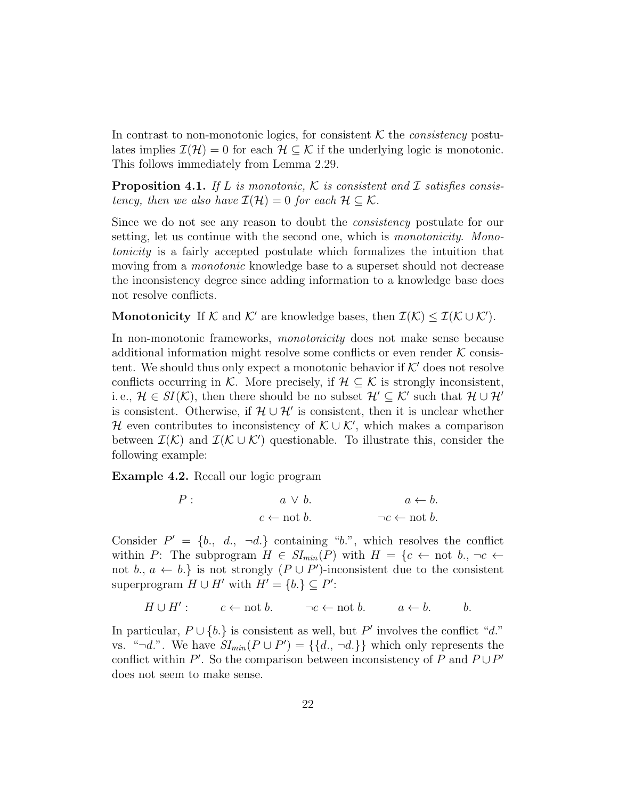In contrast to non-monotonic logics, for consistent  $K$  the *consistency* postulates implies  $\mathcal{I}(\mathcal{H}) = 0$  for each  $\mathcal{H} \subseteq \mathcal{K}$  if the underlying logic is monotonic. This follows immediately from Lemma 2.29.

**Proposition 4.1.** If L is monotonic, K is consistent and I satisfies consistency, then we also have  $\mathcal{I}(\mathcal{H}) = 0$  for each  $\mathcal{H} \subseteq \mathcal{K}$ .

Since we do not see any reason to doubt the *consistency* postulate for our setting, let us continue with the second one, which is *monotonicity*. Monotonicity is a fairly accepted postulate which formalizes the intuition that moving from a *monotonic* knowledge base to a superset should not decrease the inconsistency degree since adding information to a knowledge base does not resolve conflicts.

Monotonicity If K and K' are knowledge bases, then  $\mathcal{I}(\mathcal{K}) \leq \mathcal{I}(\mathcal{K} \cup \mathcal{K}')$ .

In non-monotonic frameworks, *monotonicity* does not make sense because additional information might resolve some conflicts or even render  $K$  consistent. We should thus only expect a monotonic behavior if  $K'$  does not resolve conflicts occurring in K. More precisely, if  $\mathcal{H} \subseteq \mathcal{K}$  is strongly inconsistent, i.e.,  $\mathcal{H} \in SI(\mathcal{K})$ , then there should be no subset  $\mathcal{H}' \subseteq \mathcal{K}'$  such that  $\mathcal{H} \cup \mathcal{H}'$ is consistent. Otherwise, if  $\mathcal{H} \cup \mathcal{H}'$  is consistent, then it is unclear whether H even contributes to inconsistency of  $\mathcal{K} \cup \mathcal{K}'$ , which makes a comparison between  $\mathcal{I}(\mathcal{K})$  and  $\mathcal{I}(\mathcal{K} \cup \mathcal{K}')$  questionable. To illustrate this, consider the following example:

Example 4.2. Recall our logic program

$$
P: \t a \lor b. \t a \leftarrow b.
$$
  

$$
c \leftarrow \text{not } b. \t \neg c \leftarrow \text{not } b.
$$

Consider  $P' = \{b, d, \neg d\}$  containing "b.", which resolves the conflict within P: The subprogram  $H \in SI_{min}(P)$  with  $H = \{c \leftarrow \text{not } b, \neg c \leftarrow \text{not } c\}$ not b.,  $a \leftarrow b$ .} is not strongly  $(P \cup P')$ -inconsistent due to the consistent superprogram  $H \cup H'$  with  $H' = \{b.\} \subseteq P'$ :

$$
H \cup H' : \qquad c \leftarrow \text{not } b. \qquad \neg c \leftarrow \text{not } b. \qquad a \leftarrow b. \qquad b.
$$

In particular,  $P \cup \{b.\}$  is consistent as well, but P' involves the conflict "d." vs. "¬d.". We have  $SI_{min}(P \cup P') = \{\{d, \neg d\}\}\$  which only represents the conflict within  $P'$ . So the comparison between inconsistency of P and  $P \cup P'$ does not seem to make sense.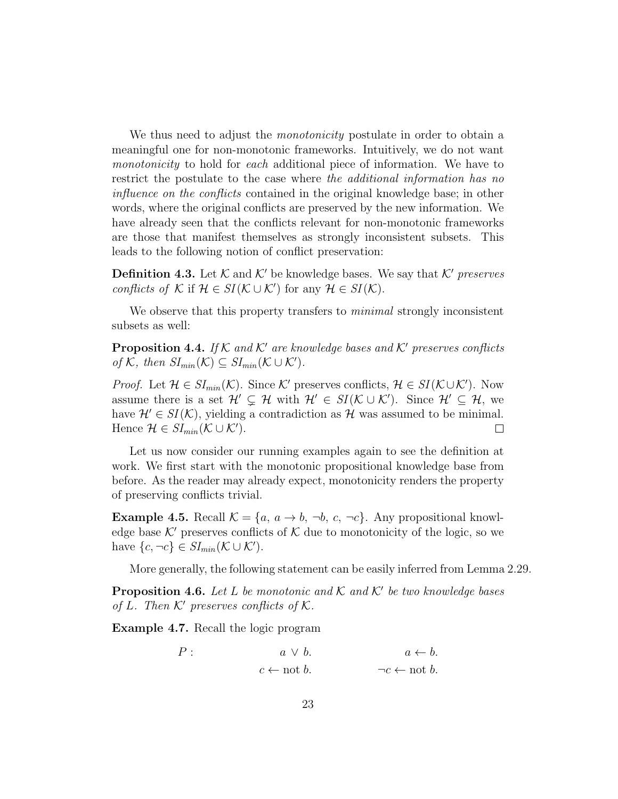We thus need to adjust the *monotonicity* postulate in order to obtain a meaningful one for non-monotonic frameworks. Intuitively, we do not want monotonicity to hold for each additional piece of information. We have to restrict the postulate to the case where the additional information has no influence on the conflicts contained in the original knowledge base; in other words, where the original conflicts are preserved by the new information. We have already seen that the conflicts relevant for non-monotonic frameworks are those that manifest themselves as strongly inconsistent subsets. This leads to the following notion of conflict preservation:

**Definition 4.3.** Let K and K' be knowledge bases. We say that K' preserves conflicts of K if  $\mathcal{H} \in SI(\mathcal{K} \cup \mathcal{K}')$  for any  $\mathcal{H} \in SI(\mathcal{K})$ .

We observe that this property transfers to *minimal* strongly inconsistent subsets as well:

**Proposition 4.4.** If K and K' are knowledge bases and K' preserves conflicts of K, then  $SI_{min}(\mathcal{K}) \subseteq SI_{min}(\mathcal{K} \cup \mathcal{K}')$ .

*Proof.* Let  $\mathcal{H} \in SI_{min}(\mathcal{K})$ . Since K' preserves conflicts,  $\mathcal{H} \in SI(\mathcal{K} \cup \mathcal{K}')$ . Now assume there is a set  $\mathcal{H}' \subsetneq \mathcal{H}$  with  $\mathcal{H}' \in SI(\mathcal{K} \cup \mathcal{K}')$ . Since  $\mathcal{H}' \subseteq \mathcal{H}$ , we have  $\mathcal{H}' \in SI(\mathcal{K})$ , yielding a contradiction as H was assumed to be minimal. Hence  $\mathcal{H} \in SI_{min}(\mathcal{K} \cup \mathcal{K}')$ .  $\Box$ 

Let us now consider our running examples again to see the definition at work. We first start with the monotonic propositional knowledge base from before. As the reader may already expect, monotonicity renders the property of preserving conflicts trivial.

**Example 4.5.** Recall  $K = \{a, a \rightarrow b, \neg b, c, \neg c\}$ . Any propositional knowledge base  $K'$  preserves conflicts of K due to monotonicity of the logic, so we have  $\{c, \neg c\} \in SI_{min}(\mathcal{K} \cup \mathcal{K}')$ .

More generally, the following statement can be easily inferred from Lemma 2.29.

**Proposition 4.6.** Let L be monotonic and K and K' be two knowledge bases of L. Then  $K'$  preserves conflicts of K.

Example 4.7. Recall the logic program

$$
P: \t a \lor b. \t a \leftarrow b.
$$
  

$$
c \leftarrow \text{not } b. \t \neg c \leftarrow \text{not } b.
$$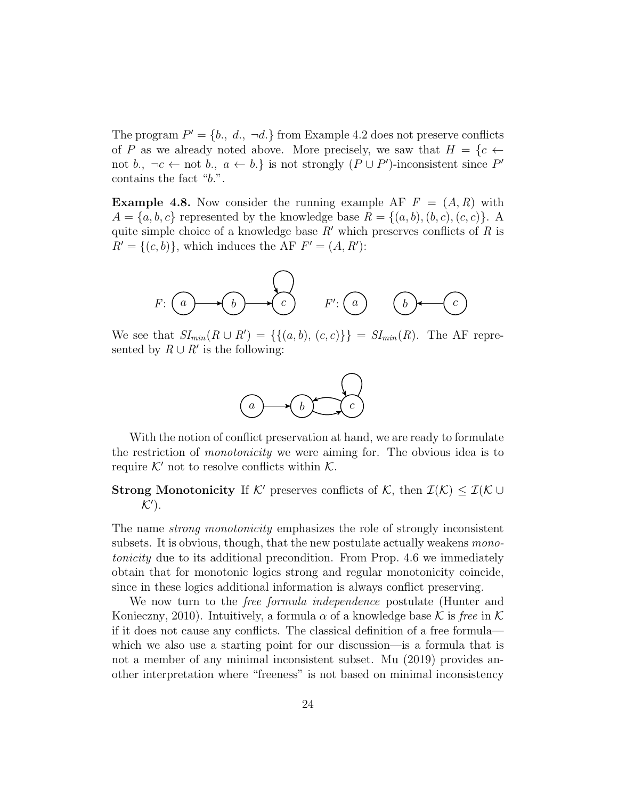The program  $P' = \{b_1, d_2, \neg d_1\}$  from Example 4.2 does not preserve conflicts of P as we already noted above. More precisely, we saw that  $H = \{c \leftarrow$ not b.,  $\neg c \leftarrow \text{not } b$ ,  $a \leftarrow b$ .} is not strongly  $(P \cup P')$ -inconsistent since P' contains the fact "b.".

**Example 4.8.** Now consider the running example AF  $F = (A, R)$  with  $A = \{a, b, c\}$  represented by the knowledge base  $R = \{(a, b), (b, c), (c, c)\}.$  A quite simple choice of a knowledge base  $R'$  which preserves conflicts of  $R$  is  $R' = \{(c, b)\}\text{, which induces the AF } F' = (A, R')$ :



We see that  $SI_{min}(R \cup R') = \{\{(a, b), (c, c)\}\}= SI_{min}(R)$ . The AF represented by  $R \cup R'$  is the following:



With the notion of conflict preservation at hand, we are ready to formulate the restriction of monotonicity we were aiming for. The obvious idea is to require  $K'$  not to resolve conflicts within  $K$ .

# **Strong Monotonicity** If K' preserves conflicts of K, then  $\mathcal{I}(\mathcal{K}) \leq \mathcal{I}(\mathcal{K} \cup$  $K'$ ).

The name *strong monotonicity* emphasizes the role of strongly inconsistent subsets. It is obvious, though, that the new postulate actually weakens *mono*tonicity due to its additional precondition. From Prop. 4.6 we immediately obtain that for monotonic logics strong and regular monotonicity coincide, since in these logics additional information is always conflict preserving.

We now turn to the *free formula independence* postulate (Hunter and Konieczny, 2010). Intuitively, a formula  $\alpha$  of a knowledge base K is free in K if it does not cause any conflicts. The classical definition of a free formula which we also use a starting point for our discussion—is a formula that is not a member of any minimal inconsistent subset. Mu (2019) provides another interpretation where "freeness" is not based on minimal inconsistency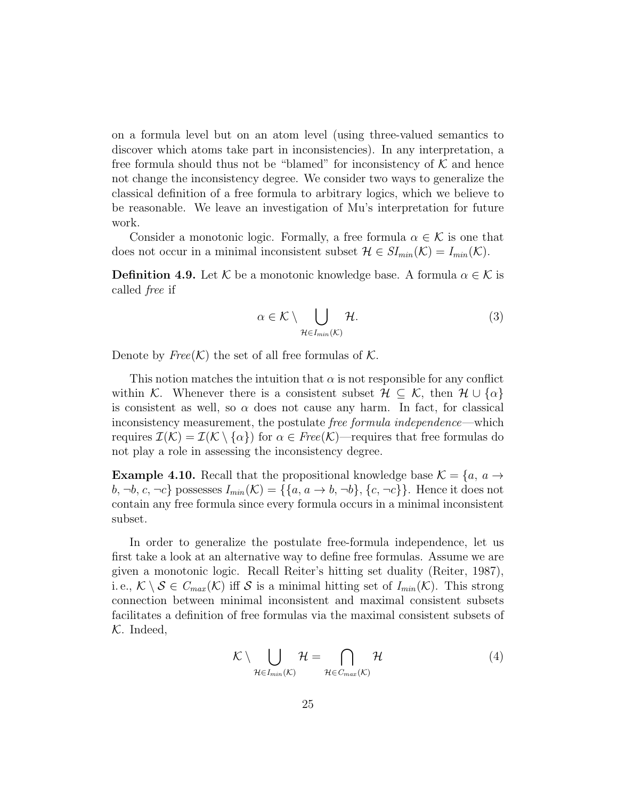on a formula level but on an atom level (using three-valued semantics to discover which atoms take part in inconsistencies). In any interpretation, a free formula should thus not be "blamed" for inconsistency of  $K$  and hence not change the inconsistency degree. We consider two ways to generalize the classical definition of a free formula to arbitrary logics, which we believe to be reasonable. We leave an investigation of Mu's interpretation for future work.

Consider a monotonic logic. Formally, a free formula  $\alpha \in \mathcal{K}$  is one that does not occur in a minimal inconsistent subset  $\mathcal{H} \in SI_{min}(\mathcal{K}) = I_{min}(\mathcal{K})$ .

**Definition 4.9.** Let K be a monotonic knowledge base. A formula  $\alpha \in \mathcal{K}$  is called free if

$$
\alpha \in \mathcal{K} \setminus \bigcup_{\mathcal{H} \in I_{min}(\mathcal{K})} \mathcal{H}.\tag{3}
$$

Denote by  $Free(K)$  the set of all free formulas of K.

This notion matches the intuition that  $\alpha$  is not responsible for any conflict within K. Whenever there is a consistent subset  $\mathcal{H} \subseteq \mathcal{K}$ , then  $\mathcal{H} \cup \{\alpha\}$ is consistent as well, so  $\alpha$  does not cause any harm. In fact, for classical inconsistency measurement, the postulate free formula independence—which requires  $\mathcal{I}(\mathcal{K}) = \mathcal{I}(\mathcal{K} \setminus \{\alpha\})$  for  $\alpha \in Free(\mathcal{K})$ —requires that free formulas do not play a role in assessing the inconsistency degree.

**Example 4.10.** Recall that the propositional knowledge base  $\mathcal{K} = \{a, a \rightarrow a\}$  $b, \neg b, c, \neg c$ } possesses  $I_{min}(\mathcal{K}) = \{\{a, a \rightarrow b, \neg b\}, \{c, \neg c\}\}\.$  Hence it does not contain any free formula since every formula occurs in a minimal inconsistent subset.

In order to generalize the postulate free-formula independence, let us first take a look at an alternative way to define free formulas. Assume we are given a monotonic logic. Recall Reiter's hitting set duality (Reiter, 1987), i.e.,  $\mathcal{K} \setminus \mathcal{S} \in C_{max}(\mathcal{K})$  iff S is a minimal hitting set of  $I_{min}(\mathcal{K})$ . This strong connection between minimal inconsistent and maximal consistent subsets facilitates a definition of free formulas via the maximal consistent subsets of  $K.$  Indeed,

$$
\mathcal{K} \setminus \bigcup_{\mathcal{H} \in I_{min}(\mathcal{K})} \mathcal{H} = \bigcap_{\mathcal{H} \in C_{max}(\mathcal{K})} \mathcal{H}
$$
(4)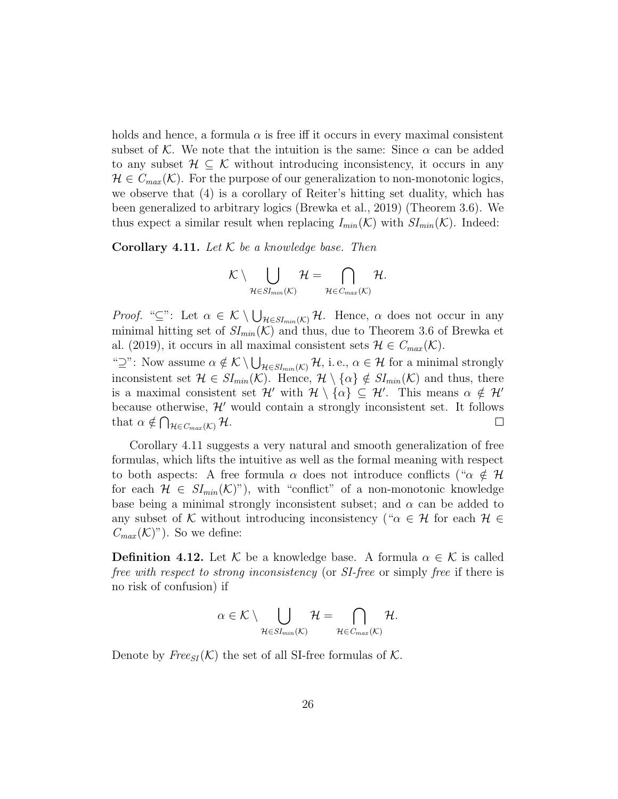holds and hence, a formula  $\alpha$  is free iff it occurs in every maximal consistent subset of K. We note that the intuition is the same: Since  $\alpha$  can be added to any subset  $\mathcal{H} \subseteq \mathcal{K}$  without introducing inconsistency, it occurs in any  $\mathcal{H} \in C_{max}(\mathcal{K})$ . For the purpose of our generalization to non-monotonic logics, we observe that (4) is a corollary of Reiter's hitting set duality, which has been generalized to arbitrary logics (Brewka et al., 2019) (Theorem 3.6). We thus expect a similar result when replacing  $I_{min}(\mathcal{K})$  with  $SI_{min}(\mathcal{K})$ . Indeed:

**Corollary 4.11.** Let  $K$  be a knowledge base. Then

$$
\mathcal{K}\setminus \bigcup_{\mathcal{H}\in {SI}_{min}(\mathcal{K})}\mathcal{H}=\bigcap_{\mathcal{H}\in C_{max}(\mathcal{K})}\mathcal{H}.
$$

*Proof.* " $\subseteq$ ": Let  $\alpha \in \mathcal{K} \setminus \bigcup_{\mathcal{H} \in SI_{min}(\mathcal{K})} \mathcal{H}$ . Hence,  $\alpha$  does not occur in any minimal hitting set of  $SI_{min}(\mathcal{K})$  and thus, due to Theorem 3.6 of Brewka et al. (2019), it occurs in all maximal consistent sets  $\mathcal{H} \in C_{max}(\mathcal{K})$ . " $\supseteq$ ": Now assume  $\alpha \notin \mathcal{K} \setminus \bigcup_{\mathcal{H} \in SI_{min}(\mathcal{K})} \mathcal{H}$ , i.e.,  $\alpha \in \mathcal{H}$  for a minimal strongly inconsistent set  $\mathcal{H} \in SI_{min}(\mathcal{K})$ . Hence,  $\mathcal{H} \setminus {\alpha} \notin SI_{min}(\mathcal{K})$  and thus, there is a maximal consistent set  $\mathcal{H}'$  with  $\mathcal{H} \setminus {\alpha} \subseteq \mathcal{H}'$ . This means  $\alpha \notin \mathcal{H}'$ because otherwise,  $\mathcal{H}'$  would contain a strongly inconsistent set. It follows that  $\alpha \notin \bigcap_{\mathcal{H} \in C_{max}(\mathcal{K})} \mathcal{H}.$  $\Box$ 

Corollary 4.11 suggests a very natural and smooth generalization of free formulas, which lifts the intuitive as well as the formal meaning with respect to both aspects: A free formula  $\alpha$  does not introduce conflicts (" $\alpha \notin \mathcal{H}$ for each  $\mathcal{H} \in SI_{min}(\mathcal{K})$ "), with "conflict" of a non-monotonic knowledge base being a minimal strongly inconsistent subset; and  $\alpha$  can be added to any subset of K without introducing inconsistency (" $\alpha \in \mathcal{H}$  for each  $\mathcal{H} \in$  $C_{max}(\mathcal{K})^n$ . So we define:

**Definition 4.12.** Let K be a knowledge base. A formula  $\alpha \in \mathcal{K}$  is called free with respect to strong inconsistency (or SI-free or simply free if there is no risk of confusion) if

$$
\alpha \in \mathcal{K} \setminus \bigcup_{\mathcal{H} \in SI_{min}(\mathcal{K})} \mathcal{H} = \bigcap_{\mathcal{H} \in C_{max}(\mathcal{K})} \mathcal{H}.
$$

Denote by  $Free_{SI}(\mathcal{K})$  the set of all SI-free formulas of  $\mathcal{K}$ .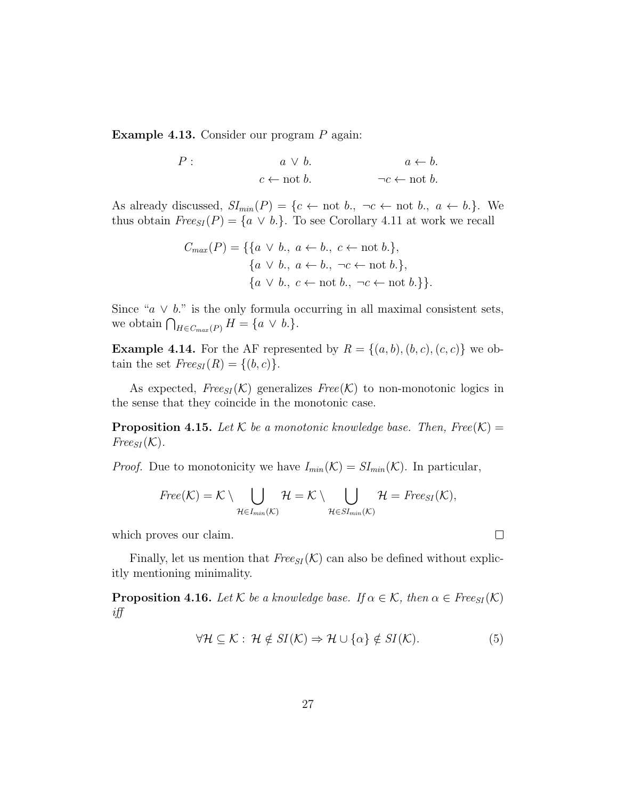Example 4.13. Consider our program P again:

 $P: a \vee b.$   $a \leftarrow b.$  $c \leftarrow \text{not } b.$   $\neg c \leftarrow \text{not } b.$ 

As already discussed,  $SI_{min}(P) = \{c \leftarrow \text{not } b., \neg c \leftarrow \text{not } b., a \leftarrow b.\}.$  We thus obtain  $Free_{SI}(P) = \{a \lor b.\}.$  To see Corollary 4.11 at work we recall

$$
C_{max}(P) = \{ \{a \lor b., a \leftarrow b., c \leftarrow \text{not } b. \},\
$$

$$
\{a \lor b., a \leftarrow b., \neg c \leftarrow \text{not } b. \},\
$$

$$
\{a \lor b., c \leftarrow \text{not } b., \neg c \leftarrow \text{not } b. \} \}.
$$

Since " $a \vee b$ ." is the only formula occurring in all maximal consistent sets, we obtain  $\bigcap_{H \in C_{max}(P)} H = \{a \lor b.\}.$ 

**Example 4.14.** For the AF represented by  $R = \{(a, b), (b, c), (c, c)\}\)$  we obtain the set  $Free_{SI}(R) = \{(b, c)\}.$ 

As expected,  $Free_{SI}(\mathcal{K})$  generalizes  $Free(\mathcal{K})$  to non-monotonic logics in the sense that they coincide in the monotonic case.

**Proposition 4.15.** Let K be a monotonic knowledge base. Then, Free(K) =  $Free_{SI}({\cal K}).$ 

*Proof.* Due to monotonicity we have  $I_{min}(\mathcal{K}) = SI_{min}(\mathcal{K})$ . In particular,

$$
Free(\mathcal{K})=\mathcal{K}\setminus \bigcup_{\mathcal{H}\in I_{min}(\mathcal{K})}\mathcal{H}=\mathcal{K}\setminus \bigcup_{\mathcal{H}\in SI_{min}(\mathcal{K})}\mathcal{H}=Free_{SI}(\mathcal{K}),
$$

which proves our claim.

Finally, let us mention that  $Free_{SI}(\mathcal{K})$  can also be defined without explicitly mentioning minimality.

**Proposition 4.16.** Let K be a knowledge base. If  $\alpha \in \mathcal{K}$ , then  $\alpha \in \text{Free}_{SI}(\mathcal{K})$ iff

$$
\forall \mathcal{H} \subseteq \mathcal{K} : \mathcal{H} \notin SI(\mathcal{K}) \Rightarrow \mathcal{H} \cup \{\alpha\} \notin SI(\mathcal{K}).
$$
 (5)

 $\Box$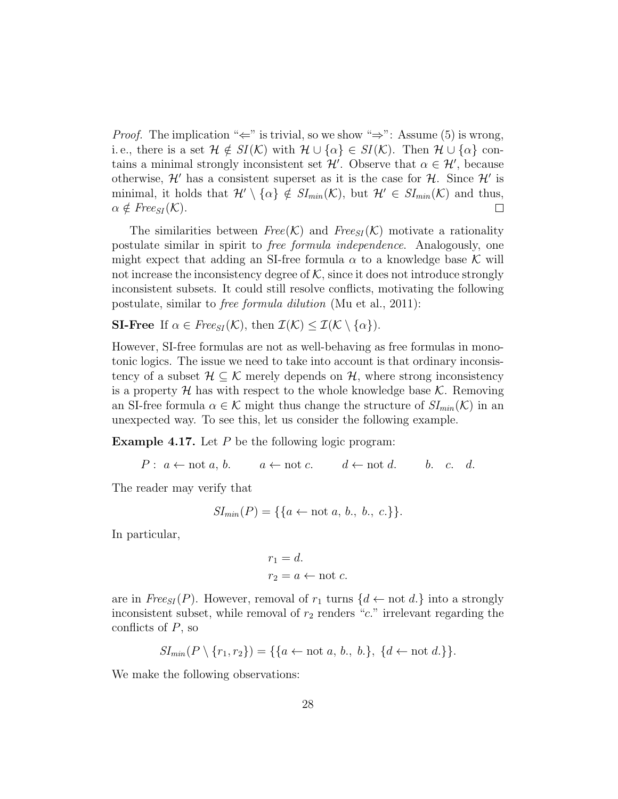*Proof.* The implication " $\Leftarrow$ " is trivial, so we show " $\Rightarrow$ ": Assume (5) is wrong, i.e., there is a set  $\mathcal{H} \notin SI(\mathcal{K})$  with  $\mathcal{H} \cup {\alpha} \in SI(\mathcal{K})$ . Then  $\mathcal{H} \cup {\alpha}$  contains a minimal strongly inconsistent set  $\mathcal{H}'$ . Observe that  $\alpha \in \mathcal{H}'$ , because otherwise,  $\mathcal{H}'$  has a consistent superset as it is the case for  $\mathcal{H}$ . Since  $\mathcal{H}'$  is minimal, it holds that  $\mathcal{H}' \setminus {\alpha} \notin SI_{min}(\mathcal{K})$ , but  $\mathcal{H}' \in SI_{min}(\mathcal{K})$  and thus,  $\alpha \notin \text{Free}_{SI}(\mathcal{K}).$  $\Box$ 

The similarities between  $Free(K)$  and  $Free_{SI}(\mathcal{K})$  motivate a rationality postulate similar in spirit to free formula independence. Analogously, one might expect that adding an SI-free formula  $\alpha$  to a knowledge base K will not increase the inconsistency degree of  $K$ , since it does not introduce strongly inconsistent subsets. It could still resolve conflicts, motivating the following postulate, similar to free formula dilution (Mu et al., 2011):

**SI-Free** If  $\alpha \in \text{Free}_{SI}(\mathcal{K})$ , then  $\mathcal{I}(\mathcal{K}) \leq \mathcal{I}(\mathcal{K} \setminus \{\alpha\})$ .

However, SI-free formulas are not as well-behaving as free formulas in monotonic logics. The issue we need to take into account is that ordinary inconsistency of a subset  $\mathcal{H} \subseteq \mathcal{K}$  merely depends on  $\mathcal{H}$ , where strong inconsistency is a property  $\mathcal H$  has with respect to the whole knowledge base  $\mathcal K$ . Removing an SI-free formula  $\alpha \in \mathcal{K}$  might thus change the structure of  $SI_{min}(\mathcal{K})$  in an unexpected way. To see this, let us consider the following example.

**Example 4.17.** Let  $P$  be the following logic program:

 $P: a \leftarrow \text{not } a, b. \qquad a \leftarrow \text{not } c. \qquad d \leftarrow \text{not } d. \qquad b. \quad c. \quad d.$ 

The reader may verify that

$$
SI_{min}(P) = \{\{a \leftarrow not a, b., b., c.\}\}.
$$

In particular,

$$
r_1 = d.
$$
  

$$
r_2 = a \leftarrow \text{not } c.
$$

are in  $Free_{SI}(P)$ . However, removal of  $r_1$  turns  $\{d \leftarrow \text{not } d\}$  into a strongly inconsistent subset, while removal of  $r_2$  renders "c." irrelevant regarding the conflicts of  $P$ , so

$$
SI_{min}(P \setminus \{r_1, r_2\}) = \{\{a \leftarrow not a, b., b.\}, \{d \leftarrow not d.\}\}.
$$

We make the following observations: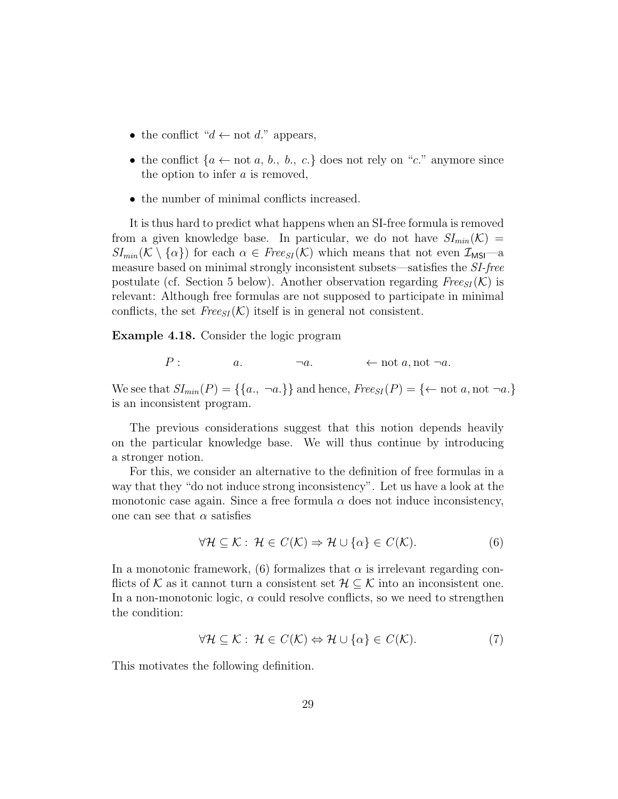- the conflict " $d \leftarrow$  not  $d$ ." appears,
- the conflict  $\{a \leftarrow \text{not } a, b., b., c.\}$  does not rely on "c." anymore since the option to infer  $a$  is removed,
- the number of minimal conflicts increased.

It is thus hard to predict what happens when an SI-free formula is removed from a given knowledge base. In particular, we do not have  $SI_{min}(\mathcal{K}) =$  $SI_{min}(\mathcal{K} \setminus {\alpha})$  for each  $\alpha \in \text{Free}_{SI}(\mathcal{K})$  which means that not even  $\mathcal{I}_{MSI}$ —a measure based on minimal strongly inconsistent subsets—satisfies the SI-free postulate (cf. Section 5 below). Another observation regarding  $Free_{SI}(\mathcal{K})$  is relevant: Although free formulas are not supposed to participate in minimal conflicts, the set  $Free_{SI}(\mathcal{K})$  itself is in general not consistent.

Example 4.18. Consider the logic program

$$
P: \t a. \t \t \t \t \t a, \t not \t a, \t not \t \t a.
$$

We see that  $SI_{min}(P) = \{\{a., \neg a.\}\}\$ and hence,  $Free_{SI}(P) = \{\leftarrow \text{not } a, \text{not } \neg a.\}$ is an inconsistent program.

The previous considerations suggest that this notion depends heavily on the particular knowledge base. We will thus continue by introducing a stronger notion.

For this, we consider an alternative to the definition of free formulas in a way that they "do not induce strong inconsistency". Let us have a look at the monotonic case again. Since a free formula  $\alpha$  does not induce inconsistency, one can see that  $\alpha$  satisfies

$$
\forall \mathcal{H} \subseteq \mathcal{K} : \mathcal{H} \in C(\mathcal{K}) \Rightarrow \mathcal{H} \cup \{\alpha\} \in C(\mathcal{K}).\tag{6}
$$

In a monotonic framework, (6) formalizes that  $\alpha$  is irrelevant regarding conflicts of K as it cannot turn a consistent set  $\mathcal{H} \subseteq \mathcal{K}$  into an inconsistent one. In a non-monotonic logic,  $\alpha$  could resolve conflicts, so we need to strengthen the condition:

$$
\forall \mathcal{H} \subseteq \mathcal{K} : \mathcal{H} \in C(\mathcal{K}) \Leftrightarrow \mathcal{H} \cup \{\alpha\} \in C(\mathcal{K}).\tag{7}
$$

This motivates the following definition.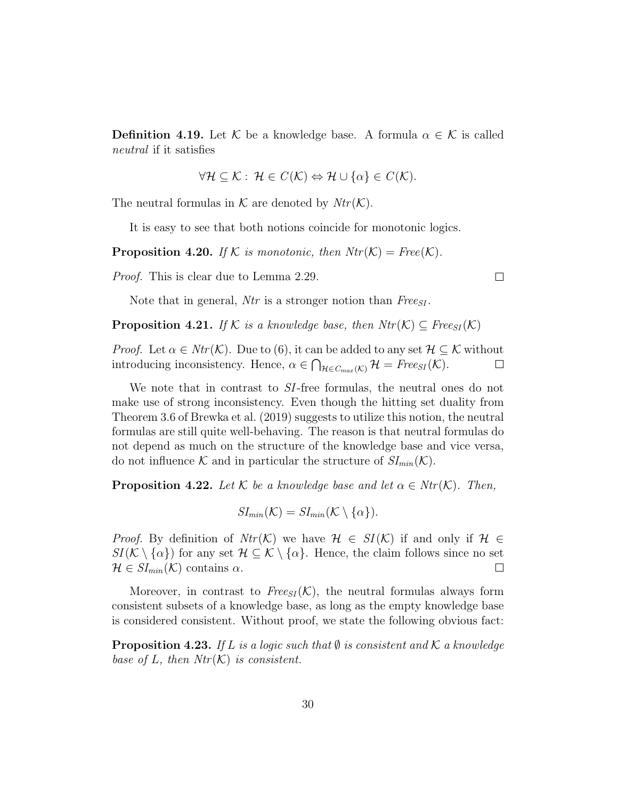**Definition 4.19.** Let K be a knowledge base. A formula  $\alpha \in \mathcal{K}$  is called neutral if it satisfies

$$
\forall \mathcal{H} \subseteq \mathcal{K} : \mathcal{H} \in C(\mathcal{K}) \Leftrightarrow \mathcal{H} \cup \{\alpha\} \in C(\mathcal{K}).
$$

The neutral formulas in K are denoted by  $Ntr(K)$ .

It is easy to see that both notions coincide for monotonic logics.

**Proposition 4.20.** If K is monotonic, then  $Ntr(K) = Free(K)$ .

Proof. This is clear due to Lemma 2.29.

Note that in general, Ntr is a stronger notion than  $Free_{SI}$ .

**Proposition 4.21.** If K is a knowledge base, then  $Ntr(K) \subseteq \text{Free}_{SI}(\mathcal{K})$ 

*Proof.* Let  $\alpha \in Ntr(\mathcal{K})$ . Due to (6), it can be added to any set  $\mathcal{H} \subset \mathcal{K}$  without introducing inconsistency. Hence,  $\alpha \in \bigcap_{\mathcal{H} \in C_{max}(\mathcal{K})} \mathcal{H} = \text{Free}_{SI}(\mathcal{K}).$  $\Box$ 

We note that in contrast to SI-free formulas, the neutral ones do not make use of strong inconsistency. Even though the hitting set duality from Theorem 3.6 of Brewka et al. (2019) suggests to utilize this notion, the neutral formulas are still quite well-behaving. The reason is that neutral formulas do not depend as much on the structure of the knowledge base and vice versa, do not influence K and in particular the structure of  $SI_{min}(\mathcal{K})$ .

**Proposition 4.22.** Let K be a knowledge base and let  $\alpha \in \text{Ntr}(\mathcal{K})$ . Then,

$$
SI_{min}(\mathcal{K})=SI_{min}(\mathcal{K}\setminus{\alpha}).
$$

*Proof.* By definition of  $Ntr(K)$  we have  $H \in SI(K)$  if and only if  $H \in$  $SI(\mathcal{K}\setminus\{\alpha\})$  for any set  $\mathcal{H}\subseteq\mathcal{K}\setminus\{\alpha\}$ . Hence, the claim follows since no set  $\mathcal{H} \in SI_{min}(\mathcal{K})$  contains  $\alpha$ .  $\Box$ 

Moreover, in contrast to  $Free_{SI}(\mathcal{K})$ , the neutral formulas always form consistent subsets of a knowledge base, as long as the empty knowledge base is considered consistent. Without proof, we state the following obvious fact:

**Proposition 4.23.** If L is a logic such that  $\emptyset$  is consistent and K a knowledge base of L, then  $Ntr(K)$  is consistent.

 $\Box$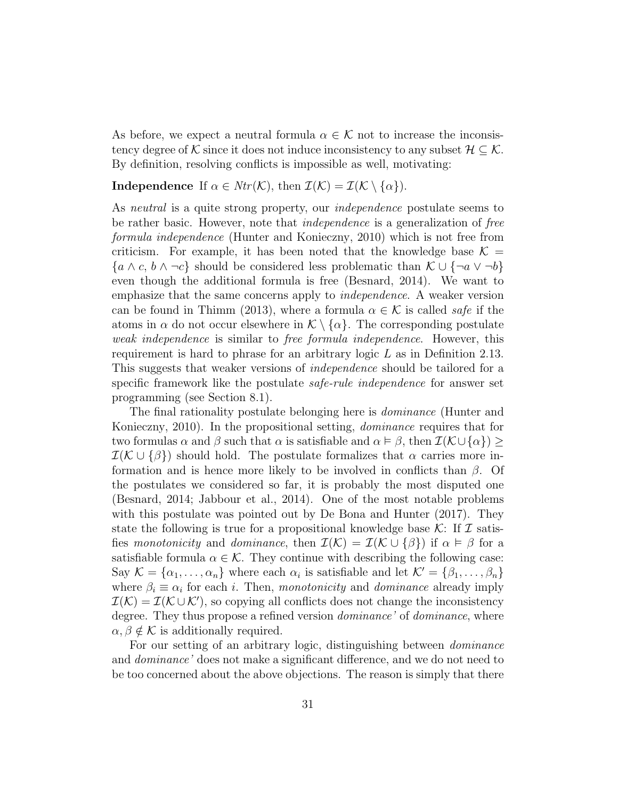As before, we expect a neutral formula  $\alpha \in \mathcal{K}$  not to increase the inconsistency degree of K since it does not induce inconsistency to any subset  $\mathcal{H} \subseteq \mathcal{K}$ . By definition, resolving conflicts is impossible as well, motivating:

## **Independence** If  $\alpha \in Ntr(\mathcal{K})$ , then  $\mathcal{I}(\mathcal{K}) = \mathcal{I}(\mathcal{K} \setminus {\alpha})$ .

As *neutral* is a quite strong property, our *independence* postulate seems to be rather basic. However, note that independence is a generalization of free formula independence (Hunter and Konieczny, 2010) which is not free from criticism. For example, it has been noted that the knowledge base  $\mathcal{K} =$  $\{a \wedge c, b \wedge \neg c\}$  should be considered less problematic than  $\mathcal{K} \cup \{\neg a \vee \neg b\}$ even though the additional formula is free (Besnard, 2014). We want to emphasize that the same concerns apply to independence. A weaker version can be found in Thimm (2013), where a formula  $\alpha \in \mathcal{K}$  is called safe if the atoms in  $\alpha$  do not occur elsewhere in  $\mathcal{K}\setminus\{\alpha\}$ . The corresponding postulate weak independence is similar to free formula independence. However, this requirement is hard to phrase for an arbitrary logic L as in Definition 2.13. This suggests that weaker versions of *independence* should be tailored for a specific framework like the postulate *safe-rule independence* for answer set programming (see Section 8.1).

The final rationality postulate belonging here is *dominance* (Hunter and Konieczny, 2010). In the propositional setting, dominance requires that for two formulas  $\alpha$  and  $\beta$  such that  $\alpha$  is satisfiable and  $\alpha \models \beta$ , then  $\mathcal{I}(\mathcal{K} \cup {\alpha}) \geq$  $\mathcal{I}(\mathcal{K} \cup {\{\beta\}})$  should hold. The postulate formalizes that  $\alpha$  carries more information and is hence more likely to be involved in conflicts than  $\beta$ . Of the postulates we considered so far, it is probably the most disputed one (Besnard, 2014; Jabbour et al., 2014). One of the most notable problems with this postulate was pointed out by De Bona and Hunter (2017). They state the following is true for a propositional knowledge base  $\mathcal{K}$ : If  $\mathcal I$  satisfies monotonicity and dominance, then  $\mathcal{I}(\mathcal{K}) = \mathcal{I}(\mathcal{K} \cup {\{\beta\}})$  if  $\alpha \models \beta$  for a satisfiable formula  $\alpha \in \mathcal{K}$ . They continue with describing the following case: Say  $\mathcal{K} = \{\alpha_1, \dots, \alpha_n\}$  where each  $\alpha_i$  is satisfiable and let  $\mathcal{K}' = \{\beta_1, \dots, \beta_n\}$ where  $\beta_i \equiv \alpha_i$  for each *i*. Then, monotonicity and *dominance* already imply  $\mathcal{I}(\mathcal{K}) = \mathcal{I}(\mathcal{K} \cup \mathcal{K}')$ , so copying all conflicts does not change the inconsistency degree. They thus propose a refined version *dominance*' of *dominance*, where  $\alpha, \beta \notin \mathcal{K}$  is additionally required.

For our setting of an arbitrary logic, distinguishing between dominance and dominance' does not make a significant difference, and we do not need to be too concerned about the above objections. The reason is simply that there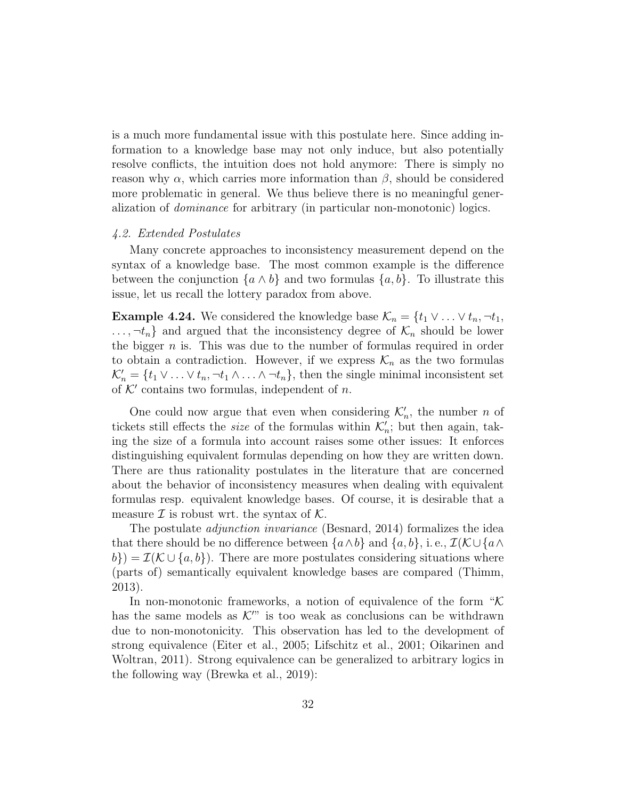is a much more fundamental issue with this postulate here. Since adding information to a knowledge base may not only induce, but also potentially resolve conflicts, the intuition does not hold anymore: There is simply no reason why  $\alpha$ , which carries more information than  $\beta$ , should be considered more problematic in general. We thus believe there is no meaningful generalization of dominance for arbitrary (in particular non-monotonic) logics.

#### 4.2. Extended Postulates

Many concrete approaches to inconsistency measurement depend on the syntax of a knowledge base. The most common example is the difference between the conjunction  $\{a \wedge b\}$  and two formulas  $\{a, b\}$ . To illustrate this issue, let us recall the lottery paradox from above.

**Example 4.24.** We considered the knowledge base  $\mathcal{K}_n = \{t_1 \vee \ldots \vee t_n, \neg t_1, \neg t_2\}$  $..., \neg t_n$  and argued that the inconsistency degree of  $\mathcal{K}_n$  should be lower the bigger  $n$  is. This was due to the number of formulas required in order to obtain a contradiction. However, if we express  $\mathcal{K}_n$  as the two formulas  $\mathcal{K}'_n = \{t_1 \vee \ldots \vee t_n, \neg t_1 \wedge \ldots \wedge \neg t_n\}$ , then the single minimal inconsistent set of  $K'$  contains two formulas, independent of n.

One could now argue that even when considering  $\mathcal{K}'_n$ , the number n of tickets still effects the *size* of the formulas within  $\mathcal{K}'_n$ ; but then again, taking the size of a formula into account raises some other issues: It enforces distinguishing equivalent formulas depending on how they are written down. There are thus rationality postulates in the literature that are concerned about the behavior of inconsistency measures when dealing with equivalent formulas resp. equivalent knowledge bases. Of course, it is desirable that a measure  $\mathcal I$  is robust wrt. the syntax of  $\mathcal K$ .

The postulate *adjunction invariance* (Besnard, 2014) formalizes the idea that there should be no difference between  $\{a \wedge b\}$  and  $\{a, b\}$ , i.e.,  $\mathcal{I}(\mathcal{K} \cup \{a \wedge b\})$  $b\}) = \mathcal{I}(\mathcal{K} \cup \{a, b\})$ . There are more postulates considering situations where (parts of) semantically equivalent knowledge bases are compared (Thimm, 2013).

In non-monotonic frameworks, a notion of equivalence of the form " $K$ has the same models as  $\mathcal{K}^{\prime\prime\prime}$  is too weak as conclusions can be withdrawn due to non-monotonicity. This observation has led to the development of strong equivalence (Eiter et al., 2005; Lifschitz et al., 2001; Oikarinen and Woltran, 2011). Strong equivalence can be generalized to arbitrary logics in the following way (Brewka et al., 2019):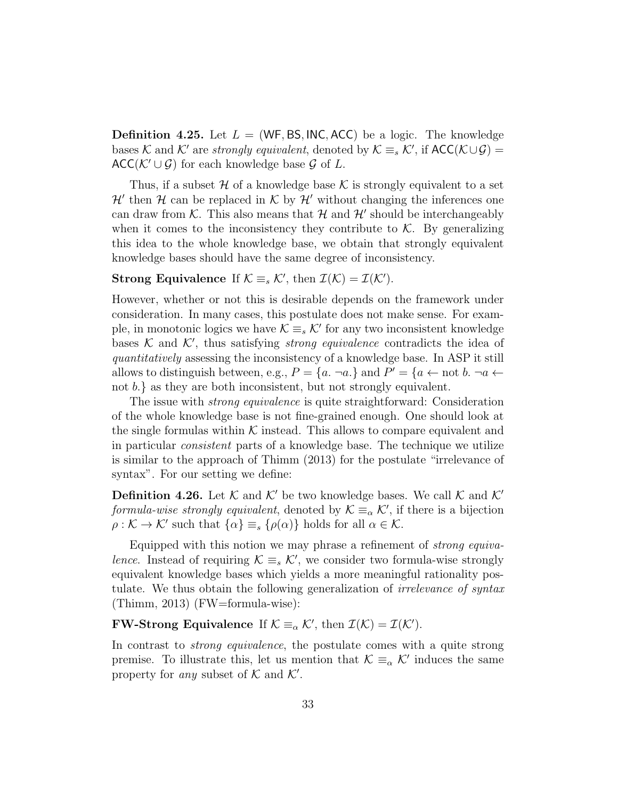**Definition 4.25.** Let  $L = (WF, BS, INC, ACC)$  be a logic. The knowledge bases K and K' are *strongly equivalent*, denoted by  $K \equiv_s \mathcal{K}'$ , if  $ACC(\mathcal{K} \cup \mathcal{G})$  $ACC(\mathcal{K}' \cup \mathcal{G})$  for each knowledge base  $\mathcal{G}$  of L.

Thus, if a subset H of a knowledge base K is strongly equivalent to a set  $\mathcal{H}'$  then  $\mathcal H$  can be replaced in  $\mathcal K$  by  $\mathcal H'$  without changing the inferences one can draw from  $K$ . This also means that  $\mathcal H$  and  $\mathcal H'$  should be interchangeably when it comes to the inconsistency they contribute to  $K$ . By generalizing this idea to the whole knowledge base, we obtain that strongly equivalent knowledge bases should have the same degree of inconsistency.

# Strong Equivalence If  $\mathcal{K} \equiv_s \mathcal{K}'$ , then  $\mathcal{I}(\mathcal{K}) = \mathcal{I}(\mathcal{K}')$ .

However, whether or not this is desirable depends on the framework under consideration. In many cases, this postulate does not make sense. For example, in monotonic logics we have  $\mathcal{K} \equiv_s \mathcal{K}'$  for any two inconsistent knowledge bases K and K', thus satisfying *strong equivalence* contradicts the idea of quantitatively assessing the inconsistency of a knowledge base. In ASP it still allows to distinguish between, e.g.,  $P = \{a \text{ and } P' = \{a \leftarrow \text{not } b \text{ and } a \leftarrow \}$ not b.} as they are both inconsistent, but not strongly equivalent.

The issue with strong equivalence is quite straightforward: Consideration of the whole knowledge base is not fine-grained enough. One should look at the single formulas within  $K$  instead. This allows to compare equivalent and in particular consistent parts of a knowledge base. The technique we utilize is similar to the approach of Thimm (2013) for the postulate "irrelevance of syntax". For our setting we define:

**Definition 4.26.** Let K and K' be two knowledge bases. We call K and K' formula-wise strongly equivalent, denoted by  $\mathcal{K} \equiv_{\alpha} \mathcal{K}'$ , if there is a bijection  $\rho : \mathcal{K} \to \mathcal{K}'$  such that  $\{\alpha\} \equiv_s \{\rho(\alpha)\}\$  holds for all  $\alpha \in \mathcal{K}$ .

Equipped with this notion we may phrase a refinement of strong equivalence. Instead of requiring  $\mathcal{K} \equiv_s \mathcal{K}'$ , we consider two formula-wise strongly equivalent knowledge bases which yields a more meaningful rationality postulate. We thus obtain the following generalization of *irrelevance* of syntax (Thimm, 2013) (FW=formula-wise):

**FW-Strong Equivalence** If  $K \equiv_{\alpha} \mathcal{K}'$ , then  $\mathcal{I}(\mathcal{K}) = \mathcal{I}(\mathcal{K}')$ .

In contrast to strong equivalence, the postulate comes with a quite strong premise. To illustrate this, let us mention that  $\mathcal{K} \equiv_{\alpha} \mathcal{K}'$  induces the same property for any subset of  $K$  and  $K'$ .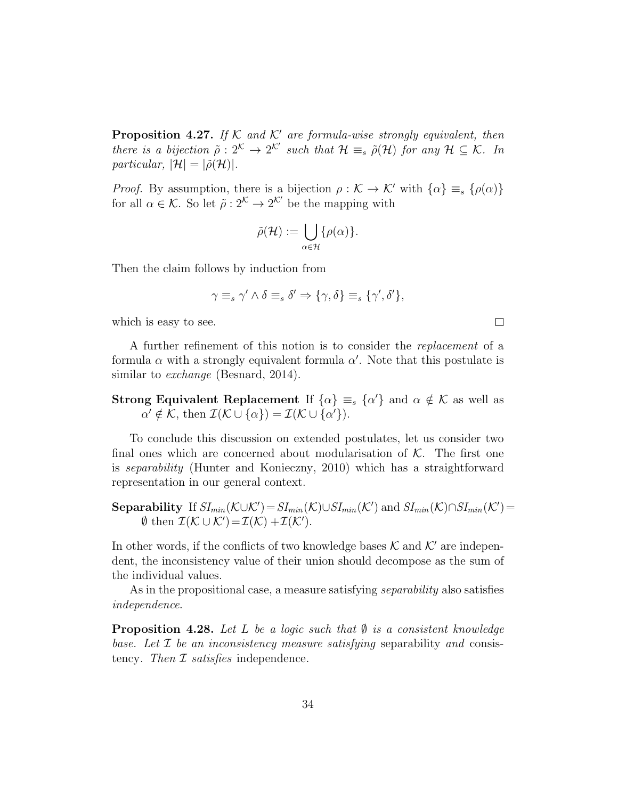**Proposition 4.27.** If  $K$  and  $K'$  are formula-wise strongly equivalent, then there is a bijection  $\tilde{\rho}: 2^{\mathcal{K}} \to 2^{\mathcal{K}'}$  such that  $\mathcal{H} \equiv_s \tilde{\rho}(\mathcal{H})$  for any  $\mathcal{H} \subseteq \mathcal{K}$ . In particular,  $|\mathcal{H}| = |\tilde{\rho}(\mathcal{H})|$ .

*Proof.* By assumption, there is a bijection  $\rho : \mathcal{K} \to \mathcal{K}'$  with  $\{\alpha\} \equiv_s \{\rho(\alpha)\}\$ for all  $\alpha \in \mathcal{K}$ . So let  $\tilde{\rho}: 2^{\mathcal{K}} \to 2^{\mathcal{K}'}$  be the mapping with

$$
\tilde{\rho}(\mathcal{H}) := \bigcup_{\alpha \in \mathcal{H}} \{\rho(\alpha)\}.
$$

Then the claim follows by induction from

$$
\gamma \equiv_s \gamma' \wedge \delta \equiv_s \delta' \Rightarrow \{\gamma, \delta\} \equiv_s \{\gamma', \delta'\},
$$

 $\Box$ 

which is easy to see.

A further refinement of this notion is to consider the replacement of a formula  $\alpha$  with a strongly equivalent formula  $\alpha'$ . Note that this postulate is similar to *exchange* (Besnard, 2014).

# **Strong Equivalent Replacement** If  $\{\alpha\} \equiv_s \{\alpha'\}$  and  $\alpha \notin \mathcal{K}$  as well as  $\alpha' \notin \mathcal{K}$ , then  $\mathcal{I}(\mathcal{K} \cup {\alpha}) = \mathcal{I}(\mathcal{K} \cup {\alpha'}).$

To conclude this discussion on extended postulates, let us consider two final ones which are concerned about modularisation of  $K$ . The first one is separability (Hunter and Konieczny, 2010) which has a straightforward representation in our general context.

**Separability** If 
$$
SI_{min}(\mathcal{K} \cup \mathcal{K}') = SI_{min}(\mathcal{K}) \cup SI_{min}(\mathcal{K}')
$$
 and  $SI_{min}(\mathcal{K}) \cap SI_{min}(\mathcal{K}') = \emptyset$  then  $\mathcal{I}(\mathcal{K} \cup \mathcal{K}') = \mathcal{I}(\mathcal{K}) + \mathcal{I}(\mathcal{K}')$ .

In other words, if the conflicts of two knowledge bases  $K$  and  $K'$  are independent, the inconsistency value of their union should decompose as the sum of the individual values.

As in the propositional case, a measure satisfying *separability* also satisfies independence.

**Proposition 4.28.** Let L be a logic such that  $\emptyset$  is a consistent knowledge base. Let  $\mathcal I$  be an inconsistency measure satisfying separability and consistency. Then  $\mathcal I$  satisfies independence.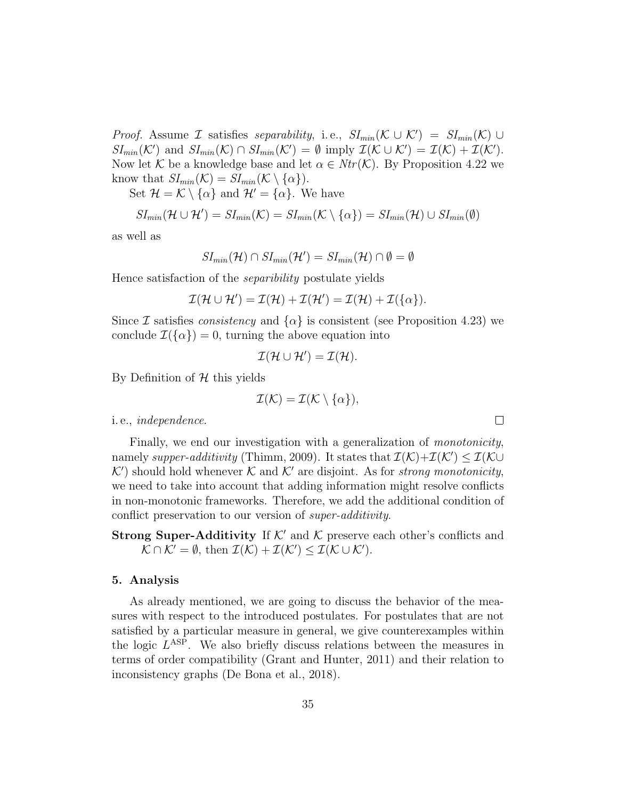*Proof.* Assume *I* satisfies separability, i.e.,  $SI_{min}(\mathcal{K} \cup \mathcal{K}') = SI_{min}(\mathcal{K}) \cup$  $SI_{min}(\mathcal{K}')$  and  $SI_{min}(\mathcal{K}) \cap SI_{min}(\mathcal{K}') = \emptyset$  imply  $\mathcal{I}(\mathcal{K} \cup \mathcal{K}') = \mathcal{I}(\mathcal{K}) + \mathcal{I}(\mathcal{K}')$ . Now let K be a knowledge base and let  $\alpha \in Ntr(K)$ . By Proposition 4.22 we know that  $SI_{min}(\mathcal{K}) = SI_{min}(\mathcal{K} \setminus {\alpha}).$ 

Set  $\mathcal{H} = \mathcal{K} \setminus \{\alpha\}$  and  $\mathcal{H}' = \{\alpha\}$ . We have

$$
SI_{min}(\mathcal{H} \cup \mathcal{H}') = SI_{min}(\mathcal{K}) = SI_{min}(\mathcal{K} \setminus {\alpha}) = SI_{min}(\mathcal{H}) \cup SI_{min}(\emptyset)
$$

as well as

$$
SI_{min}(\mathcal{H}) \cap SI_{min}(\mathcal{H}') = SI_{min}(\mathcal{H}) \cap \emptyset = \emptyset
$$

Hence satisfaction of the separibility postulate yields

$$
\mathcal{I}(\mathcal{H} \cup \mathcal{H}') = \mathcal{I}(\mathcal{H}) + \mathcal{I}(\mathcal{H}') = \mathcal{I}(\mathcal{H}) + \mathcal{I}(\{\alpha\}).
$$

Since I satisfies *consistency* and  $\{\alpha\}$  is consistent (see Proposition 4.23) we conclude  $\mathcal{I}(\{\alpha\})=0$ , turning the above equation into

$$
\mathcal{I}(\mathcal{H}\cup\mathcal{H}')=\mathcal{I}(\mathcal{H}).
$$

By Definition of  $H$  this yields

$$
\mathcal{I}(\mathcal{K})=\mathcal{I}(\mathcal{K}\setminus\{\alpha\}),
$$

 $\Box$ 

i. e., independence.

Finally, we end our investigation with a generalization of *monotonicity*, namely supper-additivity (Thimm, 2009). It states that  $\mathcal{I}(\mathcal{K})+\mathcal{I}(\mathcal{K}') \leq \mathcal{I}(\mathcal{K} \cup$  $K'$ ) should hold whenever K and K' are disjoint. As for strong monotonicity, we need to take into account that adding information might resolve conflicts in non-monotonic frameworks. Therefore, we add the additional condition of conflict preservation to our version of super-additivity.

**Strong Super-Additivity** If  $K'$  and K preserve each other's conflicts and  $\mathcal{K} \cap \mathcal{K}' = \emptyset$ , then  $\mathcal{I}(\mathcal{K}) + \mathcal{I}(\mathcal{K}') \leq \mathcal{I}(\mathcal{K} \cup \mathcal{K}')$ .

#### 5. Analysis

As already mentioned, we are going to discuss the behavior of the measures with respect to the introduced postulates. For postulates that are not satisfied by a particular measure in general, we give counterexamples within the logic  $L^{\text{ASP}}$ . We also briefly discuss relations between the measures in terms of order compatibility (Grant and Hunter, 2011) and their relation to inconsistency graphs (De Bona et al., 2018).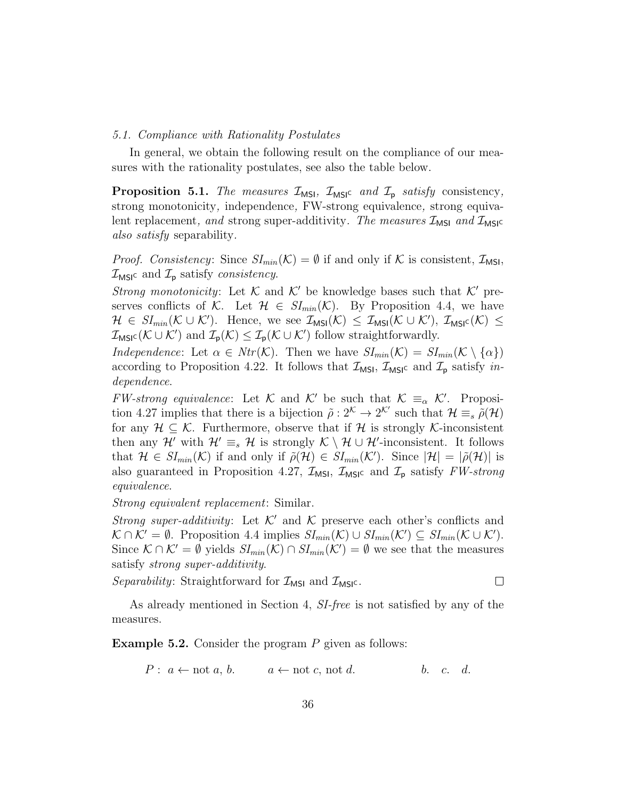#### 5.1. Compliance with Rationality Postulates

In general, we obtain the following result on the compliance of our measures with the rationality postulates, see also the table below.

**Proposition 5.1.** The measures  $\mathcal{I}_{MSI}$ ,  $\mathcal{I}_{MSI}$  and  $\mathcal{I}_{p}$  satisfy consistency, strong monotonicity, independence, FW-strong equivalence, strong equivalent replacement, and strong super-additivity. The measures  $\mathcal{I}_{MSI}$  and  $\mathcal{I}_{MSI}$ also satisfy separability.

*Proof. Consistency:* Since  $SI_{min}(\mathcal{K}) = \emptyset$  if and only if  $\mathcal K$  is consistent,  $\mathcal I_{MSI}$ ,  $\mathcal{I}_{\text{MSIC}}$  and  $\mathcal{I}_{\text{p}}$  satisfy consistency.

Strong monotonicity: Let K and K' be knowledge bases such that K' preserves conflicts of K. Let  $\mathcal{H} \in SI_{min}(\mathcal{K})$ . By Proposition 4.4, we have  $\mathcal{H} \in SI_{min}(\mathcal{K} \cup \mathcal{K}')$ . Hence, we see  $\mathcal{I}_{MSI}(\mathcal{K}) \leq \mathcal{I}_{MSI}(\mathcal{K} \cup \mathcal{K}')$ ,  $\mathcal{I}_{MSI}(\mathcal{K}) \leq$  $\mathcal{I}_{\text{MSIC}}(\mathcal{K} \cup \mathcal{K}')$  and  $\mathcal{I}_{\text{p}}(\mathcal{K}) \leq \mathcal{I}_{\text{p}}(\mathcal{K} \cup \mathcal{K}')$  follow straightforwardly.

Independence: Let  $\alpha \in Ntr(\mathcal{K})$ . Then we have  $SI_{min}(\mathcal{K}) = SI_{min}(\mathcal{K} \setminus {\alpha})$ according to Proposition 4.22. It follows that  $\mathcal{I}_{MSI}$ ,  $\mathcal{I}_{MSI}$  and  $\mathcal{I}_{p}$  satisfy independence.

FW-strong equivalence: Let K and K' be such that  $K \equiv_{\alpha} \mathcal{K}'$ . Proposition 4.27 implies that there is a bijection  $\tilde{\rho}: 2^{\mathcal{K}} \to 2^{\mathcal{K}'}$  such that  $\mathcal{H} \equiv_s \tilde{\rho}(\mathcal{H})$ for any  $\mathcal{H} \subseteq \mathcal{K}$ . Furthermore, observe that if  $\mathcal{H}$  is strongly  $\mathcal{K}$ -inconsistent then any  $\mathcal{H}'$  with  $\mathcal{H}' \equiv_s \mathcal{H}$  is strongly  $\mathcal{K} \setminus \mathcal{H} \cup \mathcal{H}'$ -inconsistent. It follows that  $\mathcal{H} \in SI_{min}(\mathcal{K})$  if and only if  $\tilde{\rho}(\mathcal{H}) \in SI_{min}(\mathcal{K}')$ . Since  $|\mathcal{H}| = |\tilde{\rho}(\mathcal{H})|$  is also guaranteed in Proposition 4.27,  $\mathcal{I}_{MSI}$ ,  $\mathcal{I}_{MSI}$  and  $\mathcal{I}_{p}$  satisfy FW-strong equivalence.

Strong equivalent replacement: Similar.

Strong super-additivity: Let  $K'$  and K preserve each other's conflicts and  $\mathcal{K} \cap \mathcal{K}' = \emptyset$ . Proposition 4.4 implies  $SI_{min}(\mathcal{K}) \cup SI_{min}(\mathcal{K}') \subseteq SI_{min}(\mathcal{K} \cup \mathcal{K}')$ . Since  $\mathcal{K} \cap \mathcal{K}' = \emptyset$  yields  $SI_{min}(\mathcal{K}) \cap SI_{min}(\mathcal{K}') = \emptyset$  we see that the measures satisfy strong super-additivity.

Separability: Straightforward for  $\mathcal{I}_{MSI}$  and  $\mathcal{I}_{MSI}$ .

 $\Box$ 

As already mentioned in Section 4, SI-free is not satisfied by any of the measures.

**Example 5.2.** Consider the program  $P$  given as follows:

$$
P: a \leftarrow \text{not } a, b. \qquad a \leftarrow \text{not } c, \text{ not } d. \qquad b. c. d.
$$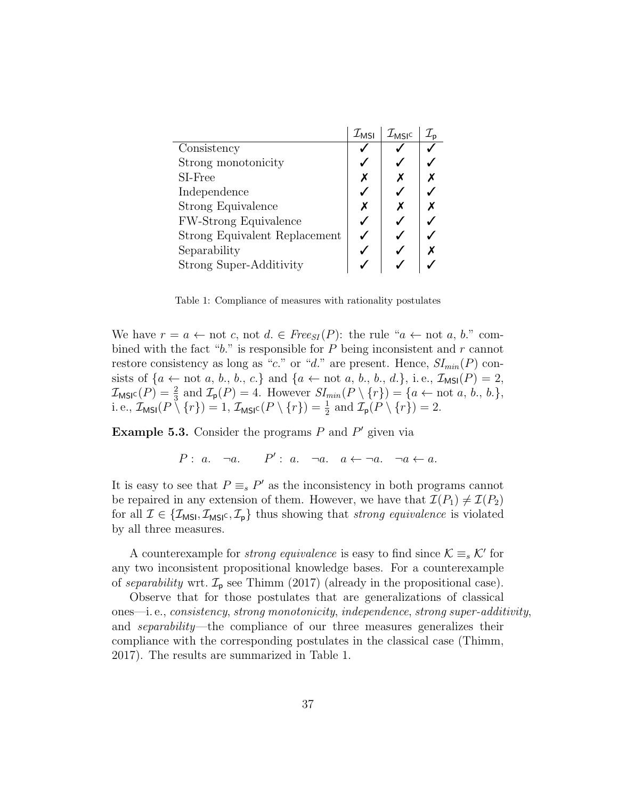|                               | $\mathcal{I}_{\mathsf{MSI}}$ | $\mathcal{I}_{\mathsf{MSIC}}$ |  |
|-------------------------------|------------------------------|-------------------------------|--|
| Consistency                   |                              |                               |  |
| Strong monotonicity           |                              |                               |  |
| SI-Free                       |                              |                               |  |
| Independence                  |                              |                               |  |
| Strong Equivalence            |                              |                               |  |
| <b>FW-Strong Equivalence</b>  |                              |                               |  |
| Strong Equivalent Replacement |                              |                               |  |
| Separability                  |                              |                               |  |
| Strong Super-Additivity       |                              |                               |  |

Table 1: Compliance of measures with rationality postulates

We have  $r = a \leftarrow \text{not } c$ , not  $d \in \text{Free}_{SI}(P)$ : the rule " $a \leftarrow \text{not } a, b$ ." combined with the fact " $b$ ." is responsible for  $P$  being inconsistent and  $r$  cannot restore consistency as long as "c." or "d." are present. Hence,  $SI_{min}(P)$  consists of  ${a \leftarrow not a, b., b., c.}$  and  ${a \leftarrow not a, b., b., d.}$ , i.e.,  $\mathcal{I}_{MSI}(P) = 2$ ,  $\mathcal{I}_{\text{MSIC}}(P) = \frac{2}{3}$  and  $\mathcal{I}_{\text{p}}(P) = 4$ . However  $SI_{min}(P \setminus \{r\}) = \{a \leftarrow \text{not } a, b., b.\},$ i. e.,  $\mathcal{I}_{\text{MSI}}(P \setminus \{r\}) = 1$ ,  $\mathcal{I}_{\text{MSI}^c}(P \setminus \{r\}) = \frac{1}{2}$  and  $\mathcal{I}_{\text{p}}(P \setminus \{r\}) = 2$ .

**Example 5.3.** Consider the programs  $P$  and  $P'$  given via

 $P: a. \quad \neg a. \quad P': a. \quad \neg a. \quad a \leftarrow \neg a. \quad \neg a \leftarrow a.$ 

It is easy to see that  $P \equiv_s P'$  as the inconsistency in both programs cannot be repaired in any extension of them. However, we have that  $\mathcal{I}(P_1) \neq \mathcal{I}(P_2)$ for all  $\mathcal{I} \in \{\mathcal{I}_{MSI}, \mathcal{I}_{MSI^c}, \mathcal{I}_p\}$  thus showing that *strong equivalence* is violated by all three measures.

A counterexample for *strong equivalence* is easy to find since  $\mathcal{K} \equiv_s \mathcal{K}'$  for any two inconsistent propositional knowledge bases. For a counterexample of separability wrt.  $\mathcal{I}_p$  see Thimm (2017) (already in the propositional case).

Observe that for those postulates that are generalizations of classical ones—i. e., consistency, strong monotonicity, independence, strong super-additivity, and separability—the compliance of our three measures generalizes their compliance with the corresponding postulates in the classical case (Thimm, 2017). The results are summarized in Table 1.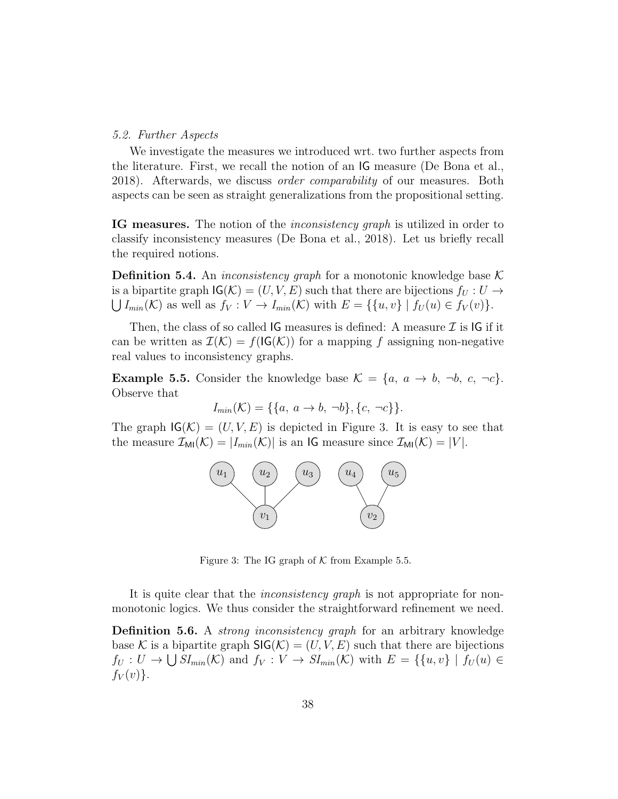## 5.2. Further Aspects

We investigate the measures we introduced wrt. two further aspects from the literature. First, we recall the notion of an IG measure (De Bona et al., 2018). Afterwards, we discuss order comparability of our measures. Both aspects can be seen as straight generalizations from the propositional setting.

**IG measures.** The notion of the *inconsistency graph* is utilized in order to classify inconsistency measures (De Bona et al., 2018). Let us briefly recall the required notions.

**Definition 5.4.** An *inconsistency graph* for a monotonic knowledge base  $\mathcal{K}$ is a bipartite graph  $\mathsf{IG}(\mathcal{K}) = (U, V, E)$  such that there are bijections  $f_U : U \to$  $\bigcup I_{min}(\mathcal{K})$  as well as  $f_V: V \to I_{min}(\mathcal{K})$  with  $E = \{ \{u, v\} \mid f_U(u) \in f_V(v) \}.$ 

Then, the class of so called IG measures is defined: A measure  $\mathcal I$  is IG if it can be written as  $\mathcal{I}(\mathcal{K}) = f(\mathsf{IG}(\mathcal{K}))$  for a mapping f assigning non-negative real values to inconsistency graphs.

**Example 5.5.** Consider the knowledge base  $\mathcal{K} = \{a, a \rightarrow b, \neg b, c, \neg c\}.$ Observe that

$$
I_{min}(\mathcal{K}) = \{\{a, a \to b, \neg b\}, \{c, \neg c\}\}.
$$

The graph  $\mathsf{IG}(\mathcal{K}) = (U, V, E)$  is depicted in Figure 3. It is easy to see that the measure  $\mathcal{I}_{\text{MI}}(\mathcal{K}) = |I_{min}(\mathcal{K})|$  is an IG measure since  $\mathcal{I}_{\text{MI}}(\mathcal{K}) = |V|$ .



Figure 3: The IG graph of  $K$  from Example 5.5.

It is quite clear that the *inconsistency graph* is not appropriate for nonmonotonic logics. We thus consider the straightforward refinement we need.

Definition 5.6. A *strong inconsistency graph* for an arbitrary knowledge base K is a bipartite graph  $\mathsf{SIG}(\mathcal{K}) = (U, V, E)$  such that there are bijections  $f_U: U \to \bigcup SI_{min}(\mathcal{K})$  and  $f_V: V \to SI_{min}(\mathcal{K})$  with  $E = \{ \{u, v\} \mid f_U(u) \in$  $f_V(v)$ .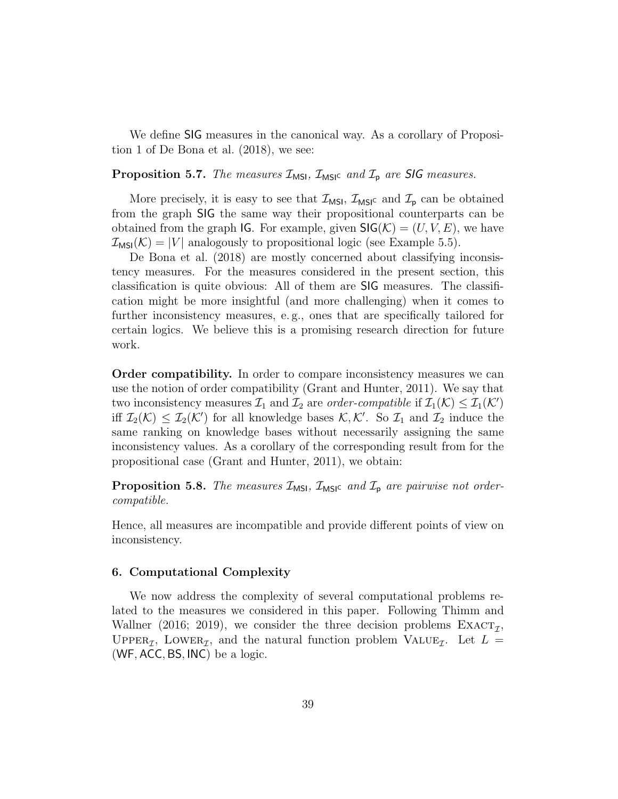We define SIG measures in the canonical way. As a corollary of Proposition 1 of De Bona et al. (2018), we see:

**Proposition 5.7.** The measures  $\mathcal{I}_{MSI}$ ,  $\mathcal{I}_{MSI}$  and  $\mathcal{I}_{p}$  are **SIG** measures.

More precisely, it is easy to see that  $\mathcal{I}_{MSI}$ ,  $\mathcal{I}_{MSI}$  and  $\mathcal{I}_{p}$  can be obtained from the graph SIG the same way their propositional counterparts can be obtained from the graph IG. For example, given  $\mathsf{SIG}(\mathcal{K}) = (U, V, E)$ , we have  $\mathcal{I}_{MSI}(\mathcal{K}) = |V|$  analogously to propositional logic (see Example 5.5).

De Bona et al. (2018) are mostly concerned about classifying inconsistency measures. For the measures considered in the present section, this classification is quite obvious: All of them are SIG measures. The classification might be more insightful (and more challenging) when it comes to further inconsistency measures, e. g., ones that are specifically tailored for certain logics. We believe this is a promising research direction for future work.

Order compatibility. In order to compare inconsistency measures we can use the notion of order compatibility (Grant and Hunter, 2011). We say that two inconsistency measures  $\mathcal{I}_1$  and  $\mathcal{I}_2$  are *order-compatible* if  $\mathcal{I}_1(\mathcal{K}) \leq \mathcal{I}_1(\mathcal{K}')$ iff  $\mathcal{I}_2(\mathcal{K}) \leq \mathcal{I}_2(\mathcal{K}')$  for all knowledge bases  $\mathcal{K}, \mathcal{K}'$ . So  $\mathcal{I}_1$  and  $\mathcal{I}_2$  induce the same ranking on knowledge bases without necessarily assigning the same inconsistency values. As a corollary of the corresponding result from for the propositional case (Grant and Hunter, 2011), we obtain:

**Proposition 5.8.** The measures  $\mathcal{I}_{MSI}$ ,  $\mathcal{I}_{MSI}$  and  $\mathcal{I}_{p}$  are pairwise not ordercompatible.

Hence, all measures are incompatible and provide different points of view on inconsistency.

### 6. Computational Complexity

We now address the complexity of several computational problems related to the measures we considered in this paper. Following Thimm and Wallner (2016; 2019), we consider the three decision problems  $\text{EXACT}_{\mathcal{I}}$ , UPPER<sub>T</sub>, LOWER<sub>T</sub>, and the natural function problem VALUE<sub>T</sub>. Let  $L =$ (WF, ACC, BS, INC) be a logic.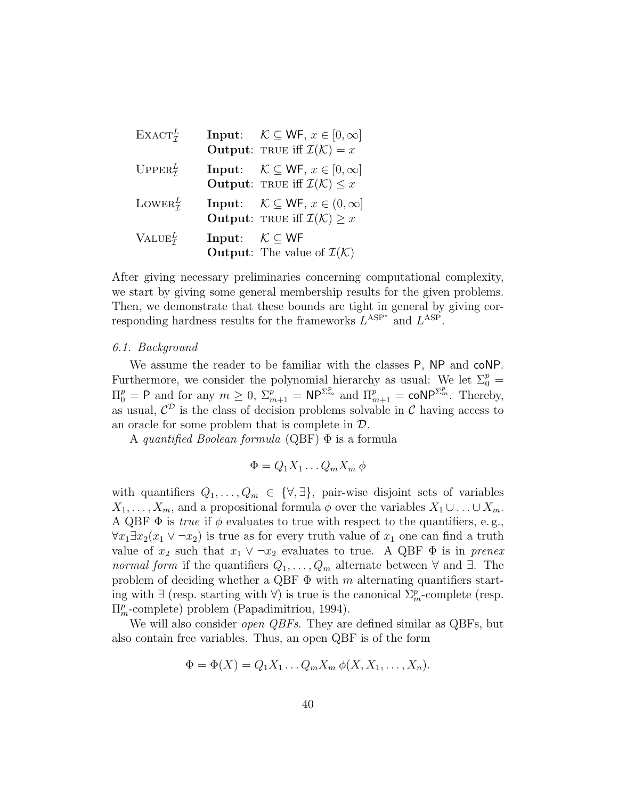| $EXACT_{\tau}^{L}$      |                                          | <b>Input:</b> $\mathcal{K} \subseteq \mathsf{WF}, x \in [0, \infty]$<br><b>Output:</b> TRUE iff $\mathcal{I}(\mathcal{K}) = x$    |
|-------------------------|------------------------------------------|-----------------------------------------------------------------------------------------------------------------------------------|
| $UPPER^L_{\mathcal{T}}$ |                                          | <b>Input:</b> $\mathcal{K} \subseteq \mathsf{WF}, x \in [0, \infty]$<br><b>Output:</b> TRUE iff $\mathcal{I}(\mathcal{K}) \leq x$ |
| LOWER $_7^L$            |                                          | <b>Input:</b> $\mathcal{K} \subseteq \mathsf{WF}, x \in (0, \infty]$<br><b>Output:</b> TRUE iff $\mathcal{I}(\mathcal{K}) \geq x$ |
| $VALU E^L_{\tau}$       | Input: $\mathcal{K} \subset \mathsf{WF}$ | <b>Output:</b> The value of $\mathcal{I}(\mathcal{K})$                                                                            |

After giving necessary preliminaries concerning computational complexity, we start by giving some general membership results for the given problems. Then, we demonstrate that these bounds are tight in general by giving corresponding hardness results for the frameworks  $L^{ASP^*}$  and  $L^{ASP}$ .

## 6.1. Background

We assume the reader to be familiar with the classes P, NP and coNP. Furthermore, we consider the polynomial hierarchy as usual: We let  $\Sigma_0^p =$  $\Pi_0^p = \mathsf{P}$  and for any  $m \geq 0$ ,  $\Sigma_{m+1}^p = \mathsf{NP}^{\Sigma_m^p}$  and  $\Pi_{m+1}^p = \mathsf{coNP}^{\Sigma_m^p}$ . Thereby, as usual,  $\mathcal{C}^{\mathcal{D}}$  is the class of decision problems solvable in  $\mathcal{C}$  having access to an oracle for some problem that is complete in D.

A quantified Boolean formula (QBF) Φ is a formula

$$
\Phi = Q_1 X_1 \dots Q_m X_m \phi
$$

with quantifiers  $Q_1, \ldots, Q_m \in \{\forall, \exists\}$ , pair-wise disjoint sets of variables  $X_1, \ldots, X_m$ , and a propositional formula  $\phi$  over the variables  $X_1 \cup \ldots \cup X_m$ . A QBF  $\Phi$  is *true* if  $\phi$  evaluates to true with respect to the quantifiers, e.g.,  $\forall x_1 \exists x_2(x_1 \vee \neg x_2)$  is true as for every truth value of  $x_1$  one can find a truth value of  $x_2$  such that  $x_1 \vee \neg x_2$  evaluates to true. A QBF  $\Phi$  is in prenex normal form if the quantifiers  $Q_1, \ldots, Q_m$  alternate between  $\forall$  and  $\exists$ . The problem of deciding whether a QBF  $\Phi$  with m alternating quantifiers starting with  $\exists$  (resp. starting with  $\forall$ ) is true is the canonical  $\Sigma_m^p$ -complete (resp.  $\Pi_m^p$ -complete) problem (Papadimitriou, 1994).

We will also consider *open QBFs*. They are defined similar as QBFs, but also contain free variables. Thus, an open QBF is of the form

$$
\Phi = \Phi(X) = Q_1 X_1 \dots Q_m X_m \phi(X, X_1, \dots, X_n).
$$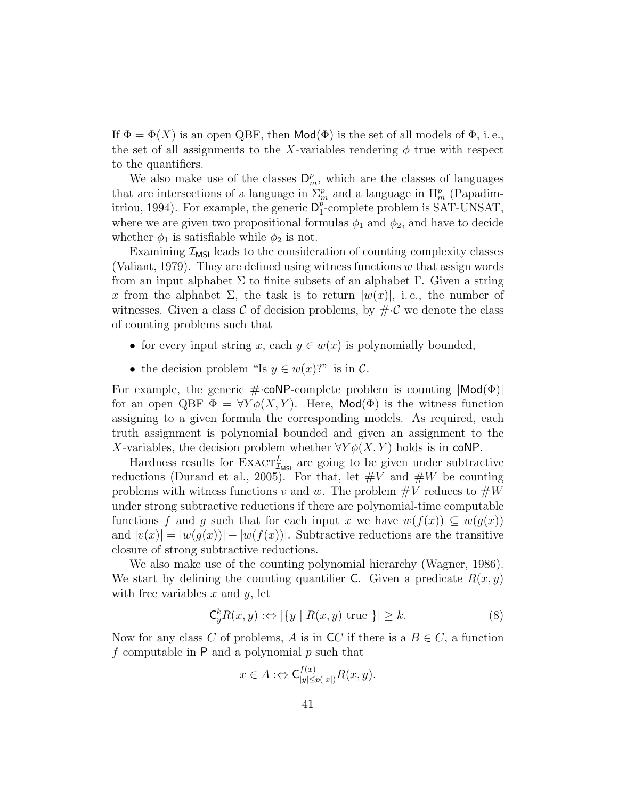If  $\Phi = \Phi(X)$  is an open QBF, then  $\text{Mod}(\Phi)$  is the set of all models of  $\Phi$ , i.e., the set of all assignments to the X-variables rendering  $\phi$  true with respect to the quantifiers.

We also make use of the classes  $\mathsf{D}_m^p$ , which are the classes of languages that are intersections of a language in  $\Sigma_m^p$  and a language in  $\Pi_m^p$  (Papadimitriou, 1994). For example, the generic  $D_1^p$  $_{1}^{p}$ -complete problem is SAT-UNSAT, where we are given two propositional formulas  $\phi_1$  and  $\phi_2$ , and have to decide whether  $\phi_1$  is satisfiable while  $\phi_2$  is not.

Examining  $\mathcal{I}_{\text{MSI}}$  leads to the consideration of counting complexity classes (Valiant, 1979). They are defined using witness functions  $w$  that assign words from an input alphabet Σ to finite subsets of an alphabet Γ. Given a string x from the alphabet  $\Sigma$ , the task is to return  $|w(x)|$ , i.e., the number of witnesses. Given a class  $\mathcal C$  of decision problems, by  $\#\mathcal C$  we denote the class of counting problems such that

- for every input string x, each  $y \in w(x)$  is polynomially bounded,
- the decision problem "Is  $y \in w(x)$ ?" is in C.

For example, the generic  $\#\text{-coNP-complete problem}$  is counting  $|\textsf{Mod}(\Phi)|$ for an open QBF  $\Phi = \forall Y \phi(X, Y)$ . Here, Mod( $\Phi$ ) is the witness function assigning to a given formula the corresponding models. As required, each truth assignment is polynomial bounded and given an assignment to the X-variables, the decision problem whether  $\forall Y \phi(X, Y)$  holds is in coNP.

Hardness results for  $\text{Exact}_{\mathcal{I}_{\text{MSI}}}^L$  are going to be given under subtractive reductions (Durand et al., 2005). For that, let  $\#V$  and  $\#W$  be counting problems with witness functions v and w. The problem  $\#V$  reduces to  $\#W$ under strong subtractive reductions if there are polynomial-time computable functions f and g such that for each input x we have  $w(f(x)) \subseteq w(g(x))$ and  $|v(x)| = |w(g(x))| - |w(f(x))|$ . Subtractive reductions are the transitive closure of strong subtractive reductions.

We also make use of the counting polynomial hierarchy (Wagner, 1986). We start by defining the counting quantifier C. Given a predicate  $R(x, y)$ with free variables  $x$  and  $y$ , let

$$
\mathsf{C}_y^k R(x, y) :\Leftrightarrow |\{y \mid R(x, y) \text{ true }\}| \ge k. \tag{8}
$$

Now for any class C of problems, A is in  $\mathsf{C} C$  if there is a  $B \in C$ , a function f computable in  $P$  and a polynomial  $p$  such that

$$
x \in A : \Leftrightarrow \mathsf{C}^{f(x)}_{|y| \le p(|x|)} R(x, y).
$$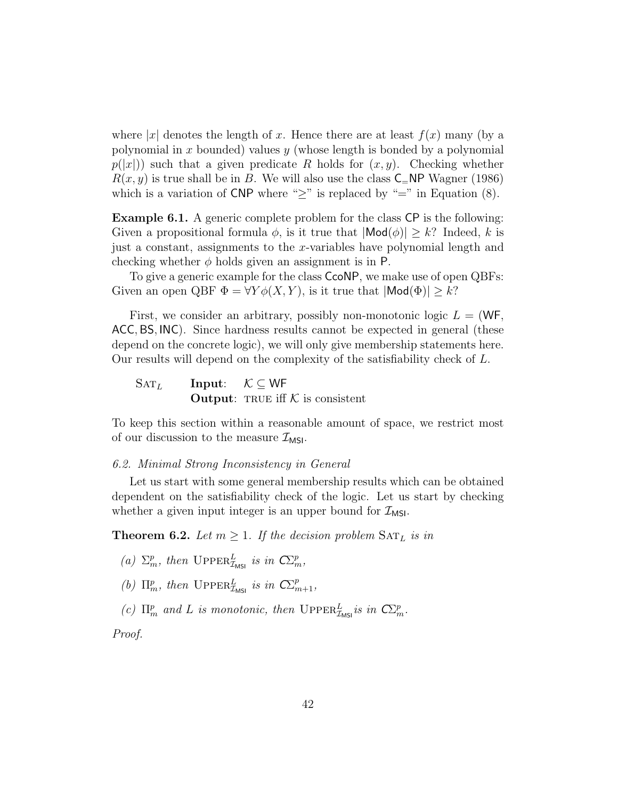where |x| denotes the length of x. Hence there are at least  $f(x)$  many (by a polynomial in x bounded) values y (whose length is bonded by a polynomial  $p(|x|)$ ) such that a given predicate R holds for  $(x, y)$ . Checking whether  $R(x, y)$  is true shall be in B. We will also use the class  $\mathsf{C}$ =NP Wagner (1986) which is a variation of CNP where " $\geq$ " is replaced by "=" in Equation (8).

Example 6.1. A generic complete problem for the class CP is the following: Given a propositional formula  $\phi$ , is it true that  $|\textsf{Mod}(\phi)| \geq k$ ? Indeed, k is just a constant, assignments to the x-variables have polynomial length and checking whether  $\phi$  holds given an assignment is in P.

To give a generic example for the class CcoNP, we make use of open QBFs: Given an open QBF  $\Phi = \forall Y \phi(X, Y)$ , is it true that  $|\textsf{Mod}(\Phi)| \geq k$ ?

First, we consider an arbitrary, possibly non-monotonic logic  $L = (WF,$ ACC, BS, INC). Since hardness results cannot be expected in general (these depend on the concrete logic), we will only give membership statements here. Our results will depend on the complexity of the satisfiability check of L.

 $\text{SAT}_L$  Input:  $\mathcal{K} \subset \text{WF}$ **Output:** TRUE iff  $K$  is consistent

To keep this section within a reasonable amount of space, we restrict most of our discussion to the measure  $\mathcal{I}_{MSI}$ .

## 6.2. Minimal Strong Inconsistency in General

Let us start with some general membership results which can be obtained dependent on the satisfiability check of the logic. Let us start by checking whether a given input integer is an upper bound for  $\mathcal{I}_{MSI}$ .

**Theorem 6.2.** Let  $m \geq 1$ . If the decision problem  $\text{SAT}_L$  is in

- (a)  $\Sigma_m^p$ , then  $\mathrm{Upp} \mathrm{ER}_{\mathcal{I}_{\text{MSI}}}^L$  is in  $\mathbb{C}\Sigma_m^p$ ,
- (b)  $\Pi_m^p$ , then  $\text{UpperR}_{\mathcal{I}_{\text{MSI}}}^L$  is in  $\mathbb{C}\Sigma_{m+1}^p$ ,

(c)  $\Pi_m^p$  and L is monotonic, then  $\text{UpperR}_{\mathcal{I}_{\text{MSI}}}^L$  is in  $\mathbb{C}\Sigma_m^p$ .

Proof.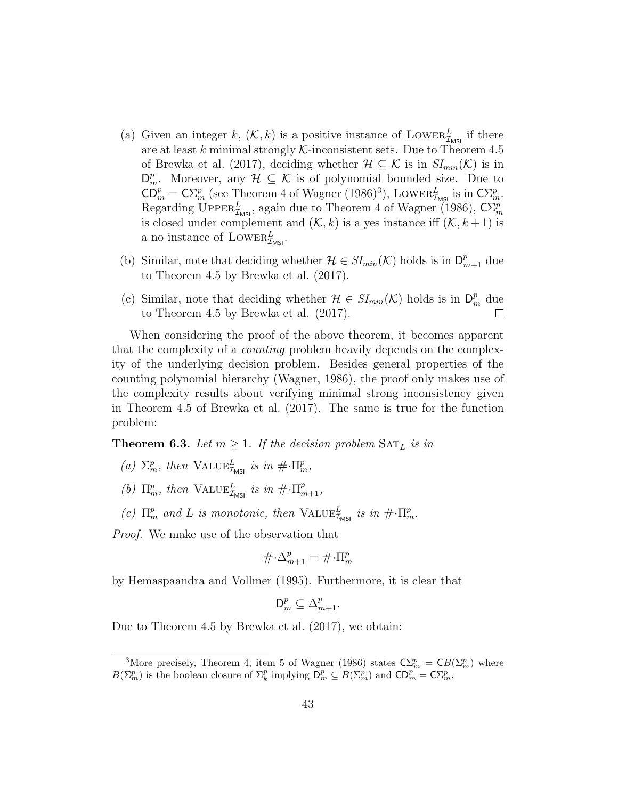- (a) Given an integer k,  $(\mathcal{K}, k)$  is a positive instance of LOWER $_{\mathcal{I}_{MSI}}^L$  if there are at least k minimal strongly  $\mathcal K$ -inconsistent sets. Due to Theorem 4.5 of Brewka et al. (2017), deciding whether  $\mathcal{H} \subseteq \mathcal{K}$  is in  $SI_{min}(\mathcal{K})$  is in  $D_m^p$ . Moreover, any  $\mathcal{H} \subseteq \mathcal{K}$  is of polynomial bounded size. Due to  $\overline{CD}_{m}^{p} = \overline{CD}_{m}^{p}$  (see Theorem 4 of Wagner (1986)<sup>3</sup>), LOWER<sup>L</sup><sub>*IMSI*</sub> is in  $\overline{CD}_{m}^{p}$ . Regarding UPPER<sup>L</sup><sub>MSI</sub>, again due to Theorem 4 of Wagner (1986),  $\mathsf{C}\Sigma_m^p$ is closed under complement and  $(K, k)$  is a yes instance iff  $(K, k+1)$  is a no instance of  $\text{Lower}_{\mathcal{I}_{\text{MSI}}}^L$ .
- (b) Similar, note that deciding whether  $\mathcal{H} \in SI_{min}(\mathcal{K})$  holds is in  $\mathsf{D}_{m+1}^p$  due to Theorem 4.5 by Brewka et al. (2017).
- (c) Similar, note that deciding whether  $\mathcal{H} \in SI_{min}(\mathcal{K})$  holds is in  $\mathsf{D}_{m}^{p}$  due to Theorem 4.5 by Brewka et al. (2017).  $\Box$

When considering the proof of the above theorem, it becomes apparent that the complexity of a counting problem heavily depends on the complexity of the underlying decision problem. Besides general properties of the counting polynomial hierarchy (Wagner, 1986), the proof only makes use of the complexity results about verifying minimal strong inconsistency given in Theorem 4.5 of Brewka et al. (2017). The same is true for the function problem:

**Theorem 6.3.** Let  $m \geq 1$ . If the decision problem  $\text{SAT}_L$  is in

- (a)  $\Sigma_m^p$ , then  $\text{VALUE}_{\mathcal{I}_{\text{MSI}}}^L$  is in  $\#\cdot \Pi_m^p$ ,
- (b)  $\Pi_m^p$ , then  $\text{VALUE}_{\mathcal{I}_{\text{MSI}}}^L$  is in  $\#\cdot\Pi_{m+1}^p$ ,
- (c)  $\Pi_m^p$  and L is monotonic, then  $\text{VALUE}_{\mathcal{I}_{\text{MSI}}}^L$  is in  $\#\cdot\Pi_m^p$ .

Proof. We make use of the observation that

$$
\#\!\cdot\!\Delta_{m+1}^p=\#\!\cdot\!\Pi_m^p
$$

by Hemaspaandra and Vollmer (1995). Furthermore, it is clear that

$$
\mathsf{D}_m^p \subseteq \Delta_{m+1}^p.
$$

Due to Theorem 4.5 by Brewka et al. (2017), we obtain:

<sup>&</sup>lt;sup>3</sup>More precisely, Theorem 4, item 5 of Wagner (1986) states  $\mathbb{C}\Sigma_m^p = \mathbb{C}B(\Sigma_m^p)$  where  $B(\Sigma_m^p)$  is the boolean closure of  $\Sigma_k^p$  implying  $D_m^p \subseteq B(\Sigma_m^p)$  and  $CD_m^p = C\Sigma_m^p$ .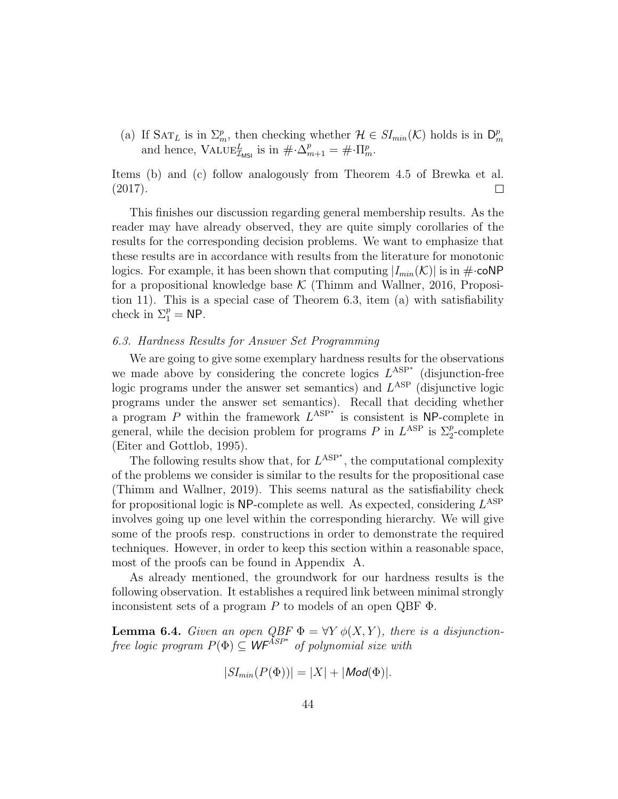(a) If  $\text{SAT}_L$  is in  $\Sigma_m^p$ , then checking whether  $\mathcal{H} \in SI_{min}(\mathcal{K})$  holds is in  $\mathsf{D}_n^p$ if  $\text{SAT } L$  is in  $\mathcal{L}_m$ , then checking whether  $n \in \text{Dim}_m(\mathcal{N})$  holds is in  $\mathcal{L}_m$ <br>and hence,  $\text{VALUE}_{\mathcal{I}_{MSI}}^L$  is in  $\#\cdot\Delta_{m+1}^p = \#\cdot\Pi_m^p$ .

Items (b) and (c) follow analogously from Theorem 4.5 of Brewka et al. (2017).  $\Box$ 

This finishes our discussion regarding general membership results. As the reader may have already observed, they are quite simply corollaries of the results for the corresponding decision problems. We want to emphasize that these results are in accordance with results from the literature for monotonic logics. For example, it has been shown that computing  $|I_{min}(\mathcal{K})|$  is in  $\#\text{-coNP}$ for a propositional knowledge base  $K$  (Thimm and Wallner, 2016, Proposition 11). This is a special case of Theorem 6.3, item (a) with satisfiability check in  $\Sigma_1^p = \mathsf{NP}$ .

# 6.3. Hardness Results for Answer Set Programming

We are going to give some exemplary hardness results for the observations we made above by considering the concrete logics  $L^{ASP^*}$  (disjunction-free logic programs under the answer set semantics) and  $L^{\text{ASP}}$  (disjunctive logic programs under the answer set semantics). Recall that deciding whether a program P within the framework  $L^{ASP^*}$  is consistent is NP-complete in general, while the decision problem for programs P in  $L^{\text{ASP}}$  is  $\Sigma^p_2$ -complete (Eiter and Gottlob, 1995).

The following results show that, for  $L^{ASP^*}$ , the computational complexity of the problems we consider is similar to the results for the propositional case (Thimm and Wallner, 2019). This seems natural as the satisfiability check for propositional logic is NP-complete as well. As expected, considering  $L^{\text{ASP}}$ involves going up one level within the corresponding hierarchy. We will give some of the proofs resp. constructions in order to demonstrate the required techniques. However, in order to keep this section within a reasonable space, most of the proofs can be found in Appendix A.

As already mentioned, the groundwork for our hardness results is the following observation. It establishes a required link between minimal strongly inconsistent sets of a program  $P$  to models of an open QBF  $\Phi$ .

**Lemma 6.4.** Given an open QBF  $\Phi = \forall Y \phi(X, Y)$ , there is a disjunctionfree logic program  $P(\Phi) \subseteq \mathsf{WF}^{ASP^*}$  of polynomial size with

$$
|SI_{min}(P(\Phi))| = |X| + |Mod(\Phi)|.
$$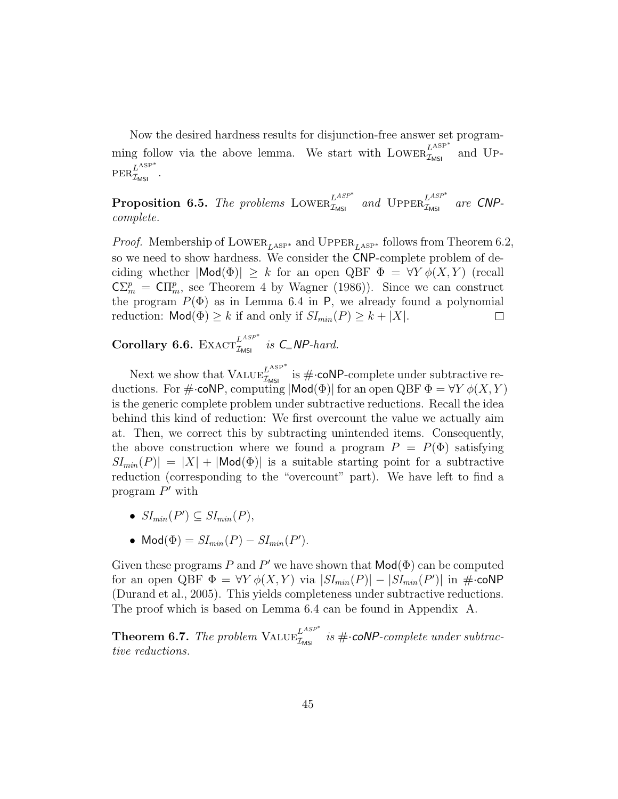Now the desired hardness results for disjunction-free answer set programming follow via the above lemma. We start with  $Lower_{\mathcal{I}_{MSI}}^{L<sup>ASP</sup>^*}$ and Up- $\operatorname{PER}_{\mathcal{I}_{\mathsf{MSI}}}^{L^{\text{ASP}*}}$  .

**Proposition 6.5.** The problems LOWER $_{\mathcal{I}_{MSI}}^{L^{ASP^*}}$  and  $\text{UPPER}_{\mathcal{I}_{MSI}}^{L^{ASP^*}}$  are CNPcomplete.

*Proof.* Membership of LOWER<sub>LASP</sub><sup>\*</sup> and UPPER<sub>LASP<sup>\*</sup></sub> follows from Theorem 6.2, so we need to show hardness. We consider the CNP-complete problem of deciding whether  $|\text{Mod}(\Phi)| \geq k$  for an open QBF  $\Phi = \forall Y \phi(X, Y)$  (recall  $\mathsf{C}\Sigma_m^p = \mathsf{C}\Pi_m^p$ , see Theorem 4 by Wagner (1986)). Since we can construct the program  $P(\Phi)$  as in Lemma 6.4 in P, we already found a polynomial reduction:  $\text{Mod}(\Phi) \geq k$  if and only if  $SI_{min}(P) \geq k + |X|$ .  $\Box$ 

Corollary 6.6. EXACT $_{\mathcal{I}_{MSI}}^{L^{ASP^*}}$  is  $C=NP$ -hard.

Next we show that  $\text{VALUE}_{\mathcal{I}_{\text{MSI}}}^{L^{\text{ASP}*}}$  is  $\#\text{-coNP-complete}$  under subtractive reductions. For  $\#\text{-coNP}$ , computing  $|\textsf{Mod}(\Phi)|$  for an open QBF  $\Phi = \forall Y \phi(X, Y)$ is the generic complete problem under subtractive reductions. Recall the idea behind this kind of reduction: We first overcount the value we actually aim at. Then, we correct this by subtracting unintended items. Consequently, the above construction where we found a program  $P = P(\Phi)$  satisfying  $|SI_{min}(P)| = |X| + |Mod(\Phi)|$  is a suitable starting point for a subtractive reduction (corresponding to the "overcount" part). We have left to find a program  $P'$  with

- $SI_{min}(P') \subseteq SI_{min}(P)$ ,
- $Mod(\Phi) = SI_{min}(P) SI_{min}(P')$ .

Given these programs P and P' we have shown that  $\mathsf{Mod}(\Phi)$  can be computed for an open QBF  $\Phi = \forall Y \phi(X, Y)$  via  $|SI_{min}(P)| - |SI_{min}(P')|$  in  $\#$ ·coNP (Durand et al., 2005). This yields completeness under subtractive reductions. The proof which is based on Lemma 6.4 can be found in Appendix A.

**Theorem 6.7.** The problem  $\text{VALUE}_{\mathcal{I}_{\text{MSI}}}^{L^{ASP^*}}$  is  $\# \cdot \text{coNP-complete under subtracted values}$ tive reductions.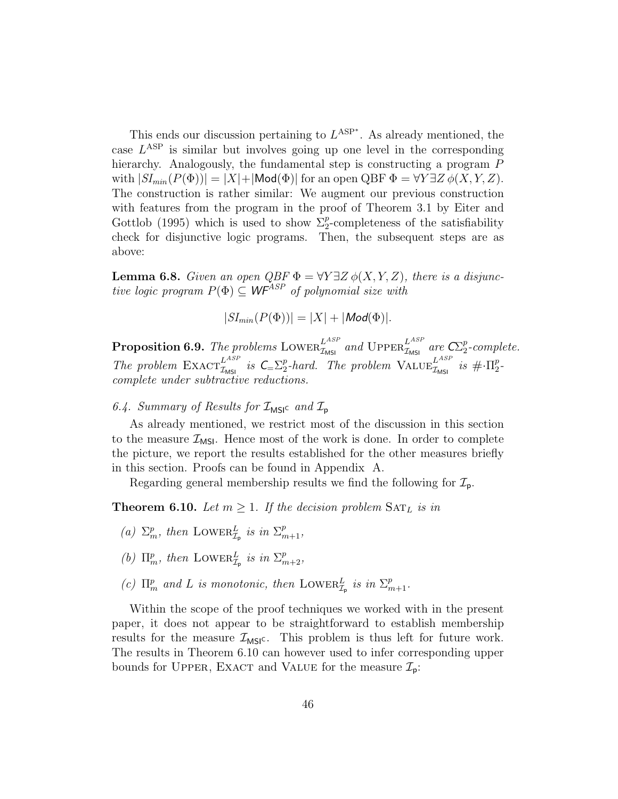This ends our discussion pertaining to  $L^{ASP^*}$ . As already mentioned, the case  $L^{\text{ASP}}$  is similar but involves going up one level in the corresponding hierarchy. Analogously, the fundamental step is constructing a program  $P$ with  $|SI_{min}(P(\Phi))| = |X| + |\text{Mod}(\Phi)|$  for an open QBF  $\Phi = \forall Y \exists Z \phi(X, Y, Z)$ . The construction is rather similar: We augment our previous construction with features from the program in the proof of Theorem 3.1 by Eiter and Gottlob (1995) which is used to show  $\Sigma_2^p$ -completeness of the satisfiability check for disjunctive logic programs. Then, the subsequent steps are as above:

**Lemma 6.8.** Given an open  $QBF \Phi = \forall Y \exists Z \phi(X, Y, Z)$ , there is a disjunctive logic program  $P(\Phi) \subseteq WF^{ASP}$  of polynomial size with

$$
|SI_{min}(P(\Phi))| = |X| + |Mod(\Phi)|.
$$

**Proposition 6.9.** The problems LOWER $_{\mathcal{I}_{\text{MSI}}}^{L^{ASP}}$  and UPPER $_{\mathcal{I}_{\text{MSI}}}^{L^{ASP}}$  are  $\mathbb{C}\mathbb{P}^p_2$  $_{2}^{p}$ -complete. The problem  $\text{EXACT}_{\mathcal{I}_{\text{MSI}}}^{L^{ASP}}$  is  $C_{\text{S}}\Sigma_2^p$  $\frac{p}{2}$ -hard. The problem  $\text{VALUE}_{\mathcal{I}_{\text{MSI}}}^{L^{ASP}}$  is  $\#\cdot\Pi^p_2$  $\frac{p}{2}$ complete under subtractive reductions.

# 6.4. Summary of Results for  $\mathcal{I}_{MSI^c}$  and  $\mathcal{I}_{\mathsf{p}}$

As already mentioned, we restrict most of the discussion in this section to the measure  $\mathcal{I}_{\text{MSI}}$ . Hence most of the work is done. In order to complete the picture, we report the results established for the other measures briefly in this section. Proofs can be found in Appendix A.

Regarding general membership results we find the following for  $\mathcal{I}_{p}$ .

**Theorem 6.10.** Let  $m \geq 1$ . If the decision problem  $\text{SAT}_L$  is in

- (a)  $\Sigma_m^p$ , then LOWER $_{\mathcal{I}_p}^L$  is in  $\Sigma_{m+1}^p$ ,
- (b)  $\Pi_m^p$ , then LOWER $_{\mathcal{I}_p}^L$  is in  $\Sigma_{m+2}^p$ ,
- (c)  $\Pi_m^p$  and L is monotonic, then LOWER $_{\mathcal{I}_p}^L$  is in  $\Sigma_{m+1}^p$ .

Within the scope of the proof techniques we worked with in the present paper, it does not appear to be straightforward to establish membership results for the measure  $\mathcal{I}_{MSI}$ . This problem is thus left for future work. The results in Theorem 6.10 can however used to infer corresponding upper bounds for UPPER, EXACT and VALUE for the measure  $\mathcal{I}_{p}$ :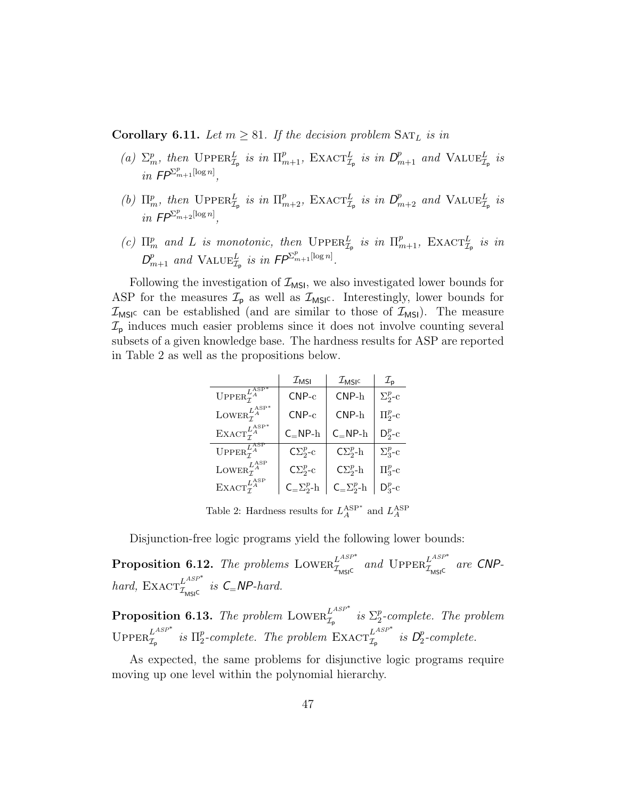**Corollary 6.11.** Let  $m \geq 81$ . If the decision problem  $\text{SAT}_L$  is in

- (a)  $\Sigma_m^p$ , then  $\text{UpperR}_{\mathcal{I}_p}^L$  is in  $\Pi_{m+1}^p$ ,  $\text{Exact}_{\mathcal{I}_p}^L$  is in  $D_{m+1}^p$  and  $\text{VALUE}_{\mathcal{I}_p}^L$  is in  $\mathsf{FP}^{\sum_{m+1}^p[\log n]},$
- (b)  $\Pi_m^p$ , then  $\text{UpperR}_{\mathcal{I}_p}^L$  is in  $\Pi_{m+2}^p$ ,  $\text{EXACT}_{\mathcal{I}_p}^L$  is in  $D_{m+2}^p$  and  $\text{VALUE}_{\mathcal{I}_p}^L$  is in  $\mathsf{FP}^{\sum_{m+2}^p[\log n]},$
- (c)  $\Pi_m^p$  and L is monotonic, then  $\text{UPPER}_{\mathcal{I}_p}^L$  is in  $\Pi_{m+1}^p$ ,  $\text{EXACT}_{\mathcal{I}_p}^L$  is in  $D_{m+1}^p$  and  $\text{VALUE}_{\mathcal{I}_p}^L$  is in  $\mathsf{FP}^{\Sigma_{m+1}^p[\log n]}.$

Following the investigation of  $\mathcal{I}_{MSI}$ , we also investigated lower bounds for ASP for the measures  $\mathcal{I}_{\text{p}}$  as well as  $\mathcal{I}_{\text{MSI}}$ . Interestingly, lower bounds for  $\mathcal{I}_{\text{MSIC}}$  can be established (and are similar to those of  $\mathcal{I}_{\text{MSI}}$ ). The measure  $\mathcal{I}_{\rm p}$  induces much easier problems since it does not involve counting several subsets of a given knowledge base. The hardness results for ASP are reported in Table 2 as well as the propositions below.

|                                                                                          | $\mathcal{I}_{MSI}$   | $\mathcal{I}_{\mathsf{MSIC}}$ | $\mathcal{I}_\mathsf{p}$ |
|------------------------------------------------------------------------------------------|-----------------------|-------------------------------|--------------------------|
| $\mathbf{UPPER}_{\mathcal{T}}^{L\overline{\mathbf{A}}\overline{\mathbf{S}\mathbf{P}}^*}$ | $CNP-c$               | $CNP-h$                       | $\Sigma^p_{2^-}c$        |
| LOWER $_{\tau}^{L_{\scriptscriptstyle\rm A}^{\rm ASP}}$                                  | $CNP-c$               | $CNP-h$                       | $\Pi^p_2$ -c             |
| $\text{EXACT}_{\tau}^{L_{\text{A}}^{\text{ASP}}}$                                        | $C_PNP-h$             | $C_PNP-h$                     | $D^p_2$ -c               |
| UPPER $_{\tau}^{L_{A}^{\text{ASP}}}$                                                     | $C\Sigma_{2}^{p}$ -c  | $C\Sigma^p_2$ -h              | $\Sigma^p_{3}$ -c        |
| LOWER $_{\tau}^{L_{A}^{\text{ASP}}}$                                                     | $C\Sigma^p_2$ -c      | $C\Sigma^p_2$ -h              | $\Pi^p_{3}$ -c           |
| $\textsc{Exact}^{L_{A}^{\textsc{ASP}}}_{\tau}$                                           | $C = \sum_{2}^{p} -h$ | $C = \sum_{2}^{p} -h$         | $D_3^p$ -c               |

Table 2: Hardness results for  $L_A^{\text{ASP}*}$  and  $L_A^{\text{ASP}}$ 

Disjunction-free logic programs yield the following lower bounds:

**Proposition 6.12.** The problems LOWER $_{\mathcal{I}_{M\text{SIS}}}^{L^{ASP^*}}$  and  $\text{Upper}^{L^{ASP^*}}_{\mathcal{I}_{M\text{SIS}}}$  are CNPhard,  $\text{EXACT}_{\mathcal{I}_{\text{MSI}^{\text{C}}}}^{L^{ASP^*}}$  is  $\text{C}_{=}\text{NP-hard}.$ 

**Proposition 6.13.** The problem LOWER $_{\mathcal{I}_{\mathsf{p}}}^{L^{ASP^*}}$  is  $\Sigma_2^p$  $2^{p}$ -complete. The problem UPPER $_{\mathcal{I}_{\mathsf{p}}}^{L^{ASP^*}}$  is  $\Pi_2^p$ p-complete. The problem  $\operatorname{EXACT}_{\mathcal{I}_{p}}^{L^{ASP^*}}$  is  $D_2^p$  $P_2$ -complete.

As expected, the same problems for disjunctive logic programs require moving up one level within the polynomial hierarchy.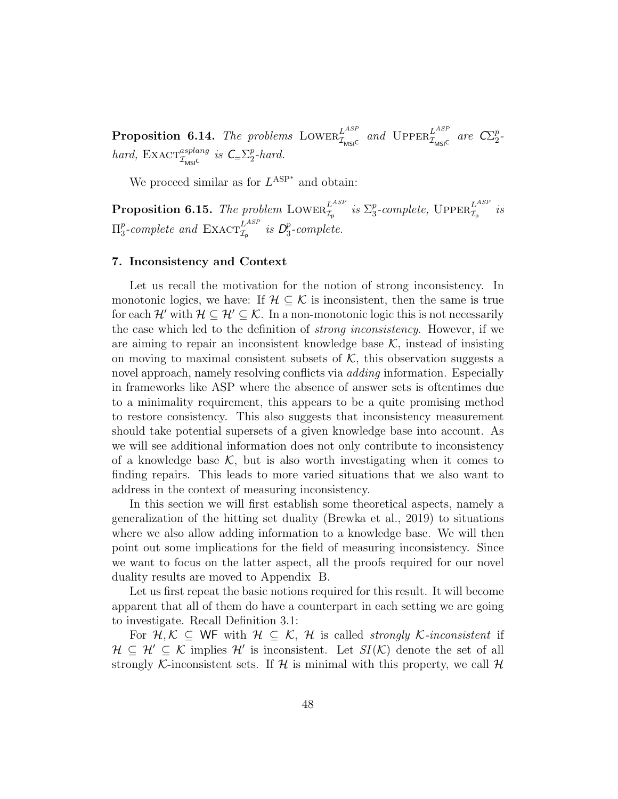**Proposition 6.14.** The problems LOWER<sup>LASP</sup> and UPPER<sup>LASP</sup> are  $\mathbb{C}\mathbb{Z}_2^p$  $\frac{p}{2}$ hard,  $\text{EXACT}_{\mathcal{I}_{\text{MSIC}}}^{asplang}$  is  $\text{C}_{=\sum_{2}^{p}$  $_{2}^{p}$ -hard.

We proceed similar as for  $L^{ASP^*}$  and obtain:

Proposition 6.15. The problem  $\text{Lower}_{\mathcal{I}_\text{p}}^{L^{ASP}}$  is  $\Sigma^p_3$  $_3^p$ -complete,  $\mathrm{Upper}_{\mathcal{I}_\mathsf{p}}^{L^{ASP}}$  is  $\Pi_3^p$ <sup>p</sup>-complete and  $\text{EXACT}_{\mathcal{I}_{\mathsf{p}}}^{L^{ASP}}$  is  $\mathcal{D}^p_3$  $n_3^p$ -complete.

# 7. Inconsistency and Context

Let us recall the motivation for the notion of strong inconsistency. In monotonic logics, we have: If  $\mathcal{H} \subset \mathcal{K}$  is inconsistent, then the same is true for each H' with  $\mathcal{H} \subseteq \mathcal{H}' \subseteq \mathcal{K}$ . In a non-monotonic logic this is not necessarily the case which led to the definition of strong inconsistency. However, if we are aiming to repair an inconsistent knowledge base  $K$ , instead of insisting on moving to maximal consistent subsets of  $K$ , this observation suggests a novel approach, namely resolving conflicts via *adding* information. Especially in frameworks like ASP where the absence of answer sets is oftentimes due to a minimality requirement, this appears to be a quite promising method to restore consistency. This also suggests that inconsistency measurement should take potential supersets of a given knowledge base into account. As we will see additional information does not only contribute to inconsistency of a knowledge base  $\mathcal{K}$ , but is also worth investigating when it comes to finding repairs. This leads to more varied situations that we also want to address in the context of measuring inconsistency.

In this section we will first establish some theoretical aspects, namely a generalization of the hitting set duality (Brewka et al., 2019) to situations where we also allow adding information to a knowledge base. We will then point out some implications for the field of measuring inconsistency. Since we want to focus on the latter aspect, all the proofs required for our novel duality results are moved to Appendix B.

Let us first repeat the basic notions required for this result. It will become apparent that all of them do have a counterpart in each setting we are going to investigate. Recall Definition 3.1:

For  $\mathcal{H}, \mathcal{K} \subseteq \mathbb{W}$  with  $\mathcal{H} \subseteq \mathcal{K}, \mathcal{H}$  is called strongly K-inconsistent if  $\mathcal{H} \subseteq \mathcal{H}' \subseteq \mathcal{K}$  implies  $\mathcal{H}'$  is inconsistent. Let  $SI(\mathcal{K})$  denote the set of all strongly K-inconsistent sets. If H is minimal with this property, we call H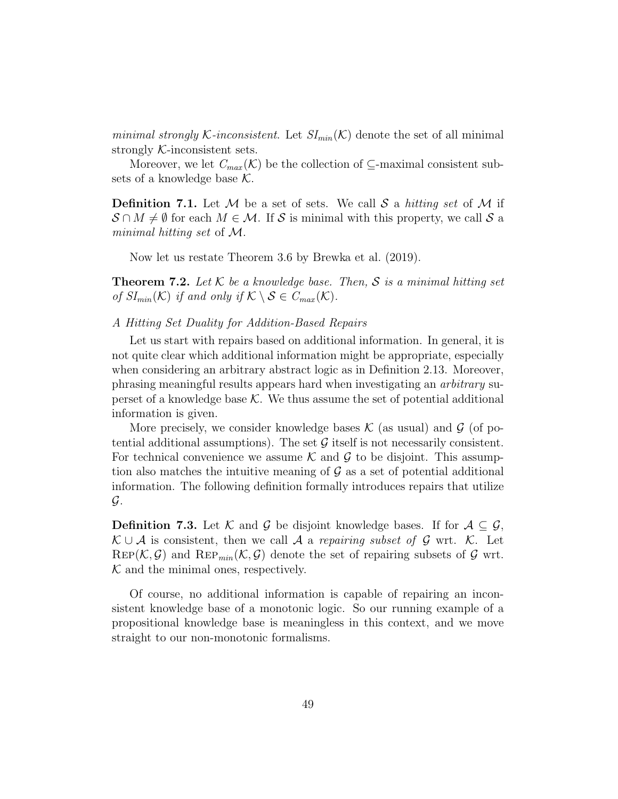minimal strongly K-inconsistent. Let  $SI_{min}(\mathcal{K})$  denote the set of all minimal strongly  $K$ -inconsistent sets.

Moreover, we let  $C_{max}(\mathcal{K})$  be the collection of  $\subseteq$ -maximal consistent subsets of a knowledge base  $K$ .

**Definition 7.1.** Let M be a set of sets. We call S a hitting set of M if  $\mathcal{S} \cap M \neq \emptyset$  for each  $M \in \mathcal{M}$ . If S is minimal with this property, we call S a minimal hitting set of M.

Now let us restate Theorem 3.6 by Brewka et al. (2019).

**Theorem 7.2.** Let  $K$  be a knowledge base. Then,  $S$  is a minimal hitting set of  $SI_{min}(\mathcal{K})$  if and only if  $\mathcal{K} \setminus \mathcal{S} \in C_{max}(\mathcal{K})$ .

# A Hitting Set Duality for Addition-Based Repairs

Let us start with repairs based on additional information. In general, it is not quite clear which additional information might be appropriate, especially when considering an arbitrary abstract logic as in Definition 2.13. Moreover, phrasing meaningful results appears hard when investigating an arbitrary superset of a knowledge base  $K$ . We thus assume the set of potential additional information is given.

More precisely, we consider knowledge bases  $\mathcal K$  (as usual) and  $\mathcal G$  (of potential additional assumptions). The set  $G$  itself is not necessarily consistent. For technical convenience we assume K and G to be disjoint. This assumption also matches the intuitive meaning of  $\mathcal G$  as a set of potential additional information. The following definition formally introduces repairs that utilize  $\mathcal G$ .

**Definition 7.3.** Let K and G be disjoint knowledge bases. If for  $A \subseteq G$ ,  $\mathcal{K} \cup \mathcal{A}$  is consistent, then we call  $\mathcal{A}$  a repairing subset of  $\mathcal{G}$  wrt.  $\mathcal{K}$ . Let  $\text{Rep}(\mathcal{K}, \mathcal{G})$  and  $\text{Rep}_{min}(\mathcal{K}, \mathcal{G})$  denote the set of repairing subsets of  $\mathcal{G}$  wrt.  $K$  and the minimal ones, respectively.

Of course, no additional information is capable of repairing an inconsistent knowledge base of a monotonic logic. So our running example of a propositional knowledge base is meaningless in this context, and we move straight to our non-monotonic formalisms.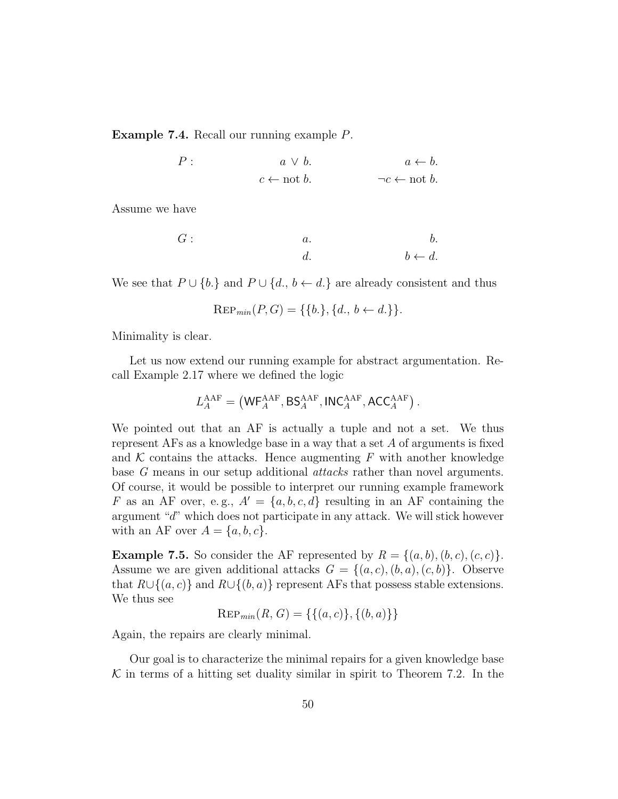Example 7.4. Recall our running example P.

$$
P: \t a \lor b. \t a \leftarrow b.
$$
  

$$
c \leftarrow \text{not } b. \t \neg c \leftarrow \text{not } b.
$$

Assume we have

$$
G: \hspace{1cm} a. \hspace{1cm} b. \hspace{1cm} c.
$$

We see that  $P \cup \{b\}$  and  $P \cup \{d, b \leftarrow d\}$  are already consistent and thus

$$
Rep_{min}(P, G) = \{\{b.\}, \{d., b \leftarrow d.\}\}.
$$

Minimality is clear.

Let us now extend our running example for abstract argumentation. Recall Example 2.17 where we defined the logic

$$
L_{A}^{\rm AAF}=\left({\sf WF}_{A}^{\rm AAF},{\sf BS}_{A}^{\rm AAF},{\sf INC}_{A}^{\rm AAF},{\sf ACC}_{A}^{\rm AAF}\right).
$$

We pointed out that an AF is actually a tuple and not a set. We thus represent AFs as a knowledge base in a way that a set A of arguments is fixed and  $K$  contains the attacks. Hence augmenting  $F$  with another knowledge base G means in our setup additional attacks rather than novel arguments. Of course, it would be possible to interpret our running example framework F as an AF over, e.g.,  $A' = \{a, b, c, d\}$  resulting in an AF containing the argument "d" which does not participate in any attack. We will stick however with an AF over  $A = \{a, b, c\}.$ 

**Example 7.5.** So consider the AF represented by  $R = \{(a, b), (b, c), (c, c)\}.$ Assume we are given additional attacks  $G = \{(a, c), (b, a), (c, b)\}.$  Observe that  $R\cup\{(a, c)\}\$  and  $R\cup\{(b, a)\}\$  represent AFs that possess stable extensions. We thus see

 $\text{Rep}_{min}(R, G) = \{\{(a, c)\}, \{(b, a)\}\}\$ 

Again, the repairs are clearly minimal.

Our goal is to characterize the minimal repairs for a given knowledge base  $\mathcal K$  in terms of a hitting set duality similar in spirit to Theorem 7.2. In the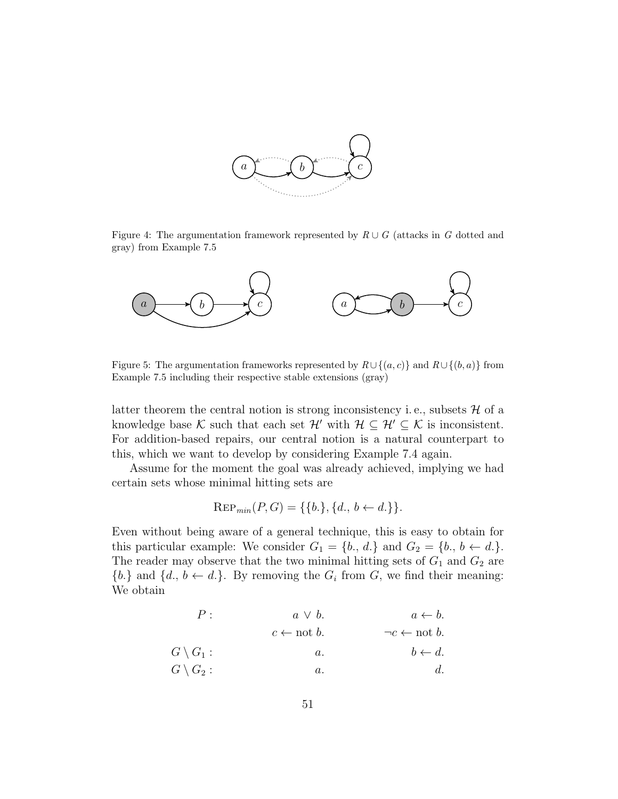

Figure 4: The argumentation framework represented by  $R \cup G$  (attacks in G dotted and gray) from Example 7.5



Figure 5: The argumentation frameworks represented by  $R \cup \{(a, c)\}\$  and  $R \cup \{(b, a)\}\$  from Example 7.5 including their respective stable extensions (gray)

latter theorem the central notion is strong inconsistency i.e., subsets  $\mathcal{H}$  of a knowledge base K such that each set  $\mathcal{H}'$  with  $\mathcal{H} \subseteq \mathcal{H}' \subseteq \mathcal{K}$  is inconsistent. For addition-based repairs, our central notion is a natural counterpart to this, which we want to develop by considering Example 7.4 again.

Assume for the moment the goal was already achieved, implying we had certain sets whose minimal hitting sets are

$$
Rep_{min}(P, G) = \{\{b.\}, \{d., b \leftarrow d.\}\}.
$$

Even without being aware of a general technique, this is easy to obtain for this particular example: We consider  $G_1 = \{b_1, d_1\}$  and  $G_2 = \{b_1, b \leftarrow d_1\}.$ The reader may observe that the two minimal hitting sets of  $G_1$  and  $G_2$  are  ${b.}$  and  ${d., b \leftarrow d.}$ . By removing the  $G_i$  from  $G$ , we find their meaning: We obtain

| $P$ :                          | $a \vee b$ .                        | $a \leftarrow b$ . |
|--------------------------------|-------------------------------------|--------------------|
| $c \leftarrow \text{not } b$ . | $\neg c \leftarrow \text{not } b$ . |                    |
| $G \setminus G_1$ :            | $a$ .                               | $b \leftarrow d$ . |
| $G \setminus G_2$ :            | $a$ .                               | $d$ .              |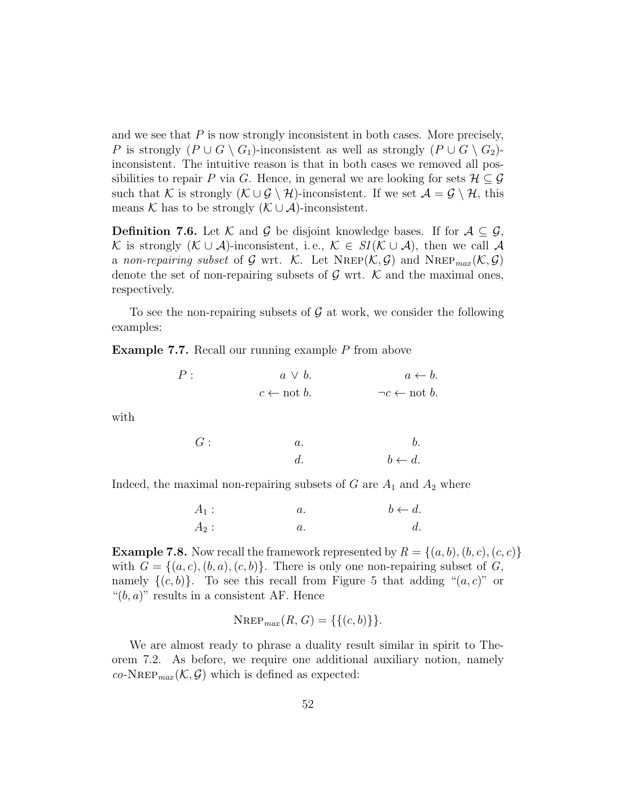and we see that  $P$  is now strongly inconsistent in both cases. More precisely, P is strongly  $(P \cup G \setminus G_1)$ -inconsistent as well as strongly  $(P \cup G \setminus G_2)$ inconsistent. The intuitive reason is that in both cases we removed all possibilities to repair P via G. Hence, in general we are looking for sets  $\mathcal{H} \subset \mathcal{G}$ such that K is strongly  $(K \cup \mathcal{G} \setminus \mathcal{H})$ -inconsistent. If we set  $\mathcal{A} = \mathcal{G} \setminus \mathcal{H}$ , this means K has to be strongly  $(K \cup A)$ -inconsistent.

**Definition 7.6.** Let K and G be disjoint knowledge bases. If for  $A \subseteq \mathcal{G}$ , K is strongly  $(K \cup A)$ -inconsistent, i.e.,  $K \in SI(K \cup A)$ , then we call A a non-repairing subset of G wrt. K. Let  $N_{\text{REP}}(\mathcal{K}, \mathcal{G})$  and  $N_{\text{REP}_{max}}(\mathcal{K}, \mathcal{G})$ denote the set of non-repairing subsets of  $\mathcal G$  wrt.  $\mathcal K$  and the maximal ones, respectively.

To see the non-repairing subsets of  $\mathcal G$  at work, we consider the following examples:

Example 7.7. Recall our running example P from above

| P: | $a \vee b.$                    | $a \leftarrow b$ .                  |
|----|--------------------------------|-------------------------------------|
|    | $c \leftarrow \text{not } b$ . | $\neg c \leftarrow \text{not } b$ . |

with

$$
G: \hspace{1cm} a. \hspace{1cm} b. \hspace{1cm} \\ d. \hspace{1cm} b \leftarrow d.
$$

Indeed, the maximal non-repairing subsets of  $G$  are  $A_1$  and  $A_2$  where

| $A_1$ : | $a_{\cdot}$ | $b \leftarrow d$ . |
|---------|-------------|--------------------|
| $A_2$ : |             | d.                 |

**Example 7.8.** Now recall the framework represented by  $R = \{(a, b), (b, c), (c, c)\}$ with  $G = \{(a, c), (b, a), (c, b)\}\$ . There is only one non-repairing subset of G, namely  $\{(c, b)\}\$ . To see this recall from Figure 5 that adding " $(a, c)$ " or " $(b, a)$ " results in a consistent AF. Hence

$$
\text{NRep}_{max}(R, G) = \{ \{ (c, b) \} \}.
$$

We are almost ready to phrase a duality result similar in spirit to Theorem 7.2. As before, we require one additional auxiliary notion, namely  $co\text{-}NREF_{max}(\mathcal{K},\mathcal{G})$  which is defined as expected: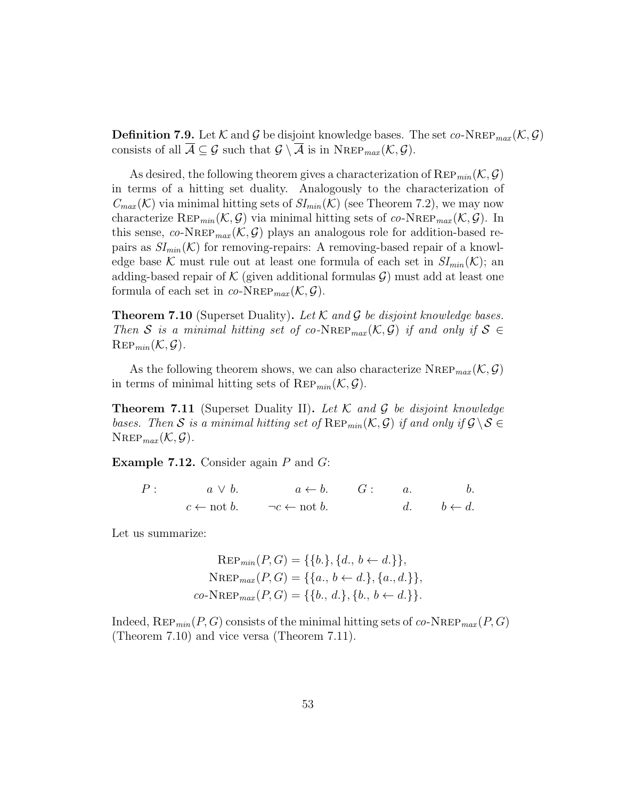**Definition 7.9.** Let K and G be disjoint knowledge bases. The set  $co\text{-}N_{\text{REP}_{max}}(\mathcal{K}, \mathcal{G})$ consists of all  $\overline{\mathcal{A}} \subseteq \mathcal{G}$  such that  $\mathcal{G} \setminus \overline{\mathcal{A}}$  is in NREP<sub>max</sub> $(\mathcal{K}, \mathcal{G})$ .

As desired, the following theorem gives a characterization of  $\text{Rep}_{min}(\mathcal{K}, \mathcal{G})$ in terms of a hitting set duality. Analogously to the characterization of  $C_{max}(\mathcal{K})$  via minimal hitting sets of  $SI_{min}(\mathcal{K})$  (see Theorem 7.2), we may now characterize REP<sub>min</sub>( $\mathcal{K}, \mathcal{G}$ ) via minimal hitting sets of co-NREP<sub>max</sub>( $\mathcal{K}, \mathcal{G}$ ). In this sense, co-NREP<sub>max</sub>  $(\mathcal{K}, \mathcal{G})$  plays an analogous role for addition-based repairs as  $SI_{min}(\mathcal{K})$  for removing-repairs: A removing-based repair of a knowledge base K must rule out at least one formula of each set in  $SI_{min}(\mathcal{K})$ ; an adding-based repair of  $K$  (given additional formulas  $\mathcal{G}$ ) must add at least one formula of each set in  $co\text{-NRep}_{max}(\mathcal{K}, \mathcal{G})$ .

**Theorem 7.10** (Superset Duality). Let  $K$  and  $G$  be disjoint knowledge bases. Then S is a minimal hitting set of co-NREP<sub>max</sub>  $(K, \mathcal{G})$  if and only if  $S \in$  $\mathrm{Rep}_{min}(\mathcal{K}, \mathcal{G}).$ 

As the following theorem shows, we can also characterize NREP<sub>max</sub>  $(\mathcal{K}, \mathcal{G})$ in terms of minimal hitting sets of  $\text{Rep}_{min}(\mathcal{K}, \mathcal{G})$ .

**Theorem 7.11** (Superset Duality II). Let  $K$  and  $G$  be disjoint knowledge bases. Then S is a minimal hitting set of  $\text{Rep}_{min}(\mathcal{K}, \mathcal{G})$  if and only if  $\mathcal{G} \setminus \mathcal{S} \in$  $N_{\text{REP}_{max}}(\mathcal{K}, \mathcal{G}).$ 

**Example 7.12.** Consider again  $P$  and  $G$ :

$$
P: \t a \lor b. \t a \leftarrow b. \t G: \t a. \t b. \t c \leftarrow \text{not } b. \t \neg c \leftarrow \text{not } b. \t d. \t b \leftarrow d.
$$

Let us summarize:

$$
Rep_{min}(P, G) = \{\{b.\}, \{d., b \leftarrow d.\}\},
$$

$$
N_{\text{REP}_{max}}(P, G) = \{\{a., b \leftarrow d.\}, \{a., d.\}\},
$$

$$
co\text{-}N_{\text{REP}_{max}}(P, G) = \{\{b., d.\}, \{b., b \leftarrow d.\}\}.
$$

Indeed,  $\text{Rep}_{min}(P, G)$  consists of the minimal hitting sets of co-NREP  $_{max}(P, G)$ (Theorem 7.10) and vice versa (Theorem 7.11).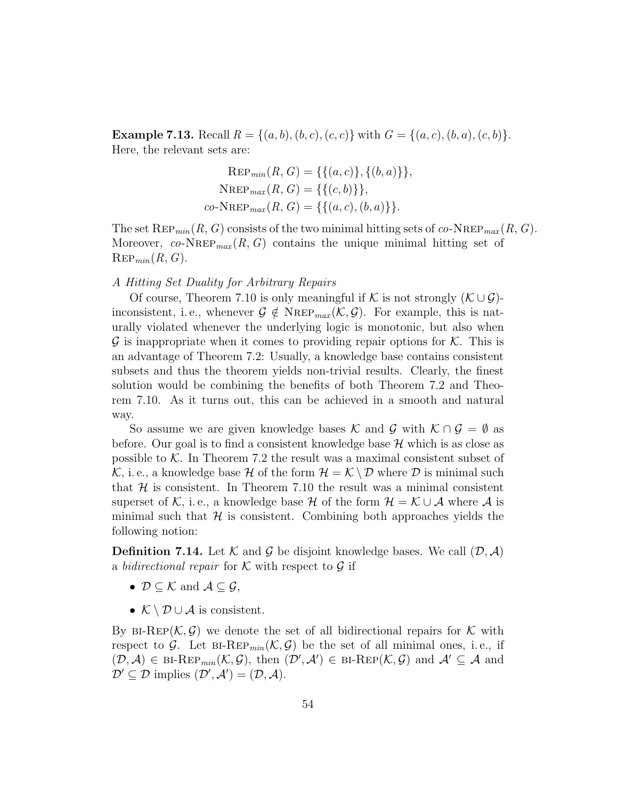**Example 7.13.** Recall  $R = \{(a, b), (b, c), (c, c)\}\$  with  $G = \{(a, c), (b, a), (c, b)\}\$ . Here, the relevant sets are:

$$
Rep_{min}(R, G) = \{ \{ (a, c) \}, \{ (b, a) \} \},
$$
  
 
$$
N_{REP_{max}}(R, G) = \{ \{ (c, b) \} \},
$$
  
co-N\_{REP\_{max}}(R, G) = \{ \{ (a, c), (b, a) \} \}.

The set  $\text{Rep}_{min}(R, G)$  consists of the two minimal hitting sets of co-NREP<sub>max</sub>  $(R, G)$ . Moreover, co-NREP<sub>max</sub>  $(R, G)$  contains the unique minimal hitting set of  $\mathrm{Rep}_{min}(R, G).$ 

# A Hitting Set Duality for Arbitrary Repairs

Of course, Theorem 7.10 is only meaningful if K is not strongly  $(K \cup \mathcal{G})$ inconsistent, i.e., whenever  $\mathcal{G} \notin \text{NRep}_{max}(\mathcal{K}, \mathcal{G})$ . For example, this is naturally violated whenever the underlying logic is monotonic, but also when  $\mathcal G$  is inappropriate when it comes to providing repair options for  $\mathcal K$ . This is an advantage of Theorem 7.2: Usually, a knowledge base contains consistent subsets and thus the theorem yields non-trivial results. Clearly, the finest solution would be combining the benefits of both Theorem 7.2 and Theorem 7.10. As it turns out, this can be achieved in a smooth and natural way.

So assume we are given knowledge bases K and G with  $K \cap G = \emptyset$  as before. Our goal is to find a consistent knowledge base  $\mathcal H$  which is as close as possible to  $K$ . In Theorem 7.2 the result was a maximal consistent subset of K, i. e., a knowledge base H of the form  $\mathcal{H} = \mathcal{K} \setminus \mathcal{D}$  where D is minimal such that  $H$  is consistent. In Theorem 7.10 the result was a minimal consistent superset of K, i.e., a knowledge base H of the form  $\mathcal{H} = \mathcal{K} \cup \mathcal{A}$  where  $\mathcal{A}$  is minimal such that  $H$  is consistent. Combining both approaches yields the following notion:

**Definition 7.14.** Let K and G be disjoint knowledge bases. We call  $(D, \mathcal{A})$ a bidirectional repair for  $K$  with respect to  $G$  if

- $\mathcal{D} \subseteq \mathcal{K}$  and  $\mathcal{A} \subseteq \mathcal{G}$ ,
- $\mathcal{K} \setminus \mathcal{D} \cup \mathcal{A}$  is consistent.

By BI-REP( $K, \mathcal{G}$ ) we denote the set of all bidirectional repairs for K with respect to G. Let BI-REP<sub>min</sub> $(K, \mathcal{G})$  be the set of all minimal ones, i.e., if  $(\mathcal{D},\mathcal{A})\in\text{BI-Rep}_{min}(\mathcal{K},\mathcal{G}),$  then  $(\mathcal{D}',\mathcal{A}')\in\text{BI-Rep}(\mathcal{K},\mathcal{G})$  and  $\mathcal{A}'\subseteq\mathcal{A}$  and  $\mathcal{D}' \subseteq \mathcal{D}$  implies  $(\mathcal{D}', \mathcal{A}') = (\mathcal{D}, \mathcal{A}).$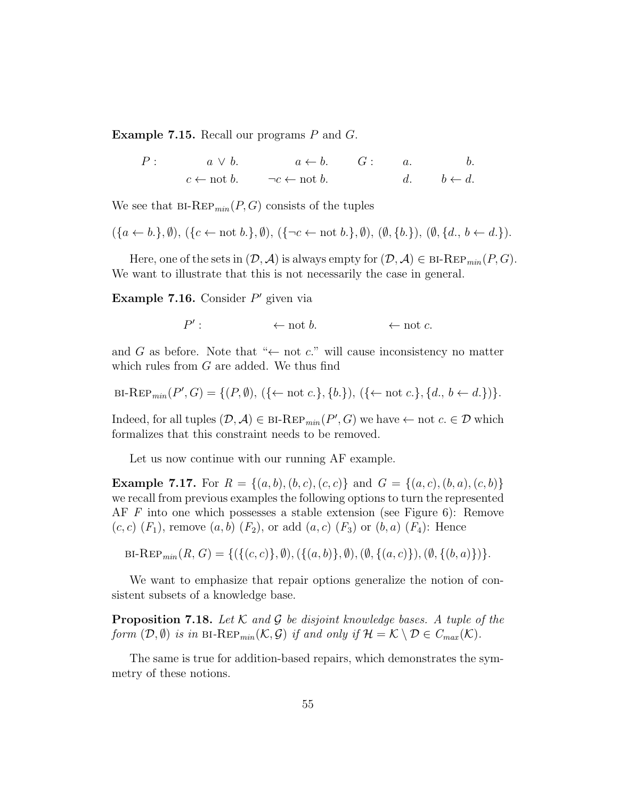Example 7.15. Recall our programs P and G.

$$
P: \t a \lor b. \t a \leftarrow b. \t G: \t a. \t b. \t c \leftarrow \text{not } b. \t \neg c \leftarrow \text{not } b. \t d. \t b \leftarrow d.
$$

We see that  $BI-REP_{min}(P, G)$  consists of the tuples

$$
(\{a \leftarrow b.\}, \emptyset), (\{c \leftarrow \text{not } b.\}, \emptyset), (\{\neg c \leftarrow \text{not } b.\}, \emptyset), (\emptyset, \{b.\}), (\emptyset, \{d., b \leftarrow d.\}).
$$

Here, one of the sets in  $(D, \mathcal{A})$  is always empty for  $(D, \mathcal{A}) \in {\text{BI-Rep}}_{min}(P, G)$ . We want to illustrate that this is not necessarily the case in general.

Example 7.16. Consider  $P'$  given via

 $P'$  $\leftarrow$  not b.  $\leftarrow$  not c.

and G as before. Note that " $\leftarrow$  not c." will cause inconsistency no matter which rules from  $G$  are added. We thus find

$$
\mathrm{BI\text{-}Rep}_{min}(P', G) = \{ (P, \emptyset), (\{\leftarrow \text{not } c.\}, \{b.\}), (\{\leftarrow \text{not } c.\}, \{d., b \leftarrow d.\}) \}.
$$

Indeed, for all tuples  $(D, \mathcal{A}) \in \text{BI-Rep}_{min}(P', G)$  we have  $\leftarrow$  not  $c \in \mathcal{D}$  which formalizes that this constraint needs to be removed.

Let us now continue with our running AF example.

**Example 7.17.** For  $R = \{(a, b), (b, c), (c, c)\}\$ and  $G = \{(a, c), (b, a), (c, b)\}\$ we recall from previous examples the following options to turn the represented AF F into one which possesses a stable extension (see Figure 6): Remove  $(c, c)$   $(F_1)$ , remove  $(a, b)$   $(F_2)$ , or add  $(a, c)$   $(F_3)$  or  $(b, a)$   $(F_4)$ : Hence

$$
BI-Rep_{min}(R, G) = \{ (\{(c, c)\}, \emptyset), (\{(a, b)\}, \emptyset), (\emptyset, \{(a, c)\}), (\emptyset, \{(b, a)\}) \}.
$$

We want to emphasize that repair options generalize the notion of consistent subsets of a knowledge base.

**Proposition 7.18.** Let K and G be disjoint knowledge bases. A tuple of the form  $(\mathcal{D}, \emptyset)$  is in BI-REP<sub>min</sub> $(\mathcal{K}, \mathcal{G})$  if and only if  $\mathcal{H} = \mathcal{K} \setminus \mathcal{D} \in C_{max}(\mathcal{K})$ .

The same is true for addition-based repairs, which demonstrates the symmetry of these notions.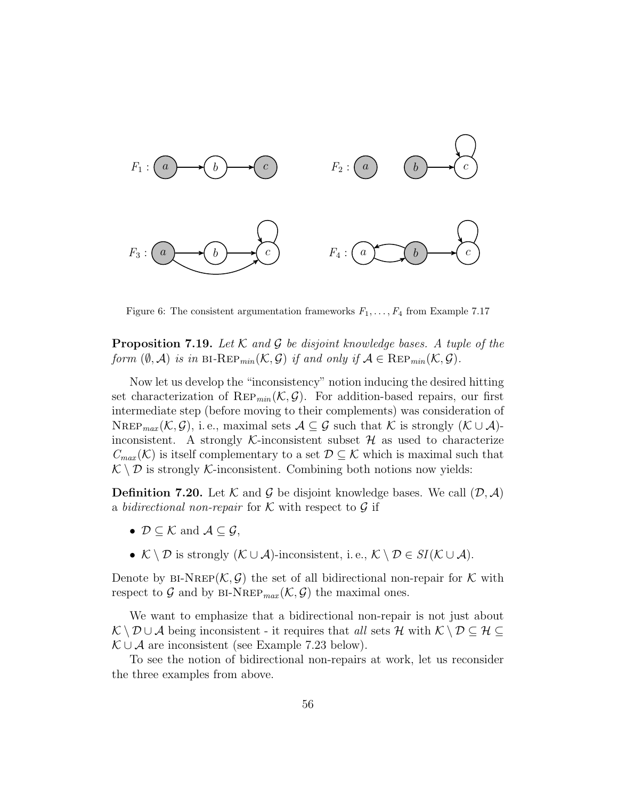

Figure 6: The consistent argumentation frameworks  $F_1, \ldots, F_4$  from Example 7.17

**Proposition 7.19.** Let  $K$  and  $G$  be disjoint knowledge bases. A tuple of the form  $(\emptyset, \mathcal{A})$  is in BI-REP<sub>min</sub> $(\mathcal{K}, \mathcal{G})$  if and only if  $\mathcal{A} \in \text{Rep}_{min}(\mathcal{K}, \mathcal{G})$ .

Now let us develop the "inconsistency" notion inducing the desired hitting set characterization of  $\text{Rep}_{min}(\mathcal{K}, \mathcal{G})$ . For addition-based repairs, our first intermediate step (before moving to their complements) was consideration of NREP<sub>max</sub> (K, G), i.e., maximal sets  $A \subseteq G$  such that K is strongly (K  $\cup$  A)inconsistent. A strongly K-inconsistent subset  $\mathcal H$  as used to characterize  $C_{max}(\mathcal{K})$  is itself complementary to a set  $\mathcal{D} \subseteq \mathcal{K}$  which is maximal such that  $\mathcal{K} \setminus \mathcal{D}$  is strongly  $\mathcal{K}$ -inconsistent. Combining both notions now yields:

**Definition 7.20.** Let K and G be disjoint knowledge bases. We call  $(\mathcal{D}, \mathcal{A})$ a bidirectional non-repair for  $K$  with respect to  $G$  if

- $\mathcal{D} \subset \mathcal{K}$  and  $\mathcal{A} \subset \mathcal{G}$ ,
- $\mathcal{K} \setminus \mathcal{D}$  is strongly  $(\mathcal{K} \cup \mathcal{A})$ -inconsistent, i.e.,  $\mathcal{K} \setminus \mathcal{D} \in SI(\mathcal{K} \cup \mathcal{A})$ .

Denote by BI-NREP( $\mathcal{K}, \mathcal{G}$ ) the set of all bidirectional non-repair for  $\mathcal K$  with respect to G and by  $BI\text{-}NREF_{max}(\mathcal{K},\mathcal{G})$  the maximal ones.

We want to emphasize that a bidirectional non-repair is not just about  $\mathcal{K} \setminus \mathcal{D} \cup \mathcal{A}$  being inconsistent - it requires that all sets H with  $\mathcal{K} \setminus \mathcal{D} \subseteq \mathcal{H} \subseteq$  $\mathcal{K} \cup \mathcal{A}$  are inconsistent (see Example 7.23 below).

To see the notion of bidirectional non-repairs at work, let us reconsider the three examples from above.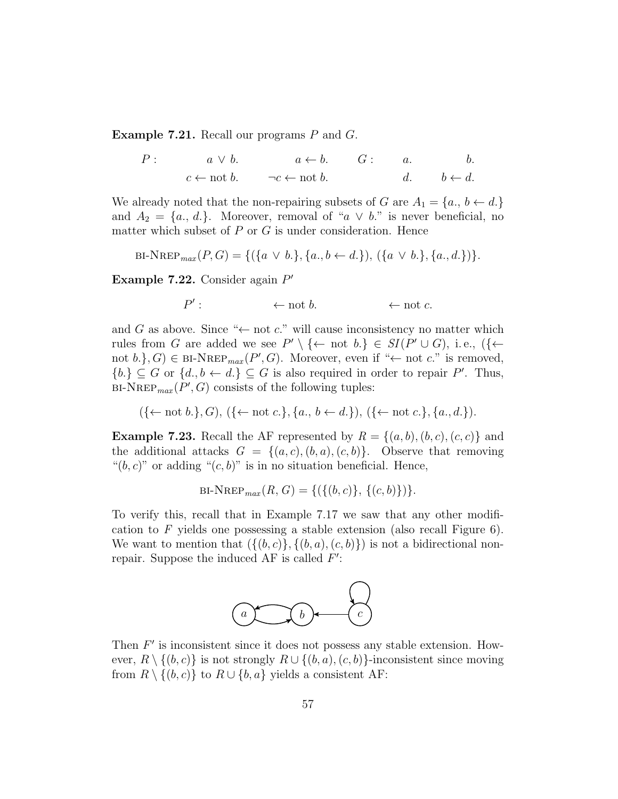Example 7.21. Recall our programs P and G.

$$
P: \t a \lor b. \t a \leftarrow b. \t G: \t a. \t b. \t c \leftarrow \text{not } b. \t \neg c \leftarrow \text{not } b. \t d. \t b \leftarrow d.
$$

We already noted that the non-repairing subsets of G are  $A_1 = \{a_i, b \leftarrow d\}$ and  $A_2 = \{a_1, d_1\}$ . Moreover, removal of "a  $\vee$  b." is never beneficial, no matter which subset of  $P$  or  $G$  is under consideration. Hence

BI-NREP<sub>max</sub>
$$
(P, G) = \{ (\{a \lor b.\}, \{a., b \leftarrow d.\}), (\{a \lor b.\}, \{a., d.\}) \}.
$$

Example 7.22. Consider again  $P'$ 

$$
P': \qquad \qquad \leftarrow \text{not } b. \qquad \qquad \leftarrow \text{not } c.
$$

and G as above. Since " $\leftarrow$  not c." will cause inconsistency no matter which rules from G are added we see  $P' \setminus {\{\leftarrow \text{ not } b.\}} \in SI(P' \cup G)$ , i.e.,  $({\{\leftarrow \text{ not } b.\}})$ not  $b.$ },  $G$ )  $\in$  BI-NREP<sub>max</sub> $(P', G)$ . Moreover, even if " $\leftarrow$  not  $c$ ." is removed,  ${b.} \subseteq G$  or  ${d., b \leftarrow d.} \subseteq G$  is also required in order to repair P'. Thus, BI-NREP<sub>max</sub>  $(P', G)$  consists of the following tuples:

$$
(\{\leftarrow \text{not } b.\}, G), (\{\leftarrow \text{not } c.\}, \{a., b \leftarrow d.\}), (\{\leftarrow \text{not } c.\}, \{a., d.\}).
$$

**Example 7.23.** Recall the AF represented by  $R = \{(a, b), (b, c), (c, c)\}\$ and the additional attacks  $G = \{(a, c), (b, a), (c, b)\}.$  Observe that removing " $(b, c)$ " or adding " $(c, b)$ " is in no situation beneficial. Hence,

BI-NREP<sub>max</sub>
$$
(R, G) = \{ (\{(b, c)\}, \{(c, b)\}) \}.
$$

To verify this, recall that in Example 7.17 we saw that any other modification to F yields one possessing a stable extension (also recall Figure 6). We want to mention that  $({{(b, c)}, {(b, a), (c, b)}})$  is not a bidirectional nonrepair. Suppose the induced AF is called  $F'$ :



Then  $F'$  is inconsistent since it does not possess any stable extension. However,  $R \setminus \{(b, c)\}\$ is not strongly  $R \cup \{(b, a), (c, b)\}\$ -inconsistent since moving from  $R \setminus \{(b, c)\}\$ to  $R \cup \{b, a\}$  yields a consistent AF: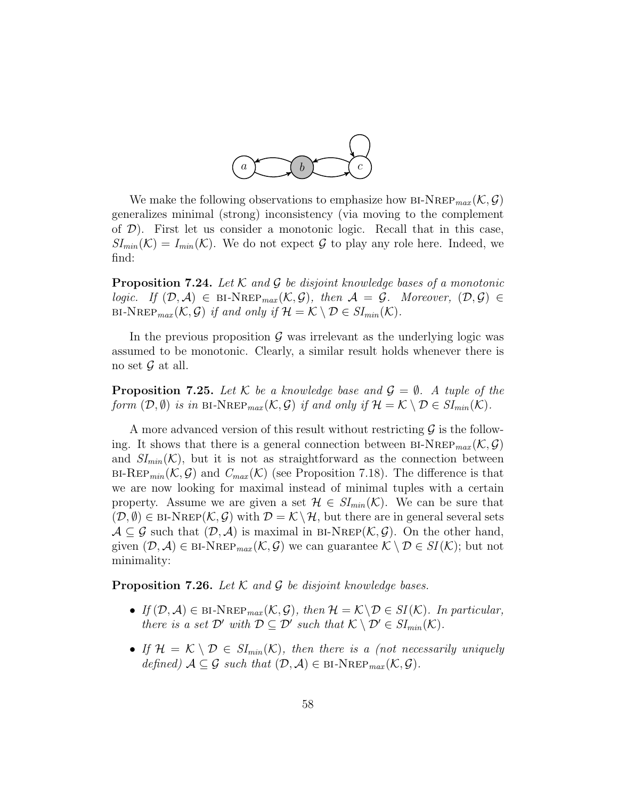

We make the following observations to emphasize how BI-NREP<sub>max</sub>  $(\mathcal{K}, \mathcal{G})$ generalizes minimal (strong) inconsistency (via moving to the complement of  $\mathcal{D}$ ). First let us consider a monotonic logic. Recall that in this case,  $SI_{min}(\mathcal{K}) = I_{min}(\mathcal{K})$ . We do not expect G to play any role here. Indeed, we find:

**Proposition 7.24.** Let  $K$  and  $G$  be disjoint knowledge bases of a monotonic logic. If  $(D, \mathcal{A}) \in \text{BI-NREF}_{max}(\mathcal{K}, \mathcal{G})$ , then  $\mathcal{A} = \mathcal{G}$ . Moreover,  $(D, \mathcal{G}) \in$ BI-NREP<sub>max</sub>  $(\mathcal{K}, \mathcal{G})$  if and only if  $\mathcal{H} = \mathcal{K} \setminus \mathcal{D} \in SI_{min}(\mathcal{K})$ .

In the previous proposition  $\mathcal G$  was irrelevant as the underlying logic was assumed to be monotonic. Clearly, a similar result holds whenever there is no set  $\mathcal G$  at all.

**Proposition 7.25.** Let K be a knowledge base and  $\mathcal{G} = \emptyset$ . A tuple of the form  $(\mathcal{D}, \emptyset)$  is in BI-NREP<sub>max</sub>  $(\mathcal{K}, \mathcal{G})$  if and only if  $\mathcal{H} = \mathcal{K} \setminus \mathcal{D} \in SI_{min}(\mathcal{K})$ .

A more advanced version of this result without restricting  $\mathcal G$  is the following. It shows that there is a general connection between  $BI-NREF_{max}(\mathcal{K},\mathcal{G})$ and  $SI_{min}(\mathcal{K})$ , but it is not as straightforward as the connection between  $B\text{I-Rep}_{min}(\mathcal{K}, \mathcal{G})$  and  $C_{max}(\mathcal{K})$  (see Proposition 7.18). The difference is that we are now looking for maximal instead of minimal tuples with a certain property. Assume we are given a set  $\mathcal{H} \in SI_{min}(\mathcal{K})$ . We can be sure that  $(\mathcal{D}, \emptyset) \in \text{BI-NREF}(\mathcal{K}, \mathcal{G})$  with  $\mathcal{D} = \mathcal{K} \setminus \mathcal{H}$ , but there are in general several sets  $A \subseteq G$  such that  $(D, \mathcal{A})$  is maximal in BI-NREP( $\mathcal{K}, \mathcal{G}$ ). On the other hand, given  $(D, \mathcal{A}) \in \text{BI-NREF}_{max}(\mathcal{K}, \mathcal{G})$  we can guarantee  $\mathcal{K} \setminus \mathcal{D} \in SI(\mathcal{K})$ ; but not minimality:

**Proposition 7.26.** Let  $K$  and  $G$  be disjoint knowledge bases.

- If  $(D, \mathcal{A}) \in \text{BI-NREF}_{max}(\mathcal{K}, \mathcal{G})$ , then  $\mathcal{H} = \mathcal{K} \backslash \mathcal{D} \in SI(\mathcal{K})$ . In particular, there is a set  $\mathcal{D}'$  with  $\mathcal{D} \subseteq \mathcal{D}'$  such that  $\mathcal{K} \setminus \mathcal{D}' \in SI_{min}(\mathcal{K})$ .
- If  $\mathcal{H} = \mathcal{K} \setminus \mathcal{D} \in SI_{min}(\mathcal{K})$ , then there is a (not necessarily uniquely defined)  $A \subseteq \mathcal{G}$  such that  $(\mathcal{D}, \mathcal{A}) \in \text{BI-NREF}_{max}(\mathcal{K}, \mathcal{G})$ .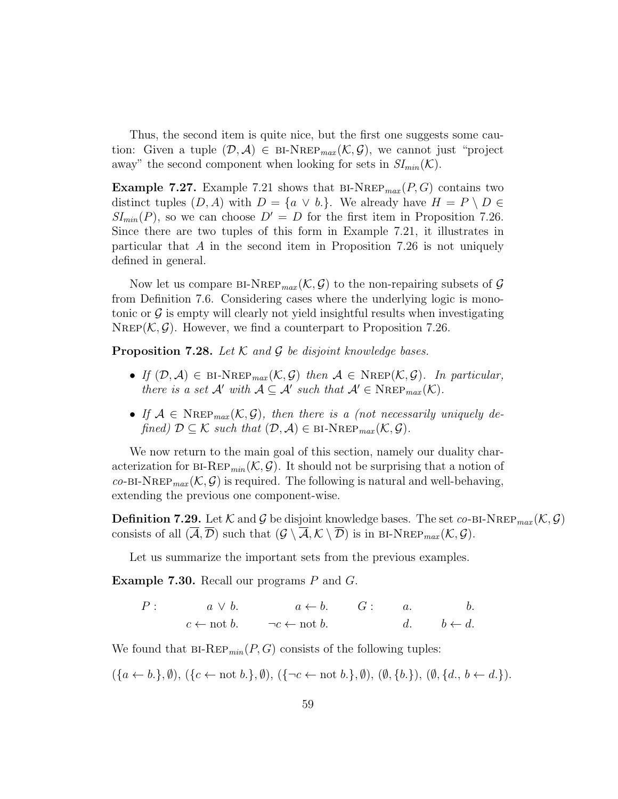Thus, the second item is quite nice, but the first one suggests some caution: Given a tuple  $(\mathcal{D}, \mathcal{A}) \in {\rm BI-NREF}_{max}(\mathcal{K}, \mathcal{G})$ , we cannot just "project" away" the second component when looking for sets in  $SI_{min}(\mathcal{K})$ .

**Example 7.27.** Example 7.21 shows that  $BI-NREF_{max}(P, G)$  contains two distinct tuples  $(D, A)$  with  $D = \{a \lor b.\}$ . We already have  $H = P \setminus D \in$  $SI_{min}(P)$ , so we can choose  $D' = D$  for the first item in Proposition 7.26. Since there are two tuples of this form in Example 7.21, it illustrates in particular that A in the second item in Proposition 7.26 is not uniquely defined in general.

Now let us compare BI-NREP<sub>max</sub>  $(\mathcal{K}, \mathcal{G})$  to the non-repairing subsets of  $\mathcal{G}$ from Definition 7.6. Considering cases where the underlying logic is monotonic or  $\mathcal G$  is empty will clearly not yield insightful results when investigating NREP( $\mathcal{K}, \mathcal{G}$ ). However, we find a counterpart to Proposition 7.26.

**Proposition 7.28.** Let  $K$  and  $G$  be disjoint knowledge bases.

- If  $(\mathcal{D}, \mathcal{A}) \in \text{BI-NRep}_{max}(\mathcal{K}, \mathcal{G})$  then  $\mathcal{A} \in \text{NRep}(\mathcal{K}, \mathcal{G})$ . In particular, there is a set  $A'$  with  $A \subseteq A'$  such that  $A' \in \text{NREP}_{max}(\mathcal{K})$ .
- If  $A \in \text{Nrep}_{max}(\mathcal{K}, \mathcal{G})$ , then there is a (not necessarily uniquely defined)  $\mathcal{D} \subseteq \mathcal{K}$  such that  $(\mathcal{D}, \mathcal{A}) \in \text{BI-NREF}_{max}(\mathcal{K}, \mathcal{G}).$

We now return to the main goal of this section, namely our duality characterization for  $BI-REP_{min}(\mathcal{K}, \mathcal{G})$ . It should not be surprising that a notion of  $co-BI-NREP_{max}(\mathcal{K}, \mathcal{G})$  is required. The following is natural and well-behaving, extending the previous one component-wise.

**Definition 7.29.** Let K and G be disjoint knowledge bases. The set co-BI-NREP<sub>max</sub>  $(K, \mathcal{G})$ consists of all  $(\overline{A}, \overline{\mathcal{D}})$  such that  $(\mathcal{G} \setminus \overline{A}, \mathcal{K} \setminus \overline{\mathcal{D}})$  is in BI-NREP<sub>max</sub> $(\mathcal{K}, \mathcal{G})$ .

Let us summarize the important sets from the previous examples.

Example 7.30. Recall our programs P and G.

$$
P: \t a \lor b. \t a \leftarrow b. \t G: \t a. \t b. \t b.
$$
  

$$
c \leftarrow \text{not } b. \t \neg c \leftarrow \text{not } b. \t d. \t b \leftarrow d.
$$

We found that  $B1-REP_{min}(P, G)$  consists of the following tuples:

 $({a \leftarrow b.}, \emptyset), ({c \leftarrow \text{not } b.}, \emptyset), ({c \leftarrow \text{not } b.}, \emptyset), (\emptyset, {b.}, \emptyset), (\emptyset, {d., b \leftarrow d.}).$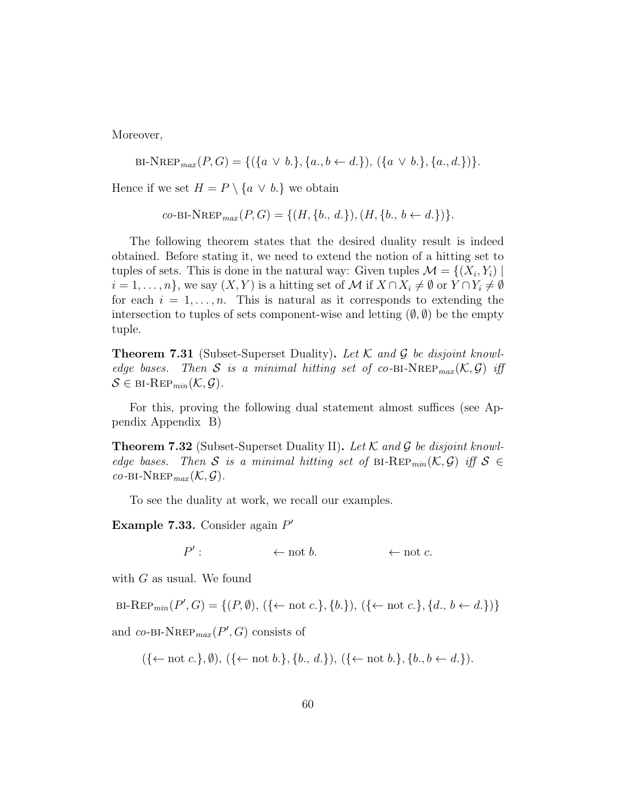Moreover,

BI-NREP<sub>max</sub>
$$
(P, G) = \{ (\{a \lor b.\}, \{a., b \leftarrow d.\}), (\{a \lor b.\}, \{a., d.\}) \}.
$$

Hence if we set  $H = P \setminus \{a \lor b.\}$  we obtain

co-BI-NREP<sub>max</sub>
$$
(P, G) = \{(H, \{b., d.\}), (H, \{b., b \leftarrow d.\})\}.
$$

The following theorem states that the desired duality result is indeed obtained. Before stating it, we need to extend the notion of a hitting set to tuples of sets. This is done in the natural way: Given tuples  $\mathcal{M} = \{(X_i, Y_i) \mid$  $i = 1, \ldots, n$ , we say  $(X, Y)$  is a hitting set of M if  $X \cap X_i \neq \emptyset$  or  $Y \cap Y_i \neq \emptyset$ for each  $i = 1, \ldots, n$ . This is natural as it corresponds to extending the intersection to tuples of sets component-wise and letting  $(\emptyset, \emptyset)$  be the empty tuple.

**Theorem 7.31** (Subset-Superset Duality). Let  $\mathcal{K}$  and  $\mathcal{G}$  be disjoint knowledge bases. Then S is a minimal hitting set of co-BI-NREP<sub>max</sub> $(K, \mathcal{G})$  iff  $S \in \textsc{bi-REP}_{min}(\mathcal{K}, \mathcal{G}).$ 

For this, proving the following dual statement almost suffices (see Appendix Appendix B)

**Theorem 7.32** (Subset-Superset Duality II). Let K and G be disjoint knowledge bases. Then S is a minimal hitting set of BI-REP<sub>min</sub> $(\mathcal{K}, \mathcal{G})$  iff  $\mathcal{S} \in$  $co$ -BI-NREP<sub>max</sub> $(K, \mathcal{G})$ .

To see the duality at work, we recall our examples.

Example 7.33. Consider again  $P'$ 

 $P'$  $\leftarrow$  not b.  $\leftarrow$  not c.

with G as usual. We found

BI-REP<sub>min</sub>(P', G) = {(P, Ø), ({← not c.}, {b.}), ({← not c.}, {d., b ← d.})}

and  $co-BI-NREF_{max}(P',G)$  consists of

$$
(\{\leftarrow \text{not } c.\}, \emptyset), (\{\leftarrow \text{not } b.\}, \{b., d.\}), (\{\leftarrow \text{not } b.\}, \{b., b \leftarrow d.\}).
$$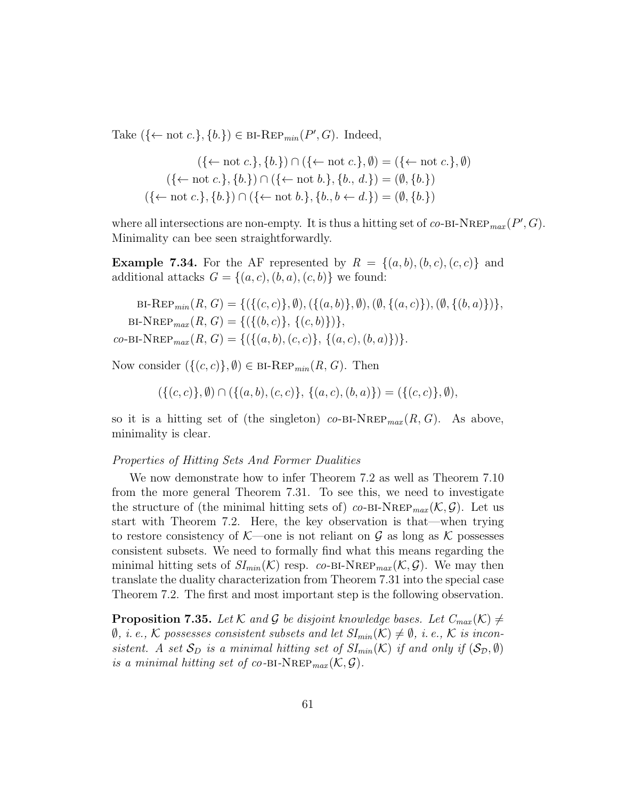Take  $({\mathcal{H}} \text{ not } c.$ ,  ${b.}$ )  $\in$  BI-REP<sub>min</sub>( $P', G$ ). Indeed,

$$
(\{\leftarrow \text{not } c.\}, \{b.\}) \cap (\{\leftarrow \text{not } c.\}, \emptyset) = (\{\leftarrow \text{not } c.\}, \emptyset)
$$

$$
(\{\leftarrow \text{not } c.\}, \{b.\}) \cap (\{\leftarrow \text{not } b.\}, \{b., d.\}) = (\emptyset, \{b.\})
$$

$$
(\{\leftarrow \text{not } c.\}, \{b.\}) \cap (\{\leftarrow \text{not } b.\}, \{b., b \leftarrow d.\}) = (\emptyset, \{b.\})
$$

where all intersections are non-empty. It is thus a hitting set of  $co-BI-NREP_{max}(P', G)$ . Minimality can bee seen straightforwardly.

**Example 7.34.** For the AF represented by  $R = \{(a, b), (b, c), (c, c)\}\$ and additional attacks  $G = \{(a, c), (b, a), (c, b)\}\$ we found:

BI-REP<sub>min</sub>(R, G) = {(
$$
\{(c, c)\}, \emptyset
$$
), ( $\{(a, b)\}, \emptyset$ ), ( $\emptyset$ ,  $\{(a, c)\}\)$ , ( $\emptyset$ ,  $\{(b, a)\}\$ ),  
BI-NREP<sub>max</sub>(R, G) = {( $\{(b, c)\}, \{(c, b)\}\$ ),  
co-BI-NREP<sub>max</sub>(R, G) = {( $\{(a, b), (c, c)\}, \{(a, c), (b, a)\}\$ )}.

Now consider  $({(c, c)}, \emptyset) \in \text{BI-Rep}_{min}(R, G)$ . Then

 $(\{(c, c)\}, \emptyset) \cap (\{(a, b), (c, c)\}, \{(a, c), (b, a)\}) = (\{(c, c)\}, \emptyset),$ 

so it is a hitting set of (the singleton) co-bi-NREP $_{max}(R, G)$ . As above, minimality is clear.

# Properties of Hitting Sets And Former Dualities

We now demonstrate how to infer Theorem 7.2 as well as Theorem 7.10 from the more general Theorem 7.31. To see this, we need to investigate the structure of (the minimal hitting sets of) co-BI-NREP<sub>max</sub>  $(\mathcal{K}, \mathcal{G})$ . Let us start with Theorem 7.2. Here, the key observation is that—when trying to restore consistency of  $K$ —one is not reliant on G as long as K possesses consistent subsets. We need to formally find what this means regarding the minimal hitting sets of  $SI_{min}(\mathcal{K})$  resp. co-BI-NREP<sub>max</sub> $(\mathcal{K}, \mathcal{G})$ . We may then translate the duality characterization from Theorem 7.31 into the special case Theorem 7.2. The first and most important step is the following observation.

**Proposition 7.35.** Let K and G be disjoint knowledge bases. Let  $C_{max}(\mathcal{K}) \neq$  $\emptyset$ , i.e., K possesses consistent subsets and let  $SI_{min}(\mathcal{K})\neq \emptyset$ , i.e., K is inconsistent. A set  $S_D$  is a minimal hitting set of  $SI_{min}(\mathcal{K})$  if and only if  $(S_D, \emptyset)$ is a minimal hitting set of co-BI-NREP<sub>max</sub> $(\mathcal{K}, \mathcal{G})$ .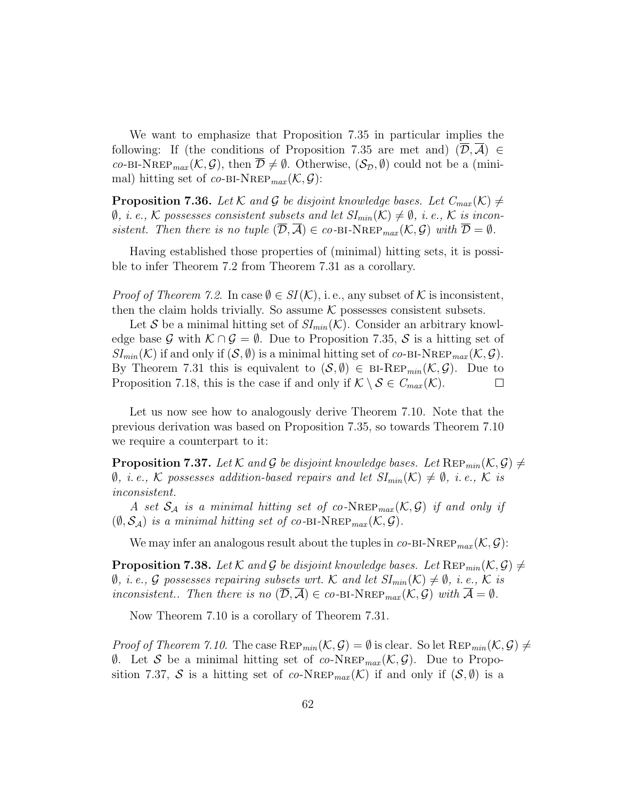We want to emphasize that Proposition 7.35 in particular implies the following: If (the conditions of Proposition 7.35 are met and)  $(\overline{\mathcal{D}}, \overline{\mathcal{A}}) \in$ co-BI-NREP<sub>max</sub>  $(\mathcal{K}, \mathcal{G})$ , then  $\overline{\mathcal{D}} \neq \emptyset$ . Otherwise,  $(\mathcal{S}_{\mathcal{D}}, \emptyset)$  could not be a (minimal) hitting set of co-BI-NREP<sub>max</sub> $(K, \mathcal{G})$ :

**Proposition 7.36.** Let K and G be disjoint knowledge bases. Let  $C_{max}(\mathcal{K}) \neq$  $\emptyset$ , *i.e.*, K possesses consistent subsets and let  $SI_{min}(\mathcal{K}) \neq \emptyset$ , *i.e.*, K is inconsistent. Then there is no tuple  $(\mathcal{D}, \overline{\mathcal{A}}) \in co-BI-NREP_{max}(\mathcal{K}, \mathcal{G})$  with  $\overline{\mathcal{D}} = \emptyset$ .

Having established those properties of (minimal) hitting sets, it is possible to infer Theorem 7.2 from Theorem 7.31 as a corollary.

*Proof of Theorem 7.2.* In case  $\emptyset \in SI(\mathcal{K})$ , i.e., any subset of  $\mathcal K$  is inconsistent, then the claim holds trivially. So assume  $K$  possesses consistent subsets.

Let S be a minimal hitting set of  $SI_{min}(\mathcal{K})$ . Consider an arbitrary knowledge base G with  $\mathcal{K} \cap \mathcal{G} = \emptyset$ . Due to Proposition 7.35, S is a hitting set of  $SI_{min}(\mathcal{K})$  if and only if  $(\mathcal{S}, \emptyset)$  is a minimal hitting set of co-BI-NREP  $_{max}(\mathcal{K}, \mathcal{G})$ . By Theorem 7.31 this is equivalent to  $(S, \emptyset) \in {\text{BI-Rep}_{min}}(\mathcal{K}, \mathcal{G})$ . Due to Proposition 7.18, this is the case if and only if  $\mathcal{K} \setminus \mathcal{S} \in C_{max}(\mathcal{K})$ .  $\Box$ 

Let us now see how to analogously derive Theorem 7.10. Note that the previous derivation was based on Proposition 7.35, so towards Theorem 7.10 we require a counterpart to it:

**Proposition 7.37.** Let K and G be disjoint knowledge bases. Let  $\text{Rep}_{min}(\mathcal{K}, \mathcal{G}) \neq$  $\emptyset$ , *i.e.*, K possesses addition-based repairs and let  $SI_{min}(\mathcal{K}) \neq \emptyset$ , *i.e.*, K is inconsistent.

A set  $S_A$  is a minimal hitting set of co-NREP<sub>max</sub> $(\mathcal{K}, \mathcal{G})$  if and only if  $(\emptyset, \mathcal{S}_{\mathcal{A}})$  is a minimal hitting set of co-BI-NREP<sub>max</sub> $(\mathcal{K}, \mathcal{G})$ .

We may infer an analogous result about the tuples in  $co-BI-NREF_{max}(\mathcal{K},\mathcal{G})$ :

**Proposition 7.38.** Let K and G be disjoint knowledge bases. Let  $\text{Rep}_{min}(\mathcal{K}, \mathcal{G}) \neq$  $\emptyset$ , *i.e.*, G possesses repairing subsets wrt. K and let  $SI_{min}(\mathcal{K}) \neq \emptyset$ , *i.e.*, K is inconsistent.. Then there is no  $(\overline{\mathcal{D}}, \overline{\mathcal{A}}) \in co-BI-NREP_{max}(\mathcal{K}, \mathcal{G})$  with  $\overline{\mathcal{A}} = \emptyset$ .

Now Theorem 7.10 is a corollary of Theorem 7.31.

*Proof of Theorem 7.10.* The case  $\text{Rep}_{min}(\mathcal{K}, \mathcal{G}) = \emptyset$  is clear. So let  $\text{Rep}_{min}(\mathcal{K}, \mathcal{G}) \neq \emptyset$  $\emptyset$ . Let S be a minimal hitting set of co-NREP<sub>max</sub> (K, G). Due to Proposition 7.37, S is a hitting set of co-NREP<sub>max</sub>  $(K)$  if and only if  $(S, \emptyset)$  is a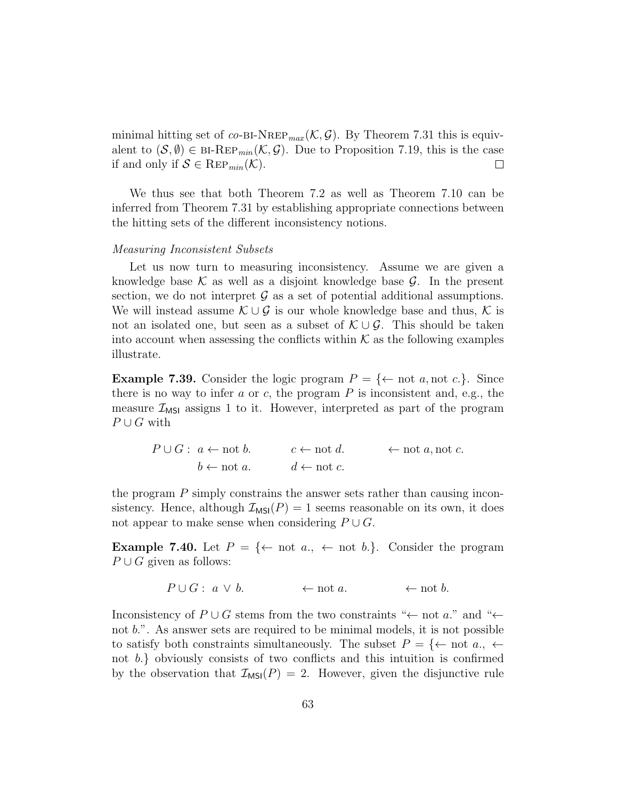minimal hitting set of co-BI-NREP<sub>max</sub>  $(\mathcal{K}, \mathcal{G})$ . By Theorem 7.31 this is equivalent to  $(S, \emptyset) \in {\text{BI-Rep}_{min}}(\mathcal{K}, \mathcal{G})$ . Due to Proposition 7.19, this is the case if and only if  $S \in \text{Rep}_{min}(\mathcal{K})$ .  $\Box$ 

We thus see that both Theorem 7.2 as well as Theorem 7.10 can be inferred from Theorem 7.31 by establishing appropriate connections between the hitting sets of the different inconsistency notions.

#### Measuring Inconsistent Subsets

Let us now turn to measuring inconsistency. Assume we are given a knowledge base  $\mathcal K$  as well as a disjoint knowledge base  $\mathcal G$ . In the present section, we do not interpret  $\mathcal G$  as a set of potential additional assumptions. We will instead assume  $\mathcal{K} \cup \mathcal{G}$  is our whole knowledge base and thus,  $\mathcal{K}$  is not an isolated one, but seen as a subset of  $\mathcal{K} \cup \mathcal{G}$ . This should be taken into account when assessing the conflicts within  $K$  as the following examples illustrate.

**Example 7.39.** Consider the logic program  $P = \{\leftarrow \text{not } a, \text{not } c.\}$ . Since there is no way to infer  $a$  or  $c$ , the program  $P$  is inconsistent and, e.g., the measure  $\mathcal{I}_{MSI}$  assigns 1 to it. However, interpreted as part of the program  $P \cup G$  with

> $P \cup G: a \leftarrow \text{not } b.$   $c \leftarrow \text{not } d.$   $\leftarrow \text{not } a, \text{not } c.$  $b \leftarrow \text{not } a.$   $d \leftarrow \text{not } c.$

the program P simply constrains the answer sets rather than causing inconsistency. Hence, although  $\mathcal{I}_{MSI}(P) = 1$  seems reasonable on its own, it does not appear to make sense when considering  $P \cup G$ .

**Example 7.40.** Let  $P = \{\leftarrow \text{not } a_{\cdot}, \leftarrow \text{not } b_{\cdot} \}$ . Consider the program  $P \cup G$  given as follows:

$$
P \cup G: a \vee b. \qquad \leftarrow \text{not } a. \qquad \leftarrow \text{not } b.
$$

Inconsistency of  $P \cup G$  stems from the two constraints "← not a." and "← not b.". As answer sets are required to be minimal models, it is not possible to satisfy both constraints simultaneously. The subset  $P = \{\leftarrow \text{ not } a_{\cdot}, \leftarrow \}$ not b.} obviously consists of two conflicts and this intuition is confirmed by the observation that  $\mathcal{I}_{MSI}(P) = 2$ . However, given the disjunctive rule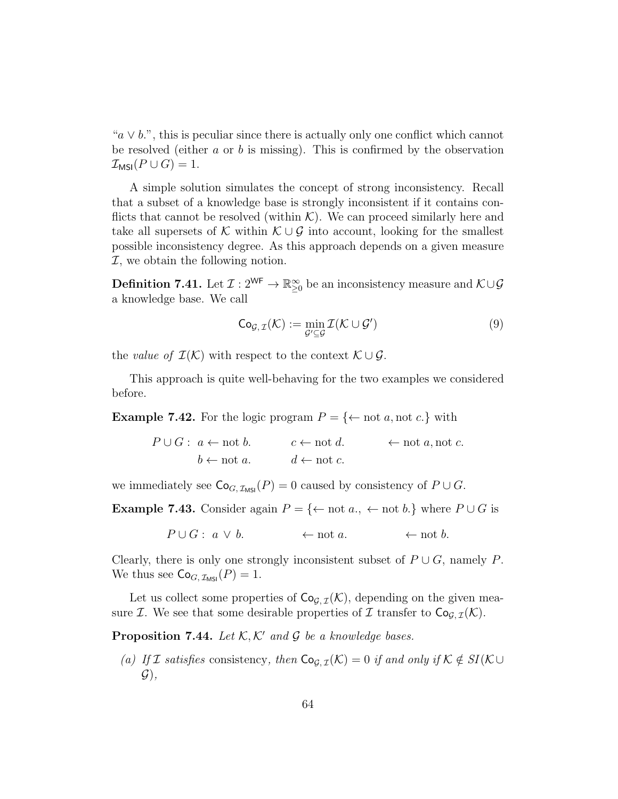" $a \vee b$ ", this is peculiar since there is actually only one conflict which cannot be resolved (either  $a$  or  $b$  is missing). This is confirmed by the observation  $\mathcal{I}_{MSI}(P\cup G)=1.$ 

A simple solution simulates the concept of strong inconsistency. Recall that a subset of a knowledge base is strongly inconsistent if it contains conflicts that cannot be resolved (within  $K$ ). We can proceed similarly here and take all supersets of K within  $\mathcal{K} \cup \mathcal{G}$  into account, looking for the smallest possible inconsistency degree. As this approach depends on a given measure  $I$ , we obtain the following notion.

**Definition 7.41.** Let  $\mathcal{I}: 2^{\mathsf{WF}} \to \mathbb{R}^{\infty}_{\geq 0}$  be an inconsistency measure and  $\mathcal{K} \cup \mathcal{G}$ a knowledge base. We call

$$
\mathsf{Co}_{\mathcal{G},\,\mathcal{I}}(\mathcal{K}) := \min_{\mathcal{G}' \subseteq \mathcal{G}} \mathcal{I}(\mathcal{K} \cup \mathcal{G}') \tag{9}
$$

the value of  $\mathcal{I}(\mathcal{K})$  with respect to the context  $\mathcal{K} \cup \mathcal{G}$ .

This approach is quite well-behaving for the two examples we considered before.

**Example 7.42.** For the logic program  $P = \{\leftarrow \text{not } a, \text{not } c.\}$  with

$$
P \cup G: a \leftarrow \text{not } b.
$$
  

$$
b \leftarrow \text{not } a.
$$
  

$$
c \leftarrow \text{not } d.
$$
  

$$
\leftarrow \text{not } a, \text{not } c.
$$

we immediately see  $\mathsf{Co}_{G,\mathcal{I}_{\mathsf{MSI}}}(P) = 0$  caused by consistency of  $P \cup G$ .

**Example 7.43.** Consider again  $P = \{\leftarrow \text{not } a., \leftarrow \text{not } b.\}$  where  $P \cup G$  is

 $P \cup G : a \vee b.$  ← not a. ← not b.

Clearly, there is only one strongly inconsistent subset of  $P \cup G$ , namely P. We thus see  $\mathsf{Co}_{G,\mathcal{I}_{\mathsf{MSI}}}(P) = 1.$ 

Let us collect some properties of  $\mathsf{Co}_{\mathcal{G}, \mathcal{I}}(\mathcal{K})$ , depending on the given measure *I*. We see that some desirable properties of *I* transfer to  $\text{Co}_{\mathcal{G},\mathcal{I}}(\mathcal{K})$ .

**Proposition 7.44.** Let  $K$ ,  $K'$  and G be a knowledge bases.

(a) If I satisfies consistency, then  $\mathsf{Co}_{G,\mathcal{I}}(\mathcal{K})=0$  if and only if  $\mathcal{K}\notin SI(\mathcal{K}\cup$  $\mathcal{G}$ ),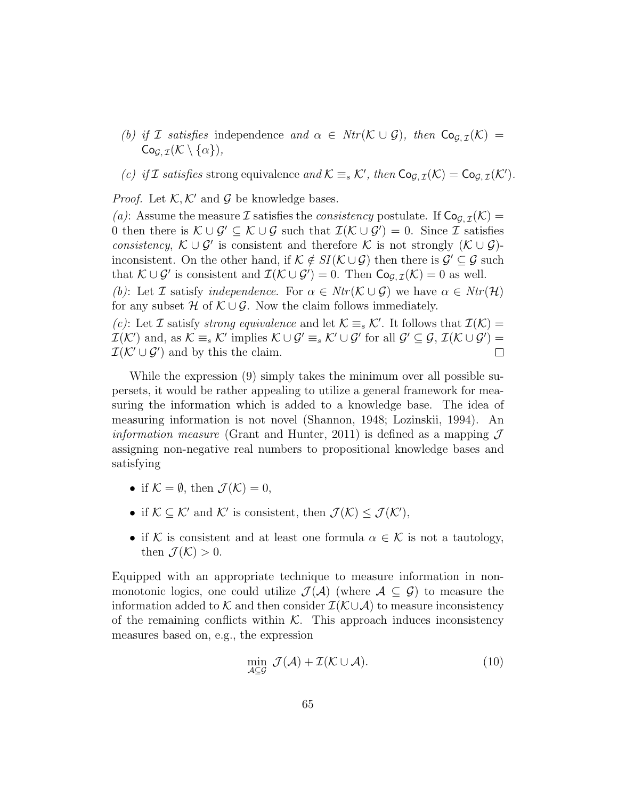- (b) if I satisfies independence and  $\alpha \in Ntr(\mathcal{K} \cup \mathcal{G})$ , then  $\mathsf{Co}_{\mathcal{G},\mathcal{I}}(\mathcal{K}) =$  $Co_{G,\mathcal{I}}(\mathcal{K}\setminus\{\alpha\}),$
- (c) if I satisfies strong equivalence and  $\mathcal{K} \equiv_s \mathcal{K}'$ , then  $\mathsf{Co}_{\mathcal{G},\mathcal{I}}(\mathcal{K}) = \mathsf{Co}_{\mathcal{G},\mathcal{I}}(\mathcal{K}')$ .

*Proof.* Let  $K, K'$  and G be knowledge bases.

(a): Assume the measure I satisfies the *consistency* postulate. If  $\mathsf{Co}_{G,\mathcal{I}}(\mathcal{K}) =$ 0 then there is  $\mathcal{K} \cup \mathcal{G}' \subseteq \mathcal{K} \cup \mathcal{G}$  such that  $\mathcal{I}(\mathcal{K} \cup \mathcal{G}') = 0$ . Since  $\mathcal{I}$  satisfies consistency,  $\mathcal{K} \cup \mathcal{G}'$  is consistent and therefore  $\mathcal{K}$  is not strongly  $(\mathcal{K} \cup \mathcal{G})$ inconsistent. On the other hand, if  $\mathcal{K} \notin SI(\mathcal{K} \cup \mathcal{G})$  then there is  $\mathcal{G}' \subseteq \mathcal{G}$  such that  $\mathcal{K} \cup \mathcal{G}'$  is consistent and  $\mathcal{I}(\mathcal{K} \cup \mathcal{G}') = 0$ . Then  $\mathsf{Co}_{\mathcal{G},\mathcal{I}}(\mathcal{K}) = 0$  as well.

(b): Let I satisfy independence. For  $\alpha \in Ntr(\mathcal{K} \cup \mathcal{G})$  we have  $\alpha \in Ntr(\mathcal{H})$ for any subset H of  $\mathcal{K} \cup \mathcal{G}$ . Now the claim follows immediately.

(c): Let I satisfy strong equivalence and let  $\mathcal{K} \equiv_s \mathcal{K}'$ . It follows that  $\mathcal{I}(\mathcal{K}) =$  $\mathcal{I}(\mathcal{K}')$  and, as  $\mathcal{K} \equiv_s \mathcal{K}'$  implies  $\mathcal{K} \cup \mathcal{G}' \equiv_s \mathcal{K}' \cup \mathcal{G}'$  for all  $\mathcal{G}' \subseteq \mathcal{G}, \mathcal{I}(\mathcal{K} \cup \mathcal{G}') =$  $\mathcal{I}(\mathcal{K}' \cup \mathcal{G}')$  and by this the claim.  $\Box$ 

While the expression (9) simply takes the minimum over all possible supersets, it would be rather appealing to utilize a general framework for measuring the information which is added to a knowledge base. The idea of measuring information is not novel (Shannon, 1948; Lozinskii, 1994). An *information measure* (Grant and Hunter, 2011) is defined as a mapping  $\mathcal{J}$ assigning non-negative real numbers to propositional knowledge bases and satisfying

- if  $K = \emptyset$ , then  $\mathcal{J}(\mathcal{K}) = 0$ .
- if  $K \subseteq \mathcal{K}'$  and  $\mathcal{K}'$  is consistent, then  $\mathcal{J}(\mathcal{K}) \leq \mathcal{J}(\mathcal{K}')$ ,
- if K is consistent and at least one formula  $\alpha \in \mathcal{K}$  is not a tautology, then  $\mathcal{J}(\mathcal{K}) > 0$ .

Equipped with an appropriate technique to measure information in nonmonotonic logics, one could utilize  $\mathcal{J}(\mathcal{A})$  (where  $\mathcal{A} \subseteq \mathcal{G}$ ) to measure the information added to K and then consider  $\mathcal{I}(\mathcal{K}\cup\mathcal{A})$  to measure inconsistency of the remaining conflicts within  $K$ . This approach induces inconsistency measures based on, e.g., the expression

$$
\min_{\mathcal{A}\subseteq\mathcal{G}}\,\mathcal{J}(\mathcal{A})+\mathcal{I}(\mathcal{K}\cup\mathcal{A}).\tag{10}
$$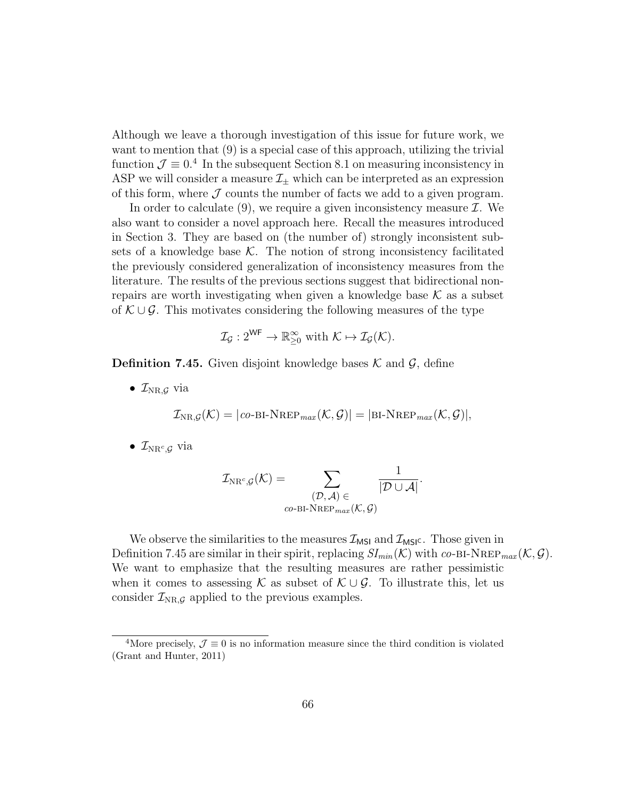Although we leave a thorough investigation of this issue for future work, we want to mention that  $(9)$  is a special case of this approach, utilizing the trivial function  $\mathcal{J} \equiv 0.4$  In the subsequent Section 8.1 on measuring inconsistency in ASP we will consider a measure  $\mathcal{I}_{\pm}$  which can be interpreted as an expression of this form, where  $J$  counts the number of facts we add to a given program.

In order to calculate  $(9)$ , we require a given inconsistency measure  $\mathcal{I}$ . We also want to consider a novel approach here. Recall the measures introduced in Section 3. They are based on (the number of) strongly inconsistent subsets of a knowledge base  $\mathcal K$ . The notion of strong inconsistency facilitated the previously considered generalization of inconsistency measures from the literature. The results of the previous sections suggest that bidirectional nonrepairs are worth investigating when given a knowledge base  $K$  as a subset of  $K \cup G$ . This motivates considering the following measures of the type

$$
\mathcal{I}_{\mathcal{G}}: 2^{\mathsf{WF}} \to \mathbb{R}_{\geq 0}^{\infty} \text{ with } \mathcal{K} \mapsto \mathcal{I}_{\mathcal{G}}(\mathcal{K}).
$$

**Definition 7.45.** Given disjoint knowledge bases  $\mathcal{K}$  and  $\mathcal{G}$ , define

•  $\mathcal{I}_{NR,\mathcal{G}}$  via

$$
\mathcal{I}_{\text{NR},\mathcal{G}}(\mathcal{K}) = |co\text{-BI-NREP}_{max}(\mathcal{K},\mathcal{G})| = |\text{BI-NREP}_{max}(\mathcal{K},\mathcal{G})|,
$$

 $\bullet$   $\mathcal{I}_{\text{NR}^c,\mathcal{G}}$  via

$$
\mathcal{I}_{\mathrm{NR}^c,\mathcal{G}}(\mathcal{K}) = \sum_{\substack{(\mathcal{D},\mathcal{A}) \in \\ co\text{-}\mathrm{BI-NREF}_{max}(\mathcal{K},\mathcal{G})}}\frac{1}{|\mathcal{D}\cup\mathcal{A}|}.
$$

We observe the similarities to the measures  $\mathcal{I}_{MSI}$  and  $\mathcal{I}_{MSI}$ . Those given in Definition 7.45 are similar in their spirit, replacing  $SI_{min}(\mathcal{K})$  with co-BI-NREP  $_{max}(\mathcal{K}, \mathcal{G})$ . We want to emphasize that the resulting measures are rather pessimistic when it comes to assessing K as subset of  $\mathcal{K} \cup \mathcal{G}$ . To illustrate this, let us consider  $\mathcal{I}_{NR,\mathcal{G}}$  applied to the previous examples.

<sup>&</sup>lt;sup>4</sup>More precisely,  $\mathcal{J} \equiv 0$  is no information measure since the third condition is violated (Grant and Hunter, 2011)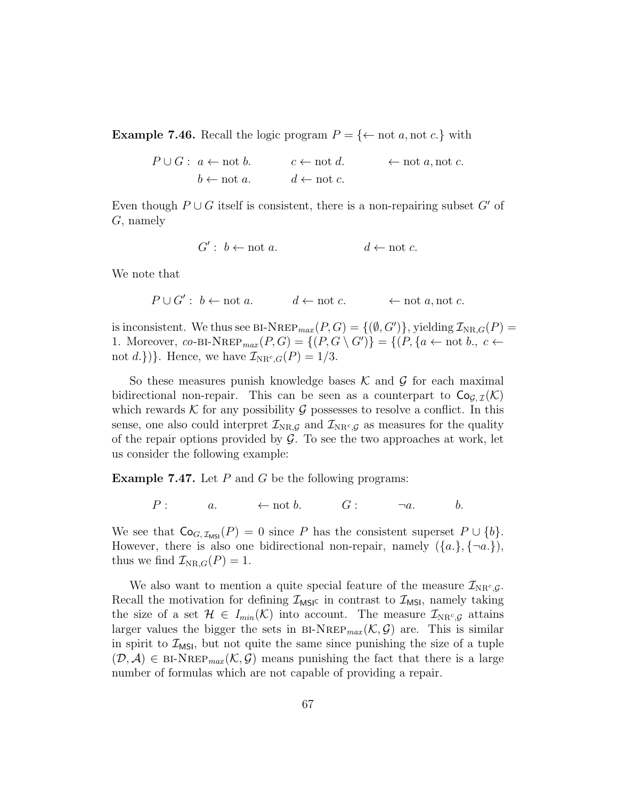**Example 7.46.** Recall the logic program  $P = \{\leftarrow \text{not } a, \text{not } c.\}$  with

 $P \cup G : a \leftarrow \text{not } b.$   $c \leftarrow \text{not } d.$   $\leftarrow \text{not } a, \text{not } c.$  $b \leftarrow \text{not } a.$   $d \leftarrow \text{not } c.$ 

Even though  $P \cup G$  itself is consistent, there is a non-repairing subset G' of G, namely

$$
G': b \leftarrow \text{not } a. \qquad d \leftarrow \text{not } c.
$$

We note that

$$
P \cup G' : b \leftarrow \text{not } a.
$$
  $d \leftarrow \text{not } c.$   $\leftarrow$  not  $a, \text{not } c.$ 

is inconsistent. We thus see BI-NREP<sub>max</sub> $(P, G) = \{(\emptyset, G')\}$ , yielding  $\mathcal{I}_{NR, G}(P) =$ 1. Moreover, co-BI-NREP<sub>max</sub>  $(P, G) = \{(P, G \setminus G')\} = \{(P, \{a \leftarrow \text{not } b., c \leftarrow \})\}$ not d.})}. Hence, we have  $\mathcal{I}_{NR^c,G}(P) = 1/3$ .

So these measures punish knowledge bases  $\mathcal K$  and  $\mathcal G$  for each maximal bidirectional non-repair. This can be seen as a counterpart to  $\mathsf{Co}_{G\,\mathcal{T}}(\mathcal{K})$ which rewards  $K$  for any possibility  $G$  possesses to resolve a conflict. In this sense, one also could interpret  $\mathcal{I}_{NR,\mathcal{G}}$  and  $\mathcal{I}_{NR^c,\mathcal{G}}$  as measures for the quality of the repair options provided by  $\mathcal G$ . To see the two approaches at work, let us consider the following example:

**Example 7.47.** Let  $P$  and  $G$  be the following programs:

 $P: a. \leftarrow \text{not } b. \qquad G: \qquad \neg a. \qquad b.$ 

We see that  $Co_{G,\mathcal{I}_{MSI}}(P) = 0$  since P has the consistent superset  $P \cup \{b\}.$ However, there is also one bidirectional non-repair, namely  $({a},({a},\{-a,\})$ , thus we find  $\mathcal{I}_{NR,G}(P) = 1$ .

We also want to mention a quite special feature of the measure  $\mathcal{I}_{NR^c,g}$ . Recall the motivation for defining  $\mathcal{I}_{MSI}$  in contrast to  $\mathcal{I}_{MSI}$ , namely taking the size of a set  $\mathcal{H} \in I_{min}(\mathcal{K})$  into account. The measure  $\mathcal{I}_{NR^c,g}$  attains larger values the bigger the sets in BI-NREP<sub>max</sub>  $(\mathcal{K}, \mathcal{G})$  are. This is similar in spirit to  $\mathcal{I}_{MSI}$ , but not quite the same since punishing the size of a tuple  $(\mathcal{D}, \mathcal{A}) \in {\text{BI-NRep}}_{max}(\mathcal{K}, \mathcal{G})$  means punishing the fact that there is a large number of formulas which are not capable of providing a repair.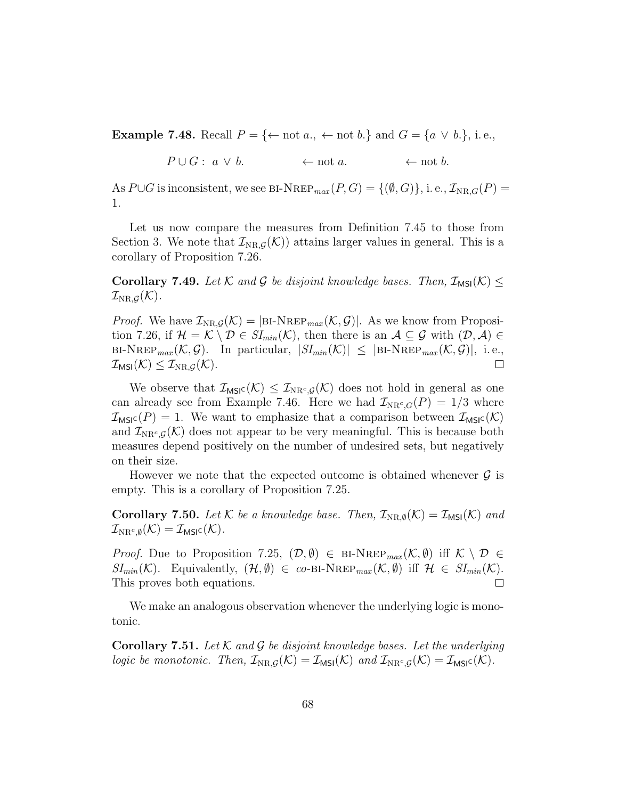**Example 7.48.** Recall  $P = \{\leftarrow \text{not } a., \leftarrow \text{not } b.\}$  and  $G = \{a \lor b.\}$ , i.e.,

$$
P \cup G: a \vee b. \qquad \leftarrow \text{not } a. \qquad \leftarrow \text{not } b.
$$

As  $P\cup G$  is inconsistent, we see BI-NREP<sub>max</sub>  $(P, G) = \{(\emptyset, G)\}\$ , i. e.,  $\mathcal{I}_{NR,G}(P) =$ 1.

Let us now compare the measures from Definition 7.45 to those from Section 3. We note that  $\mathcal{I}_{NR,\mathcal{G}}(\mathcal{K})$  attains larger values in general. This is a corollary of Proposition 7.26.

**Corollary 7.49.** Let K and G be disjoint knowledge bases. Then,  $\mathcal{I}_{MSI}(\mathcal{K}) \leq$  $\mathcal{I}_{\text{NR},\mathcal{G}}(\mathcal{K}).$ 

*Proof.* We have  $\mathcal{I}_{NR,\mathcal{G}}(\mathcal{K}) = |\text{BI-NRep}_{max}(\mathcal{K},\mathcal{G})|$ . As we know from Proposition 7.26, if  $\mathcal{H} = \mathcal{K} \setminus \mathcal{D} \in SI_{min}(\mathcal{K})$ , then there is an  $\mathcal{A} \subseteq \mathcal{G}$  with  $(\mathcal{D}, \mathcal{A}) \in$  $B\text{I-NRep}_{max}(\mathcal{K}, \mathcal{G})$ . In particular,  $|SI_{min}(\mathcal{K})| \leq |B\text{I-NRep}_{max}(\mathcal{K}, \mathcal{G})|$ , i.e.,  $\mathcal{I}_{\textsf{MSI}}(\mathcal{K}) \leq \mathcal{I}_{\text{NR},\mathcal{G}}(\mathcal{K}).$  $\Box$ 

We observe that  $\mathcal{I}_{\text{MSIC}}(\mathcal{K}) \leq \mathcal{I}_{\text{NR}^c, \mathcal{G}}(\mathcal{K})$  does not hold in general as one can already see from Example 7.46. Here we had  $\mathcal{I}_{NR^c,G}(P) = 1/3$  where  $\mathcal{I}_{\text{MSIC}}(P) = 1$ . We want to emphasize that a comparison between  $\mathcal{I}_{\text{MSIC}}(\mathcal{K})$ and  $\mathcal{I}_{NR^c,g}(\mathcal{K})$  does not appear to be very meaningful. This is because both measures depend positively on the number of undesired sets, but negatively on their size.

However we note that the expected outcome is obtained whenever  $\mathcal G$  is empty. This is a corollary of Proposition 7.25.

**Corollary 7.50.** Let K be a knowledge base. Then,  $\mathcal{I}_{NR,\emptyset}(\mathcal{K}) = \mathcal{I}_{MS}(\mathcal{K})$  and  $\mathcal{I}_{\text{NR}^c, \emptyset}(\mathcal{K}) = \mathcal{I}_{\textsf{MSIC}}(\mathcal{K}).$ 

*Proof.* Due to Proposition 7.25,  $(\mathcal{D}, \emptyset) \in {\text{BI-NREF}_{max}(\mathcal{K}, \emptyset)}$  iff  $\mathcal{K} \setminus \mathcal{D} \in$  $SI_{min}(\mathcal{K})$ . Equivalently,  $(\mathcal{H}, \emptyset) \in co-BI-NREP_{max}(\mathcal{K}, \emptyset)$  iff  $\mathcal{H} \in SI_{min}(\mathcal{K})$ . This proves both equations.  $\Box$ 

We make an analogous observation whenever the underlying logic is monotonic.

**Corollary 7.51.** Let K and G be disjoint knowledge bases. Let the underlying logic be monotonic. Then,  $\mathcal{I}_{NR,\mathcal{G}}(\mathcal{K}) = \mathcal{I}_{MS}(\mathcal{K})$  and  $\mathcal{I}_{NR^c,\mathcal{G}}(\mathcal{K}) = \mathcal{I}_{MS}(\mathcal{K})$ .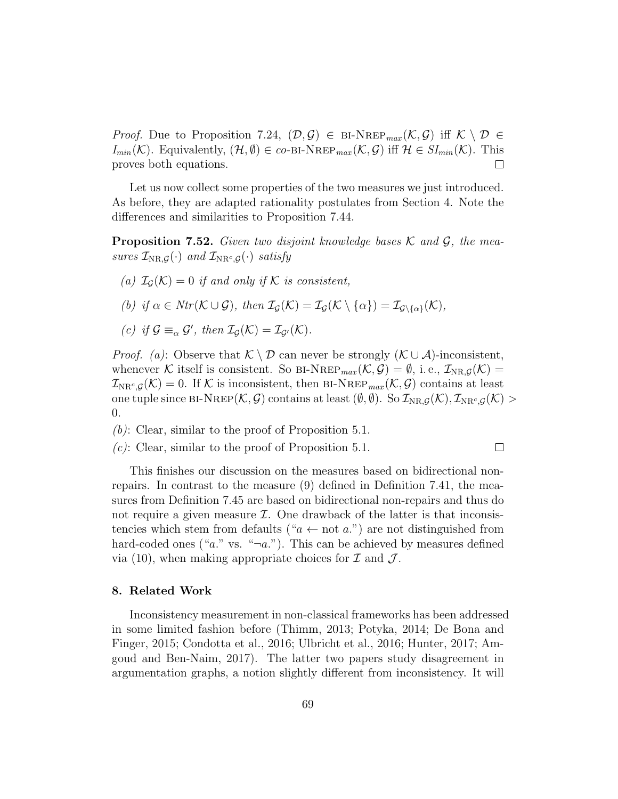*Proof.* Due to Proposition 7.24,  $(\mathcal{D}, \mathcal{G}) \in \text{BI-NREP}_{max}(\mathcal{K}, \mathcal{G})$  iff  $\mathcal{K} \setminus \mathcal{D} \in$  $I_{min}(\mathcal{K})$ . Equivalently,  $(\mathcal{H}, \emptyset) \in co-BI-NREP_{max}(\mathcal{K}, \mathcal{G})$  iff  $\mathcal{H} \in SI_{min}(\mathcal{K})$ . This proves both equations.  $\Box$ 

Let us now collect some properties of the two measures we just introduced. As before, they are adapted rationality postulates from Section 4. Note the differences and similarities to Proposition 7.44.

**Proposition 7.52.** Given two disjoint knowledge bases  $\mathcal{K}$  and  $\mathcal{G}$ , the measures  $\mathcal{I}_{NR,\mathcal{G}}(\cdot)$  and  $\mathcal{I}_{NR^c,\mathcal{G}}(\cdot)$  satisfy

- (a)  $\mathcal{I}_G(\mathcal{K})=0$  if and only if K is consistent,
- (b) if  $\alpha \in Ntr(\mathcal{K} \cup \mathcal{G})$ , then  $\mathcal{I}_{\mathcal{G}}(\mathcal{K}) = \mathcal{I}_{\mathcal{G}}(\mathcal{K} \setminus \{\alpha\}) = \mathcal{I}_{\mathcal{G}\setminus{\{\alpha\}}}(\mathcal{K}),$
- (c) if  $\mathcal{G} \equiv_{\alpha} \mathcal{G}'$ , then  $\mathcal{I}_{\mathcal{G}}(\mathcal{K}) = \mathcal{I}_{\mathcal{G}'}(\mathcal{K})$ .

*Proof.* (a): Observe that  $\mathcal{K} \setminus \mathcal{D}$  can never be strongly  $(\mathcal{K} \cup \mathcal{A})$ -inconsistent, whenever K itself is consistent. So BI-NREP<sub>max</sub>  $(\mathcal{K}, \mathcal{G}) = \emptyset$ , i.e.,  $\mathcal{I}_{NR,\mathcal{G}}(\mathcal{K}) =$  $\mathcal{I}_{\text{NR}^c,\mathcal{G}}(\mathcal{K})=0.$  If K is inconsistent, then BI-NREP<sub>max</sub> $(\mathcal{K},\mathcal{G})$  contains at least one tuple since BI-NREP $(\mathcal{K}, \mathcal{G})$  contains at least  $(\emptyset, \emptyset)$ . So  $\mathcal{I}_{NR,\mathcal{G}}(\mathcal{K}), \mathcal{I}_{NR^c,\mathcal{G}}(\mathcal{K})$ 0.

 $(b)$ : Clear, similar to the proof of Proposition 5.1.

 $(c)$ : Clear, similar to the proof of Proposition 5.1.

 $\Box$ 

This finishes our discussion on the measures based on bidirectional nonrepairs. In contrast to the measure (9) defined in Definition 7.41, the measures from Definition 7.45 are based on bidirectional non-repairs and thus do not require a given measure  $\mathcal{I}$ . One drawback of the latter is that inconsistencies which stem from defaults (" $a \leftarrow$  not a.") are not distinguished from hard-coded ones ("a." vs. " $\neg a$ ."). This can be achieved by measures defined via (10), when making appropriate choices for  $\mathcal I$  and  $\mathcal J$ .

#### 8. Related Work

Inconsistency measurement in non-classical frameworks has been addressed in some limited fashion before (Thimm, 2013; Potyka, 2014; De Bona and Finger, 2015; Condotta et al., 2016; Ulbricht et al., 2016; Hunter, 2017; Amgoud and Ben-Naim, 2017). The latter two papers study disagreement in argumentation graphs, a notion slightly different from inconsistency. It will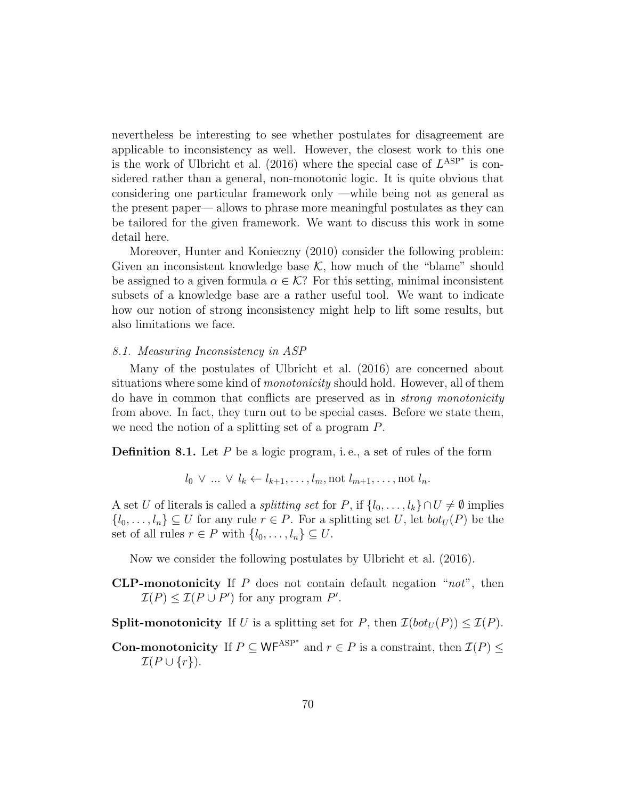nevertheless be interesting to see whether postulates for disagreement are applicable to inconsistency as well. However, the closest work to this one is the work of Ulbricht et al. (2016) where the special case of  $L^{ASP^*}$  is considered rather than a general, non-monotonic logic. It is quite obvious that considering one particular framework only —while being not as general as the present paper— allows to phrase more meaningful postulates as they can be tailored for the given framework. We want to discuss this work in some detail here.

Moreover, Hunter and Konieczny (2010) consider the following problem: Given an inconsistent knowledge base  $K$ , how much of the "blame" should be assigned to a given formula  $\alpha \in \mathcal{K}$ ? For this setting, minimal inconsistent subsets of a knowledge base are a rather useful tool. We want to indicate how our notion of strong inconsistency might help to lift some results, but also limitations we face.

## 8.1. Measuring Inconsistency in ASP

Many of the postulates of Ulbricht et al. (2016) are concerned about situations where some kind of *monotonicity* should hold. However, all of them do have in common that conflicts are preserved as in strong monotonicity from above. In fact, they turn out to be special cases. Before we state them, we need the notion of a splitting set of a program P.

**Definition 8.1.** Let P be a logic program, i.e., a set of rules of the form

 $l_0 \vee ... \vee l_k \leftarrow l_{k+1}, ..., l_m, \text{not } l_{m+1}, ..., \text{not } l_n.$ 

A set U of literals is called a *splitting set* for P, if  $\{l_0, \ldots, l_k\} \cap U \neq \emptyset$  implies  $\{l_0, \ldots, l_n\} \subseteq U$  for any rule  $r \in P$ . For a splitting set U, let  $bot_U(P)$  be the set of all rules  $r \in P$  with  $\{l_0, \ldots, l_n\} \subseteq U$ .

Now we consider the following postulates by Ulbricht et al. (2016).

**CLP-monotonicity** If P does not contain default negation " $not$ ", then  $\mathcal{I}(P) \leq \mathcal{I}(P \cup P')$  for any program P'.

**Split-monotonicity** If U is a splitting set for P, then  $\mathcal{I}(bot_U(P)) \leq \mathcal{I}(P)$ .

**Con-monotonicity** If  $P \subseteq \mathsf{WF}^{\text{ASP}^*}$  and  $r \in P$  is a constraint, then  $\mathcal{I}(P) \leq$  $\mathcal{I}(P\cup\{r\}).$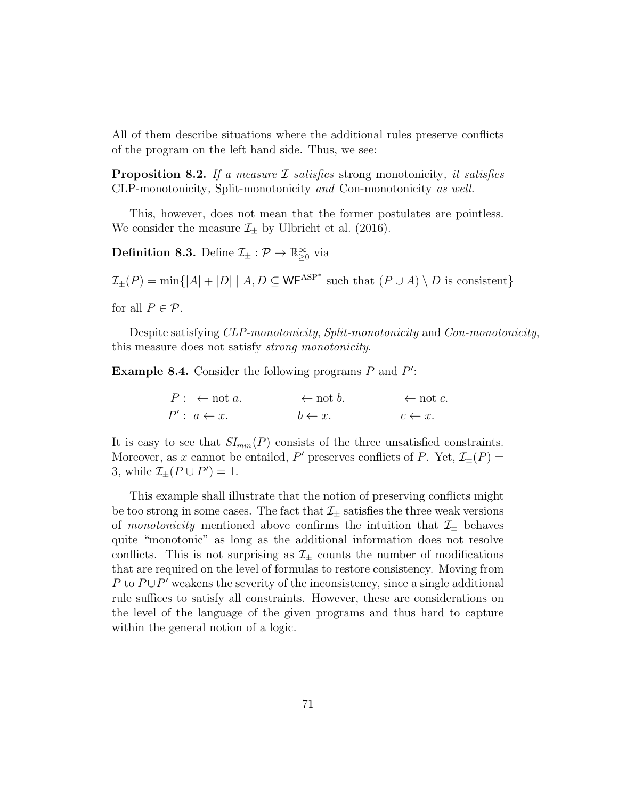All of them describe situations where the additional rules preserve conflicts of the program on the left hand side. Thus, we see:

**Proposition 8.2.** If a measure  $\mathcal{I}$  satisfies strong monotonicity, it satisfies CLP-monotonicity, Split-monotonicity and Con-monotonicity as well.

This, however, does not mean that the former postulates are pointless. We consider the measure  $\mathcal{I}_{\pm}$  by Ulbricht et al. (2016).

**Definition 8.3.** Define  $\mathcal{I}_{\pm} : \mathcal{P} \to \mathbb{R}^{\infty}_{\geq 0}$  via

 $\mathcal{I}_{\pm}(P) = \min\{|A| + |D| \mid A, D \subseteq \mathsf{WF}^{\mathrm{ASP}^*}$  such that  $(P \cup A) \setminus D$  is consistent} for all  $P \in \mathcal{P}$ .

Despite satisfying *CLP-monotonicity*, *Split-monotonicity* and *Con-monotonicity*, this measure does not satisfy strong monotonicity.

**Example 8.4.** Consider the following programs  $P$  and  $P'$ :

 $P: \leftarrow \text{not } a. \leftarrow \text{not } b. \leftarrow \text{not } c.$  $P' : a \leftarrow x.$   $b \leftarrow x.$   $c \leftarrow x.$ 

It is easy to see that  $SI_{min}(P)$  consists of the three unsatisfied constraints. Moreover, as x cannot be entailed, P' preserves conflicts of P. Yet,  $\mathcal{I}_{\pm}(P)$  = 3, while  $\mathcal{I}_{\pm}(P \cup P') = 1$ .

This example shall illustrate that the notion of preserving conflicts might be too strong in some cases. The fact that  $\mathcal{I}_{\pm}$  satisfies the three weak versions of monotonicity mentioned above confirms the intuition that  $\mathcal{I}_{\pm}$  behaves quite "monotonic" as long as the additional information does not resolve conflicts. This is not surprising as  $\mathcal{I}_{+}$  counts the number of modifications that are required on the level of formulas to restore consistency. Moving from P to  $P \cup P'$  weakens the severity of the inconsistency, since a single additional rule suffices to satisfy all constraints. However, these are considerations on the level of the language of the given programs and thus hard to capture within the general notion of a logic.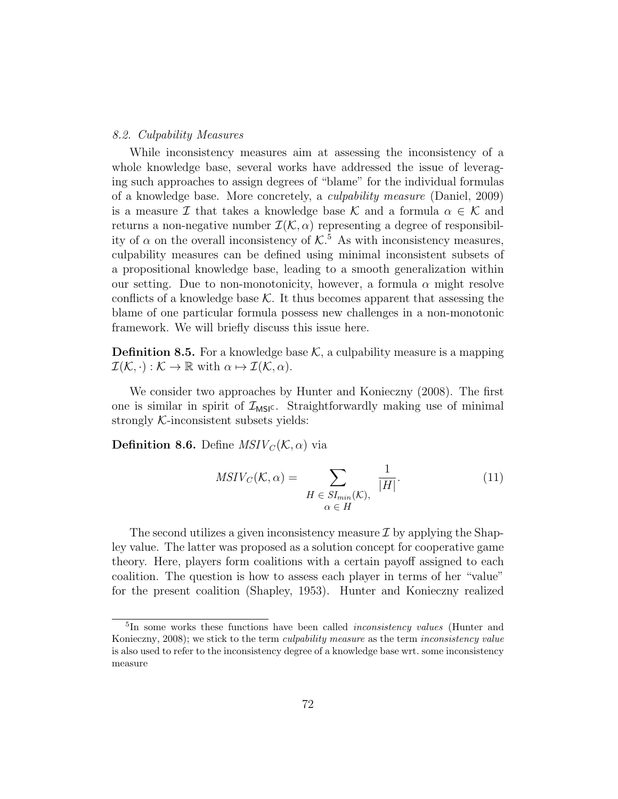## 8.2. Culpability Measures

While inconsistency measures aim at assessing the inconsistency of a whole knowledge base, several works have addressed the issue of leveraging such approaches to assign degrees of "blame" for the individual formulas of a knowledge base. More concretely, a culpability measure (Daniel, 2009) is a measure I that takes a knowledge base K and a formula  $\alpha \in \mathcal{K}$  and returns a non-negative number  $\mathcal{I}(\mathcal{K}, \alpha)$  representing a degree of responsibility of  $\alpha$  on the overall inconsistency of  $K^5$ . As with inconsistency measures, culpability measures can be defined using minimal inconsistent subsets of a propositional knowledge base, leading to a smooth generalization within our setting. Due to non-monotonicity, however, a formula  $\alpha$  might resolve conflicts of a knowledge base  $K$ . It thus becomes apparent that assessing the blame of one particular formula possess new challenges in a non-monotonic framework. We will briefly discuss this issue here.

**Definition 8.5.** For a knowledge base  $K$ , a culpability measure is a mapping  $\mathcal{I}(\mathcal{K}, \cdot) : \mathcal{K} \to \mathbb{R}$  with  $\alpha \mapsto \mathcal{I}(\mathcal{K}, \alpha)$ .

We consider two approaches by Hunter and Konieczny (2008). The first one is similar in spirit of  $\mathcal{I}_{\text{MSIC}}$ . Straightforwardly making use of minimal strongly  $K$ -inconsistent subsets yields:

**Definition 8.6.** Define  $MSIV_{\mathcal{C}}(\mathcal{K}, \alpha)$  via

$$
MSIV_C(\mathcal{K}, \alpha) = \sum_{\substack{H \in SI_{min}(\mathcal{K}), \\ \alpha \in H}} \frac{1}{|H|}.
$$
 (11)

The second utilizes a given inconsistency measure  $\mathcal I$  by applying the Shapley value. The latter was proposed as a solution concept for cooperative game theory. Here, players form coalitions with a certain payoff assigned to each coalition. The question is how to assess each player in terms of her "value" for the present coalition (Shapley, 1953). Hunter and Konieczny realized

<sup>&</sup>lt;sup>5</sup>In some works these functions have been called *inconsistency values* (Hunter and Konieczny, 2008); we stick to the term culpability measure as the term inconsistency value is also used to refer to the inconsistency degree of a knowledge base wrt. some inconsistency measure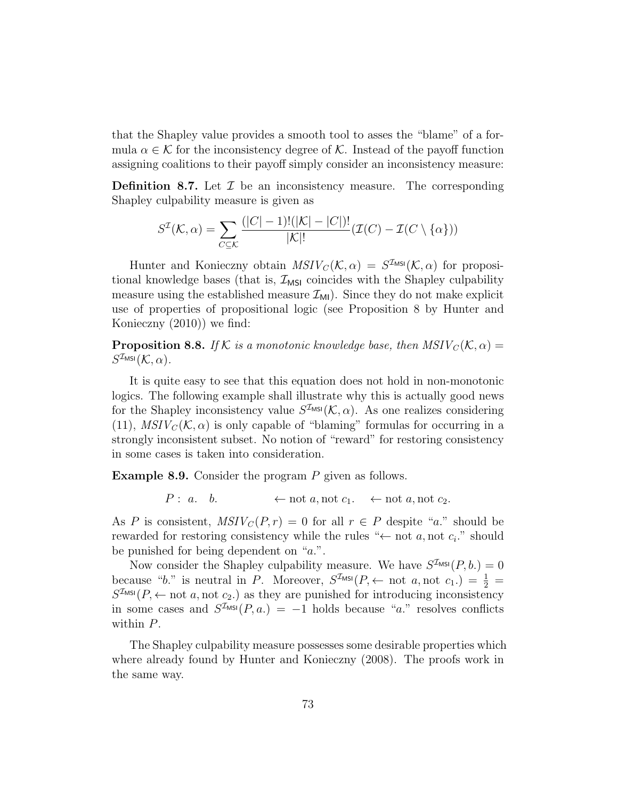that the Shapley value provides a smooth tool to asses the "blame" of a formula  $\alpha \in \mathcal{K}$  for the inconsistency degree of  $\mathcal{K}$ . Instead of the payoff function assigning coalitions to their payoff simply consider an inconsistency measure:

**Definition 8.7.** Let  $\mathcal{I}$  be an inconsistency measure. The corresponding Shapley culpability measure is given as

$$
S^{\mathcal{I}}(\mathcal{K}, \alpha) = \sum_{C \subseteq \mathcal{K}} \frac{(|C| - 1)!(|\mathcal{K}| - |C|)!}{|\mathcal{K}|!} (\mathcal{I}(C) - \mathcal{I}(C \setminus {\alpha}))
$$

Hunter and Konieczny obtain  $MSIV_C(\mathcal{K}, \alpha) = S^{\mathcal{I}_{MS}}(\mathcal{K}, \alpha)$  for propositional knowledge bases (that is,  $\mathcal{I}_{MSI}$  coincides with the Shapley culpability measure using the established measure  $\mathcal{I}_{\text{MI}}$ ). Since they do not make explicit use of properties of propositional logic (see Proposition 8 by Hunter and Konieczny (2010)) we find:

**Proposition 8.8.** If K is a monotonic knowledge base, then  $MSIV_C(K, \alpha) =$  $S^{\mathcal{I}_{\textsf{MSI}}}(\mathcal{K},\alpha).$ 

It is quite easy to see that this equation does not hold in non-monotonic logics. The following example shall illustrate why this is actually good news for the Shapley inconsistency value  $S^{\mathcal{I}_{MS}}(\mathcal{K}, \alpha)$ . As one realizes considering (11),  $MSIV_C(\mathcal{K}, \alpha)$  is only capable of "blaming" formulas for occurring in a strongly inconsistent subset. No notion of "reward" for restoring consistency in some cases is taken into consideration.

Example 8.9. Consider the program P given as follows.

 $P: a. \quad b. \quad \leftarrow \text{not } a, \text{not } c_1. \quad \leftarrow \text{not } a, \text{not } c_2.$ 

As P is consistent,  $MSIV_C(P,r) = 0$  for all  $r \in P$  despite "a." should be rewarded for restoring consistency while the rules " $\leftarrow$  not a, not  $c_i$ ." should be punished for being dependent on "a.".

Now consider the Shapley culpability measure. We have  $S^{\mathcal{I}_{\text{MSI}}}(P, b.) = 0$ because "b." is neutral in P. Moreover,  $S^{I_{MSI}}(P) \leftarrow$  not  $a, \text{not } c_1$ .) =  $\frac{1}{2}$  =  $S^{\mathcal{I}_{\text{MSI}}}(P, \leftarrow \text{not } a, \text{not } c_2)$  as they are punished for introducing inconsistency in some cases and  $S^{I_{MS}}(P, a) = -1$  holds because "a." resolves conflicts within P.

The Shapley culpability measure possesses some desirable properties which where already found by Hunter and Konieczny (2008). The proofs work in the same way.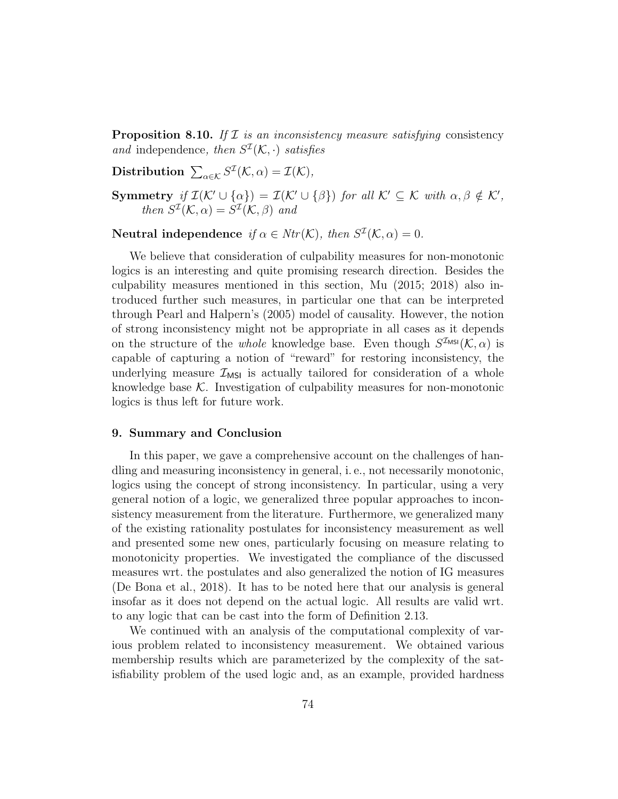**Proposition 8.10.** If  $\mathcal I$  is an inconsistency measure satisfying consistency and independence, then  $S^{\mathcal{I}}(\mathcal{K},\cdot)$  satisfies

Distribution  $\sum_{\alpha \in \mathcal{K}} S^{\mathcal{I}}(\mathcal{K}, \alpha) = \mathcal{I}(\mathcal{K}),$ 

Symmetry if  $\mathcal{I}(\mathcal{K}' \cup {\alpha}) = \mathcal{I}(\mathcal{K}' \cup {\beta})$  for all  $\mathcal{K}' \subseteq \mathcal{K}$  with  $\alpha, \beta \notin \mathcal{K}',$ then  $S^{\mathcal{I}}(\mathcal{K}, \alpha) = S^{\mathcal{I}}(\mathcal{K}, \beta)$  and

Neutral independence if  $\alpha \in Ntr(\mathcal{K})$ , then  $S^{\mathcal{I}}(\mathcal{K}, \alpha) = 0$ .

We believe that consideration of culpability measures for non-monotonic logics is an interesting and quite promising research direction. Besides the culpability measures mentioned in this section, Mu (2015; 2018) also introduced further such measures, in particular one that can be interpreted through Pearl and Halpern's (2005) model of causality. However, the notion of strong inconsistency might not be appropriate in all cases as it depends on the structure of the *whole* knowledge base. Even though  $S^{\mathcal{I}_{MS}}(\mathcal{K}, \alpha)$  is capable of capturing a notion of "reward" for restoring inconsistency, the underlying measure  $\mathcal{I}_{MSI}$  is actually tailored for consideration of a whole knowledge base  $K$ . Investigation of culpability measures for non-monotonic logics is thus left for future work.

### 9. Summary and Conclusion

In this paper, we gave a comprehensive account on the challenges of handling and measuring inconsistency in general, i. e., not necessarily monotonic, logics using the concept of strong inconsistency. In particular, using a very general notion of a logic, we generalized three popular approaches to inconsistency measurement from the literature. Furthermore, we generalized many of the existing rationality postulates for inconsistency measurement as well and presented some new ones, particularly focusing on measure relating to monotonicity properties. We investigated the compliance of the discussed measures wrt. the postulates and also generalized the notion of IG measures (De Bona et al., 2018). It has to be noted here that our analysis is general insofar as it does not depend on the actual logic. All results are valid wrt. to any logic that can be cast into the form of Definition 2.13.

We continued with an analysis of the computational complexity of various problem related to inconsistency measurement. We obtained various membership results which are parameterized by the complexity of the satisfiability problem of the used logic and, as an example, provided hardness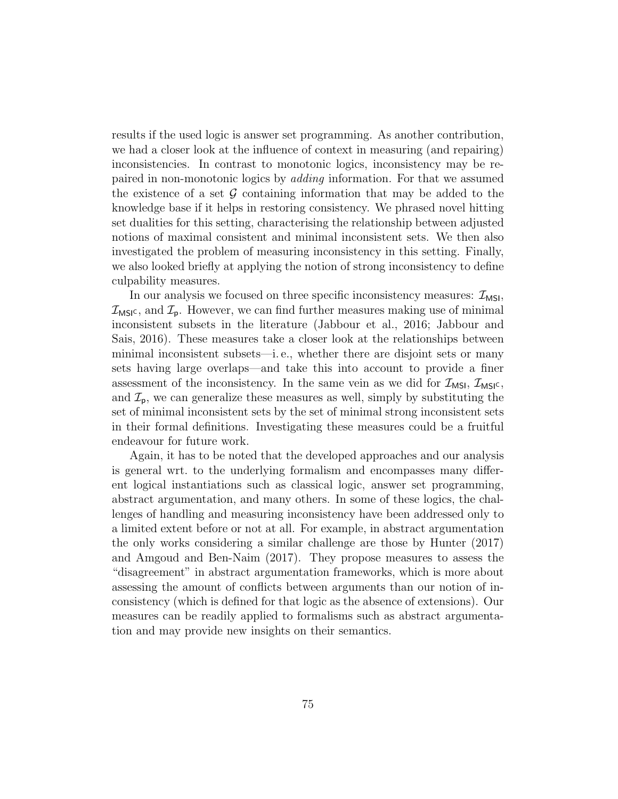results if the used logic is answer set programming. As another contribution, we had a closer look at the influence of context in measuring (and repairing) inconsistencies. In contrast to monotonic logics, inconsistency may be repaired in non-monotonic logics by adding information. For that we assumed the existence of a set  $\mathcal G$  containing information that may be added to the knowledge base if it helps in restoring consistency. We phrased novel hitting set dualities for this setting, characterising the relationship between adjusted notions of maximal consistent and minimal inconsistent sets. We then also investigated the problem of measuring inconsistency in this setting. Finally, we also looked briefly at applying the notion of strong inconsistency to define culpability measures.

In our analysis we focused on three specific inconsistency measures:  $\mathcal{I}_{MSI}$ ,  $\mathcal{I}_{MSIC}$ , and  $\mathcal{I}_{p}$ . However, we can find further measures making use of minimal inconsistent subsets in the literature (Jabbour et al., 2016; Jabbour and Sais, 2016). These measures take a closer look at the relationships between minimal inconsistent subsets—i. e., whether there are disjoint sets or many sets having large overlaps—and take this into account to provide a finer assessment of the inconsistency. In the same vein as we did for  $\mathcal{I}_{MSI}$ ,  $\mathcal{I}_{MSI}$ , and  $\mathcal{I}_{\mathsf{p}}$ , we can generalize these measures as well, simply by substituting the set of minimal inconsistent sets by the set of minimal strong inconsistent sets in their formal definitions. Investigating these measures could be a fruitful endeavour for future work.

Again, it has to be noted that the developed approaches and our analysis is general wrt. to the underlying formalism and encompasses many different logical instantiations such as classical logic, answer set programming, abstract argumentation, and many others. In some of these logics, the challenges of handling and measuring inconsistency have been addressed only to a limited extent before or not at all. For example, in abstract argumentation the only works considering a similar challenge are those by Hunter (2017) and Amgoud and Ben-Naim (2017). They propose measures to assess the "disagreement" in abstract argumentation frameworks, which is more about assessing the amount of conflicts between arguments than our notion of inconsistency (which is defined for that logic as the absence of extensions). Our measures can be readily applied to formalisms such as abstract argumentation and may provide new insights on their semantics.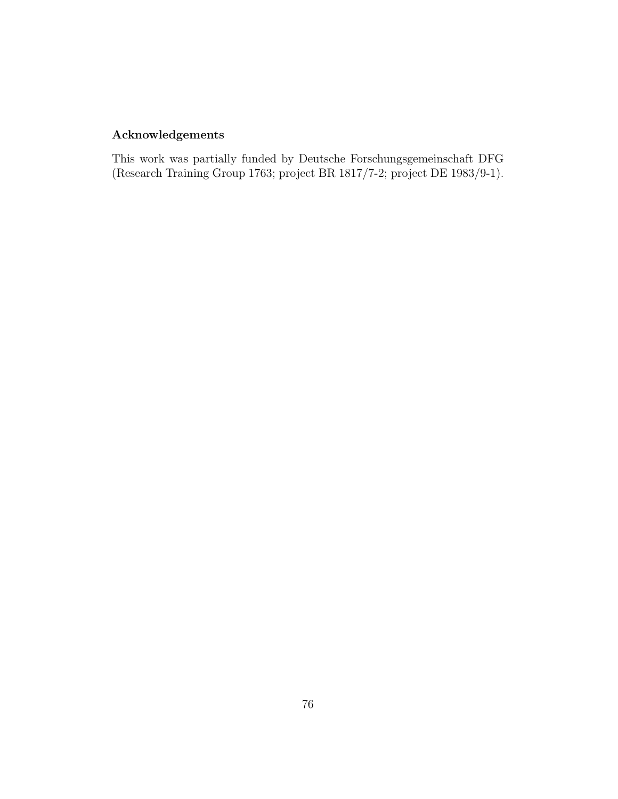# Acknowledgements

This work was partially funded by Deutsche Forschungsgemeinschaft DFG (Research Training Group 1763; project BR 1817/7-2; project DE 1983/9-1).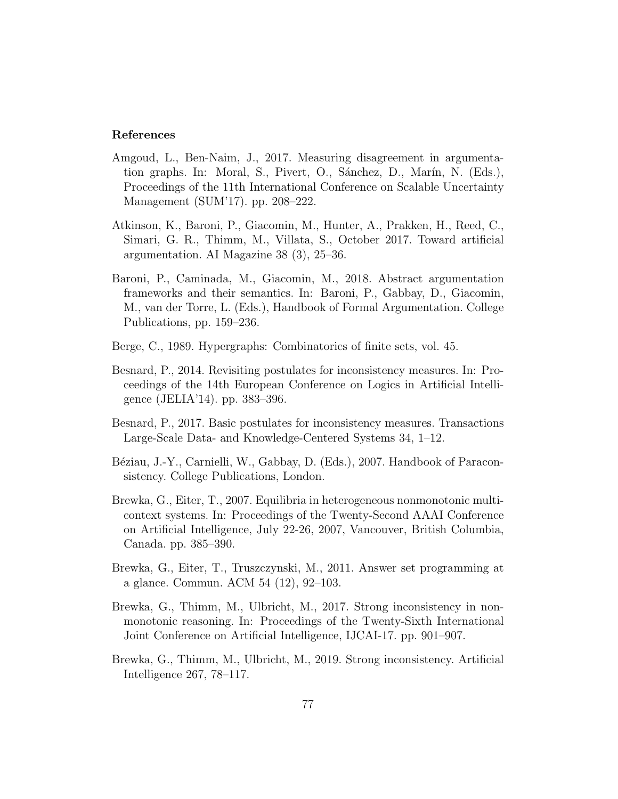## References

- Amgoud, L., Ben-Naim, J., 2017. Measuring disagreement in argumentation graphs. In: Moral, S., Pivert, O., Sánchez, D., Marín, N. (Eds.), Proceedings of the 11th International Conference on Scalable Uncertainty Management (SUM'17). pp. 208–222.
- Atkinson, K., Baroni, P., Giacomin, M., Hunter, A., Prakken, H., Reed, C., Simari, G. R., Thimm, M., Villata, S., October 2017. Toward artificial argumentation. AI Magazine 38 (3), 25–36.
- Baroni, P., Caminada, M., Giacomin, M., 2018. Abstract argumentation frameworks and their semantics. In: Baroni, P., Gabbay, D., Giacomin, M., van der Torre, L. (Eds.), Handbook of Formal Argumentation. College Publications, pp. 159–236.
- Berge, C., 1989. Hypergraphs: Combinatorics of finite sets, vol. 45.
- Besnard, P., 2014. Revisiting postulates for inconsistency measures. In: Proceedings of the 14th European Conference on Logics in Artificial Intelligence (JELIA'14). pp. 383–396.
- Besnard, P., 2017. Basic postulates for inconsistency measures. Transactions Large-Scale Data- and Knowledge-Centered Systems 34, 1–12.
- Béziau, J.-Y., Carnielli, W., Gabbay, D. (Eds.), 2007. Handbook of Paraconsistency. College Publications, London.
- Brewka, G., Eiter, T., 2007. Equilibria in heterogeneous nonmonotonic multicontext systems. In: Proceedings of the Twenty-Second AAAI Conference on Artificial Intelligence, July 22-26, 2007, Vancouver, British Columbia, Canada. pp. 385–390.
- Brewka, G., Eiter, T., Truszczynski, M., 2011. Answer set programming at a glance. Commun. ACM 54 (12), 92–103.
- Brewka, G., Thimm, M., Ulbricht, M., 2017. Strong inconsistency in nonmonotonic reasoning. In: Proceedings of the Twenty-Sixth International Joint Conference on Artificial Intelligence, IJCAI-17. pp. 901–907.
- Brewka, G., Thimm, M., Ulbricht, M., 2019. Strong inconsistency. Artificial Intelligence 267, 78–117.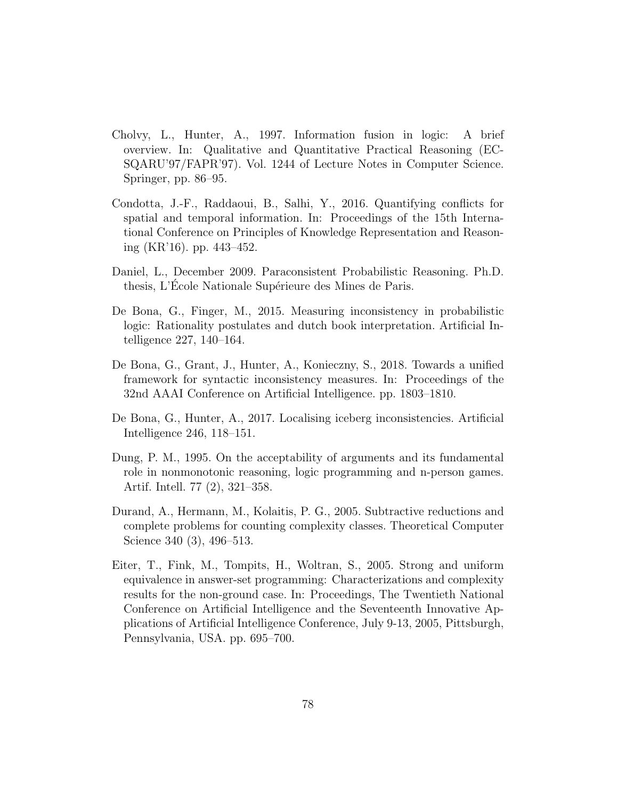- Cholvy, L., Hunter, A., 1997. Information fusion in logic: A brief overview. In: Qualitative and Quantitative Practical Reasoning (EC-SQARU'97/FAPR'97). Vol. 1244 of Lecture Notes in Computer Science. Springer, pp. 86–95.
- Condotta, J.-F., Raddaoui, B., Salhi, Y., 2016. Quantifying conflicts for spatial and temporal information. In: Proceedings of the 15th International Conference on Principles of Knowledge Representation and Reasoning (KR'16). pp. 443–452.
- Daniel, L., December 2009. Paraconsistent Probabilistic Reasoning. Ph.D. thesis, L'École Nationale Supérieure des Mines de Paris.
- De Bona, G., Finger, M., 2015. Measuring inconsistency in probabilistic logic: Rationality postulates and dutch book interpretation. Artificial Intelligence 227, 140–164.
- De Bona, G., Grant, J., Hunter, A., Konieczny, S., 2018. Towards a unified framework for syntactic inconsistency measures. In: Proceedings of the 32nd AAAI Conference on Artificial Intelligence. pp. 1803–1810.
- De Bona, G., Hunter, A., 2017. Localising iceberg inconsistencies. Artificial Intelligence 246, 118–151.
- Dung, P. M., 1995. On the acceptability of arguments and its fundamental role in nonmonotonic reasoning, logic programming and n-person games. Artif. Intell. 77 (2), 321–358.
- Durand, A., Hermann, M., Kolaitis, P. G., 2005. Subtractive reductions and complete problems for counting complexity classes. Theoretical Computer Science 340 (3), 496–513.
- Eiter, T., Fink, M., Tompits, H., Woltran, S., 2005. Strong and uniform equivalence in answer-set programming: Characterizations and complexity results for the non-ground case. In: Proceedings, The Twentieth National Conference on Artificial Intelligence and the Seventeenth Innovative Applications of Artificial Intelligence Conference, July 9-13, 2005, Pittsburgh, Pennsylvania, USA. pp. 695–700.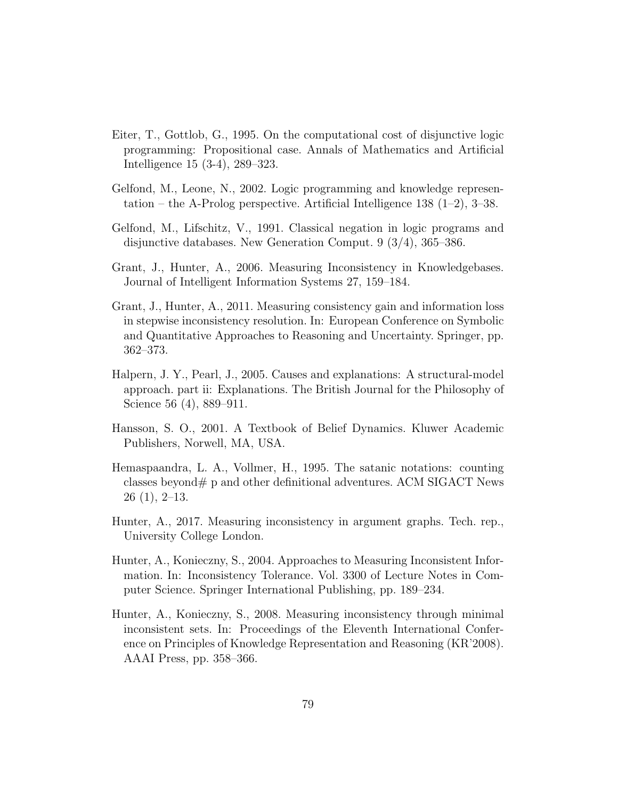- Eiter, T., Gottlob, G., 1995. On the computational cost of disjunctive logic programming: Propositional case. Annals of Mathematics and Artificial Intelligence 15 (3-4), 289–323.
- Gelfond, M., Leone, N., 2002. Logic programming and knowledge representation – the A-Prolog perspective. Artificial Intelligence 138 (1–2), 3–38.
- Gelfond, M., Lifschitz, V., 1991. Classical negation in logic programs and disjunctive databases. New Generation Comput. 9 (3/4), 365–386.
- Grant, J., Hunter, A., 2006. Measuring Inconsistency in Knowledgebases. Journal of Intelligent Information Systems 27, 159–184.
- Grant, J., Hunter, A., 2011. Measuring consistency gain and information loss in stepwise inconsistency resolution. In: European Conference on Symbolic and Quantitative Approaches to Reasoning and Uncertainty. Springer, pp. 362–373.
- Halpern, J. Y., Pearl, J., 2005. Causes and explanations: A structural-model approach. part ii: Explanations. The British Journal for the Philosophy of Science 56 (4), 889–911.
- Hansson, S. O., 2001. A Textbook of Belief Dynamics. Kluwer Academic Publishers, Norwell, MA, USA.
- Hemaspaandra, L. A., Vollmer, H., 1995. The satanic notations: counting classes beyond  $\#$  p and other definitional adventures. ACM SIGACT News 26 (1), 2–13.
- Hunter, A., 2017. Measuring inconsistency in argument graphs. Tech. rep., University College London.
- Hunter, A., Konieczny, S., 2004. Approaches to Measuring Inconsistent Information. In: Inconsistency Tolerance. Vol. 3300 of Lecture Notes in Computer Science. Springer International Publishing, pp. 189–234.
- Hunter, A., Konieczny, S., 2008. Measuring inconsistency through minimal inconsistent sets. In: Proceedings of the Eleventh International Conference on Principles of Knowledge Representation and Reasoning (KR'2008). AAAI Press, pp. 358–366.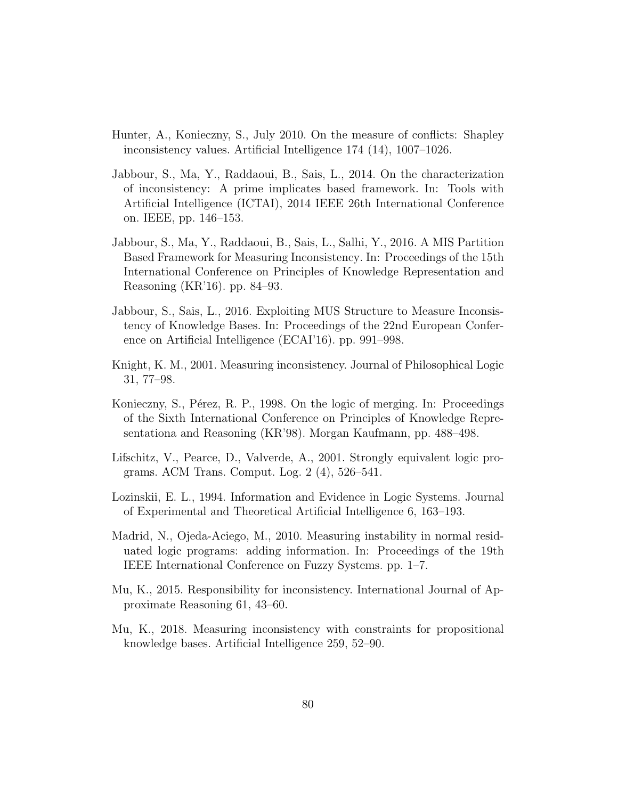- Hunter, A., Konieczny, S., July 2010. On the measure of conflicts: Shapley inconsistency values. Artificial Intelligence 174 (14), 1007–1026.
- Jabbour, S., Ma, Y., Raddaoui, B., Sais, L., 2014. On the characterization of inconsistency: A prime implicates based framework. In: Tools with Artificial Intelligence (ICTAI), 2014 IEEE 26th International Conference on. IEEE, pp. 146–153.
- Jabbour, S., Ma, Y., Raddaoui, B., Sais, L., Salhi, Y., 2016. A MIS Partition Based Framework for Measuring Inconsistency. In: Proceedings of the 15th International Conference on Principles of Knowledge Representation and Reasoning (KR'16). pp. 84–93.
- Jabbour, S., Sais, L., 2016. Exploiting MUS Structure to Measure Inconsistency of Knowledge Bases. In: Proceedings of the 22nd European Conference on Artificial Intelligence (ECAI'16). pp. 991–998.
- Knight, K. M., 2001. Measuring inconsistency. Journal of Philosophical Logic 31, 77–98.
- Konieczny, S., Pérez, R. P., 1998. On the logic of merging. In: Proceedings of the Sixth International Conference on Principles of Knowledge Representationa and Reasoning (KR'98). Morgan Kaufmann, pp. 488–498.
- Lifschitz, V., Pearce, D., Valverde, A., 2001. Strongly equivalent logic programs. ACM Trans. Comput. Log. 2 (4), 526–541.
- Lozinskii, E. L., 1994. Information and Evidence in Logic Systems. Journal of Experimental and Theoretical Artificial Intelligence 6, 163–193.
- Madrid, N., Ojeda-Aciego, M., 2010. Measuring instability in normal residuated logic programs: adding information. In: Proceedings of the 19th IEEE International Conference on Fuzzy Systems. pp. 1–7.
- Mu, K., 2015. Responsibility for inconsistency. International Journal of Approximate Reasoning 61, 43–60.
- Mu, K., 2018. Measuring inconsistency with constraints for propositional knowledge bases. Artificial Intelligence 259, 52–90.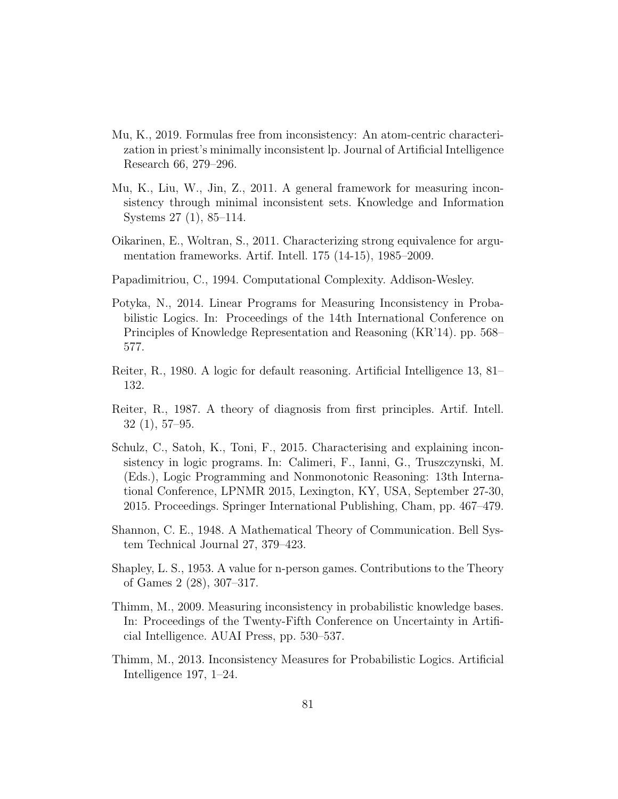- Mu, K., 2019. Formulas free from inconsistency: An atom-centric characterization in priest's minimally inconsistent lp. Journal of Artificial Intelligence Research 66, 279–296.
- Mu, K., Liu, W., Jin, Z., 2011. A general framework for measuring inconsistency through minimal inconsistent sets. Knowledge and Information Systems 27 (1), 85–114.
- Oikarinen, E., Woltran, S., 2011. Characterizing strong equivalence for argumentation frameworks. Artif. Intell. 175 (14-15), 1985–2009.
- Papadimitriou, C., 1994. Computational Complexity. Addison-Wesley.
- Potyka, N., 2014. Linear Programs for Measuring Inconsistency in Probabilistic Logics. In: Proceedings of the 14th International Conference on Principles of Knowledge Representation and Reasoning (KR'14). pp. 568– 577.
- Reiter, R., 1980. A logic for default reasoning. Artificial Intelligence 13, 81– 132.
- Reiter, R., 1987. A theory of diagnosis from first principles. Artif. Intell. 32 (1), 57–95.
- Schulz, C., Satoh, K., Toni, F., 2015. Characterising and explaining inconsistency in logic programs. In: Calimeri, F., Ianni, G., Truszczynski, M. (Eds.), Logic Programming and Nonmonotonic Reasoning: 13th International Conference, LPNMR 2015, Lexington, KY, USA, September 27-30, 2015. Proceedings. Springer International Publishing, Cham, pp. 467–479.
- Shannon, C. E., 1948. A Mathematical Theory of Communication. Bell System Technical Journal 27, 379–423.
- Shapley, L. S., 1953. A value for n-person games. Contributions to the Theory of Games 2 (28), 307–317.
- Thimm, M., 2009. Measuring inconsistency in probabilistic knowledge bases. In: Proceedings of the Twenty-Fifth Conference on Uncertainty in Artificial Intelligence. AUAI Press, pp. 530–537.
- Thimm, M., 2013. Inconsistency Measures for Probabilistic Logics. Artificial Intelligence 197, 1–24.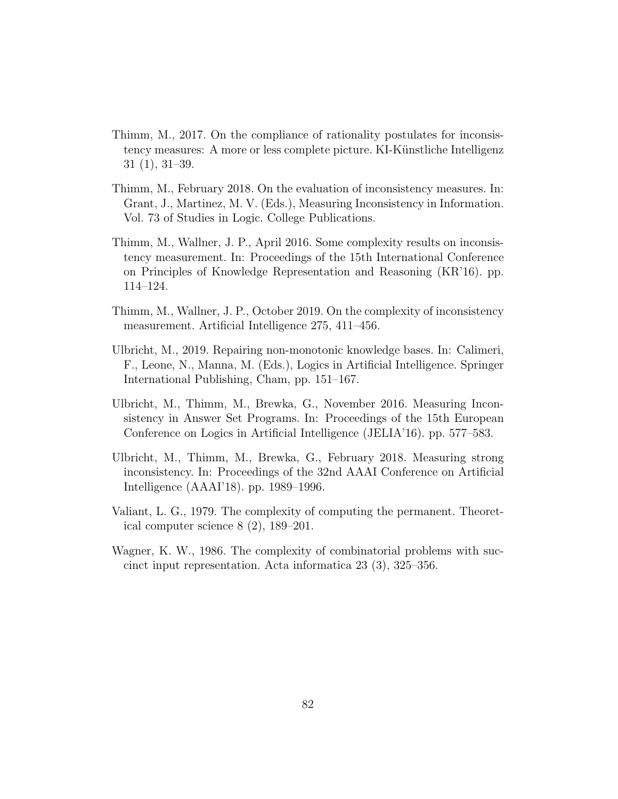- Thimm, M., 2017. On the compliance of rationality postulates for inconsistency measures: A more or less complete picture. KI-Künstliche Intelligenz 31 (1), 31–39.
- Thimm, M., February 2018. On the evaluation of inconsistency measures. In: Grant, J., Martinez, M. V. (Eds.), Measuring Inconsistency in Information. Vol. 73 of Studies in Logic. College Publications.
- Thimm, M., Wallner, J. P., April 2016. Some complexity results on inconsistency measurement. In: Proceedings of the 15th International Conference on Principles of Knowledge Representation and Reasoning (KR'16). pp. 114–124.
- Thimm, M., Wallner, J. P., October 2019. On the complexity of inconsistency measurement. Artificial Intelligence 275, 411–456.
- Ulbricht, M., 2019. Repairing non-monotonic knowledge bases. In: Calimeri, F., Leone, N., Manna, M. (Eds.), Logics in Artificial Intelligence. Springer International Publishing, Cham, pp. 151–167.
- Ulbricht, M., Thimm, M., Brewka, G., November 2016. Measuring Inconsistency in Answer Set Programs. In: Proceedings of the 15th European Conference on Logics in Artificial Intelligence (JELIA'16). pp. 577–583.
- Ulbricht, M., Thimm, M., Brewka, G., February 2018. Measuring strong inconsistency. In: Proceedings of the 32nd AAAI Conference on Artificial Intelligence (AAAI'18). pp. 1989–1996.
- Valiant, L. G., 1979. The complexity of computing the permanent. Theoretical computer science 8 (2), 189–201.
- Wagner, K. W., 1986. The complexity of combinatorial problems with succinct input representation. Acta informatica 23 (3), 325–356.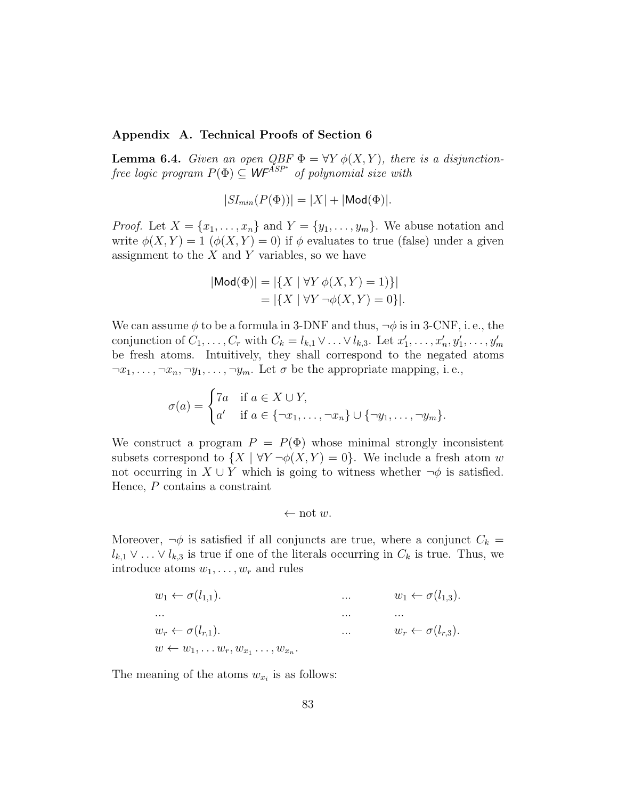## Appendix A. Technical Proofs of Section 6

**Lemma 6.4.** Given an open QBF  $\Phi = \forall Y \phi(X, Y)$ , there is a disjunctionfree logic program  $P(\Phi) \subseteq \mathsf{WF}^{\widetilde{A}SP^*}$  of polynomial size with

$$
|SI_{min}(P(\Phi))| = |X| + |\text{Mod}(\Phi)|.
$$

*Proof.* Let  $X = \{x_1, \ldots, x_n\}$  and  $Y = \{y_1, \ldots, y_m\}$ . We abuse notation and write  $\phi(X, Y) = 1$   $(\phi(X, Y) = 0)$  if  $\phi$  evaluates to true (false) under a given assignment to the  $X$  and  $Y$  variables, so we have

$$
|\text{Mod}(\Phi)| = |\{X \mid \forall Y \phi(X, Y) = 1)\}|
$$
  
= |\{X \mid \forall Y \neg \phi(X, Y) = 0\}|.

We can assume  $\phi$  to be a formula in 3-DNF and thus,  $\neg \phi$  is in 3-CNF, i.e., the conjunction of  $C_1, \ldots, C_r$  with  $C_k = l_{k,1} \vee \ldots \vee l_{k,3}$ . Let  $x'_1, \ldots, x'_n, y'_1, \ldots, y'_m$ be fresh atoms. Intuitively, they shall correspond to the negated atoms  $\neg x_1, \ldots, \neg x_n, \neg y_1, \ldots, \neg y_m$ . Let  $\sigma$  be the appropriate mapping, i.e.,

$$
\sigma(a) = \begin{cases} 7a & \text{if } a \in X \cup Y, \\ a' & \text{if } a \in \{\neg x_1, \dots, \neg x_n\} \cup \{\neg y_1, \dots, \neg y_m\}. \end{cases}
$$

We construct a program  $P = P(\Phi)$  whose minimal strongly inconsistent subsets correspond to  $\{X \mid \forall Y \neg \phi(X, Y) = 0\}$ . We include a fresh atom w not occurring in  $X \cup Y$  which is going to witness whether  $\neg \phi$  is satisfied. Hence, P contains a constraint

$$
\leftarrow \text{not } w.
$$

Moreover,  $\neg \phi$  is satisfied if all conjuncts are true, where a conjunct  $C_k =$  $l_{k,1} \vee \ldots \vee l_{k,3}$  is true if one of the literals occurring in  $C_k$  is true. Thus, we introduce atoms  $w_1, \ldots, w_r$  and rules

w<sup>1</sup> ← σ(l1,1). ... w<sup>1</sup> ← σ(l1,3). ... ... ... w<sup>r</sup> ← σ(lr,1). ... w<sup>r</sup> ← σ(lr,3). w ← w1, . . . wr, w<sup>x</sup><sup>1</sup> . . . , w<sup>x</sup><sup>n</sup> .

The meaning of the atoms  $w_{x_i}$  is as follows: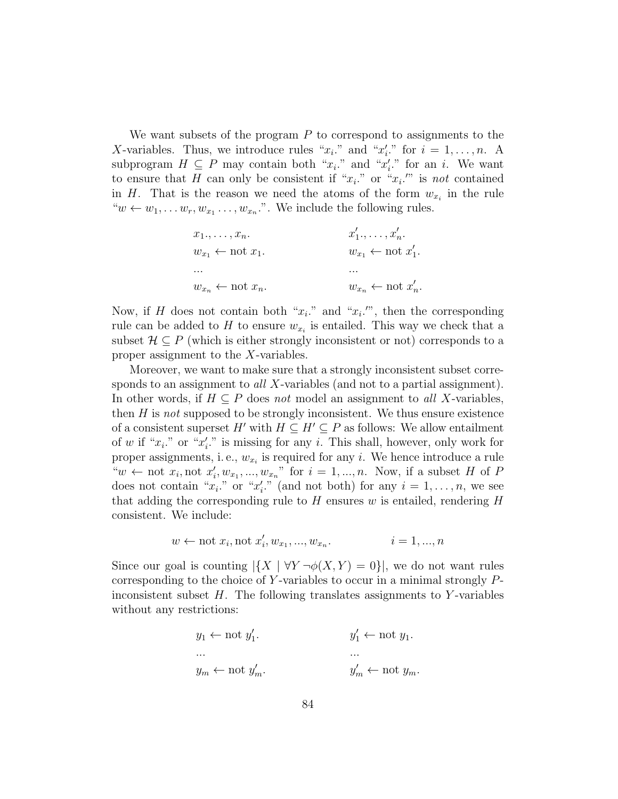We want subsets of the program  $P$  to correspond to assignments to the X-variables. Thus, we introduce rules " $x_i$ ." and " $x'_i$ ." for  $i = 1, ..., n$ . A subprogram  $H \subseteq P$  may contain both " $x_i$ " and " $x'_i$ " for an i. We want to ensure that H can only be consistent if " $x_i$ " or " $x_i$ " is not contained in H. That is the reason we need the atoms of the form  $w_{x_i}$  in the rule " $w \leftarrow w_1, \ldots w_r, w_{x_1} \ldots, w_{x_n}$ ". We include the following rules.

| $x_1, \ldots, x_n$ .                   | $x'_1,\ldots,x'_n$ .                    |
|----------------------------------------|-----------------------------------------|
| $w_{x_1} \leftarrow \text{not } x_1.$  | $w_{x_1} \leftarrow \text{not } x_1'.$  |
| $\cdots$                               | $\cdots$                                |
| $w_{x_n} \leftarrow \text{not } x_n$ . | $w_{x_n} \leftarrow \text{not } x'_n$ . |

Now, if H does not contain both " $x_i$ " and " $x_i$ ", then the corresponding rule can be added to  $H$  to ensure  $w_{x_i}$  is entailed. This way we check that a subset  $\mathcal{H} \subseteq P$  (which is either strongly inconsistent or not) corresponds to a proper assignment to the X-variables.

Moreover, we want to make sure that a strongly inconsistent subset corresponds to an assignment to all X-variables (and not to a partial assignment). In other words, if  $H \subseteq P$  does not model an assignment to all X-variables, then  $H$  is not supposed to be strongly inconsistent. We thus ensure existence of a consistent superset H' with  $H \subseteq H' \subseteq P$  as follows: We allow entailment of w if " $x_i$ ." or " $x'_i$ ." is missing for any i. This shall, however, only work for proper assignments, i.e.,  $w_{x_i}$  is required for any *i*. We hence introduce a rule " $w \leftarrow \text{not } x_i, \text{not } x'_i, w_{x_1}, ..., w_{x_n}$ " for  $i = 1, ..., n$ . Now, if a subset H of P does not contain " $x_i$ ." or " $x'_i$ ." (and not both) for any  $i = 1, ..., n$ , we see that adding the corresponding rule to  $H$  ensures w is entailed, rendering  $H$ consistent. We include:

$$
w \leftarrow \text{not } x_i, \text{not } x'_i, w_{x_1}, ..., w_{x_n}.
$$
   
  $i = 1, ..., n$ 

Since our goal is counting  $|\{X \mid \forall Y \neg \phi(X, Y) = 0\}|$ , we do not want rules corresponding to the choice of Y-variables to occur in a minimal strongly  $P$ inconsistent subset  $H$ . The following translates assignments to Y-variables without any restrictions:

$$
y_1 \leftarrow \text{not } y_1'.
$$
  
...  

$$
y_m \leftarrow \text{not } y_m'.
$$
  

$$
y_m' \leftarrow \text{not } y_m.
$$
  

$$
y_m' \leftarrow \text{not } y_m.
$$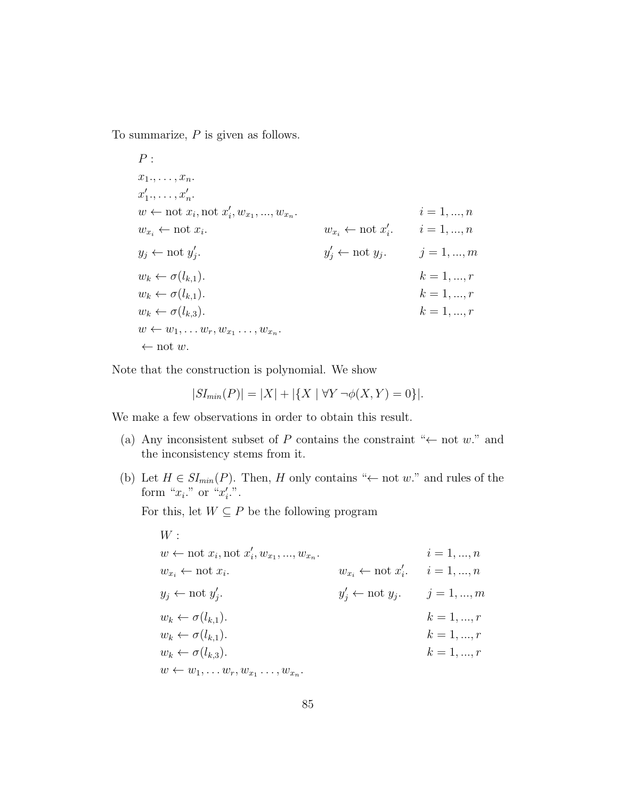To summarize, P is given as follows.

 $P:$  $x_1, \ldots, x_n$ .  $x'_1, \ldots, x'_n.$  $w \leftarrow \text{not } x_i, \text{not } x'_i, w_{x_1}, ..., w_{x_n}$  $i = 1, ..., n$  $w_{x_i} \leftarrow \text{not } x_i.$ .  $w_{x_i} \leftarrow \text{not } x'_i. \qquad i = 1, ..., n$  $y_j \leftarrow \text{not } y'_j$ .  $y'_1$  $j \leftarrow \text{not } y_j.$   $j = 1, ..., m$  $w_k \leftarrow \sigma(l_{k,1}).$  k = 1, ..., r  $w_k \leftarrow \sigma(l_{k,1}).$  k = 1, ..., r  $w_k \leftarrow \sigma(l_{k,3}).$  k = 1, ..., r  $w \leftarrow w_1, \ldots w_r, w_{x_1} \ldots, w_{x_n}.$  $\leftarrow$  not w.

Note that the construction is polynomial. We show

$$
|SI_{min}(P)| = |X| + |\{X \mid \forall Y \neg \phi(X, Y) = 0\}|.
$$

We make a few observations in order to obtain this result.

- (a) Any inconsistent subset of P contains the constraint " $\leftarrow$  not w." and the inconsistency stems from it.
- (b) Let  $H \in SI_{min}(P)$ . Then, H only contains " $\leftarrow$  not w." and rules of the form " $x_i$ ." or " $x'_i$ .".

For this, let  $W \subseteq P$  be the following program

$$
W:
$$
  
\n
$$
w \leftarrow \text{not } x_i, \text{not } x'_i, w_{x_1}, \dots, w_{x_n}.
$$
  
\n
$$
w_{x_i} \leftarrow \text{not } x_i.
$$
  
\n
$$
w_{x_i} \leftarrow \text{not } x'_i.
$$
  
\n
$$
w_{x_i} \leftarrow \text{not } x'_i.
$$
  
\n
$$
w_{x_i} \leftarrow \text{not } x'_i.
$$
  
\n
$$
w_{x_i} \leftarrow \text{not } x'_i.
$$
  
\n
$$
w_{x_i} \leftarrow \text{not } x'_i.
$$
  
\n
$$
v_{x_i} \leftarrow \text{not } x'_i.
$$
  
\n
$$
y'_j \leftarrow \text{not } y_j.
$$
  
\n
$$
y'_j \leftarrow \text{not } y_j.
$$
  
\n
$$
y'_j \leftarrow \text{not } y_j.
$$
  
\n
$$
y'_j \leftarrow \text{not } y_j.
$$
  
\n
$$
k = 1, ..., r
$$
  
\n
$$
w_k \leftarrow \sigma(l_{k,1}).
$$
  
\n
$$
w_k \leftarrow \sigma(l_{k,3}).
$$
  
\n
$$
w \leftarrow w_1, ..., w_r, w_{x_1} ..., w_{x_n}.
$$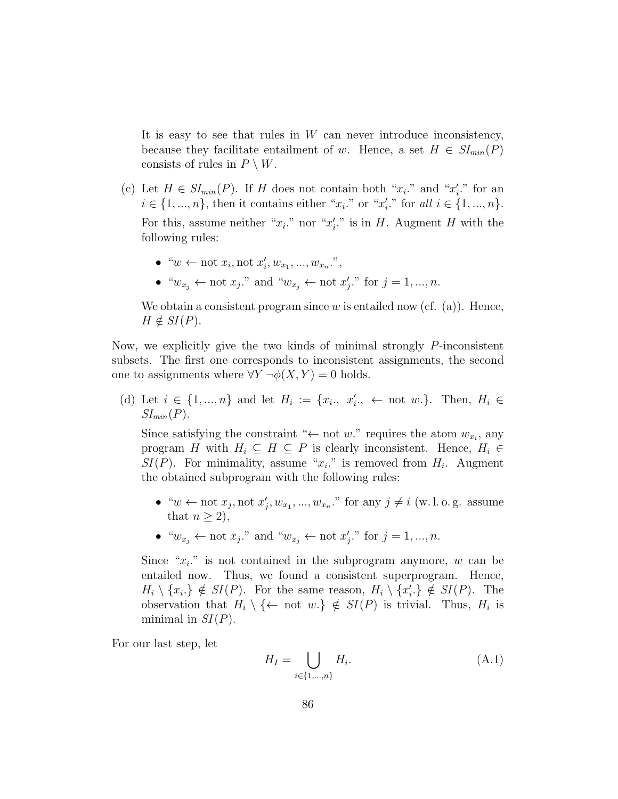It is easy to see that rules in  $W$  can never introduce inconsistency, because they facilitate entailment of w. Hence, a set  $H \in SI_{min}(P)$ consists of rules in  $P \setminus W$ .

(c) Let  $H \in SI_{min}(P)$ . If H does not contain both " $x_i$ ." and " $x'_i$ ." for an  $i \in \{1, ..., n\}$ , then it contains either " $x_i$ ," or " $x'_i$ ," for all  $i \in \{1, ..., n\}$ . For this, assume neither " $x_i$ ." nor " $x'_i$ ." is in H. Augment H with the

following rules:

- " $w \leftarrow \text{not } x_i, \text{not } x'_i, w_{x_1}, ..., w_{x_n}.$ ",
- " $w_{x_j} \leftarrow \text{not } x_j$ ." and " $w_{x_j} \leftarrow \text{not } x'_j$ ." for  $j = 1, ..., n$ .

We obtain a consistent program since  $w$  is entailed now (cf. (a)). Hence,  $H \notin SI(P)$ .

Now, we explicitly give the two kinds of minimal strongly P-inconsistent subsets. The first one corresponds to inconsistent assignments, the second one to assignments where  $\forall Y \neg \phi(X, Y) = 0$  holds.

(d) Let  $i \in \{1, ..., n\}$  and let  $H_i := \{x_i, x'_i, \dots \text{ not } w.\}.$  Then,  $H_i \in$  $SI_{min}(P)$ .

Since satisfying the constraint " $\leftarrow$  not w." requires the atom  $w_{x_i}$ , any program H with  $H_i \subseteq H \subseteq P$  is clearly inconsistent. Hence,  $H_i \in$  $SI(P)$ . For minimality, assume " $x_i$ ." is removed from  $H_i$ . Augment the obtained subprogram with the following rules:

- " $w \leftarrow \text{not } x_j, \text{not } x'_j, w_{x_1}, ..., w_{x_n}$ " for any  $j \neq i$  (w.l.o.g. assume that  $n > 2$ ),
- " $w_{x_j} \leftarrow \text{not } x_j$ ." and " $w_{x_j} \leftarrow \text{not } x'_j$ ." for  $j = 1, ..., n$ .

Since " $x_i$ " is not contained in the subprogram anymore, w can be entailed now. Thus, we found a consistent superprogram. Hence,  $H_i \setminus \{x_i\} \notin SI(P)$ . For the same reason,  $H_i \setminus \{x'_i\} \notin SI(P)$ . The observation that  $H_i \setminus \{\leftarrow \text{ not } w.\} \notin SI(P)$  is trivial. Thus,  $H_i$  is minimal in  $SI(P)$ .

For our last step, let

$$
H_I = \bigcup_{i \in \{1, \dots, n\}} H_i. \tag{A.1}
$$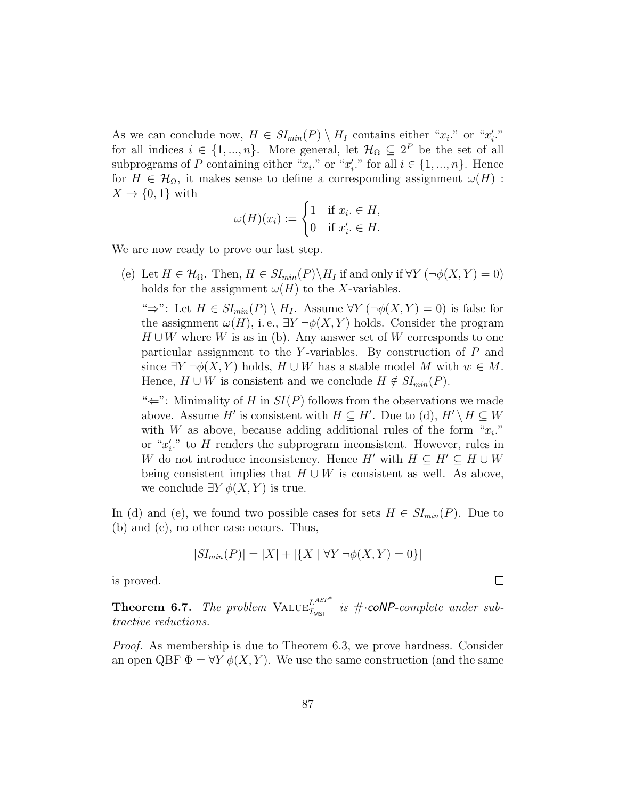As we can conclude now,  $H \in SI_{min}(P) \setminus H_I$  contains either " $x_i$ ." or " $x'_i$ ." for all indices  $i \in \{1, ..., n\}$ . More general, let  $\mathcal{H}_{\Omega} \subseteq 2^P$  be the set of all subprograms of P containing either " $x_i$ " or " $x'_i$ " for all  $i \in \{1, ..., n\}$ . Hence for  $H \in \mathcal{H}_{\Omega}$ , it makes sense to define a corresponding assignment  $\omega(H)$ :  $X \to \{0,1\}$  with

$$
\omega(H)(x_i) := \begin{cases} 1 & \text{if } x_i \in H, \\ 0 & \text{if } x'_i \in H. \end{cases}
$$

We are now ready to prove our last step.

(e) Let  $H \in \mathcal{H}_{\Omega}$ . Then,  $H \in SI_{min}(P) \backslash H_I$  if and only if  $\forall Y (\neg \phi(X, Y) = 0)$ holds for the assignment  $\omega(H)$  to the X-variables.

"⇒": Let  $H \in SI_{min}(P) \setminus H_I$ . Assume  $\forall Y (\neg \phi(X, Y) = 0)$  is false for the assignment  $\omega(H)$ , i.e.,  $\exists Y \neg \phi(X, Y)$  holds. Consider the program  $H \cup W$  where W is as in (b). Any answer set of W corresponds to one particular assignment to the Y-variables. By construction of  $P$  and since  $\exists Y \neg \phi(X, Y)$  holds,  $H \cup W$  has a stable model M with  $w \in M$ . Hence,  $H \cup W$  is consistent and we conclude  $H \notin SL_{min}(P)$ .

" $\Leftarrow$ ": Minimality of H in  $SI(P)$  follows from the observations we made above. Assume H' is consistent with  $H \subseteq H'$ . Due to (d),  $H' \setminus H \subseteq W$ with W as above, because adding additional rules of the form " $x_i$ ." or " $x_i'$ ." to H renders the subprogram inconsistent. However, rules in W do not introduce inconsistency. Hence H' with  $H \subseteq H' \subseteq H \cup W$ being consistent implies that  $H \cup W$  is consistent as well. As above, we conclude  $\exists Y \phi(X, Y)$  is true.

In (d) and (e), we found two possible cases for sets  $H \in SI_{min}(P)$ . Due to (b) and (c), no other case occurs. Thus,

$$
|SI_{min}(P)| = |X| + |\{X \mid \forall Y \neg \phi(X, Y) = 0\}|
$$

is proved.

**Theorem 6.7.** The problem  $\text{VALUE}_{\mathcal{I}_{\text{MSI}}}^{L^{ASP^*}}$  is # $\cdot$ **coNP**-complete under subtractive reductions.

Proof. As membership is due to Theorem 6.3, we prove hardness. Consider an open QBF  $\Phi = \forall Y \phi(X, Y)$ . We use the same construction (and the same

 $\Box$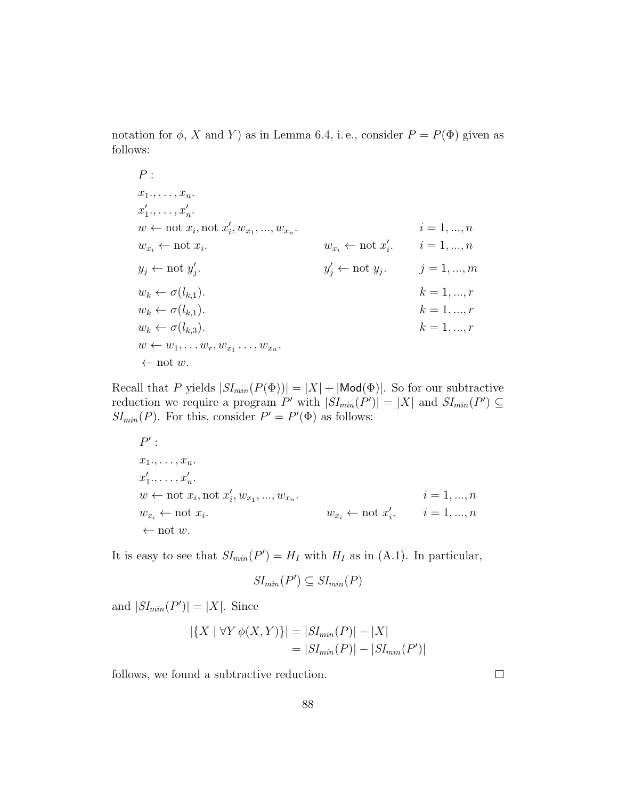notation for  $\phi$ , X and Y) as in Lemma 6.4, i.e., consider  $P = P(\Phi)$  given as follows:

$$
P:
$$
\n
$$
x_{1}, \ldots, x_{n}.
$$
\n
$$
x'_{1}, \ldots, x'_{n}.
$$
\n
$$
w \leftarrow \text{not } x_{i}, \text{ not } x'_{i}, w_{x_{1}}, \ldots, w_{x_{n}}.
$$
\n
$$
w_{x_{i}} \leftarrow \text{not } x_{i}.
$$
\n
$$
w_{x_{i}} \leftarrow \text{not } x'_{i}.
$$
\n
$$
w_{x_{i}} \leftarrow \text{not } x'_{i}.
$$
\n
$$
w_{x_{i}} \leftarrow \text{not } x'_{i}.
$$
\n
$$
w_{x_{i}} \leftarrow \text{not } x'_{i}.
$$
\n
$$
w_{x_{i}} \leftarrow \text{not } x'_{i}.
$$
\n
$$
v_{x_{i}} \leftarrow \text{not } y_{i}.
$$
\n
$$
y'_{j} \leftarrow \text{not } y_{j}.
$$
\n
$$
y'_{j} \leftarrow \text{not } y_{j}.
$$
\n
$$
y'_{j} \leftarrow \text{not } y_{j}.
$$
\n
$$
y'_{j} \leftarrow \text{not } y_{j}.
$$
\n
$$
y'_{j} \leftarrow \text{not } y_{j}.
$$
\n
$$
k = 1, \ldots, r
$$
\n
$$
w_{k} \leftarrow \sigma(l_{k,1}).
$$
\n
$$
w_{k} \leftarrow \sigma(l_{k,3}).
$$
\n
$$
w \leftarrow w_{1}, \ldots w_{r}, w_{x_{1}} \ldots, w_{x_{n}}.
$$
\n
$$
\leftarrow \text{not } w.
$$

Recall that P yields  $|SI_{min}(P(\Phi))| = |X| + |\text{Mod}(\Phi)|$ . So for our subtractive reduction we require a program P' with  $|SI_{min}(P')| = |X|$  and  $SI_{min}(P') \subseteq$  $SI_{min}(P)$ . For this, consider  $P' = P'(\Phi)$  as follows:

$$
P':\nx_1, \ldots, x_n.\nx'_1, \ldots, x'_n.\nw \leftarrow \text{not } x_i, \text{not } x'_i, w_{x_1}, \ldots, w_{x_n}.\nw_{x_i} \leftarrow \text{not } x_i.
$$
\n $i = 1, \ldots, n\n\leftarrow \text{not } w.$ \n $i = 1, \ldots, n$ 

It is easy to see that  $SI_{min}(P') = H_I$  with  $H_I$  as in (A.1). In particular,

$$
SI_{min}(P') \subseteq SI_{min}(P)
$$

and  $|SI_{min}(P')| = |X|$ . Since

$$
|\{X \mid \forall Y \phi(X, Y)\}| = |SI_{min}(P)| - |X|
$$
  
= |SI\_{min}(P)| - |SI\_{min}(P')|

follows, we found a subtractive reduction.

 $\Box$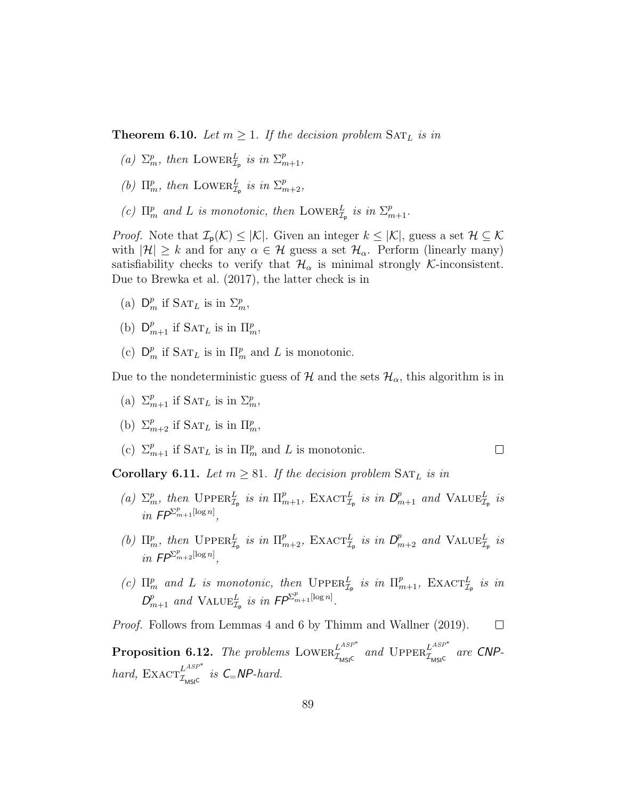**Theorem 6.10.** Let  $m \geq 1$ . If the decision problem  $\text{SAT}_L$  is in

- (a)  $\Sigma_m^p$ , then LOWER $_{\mathcal{I}_p}^L$  is in  $\Sigma_{m+1}^p$ ,
- (b)  $\Pi_m^p$ , then LOWER $_{\mathcal{I}_p}^L$  is in  $\Sigma_{m+2}^p$ ,
- (c)  $\Pi_m^p$  and L is monotonic, then LOWER $_{\mathcal{I}_p}^L$  is in  $\Sigma_{m+1}^p$ .

*Proof.* Note that  $\mathcal{I}_{p}(\mathcal{K}) \leq |\mathcal{K}|$ . Given an integer  $k \leq |\mathcal{K}|$ , guess a set  $\mathcal{H} \subseteq \mathcal{K}$ with  $|\mathcal{H}| \geq k$  and for any  $\alpha \in \mathcal{H}$  guess a set  $\mathcal{H}_{\alpha}$ . Perform (linearly many) satisfiability checks to verify that  $\mathcal{H}_{\alpha}$  is minimal strongly K-inconsistent. Due to Brewka et al. (2017), the latter check is in

- (a)  $\mathsf{D}_m^p$  if  $\mathrm{SAT}_L$  is in  $\Sigma_m^p$ ,
- (b)  $D_{m+1}^p$  if  $SAT_L$  is in  $\Pi_m^p$ ,
- (c)  $\mathsf{D}_m^p$  if  $\mathrm{SAT}_L$  is in  $\Pi_m^p$  and L is monotonic.

Due to the nondeterministic guess of  $\mathcal{H}$  and the sets  $\mathcal{H}_{\alpha}$ , this algorithm is in

- (a)  $\Sigma_{m+1}^p$  if  $\text{SAT}_L$  is in  $\Sigma_m^p$ ,
- (b)  $\Sigma_{m+2}^p$  if  $\text{SAT}_L$  is in  $\Pi_m^p$ ,
- (c)  $\Sigma_{m+1}^p$  if  $\text{SAT}_L$  is in  $\Pi_m^p$  and L is monotonic.

Corollary 6.11. Let  $m \geq 81$ . If the decision problem  $\text{SAT}_L$  is in

(a)  $\Sigma_m^p$ , then  $\text{UpperR}_{\mathcal{I}_p}^L$  is in  $\Pi_{m+1}^p$ ,  $\text{Exact}_{\mathcal{I}_p}^L$  is in  $D_{m+1}^p$  and  $\text{VALUE}_{\mathcal{I}_p}^L$  is in  $\mathsf{FP}^{\Sigma_{m+1}^p[\log n]}$ ,

 $\Box$ 

- (b)  $\Pi_m^p$ , then  $\text{UpperR}_{\mathcal{I}_p}^L$  is in  $\Pi_{m+2}^p$ ,  $\text{EXACT}_{\mathcal{I}_p}^L$  is in  $D_{m+2}^p$  and  $\text{VALUE}_{\mathcal{I}_p}^L$  is in  $\mathsf{FP}^{\Sigma_{m+2}^p[\log n]}$ ,
- (c)  $\Pi_m^p$  and L is monotonic, then  $\text{UPPER}_{\mathcal{I}_p}^L$  is in  $\Pi_{m+1}^p$ ,  $\text{EXACT}_{\mathcal{I}_p}^L$  is in  $D_{m+1}^p$  and  $\text{VALUE}_{\mathcal{I}_p}^L$  is in  $\mathsf{FP}^{\Sigma_{m+1}^p[\log n]}.$

Proof. Follows from Lemmas 4 and 6 by Thimm and Wallner (2019).  $\Box$ 

**Proposition 6.12.** The problems LOWER $_{\mathcal{I}_{\text{MSIC}}}^{L^{ASP^*}}$  and  $\text{UpperR}_{\mathcal{I}_{\text{MSIC}}}^{L^{ASP^*}}$  are CNPhard,  $\text{EXACT}_{\mathcal{I}_{\text{MSI}^{\text{C}}}}^{L^{ASP^*}}$  is  $\text{C}_{=}\text{NP-hard}.$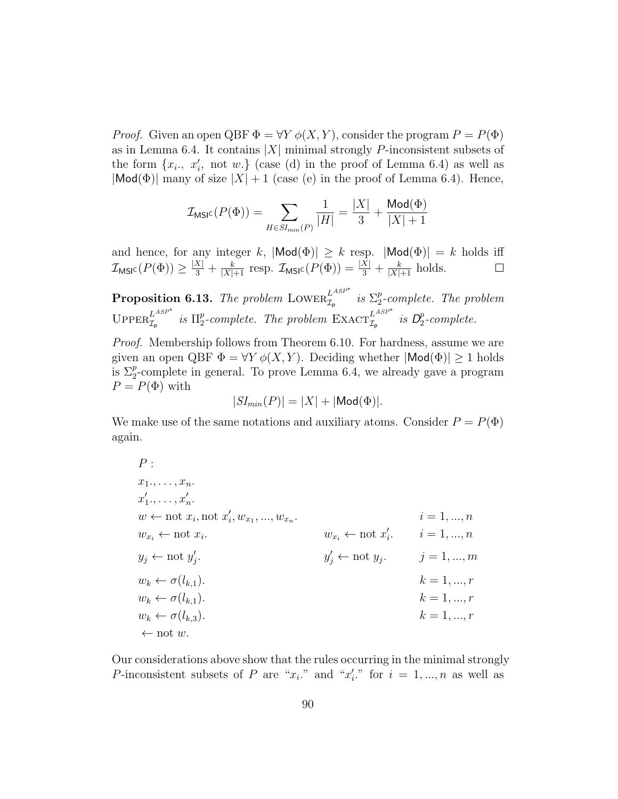*Proof.* Given an open QBF  $\Phi = \forall Y \phi(X, Y)$ , consider the program  $P = P(\Phi)$ as in Lemma 6.4. It contains  $|X|$  minimal strongly P-inconsistent subsets of the form  $\{x_i, x'_i, \text{ not } w.\}$  (case (d) in the proof of Lemma 6.4) as well as  $|Mod(\Phi)|$  many of size  $|X| + 1$  (case (e) in the proof of Lemma 6.4). Hence,

$$
\mathcal{I}_{\text{MSIC}}(P(\Phi)) = \sum_{H \in SI_{min}(P)} \frac{1}{|H|} = \frac{|X|}{3} + \frac{\text{Mod}(\Phi)}{|X|+1}
$$

and hence, for any integer k,  $|\text{Mod}(\Phi)| \geq k$  resp.  $|\text{Mod}(\Phi)| = k$  holds iff  $\mathcal{I}_{\text{MSIC}}(P(\Phi)) \geq \frac{|X|}{3} + \frac{k}{|X|+1}$  resp.  $\mathcal{I}_{\text{MSIC}}(P(\Phi)) = \frac{|X|}{3} + \frac{k}{|X|+1}$  holds.  $\Box$ 

**Proposition 6.13.** The problem LOWER $_{\mathcal{I}_{\mathsf{p}}}^{L^{ASP^*}}$  is  $\Sigma_2^p$  $2^{p}$ -complete. The problem UPPER $_{\mathcal{I}_{\mathsf{p}}}^{L^{ASP^*}}$  is  $\Pi_2^p$ p-complete. The problem  $\operatorname{EXACT}_{\mathcal{I}_{p}}^{L^{ASP^*}}$  is  $D_2^p$  $P_2$ -complete.

Proof. Membership follows from Theorem 6.10. For hardness, assume we are given an open QBF  $\Phi = \forall Y \phi(X, Y)$ . Deciding whether  $|\text{Mod}(\Phi)| \geq 1$  holds is  $\Sigma_2^p$ -complete in general. To prove Lemma 6.4, we already gave a program  $P = P(\Phi)$  with

$$
|SI_{min}(P)| = |X| + |\mathsf{Mod}(\Phi)|.
$$

We make use of the same notations and auxiliary atoms. Consider  $P = P(\Phi)$ again.

$$
P:
$$
\n
$$
x_{1}, \ldots, x_{n}.
$$
\n
$$
x'_{1}, \ldots, x'_{n}.
$$
\n
$$
w \leftarrow \text{not } x_{i}, \text{ not } x'_{i}, w_{x_{1}}, \ldots, w_{x_{n}}.
$$
\n
$$
i = 1, \ldots, n
$$
\n
$$
w_{x_{i}} \leftarrow \text{not } x_{i}.
$$
\n
$$
i = 1, \ldots, n
$$
\n
$$
w_{x_{i}} \leftarrow \text{not } x'_{i}.
$$
\n
$$
i = 1, \ldots, n
$$
\n
$$
w_{x_{i}} \leftarrow \text{not } x'_{i}.
$$
\n
$$
i = 1, \ldots, n
$$
\n
$$
y_{j} \leftarrow \text{not } y_{j}.
$$
\n
$$
j = 1, \ldots, m
$$
\n
$$
w_{k} \leftarrow \sigma(l_{k,1}).
$$
\n
$$
w_{k} \leftarrow \sigma(l_{k,1}).
$$
\n
$$
w_{k} \leftarrow \sigma(l_{k,3}).
$$
\n
$$
w_{k} \leftarrow \sigma(l_{k,3}).
$$
\n
$$
k = 1, \ldots, r
$$
\n
$$
k = 1, \ldots, r
$$
\n
$$
k = 1, \ldots, r
$$

Our considerations above show that the rules occurring in the minimal strongly P-inconsistent subsets of P are " $x_i$ " and " $x'_i$ " for  $i = 1, ..., n$  as well as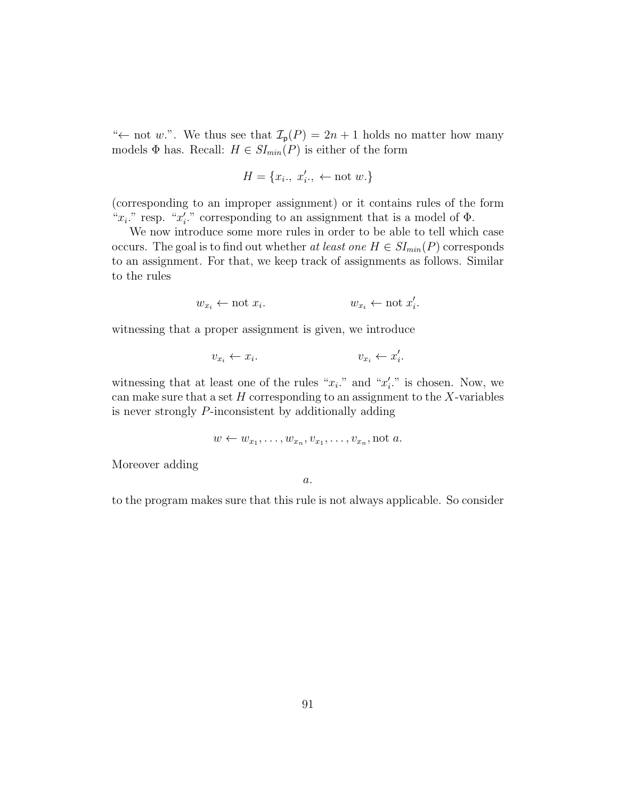" $\leftarrow$  not w.". We thus see that  $\mathcal{I}_{p}(P) = 2n + 1$  holds no matter how many models  $\Phi$  has. Recall:  $H \in SI_{min}(P)$  is either of the form

$$
H = \{x_i., x'_i., \leftarrow not\ w.\}
$$

(corresponding to an improper assignment) or it contains rules of the form " $x_i$ ." resp. " $x'_i$ ." corresponding to an assignment that is a model of  $\Phi$ .

We now introduce some more rules in order to be able to tell which case occurs. The goal is to find out whether at least one  $H \in SI_{min}(P)$  corresponds to an assignment. For that, we keep track of assignments as follows. Similar to the rules

$$
w_{x_i} \leftarrow \text{not } x_i. \qquad \qquad w_{x_i} \leftarrow \text{not } x'_i
$$

.

witnessing that a proper assignment is given, we introduce

$$
v_{x_i} \leftarrow x_i. \qquad \qquad v_{x_i} \leftarrow x_i'.
$$

witnessing that at least one of the rules " $x_i$ ." and " $x'_i$ ." is chosen. Now, we can make sure that a set  $H$  corresponding to an assignment to the  $X$ -variables is never strongly P-inconsistent by additionally adding

$$
w \leftarrow w_{x_1}, \ldots, w_{x_n}, v_{x_1}, \ldots, v_{x_n}, \text{not } a.
$$

Moreover adding

a.

to the program makes sure that this rule is not always applicable. So consider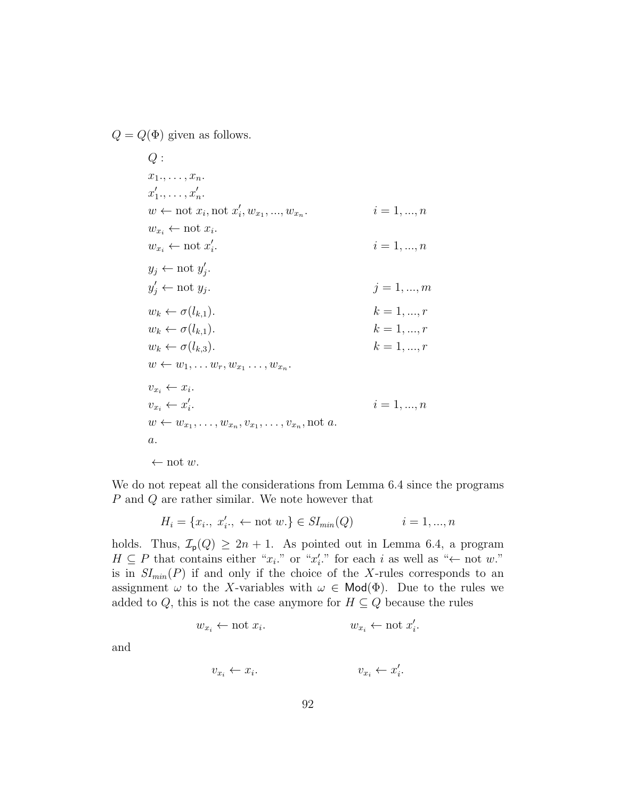$Q = Q(\Phi)$  given as follows.

 $Q:$  $x_1, \ldots, x_n$ .  $x'_1, \ldots, x'_n.$  $w \leftarrow \text{not } x_i, \text{not } x'_i, w_{x_1}, ..., w_{x_n}$  $i = 1, ..., n$  $w_{x_i} \leftarrow \text{not } x_i.$  $w_{x_i} \leftarrow \text{not } x'_i$  $i = 1, ..., n$  $y_j \leftarrow \text{not } y'_j.$  $y'_j \leftarrow \text{not } y_j$  $j = 1, ..., m$  $w_k \leftarrow \sigma(l_{k,1}).$  k = 1, ..., r  $w_k \leftarrow \sigma(l_{k,1}).$  k = 1, ..., r  $w_k \leftarrow \sigma(l_{k,3}).$  k = 1, ..., r  $w \leftarrow w_1, \ldots w_r, w_{x_1} \ldots, w_{x_n}.$  $v_{x_i} \leftarrow x_i$ .  $v_{x_i} \leftarrow x'_i$  $i = 1, ..., n$  $w \leftarrow w_{x_1}, \ldots, w_{x_n}, v_{x_1}, \ldots, v_{x_n}$ , not a. a.  $\leftarrow$  not w.

We do not repeat all the considerations from Lemma 6.4 since the programs P and Q are rather similar. We note however that

$$
H_i = \{x_i, \ x'_i, \ \leftarrow \text{not } w.\} \in SI_{min}(Q) \qquad i = 1, ..., n
$$

holds. Thus,  $\mathcal{I}_{p}(Q) \geq 2n + 1$ . As pointed out in Lemma 6.4, a program  $H \subseteq P$  that contains either " $x_i$ " or " $x'_i$ " for each i as well as " $\leftarrow$  not w." is in  $SI_{min}(P)$  if and only if the choice of the X-rules corresponds to an assignment  $\omega$  to the X-variables with  $\omega \in \mathsf{Mod}(\Phi)$ . Due to the rules we added to Q, this is not the case anymore for  $H \subseteq Q$  because the rules

$$
w_{x_i} \leftarrow \text{not } x_i.
$$
 
$$
w_{x_i} \leftarrow \text{not } x'_i.
$$

and

$$
v_{x_i} \leftarrow x_i. \qquad v_{x_i} \leftarrow x_i'
$$

.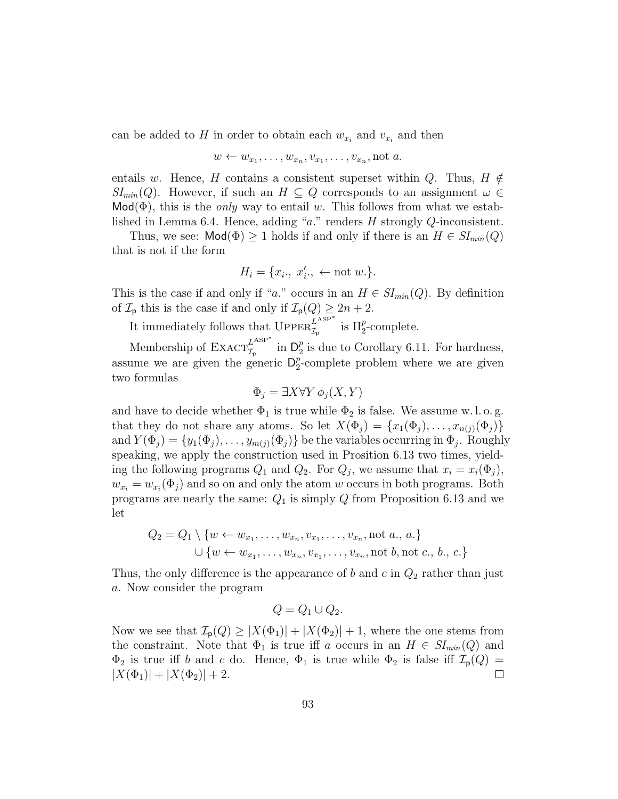can be added to H in order to obtain each  $w_{x_i}$  and  $v_{x_i}$  and then

$$
w \leftarrow w_{x_1}, \ldots, w_{x_n}, v_{x_1}, \ldots, v_{x_n}, \text{not } a.
$$

entails w. Hence, H contains a consistent superset within Q. Thus,  $H \notin$  $SI_{min}(Q)$ . However, if such an  $H \subseteq Q$  corresponds to an assignment  $\omega \in$  $\mathsf{Mod}(\Phi)$ , this is the *only* way to entail w. This follows from what we established in Lemma 6.4. Hence, adding "a." renders H strongly Q-inconsistent.

Thus, we see:  $\text{Mod}(\Phi) \geq 1$  holds if and only if there is an  $H \in SI_{min}(Q)$ that is not if the form

$$
H_i = \{x_i, x'_i, \leftarrow \text{not } w.\}.
$$

This is the case if and only if "a." occurs in an  $H \in SI_{min}(Q)$ . By definition of  $\mathcal{I}_{\mathsf{p}}$  this is the case if and only if  $\mathcal{I}_{\mathsf{p}}(Q) \geq 2n + 2$ .

It immediately follows that  $\text{Upper}_{\mathcal{I}_{p}}^{L^{\text{ASP}*}}$  is  $\Pi_{2}^{p}$ -complete.

Membership of  $\text{EXACT}_{\mathcal{I}_{p}}^{L^{\text{ASP}}}$  in  $\mathsf{D}_{2}^{p}$  $_2^p$  is due to Corollary 6.11. For hardness, assume we are given the generic  $\mathsf{D}_2^p$  $_{2}^{p}$ -complete problem where we are given two formulas

$$
\Phi_j = \exists X \forall Y \, \phi_j(X, Y)
$$

and have to decide whether  $\Phi_1$  is true while  $\Phi_2$  is false. We assume w.l.o.g. that they do not share any atoms. So let  $X(\Phi_j) = \{x_1(\Phi_j), \ldots, x_{n(j)}(\Phi_j)\}\$ and  $Y(\Phi_j) = \{y_1(\Phi_j), \ldots, y_{m(j)}(\Phi_j)\}\$  be the variables occurring in  $\Phi_j$ . Roughly speaking, we apply the construction used in Prosition 6.13 two times, yielding the following programs  $Q_1$  and  $Q_2$ . For  $Q_j$ , we assume that  $x_i = x_i(\Phi_j)$ ,  $w_{x_i} = w_{x_i}(\Phi_j)$  and so on and only the atom w occurs in both programs. Both programs are nearly the same:  $Q_1$  is simply Q from Proposition 6.13 and we let

$$
Q_2 = Q_1 \setminus \{w \leftarrow w_{x_1}, \dots, w_{x_n}, v_{x_1}, \dots, v_{x_n}, \text{not } a., a.\}
$$
  

$$
\cup \{w \leftarrow w_{x_1}, \dots, w_{x_n}, v_{x_1}, \dots, v_{x_n}, \text{not } b, \text{not } c., b., c.\}
$$

Thus, the only difference is the appearance of b and c in  $Q_2$  rather than just a. Now consider the program

$$
Q = Q_1 \cup Q_2.
$$

Now we see that  $\mathcal{I}_{p}(Q) \geq |X(\Phi_1)| + |X(\Phi_2)| + 1$ , where the one stems from the constraint. Note that  $\Phi_1$  is true iff a occurs in an  $H \in SI_{min}(Q)$  and  $\Phi_2$  is true iff b and c do. Hence,  $\Phi_1$  is true while  $\Phi_2$  is false iff  $\mathcal{I}_p(Q)$  =  $|X(\Phi_1)| + |X(\Phi_2)| + 2.$  $\Box$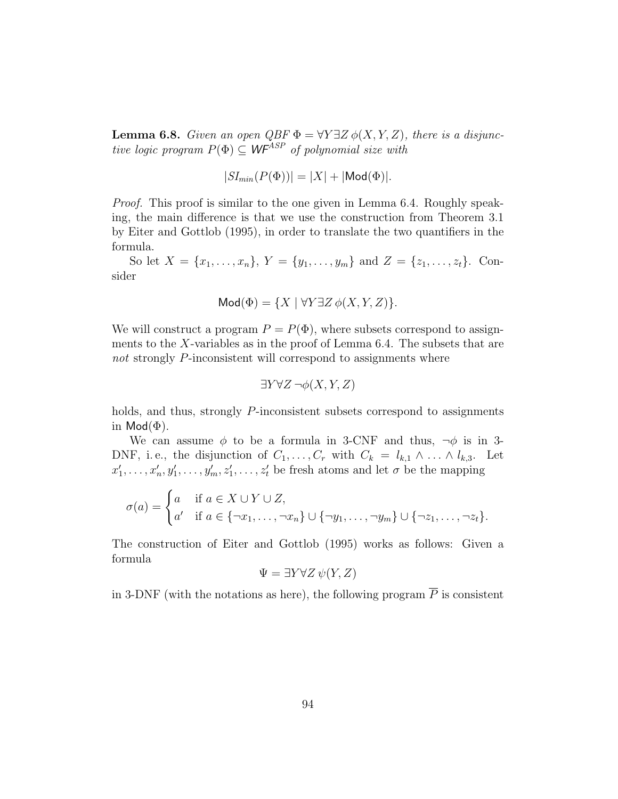**Lemma 6.8.** Given an open  $QBF \Phi = \forall Y \exists Z \phi(X, Y, Z)$ , there is a disjunctive logic program  $P(\Phi) \subseteq WF^{ASP}$  of polynomial size with

$$
|SI_{min}(P(\Phi))| = |X| + |\text{Mod}(\Phi)|.
$$

Proof. This proof is similar to the one given in Lemma 6.4. Roughly speaking, the main difference is that we use the construction from Theorem 3.1 by Eiter and Gottlob (1995), in order to translate the two quantifiers in the formula.

So let  $X = \{x_1, \ldots, x_n\}, Y = \{y_1, \ldots, y_m\}$  and  $Z = \{z_1, \ldots, z_t\}.$  Consider

$$
Mod(\Phi) = \{ X \mid \forall Y \exists Z \phi(X, Y, Z) \}.
$$

We will construct a program  $P = P(\Phi)$ , where subsets correspond to assignments to the X-variables as in the proof of Lemma 6.4. The subsets that are not strongly P-inconsistent will correspond to assignments where

$$
\exists Y \forall Z \, \neg \phi(X, Y, Z)
$$

holds, and thus, strongly P-inconsistent subsets correspond to assignments in  $\textsf{Mod}(\Phi)$ .

We can assume  $\phi$  to be a formula in 3-CNF and thus,  $\neg \phi$  is in 3-DNF, i.e., the disjunction of  $C_1, \ldots, C_r$  with  $C_k = l_{k,1} \wedge \ldots \wedge l_{k,3}$ . Let  $x'_1, \ldots, x'_n, y'_1, \ldots, y'_m, z'_1, \ldots, z'_t$  be fresh atoms and let  $\sigma$  be the mapping

$$
\sigma(a) = \begin{cases} a & \text{if } a \in X \cup Y \cup Z, \\ a' & \text{if } a \in \{\neg x_1, \dots, \neg x_n\} \cup \{\neg y_1, \dots, \neg y_m\} \cup \{\neg z_1, \dots, \neg z_t\}. \end{cases}
$$

The construction of Eiter and Gottlob (1995) works as follows: Given a formula

$$
\Psi = \exists Y \forall Z \, \psi(Y, Z)
$$

in 3-DNF (with the notations as here), the following program  $\overline{P}$  is consistent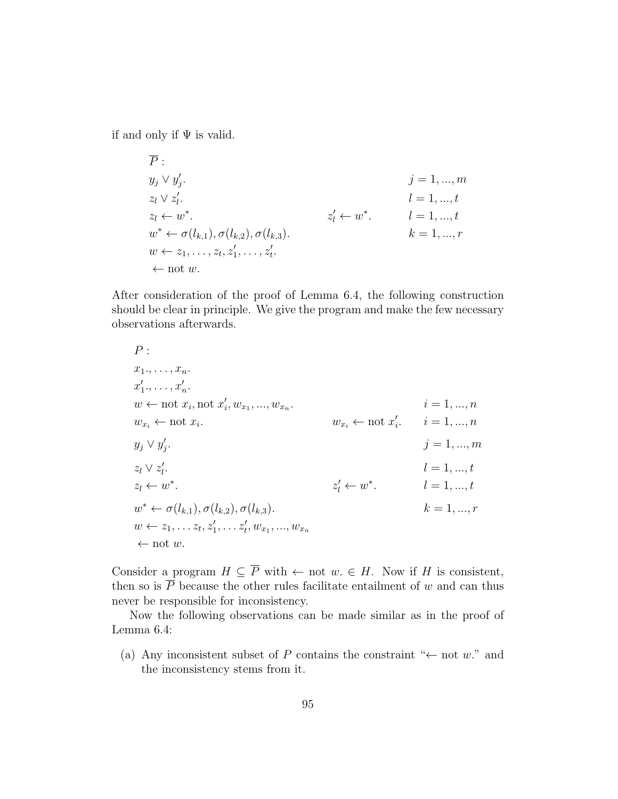if and only if  $\Psi$  is valid.

$$
\overline{P} :\ny_j \vee y'_j.\nz_l \vee z'_l.\nz_l \leftarrow w^*.\n
$$
w^* \leftarrow \sigma(l_{k,1}), \sigma(l_{k,2}), \sigma(l_{k,3}).
$$
\n
$$
w \leftarrow z_1, \ldots, z_t, z'_1, \ldots, z'_t.\n\leftarrow \text{not } w.
$$
\n
$$
v \leftarrow z_1, \ldots, z_t, z'_1, \ldots, z'_t.
$$
$$

After consideration of the proof of Lemma 6.4, the following construction should be clear in principle. We give the program and make the few necessary observations afterwards.

$$
P:
$$
  
\n
$$
x_1, \ldots, x_n.
$$
  
\n
$$
x'_1, \ldots, x'_n.
$$
  
\n
$$
w \leftarrow \text{not } x_i, \text{ not } x'_i, w_{x_1}, \ldots, w_{x_n}.
$$
  
\n
$$
w_{x_i} \leftarrow \text{not } x_i.
$$
  
\n
$$
w_{x_i} \leftarrow \text{not } x'_i.
$$
  
\n
$$
y_j \vee y'_j.
$$
  
\n
$$
z_l \vee z'_l.
$$
  
\n
$$
z_l \leftarrow w^*.
$$
  
\n
$$
z'_l \leftarrow w^*.
$$
  
\n
$$
l = 1, \ldots, t
$$
  
\n
$$
w^* \leftarrow \sigma(l_{k,1}), \sigma(l_{k,2}), \sigma(l_{k,3}).
$$
  
\n
$$
w \leftarrow z_1, \ldots z_t, z'_1, \ldots z'_t, w_{x_1}, \ldots, w_{x_n}
$$
  
\n
$$
\leftarrow \text{not } w.
$$
  
\n
$$
w \leftarrow z_1, \ldots z_t, z'_1, \ldots z'_t, w_{x_1}, \ldots, w_{x_n}
$$

Consider a program  $H \subseteq \overline{P}$  with  $\leftarrow$  not  $w \in H$ . Now if H is consistent, then so is  $\overline{P}$  because the other rules facilitate entailment of w and can thus never be responsible for inconsistency.

Now the following observations can be made similar as in the proof of Lemma 6.4:

(a) Any inconsistent subset of P contains the constraint " $\leftarrow$  not w." and the inconsistency stems from it.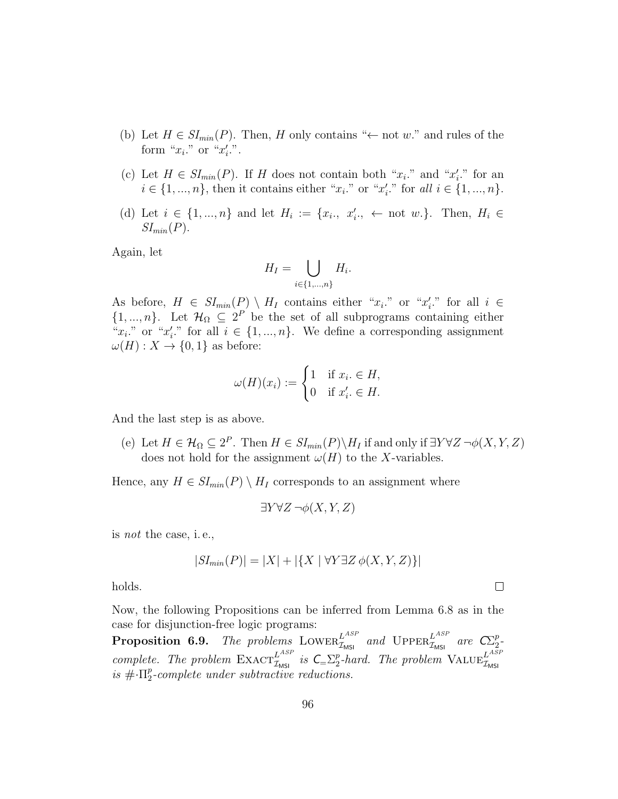- (b) Let  $H \in SI_{min}(P)$ . Then, H only contains " $\leftarrow$  not w." and rules of the form " $x_i$ ." or " $x'_i$ .".
- (c) Let  $H \in SI_{min}(P)$ . If H does not contain both " $x_i$ ." and " $x'_i$ ." for an  $i \in \{1, ..., n\}$ , then it contains either " $x_i$ ," or " $x'_i$ ," for all  $i \in \{1, ..., n\}$ .
- (d) Let  $i \in \{1, ..., n\}$  and let  $H_i := \{x_i, x'_i, \dots \text{ not } w.\}.$  Then,  $H_i \in$  $SI_{min}(P)$ .

Again, let

$$
H_I = \bigcup_{i \in \{1,\dots,n\}} H_i.
$$

As before,  $H \in SI_{min}(P) \setminus H_I$  contains either " $x_i$ " or " $x'_i$ " for all  $i \in$  $\{1, ..., n\}$ . Let  $\mathcal{H}_{\Omega} \subseteq 2^P$  be the set of all subprograms containing either " $x_i$ " or " $x'_i$ " for all  $i \in \{1, ..., n\}$ . We define a corresponding assignment  $\omega(H): X \to \{0,1\}$  as before:

$$
\omega(H)(x_i) := \begin{cases} 1 & \text{if } x_i \in H, \\ 0 & \text{if } x'_i \in H. \end{cases}
$$

And the last step is as above.

(e) Let  $H \in \mathcal{H}_{\Omega} \subseteq 2^P$ . Then  $H \in SI_{min}(P) \backslash H_I$  if and only if  $\exists Y \forall Z \neg \phi(X, Y, Z)$ does not hold for the assignment  $\omega(H)$  to the X-variables.

Hence, any  $H \in SI_{min}(P) \setminus H_I$  corresponds to an assignment where

$$
\exists Y \forall Z \, \neg \phi(X, Y, Z)
$$

is not the case, i. e.,

$$
|SI_{min}(P)| = |X| + |\{X \mid \forall Y \exists Z \phi(X, Y, Z)\}|
$$

 $\Box$ 

holds.

Now, the following Propositions can be inferred from Lemma 6.8 as in the case for disjunction-free logic programs:

**Proposition 6.9.** The problems LOWER<sup>LASP</sup> and UPPER<sup>LASP</sup> are  $\mathbb{C}^p_2$  $\frac{p}{2}$ complete. The problem  $\text{EXACT}_{\mathcal{I}_{\text{MSI}}}^{L^{ASP}}$  is  $\text{C}_{=}\Sigma_2^p$  $\frac{p}{2}$ -hard. The problem  $\text{VALUE}_{\mathcal{I}_{\text{MSI}}}^{L^{ASP}}$ is  $\#\cdot\Pi_2^p$  $2^{p}$ -complete under subtractive reductions.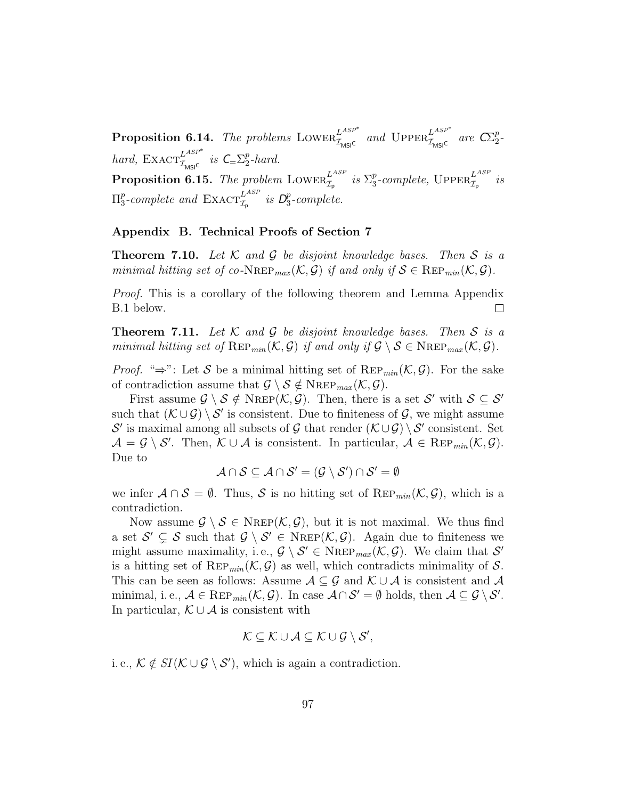**Proposition 6.14.** The problems LOWER<sup>LASP\*</sup> and UPPER<sup>LASP\*</sup> are  $\mathcal{C}\Sigma_2^p$  $\frac{p}{2}$ hard,  $\text{EXACT}_{\mathcal{I}_{\text{MSIC}}}^{L^{ASP^*}}$  is  $\mathcal{C}_{=}\Sigma_2^p$  $_{2}^{p}$ -hard. Proposition 6.15. The problem  $\operatorname{Lower}_{\mathcal{I}_p}^{L^{ASP}}$  is  $\Sigma_3^p$  $_3^p$ -complete,  $\mathrm{UpperER}_{\mathcal{I}_{\mathrm{p}}}^{L^{ASP}}$  is  $\Pi_3^p$ <sup>p</sup>-complete and  $\text{EXACT}_{\mathcal{I}_{\text{p}}}^{L^{ASP}}$  is  $\mathcal{D}_{3}^{p}$  $_{3}^{p}$ -complete.

# Appendix B. Technical Proofs of Section 7

**Theorem 7.10.** Let  $K$  and  $G$  be disjoint knowledge bases. Then  $S$  is a minimal hitting set of co-NREP<sub>max</sub>  $(K, \mathcal{G})$  if and only if  $\mathcal{S} \in \text{Rep}_{min}(\mathcal{K}, \mathcal{G})$ .

Proof. This is a corollary of the following theorem and Lemma Appendix B.1 below.  $\Box$ 

**Theorem 7.11.** Let K and G be disjoint knowledge bases. Then S is a minimal hitting set of  $\text{Rep}_{min}(\mathcal{K}, \mathcal{G})$  if and only if  $\mathcal{G} \setminus \mathcal{S} \in \text{NRep}_{max}(\mathcal{K}, \mathcal{G})$ .

*Proof.* " $\Rightarrow$ ": Let S be a minimal hitting set of REP<sub>min</sub>(K, G). For the sake of contradiction assume that  $\mathcal{G} \setminus \mathcal{S} \notin \text{NRep}_{max}(\mathcal{K}, \mathcal{G}).$ 

First assume  $\mathcal{G} \setminus \mathcal{S} \notin \text{NRep}(\mathcal{K}, \mathcal{G})$ . Then, there is a set  $\mathcal{S}'$  with  $\mathcal{S} \subseteq \mathcal{S}'$ such that  $(\mathcal{K} \cup \mathcal{G}) \setminus \mathcal{S}'$  is consistent. Due to finiteness of  $\mathcal{G}$ , we might assume S' is maximal among all subsets of G that render  $(\mathcal{K}\cup\mathcal{G})\setminus\mathcal{S}'$  consistent. Set  $\mathcal{A} = \mathcal{G} \setminus \mathcal{S}'$ . Then,  $\mathcal{K} \cup \mathcal{A}$  is consistent. In particular,  $\mathcal{A} \in \text{Rep}_{min}(\mathcal{K}, \mathcal{G})$ . Due to

$$
\mathcal{A}\cap\mathcal{S}\subseteq\mathcal{A}\cap\mathcal{S}'=(\mathcal{G}\setminus\mathcal{S}')\cap\mathcal{S}'=\emptyset
$$

we infer  $\mathcal{A} \cap \mathcal{S} = \emptyset$ . Thus,  $\mathcal{S}$  is no hitting set of REP<sub>min</sub>( $\mathcal{K}, \mathcal{G}$ ), which is a contradiction.

Now assume  $\mathcal{G} \setminus \mathcal{S} \in \text{NRep}(\mathcal{K}, \mathcal{G})$ , but it is not maximal. We thus find a set  $\mathcal{S}' \subsetneq \mathcal{S}$  such that  $\mathcal{G} \setminus \mathcal{S}' \in \text{NREF}(\mathcal{K},\mathcal{G})$ . Again due to finiteness we might assume maximality, i.e.,  $\mathcal{G} \setminus \mathcal{S}' \in \text{NRep}_{max}(\mathcal{K}, \mathcal{G})$ . We claim that  $\mathcal{S}'$ is a hitting set of REP<sub>min</sub> $(\mathcal{K}, \mathcal{G})$  as well, which contradicts minimality of S. This can be seen as follows: Assume  $A \subseteq G$  and  $K \cup A$  is consistent and A minimal, i. e.,  $A \in \text{Rep}_{min}(\mathcal{K}, \mathcal{G})$ . In case  $\mathcal{A} \cap \mathcal{S}' = \emptyset$  holds, then  $\mathcal{A} \subseteq \mathcal{G} \setminus \mathcal{S}'$ . In particular,  $\mathcal{K} \cup \mathcal{A}$  is consistent with

$$
\mathcal{K} \subseteq \mathcal{K} \cup \mathcal{A} \subseteq \mathcal{K} \cup \mathcal{G} \setminus \mathcal{S}',
$$

i. e.,  $\mathcal{K} \notin SI(\mathcal{K} \cup \mathcal{G} \setminus \mathcal{S}')$ , which is again a contradiction.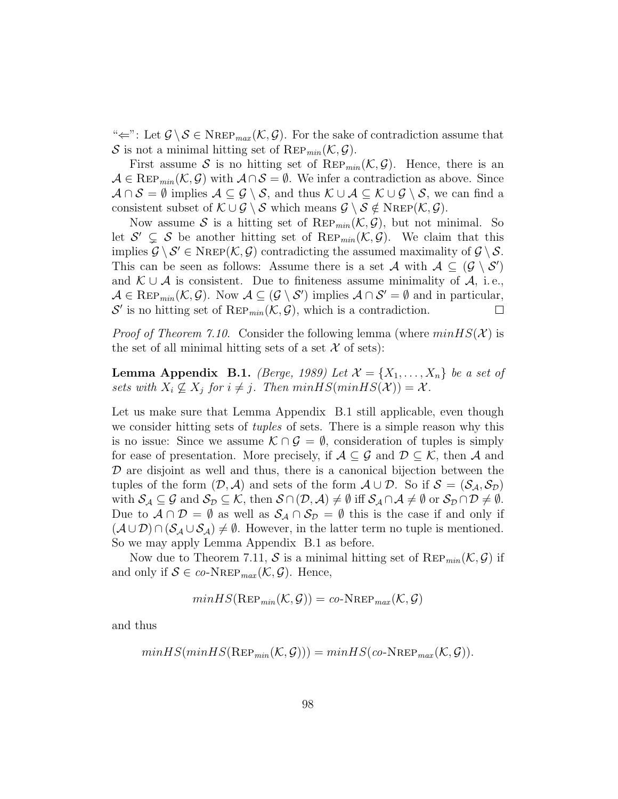" $\Leftarrow$ ": Let  $\mathcal{G} \setminus \mathcal{S} \in \text{NRep}_{max}(\mathcal{K}, \mathcal{G})$ . For the sake of contradiction assume that S is not a minimal hitting set of REP<sub>min</sub> $(\mathcal{K}, \mathcal{G})$ .

First assume S is no hitting set of  $\text{Rep}_{min}(\mathcal{K}, \mathcal{G})$ . Hence, there is an  $\mathcal{A} \in \text{Rep}_{min}(\mathcal{K}, \mathcal{G})$  with  $\mathcal{A} \cap \mathcal{S} = \emptyset$ . We infer a contradiction as above. Since  $\mathcal{A} \cap \mathcal{S} = \emptyset$  implies  $\mathcal{A} \subseteq \mathcal{G} \setminus \mathcal{S}$ , and thus  $\mathcal{K} \cup \mathcal{A} \subseteq \mathcal{K} \cup \mathcal{G} \setminus \mathcal{S}$ , we can find a consistent subset of  $\mathcal{K} \cup \mathcal{G} \setminus \mathcal{S}$  which means  $\mathcal{G} \setminus \mathcal{S} \notin \text{NREF}(\mathcal{K}, \mathcal{G})$ .

Now assume S is a hitting set of  $\text{Rep}_{min}(\mathcal{K}, \mathcal{G})$ , but not minimal. So let  $\mathcal{S}' \subsetneq \mathcal{S}$  be another hitting set of  $\text{Rep}_{min}(\mathcal{K}, \mathcal{G})$ . We claim that this implies  $\mathcal{G} \setminus \mathcal{S}' \in \text{NRep}(\mathcal{K}, \mathcal{G})$  contradicting the assumed maximality of  $\mathcal{G} \setminus \mathcal{S}$ . This can be seen as follows: Assume there is a set A with  $A \subseteq (\mathcal{G} \setminus \mathcal{S}')$ and  $\mathcal{K} \cup \mathcal{A}$  is consistent. Due to finiteness assume minimality of  $\mathcal{A}$ , i.e.,  $\mathcal{A} \in \text{Rep}_{min}(\mathcal{K}, \mathcal{G})$ . Now  $\mathcal{A} \subseteq (\mathcal{G} \setminus \mathcal{S}')$  implies  $\mathcal{A} \cap \mathcal{S}' = \emptyset$  and in particular,  $\mathcal{S}'$  is no hitting set of  $\text{Rep}_{min}(\mathcal{K}, \mathcal{G})$ , which is a contradiction.  $\Box$ 

*Proof of Theorem 7.10.* Consider the following lemma (where  $minHS(X)$  is the set of all minimal hitting sets of a set  $\mathcal X$  of sets):

**Lemma Appendix B.1.** (Berge, 1989) Let  $\mathcal{X} = \{X_1, \ldots, X_n\}$  be a set of sets with  $X_i \nsubseteq X_j$  for  $i \neq j$ . Then  $minHS(minHS(\mathcal{X})) = \mathcal{X}$ .

Let us make sure that Lemma Appendix B.1 still applicable, even though we consider hitting sets of *tuples* of sets. There is a simple reason why this is no issue: Since we assume  $\mathcal{K} \cap \mathcal{G} = \emptyset$ , consideration of tuples is simply for ease of presentation. More precisely, if  $\mathcal{A} \subseteq \mathcal{G}$  and  $\mathcal{D} \subseteq \mathcal{K}$ , then  $\mathcal{A}$  and  $\mathcal D$  are disjoint as well and thus, there is a canonical bijection between the tuples of the form  $(D, \mathcal{A})$  and sets of the form  $\mathcal{A} \cup \mathcal{D}$ . So if  $\mathcal{S} = (\mathcal{S}_{\mathcal{A}}, \mathcal{S}_{\mathcal{D}})$ with  $S_{\mathcal{A}} \subseteq \mathcal{G}$  and  $S_{\mathcal{D}} \subseteq \mathcal{K}$ , then  $S \cap (\mathcal{D}, \mathcal{A}) \neq \emptyset$  iff  $S_{\mathcal{A}} \cap \mathcal{A} \neq \emptyset$  or  $S_{\mathcal{D}} \cap \mathcal{D} \neq \emptyset$ . Due to  $\mathcal{A} \cap \mathcal{D} = \emptyset$  as well as  $\mathcal{S}_{\mathcal{A}} \cap \mathcal{S}_{\mathcal{D}} = \emptyset$  this is the case if and only if  $(\mathcal{A} \cup \mathcal{D}) \cap (\mathcal{S}_{\mathcal{A}} \cup \mathcal{S}_{\mathcal{A}}) \neq \emptyset$ . However, in the latter term no tuple is mentioned. So we may apply Lemma Appendix B.1 as before.

Now due to Theorem 7.11, S is a minimal hitting set of  $\text{Rep}_{min}(\mathcal{K}, \mathcal{G})$  if and only if  $S \in co\text{-}N_{\text{REF}_{max}}(\mathcal{K}, \mathcal{G})$ . Hence,

$$
minHS(\text{Rep}_{min}(\mathcal{K}, \mathcal{G})) = co\text{-NRep}_{max}(\mathcal{K}, \mathcal{G})
$$

and thus

$$
minHS(minHS(\text{Rep}_{min}(\mathcal{K}, \mathcal{G}))) = minHS(co\text{-}N\text{Rep}_{max}(\mathcal{K}, \mathcal{G})).
$$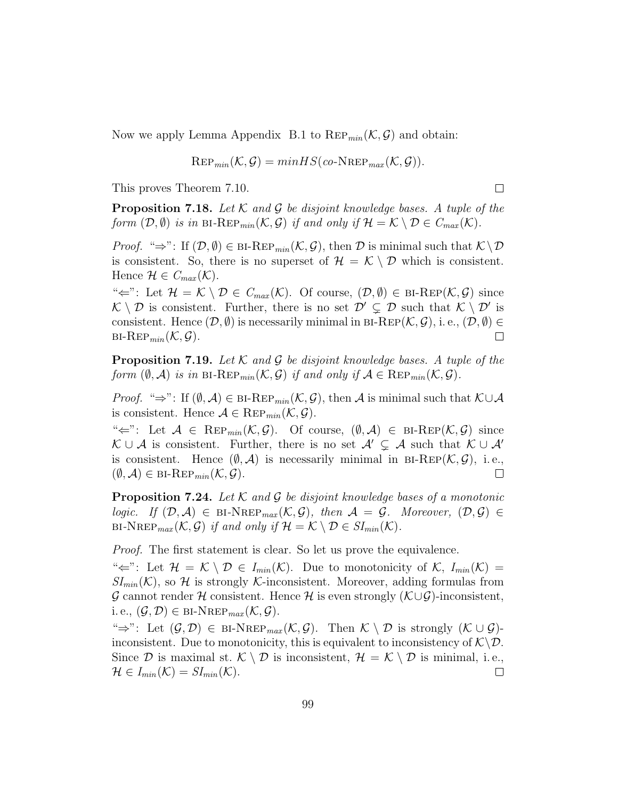Now we apply Lemma Appendix B.1 to  $\text{Rep}_{min}(\mathcal{K}, \mathcal{G})$  and obtain:

$$
\text{Rep}_{min}(\mathcal{K}, \mathcal{G}) = minHS(co\text{-}N\text{Rep}_{max}(\mathcal{K}, \mathcal{G})).
$$

This proves Theorem 7.10.

**Proposition 7.18.** Let K and G be disjoint knowledge bases. A tuple of the form  $(\mathcal{D}, \emptyset)$  is in BI-REP<sub>min</sub> $(\mathcal{K}, \mathcal{G})$  if and only if  $\mathcal{H} = \mathcal{K} \setminus \mathcal{D} \in C_{max}(\mathcal{K})$ .

 $\Box$ 

*Proof.* " $\Rightarrow$ ": If  $(D, \emptyset) \in \text{BI-Rep}_{min}(\mathcal{K}, \mathcal{G})$ , then  $\mathcal D$  is minimal such that  $\mathcal{K} \setminus \mathcal D$ is consistent. So, there is no superset of  $\mathcal{H} = \mathcal{K} \setminus \mathcal{D}$  which is consistent. Hence  $\mathcal{H} \in C_{max}(\mathcal{K}).$ 

" $\Leftarrow$ ": Let  $\mathcal{H} = \mathcal{K} \setminus \mathcal{D} \in C_{max}(\mathcal{K})$ . Of course,  $(\mathcal{D}, \emptyset) \in \text{BI-Rep}(\mathcal{K}, \mathcal{G})$  since  $\mathcal{K} \setminus \mathcal{D}$  is consistent. Further, there is no set  $\mathcal{D}' \subsetneq \mathcal{D}$  such that  $\mathcal{K} \setminus \mathcal{D}'$  is consistent. Hence  $(\mathcal{D}, \emptyset)$  is necessarily minimal in BI-REP $(\mathcal{K}, \mathcal{G})$ , i.e.,  $(\mathcal{D}, \emptyset) \in$  $BI\text{-}Rep_{min}(\mathcal{K}, \mathcal{G}).$  $\Box$ 

**Proposition 7.19.** Let  $K$  and  $G$  be disjoint knowledge bases. A tuple of the form  $(\emptyset, \mathcal{A})$  is in BI-REP<sub>min</sub> $(\mathcal{K}, \mathcal{G})$  if and only if  $\mathcal{A} \in \text{Rep}_{min}(\mathcal{K}, \mathcal{G})$ .

*Proof.* "⇒": If  $(\emptyset, \mathcal{A}) \in \text{BI-Rep}_{min}(\mathcal{K}, \mathcal{G})$ , then  $\mathcal{A}$  is minimal such that  $\mathcal{K} \cup \mathcal{A}$ is consistent. Hence  $A \in \text{Rep}_{min}(\mathcal{K}, \mathcal{G})$ .

" $\Leftarrow$ ": Let  $\mathcal{A} \in \text{Rep}_{min}(\mathcal{K}, \mathcal{G})$ . Of course,  $(\emptyset, \mathcal{A}) \in \text{BI-Rep}(\mathcal{K}, \mathcal{G})$  since  $\mathcal{K} \cup \mathcal{A}$  is consistent. Further, there is no set  $\mathcal{A}' \subsetneq \mathcal{A}$  such that  $\mathcal{K} \cup \mathcal{A}'$ is consistent. Hence  $(\emptyset, \mathcal{A})$  is necessarily minimal in BI-REP( $\mathcal{K}, \mathcal{G}$ ), i.e.,  $(\emptyset, \mathcal{A}) \in \text{BI-Rep}_{min}(\mathcal{K}, \mathcal{G}).$  $\Box$ 

**Proposition 7.24.** Let K and G be disjoint knowledge bases of a monotonic logic. If  $(D, \mathcal{A}) \in \text{BI-NREF}_{max}(\mathcal{K}, \mathcal{G})$ , then  $\mathcal{A} = \mathcal{G}$ . Moreover,  $(D, \mathcal{G}) \in$ BI-NREP<sub>max</sub>  $(\mathcal{K}, \mathcal{G})$  if and only if  $\mathcal{H} = \mathcal{K} \setminus \mathcal{D} \in SI_{min}(\mathcal{K})$ .

Proof. The first statement is clear. So let us prove the equivalence.

" $\Leftarrow$ ": Let  $\mathcal{H} = \mathcal{K} \setminus \mathcal{D} \in I_{min}(\mathcal{K})$ . Due to monotonicity of  $\mathcal{K}, I_{min}(\mathcal{K}) =$  $SI_{min}(\mathcal{K})$ , so H is strongly K-inconsistent. Moreover, adding formulas from  $\mathcal G$  cannot render H consistent. Hence H is even strongly  $(\mathcal K\cup\mathcal G)$ -inconsistent, i. e.,  $(\mathcal{G}, \mathcal{D}) \in \text{BI-NREF}_{max}(\mathcal{K}, \mathcal{G}).$ 

 $\iff$ ": Let  $(\mathcal{G}, \mathcal{D}) \in {\text{BI-NRep}}_{max}(\mathcal{K}, \mathcal{G})$ . Then  $\mathcal{K} \setminus \mathcal{D}$  is strongly  $(\mathcal{K} \cup \mathcal{G})$ inconsistent. Due to monotonicity, this is equivalent to inconsistency of  $\mathcal{K}\backslash\mathcal{D}$ . Since D is maximal st.  $\mathcal{K} \setminus \mathcal{D}$  is inconsistent,  $\mathcal{H} = \mathcal{K} \setminus \mathcal{D}$  is minimal, i.e.,  $\mathcal{H} \in I_{min}(\mathcal{K}) = SI_{min}(\mathcal{K}).$  $\Box$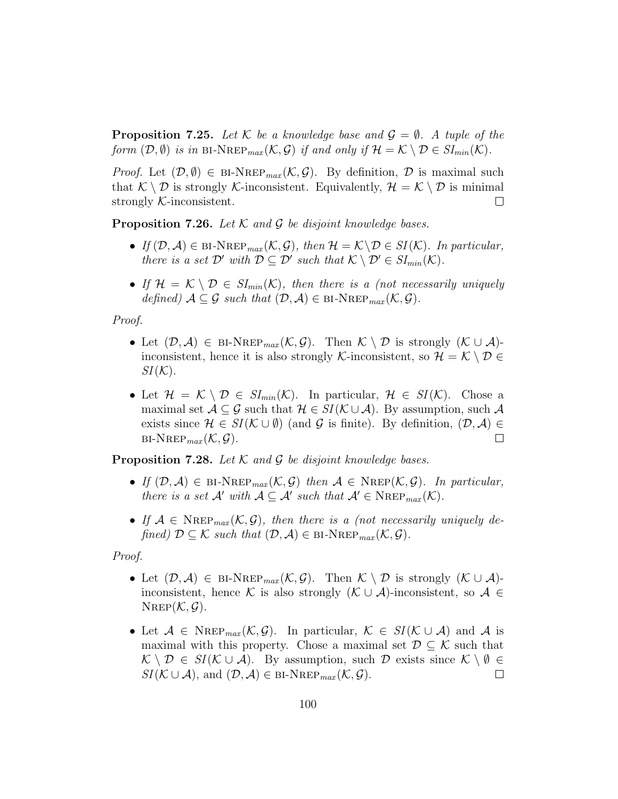**Proposition 7.25.** Let K be a knowledge base and  $\mathcal{G} = \emptyset$ . A tuple of the form  $(\mathcal{D}, \emptyset)$  is in BI-NREP<sub>max</sub>  $(\mathcal{K}, \mathcal{G})$  if and only if  $\mathcal{H} = \mathcal{K} \setminus \mathcal{D} \in SI_{min}(\mathcal{K})$ .

*Proof.* Let  $(\mathcal{D}, \emptyset) \in \text{BI-NRep}_{max}(\mathcal{K}, \mathcal{G})$ . By definition,  $\mathcal{D}$  is maximal such that  $\mathcal{K} \setminus \mathcal{D}$  is strongly  $\mathcal{K}$ -inconsistent. Equivalently,  $\mathcal{H} = \mathcal{K} \setminus \mathcal{D}$  is minimal strongly K-inconsistent.  $\Box$ 

**Proposition 7.26.** Let  $K$  and  $G$  be disjoint knowledge bases.

- If  $(D, \mathcal{A}) \in \text{BI-NREF}_{max}(\mathcal{K}, \mathcal{G})$ , then  $\mathcal{H} = \mathcal{K} \backslash \mathcal{D} \in SI(\mathcal{K})$ . In particular, there is a set  $\mathcal{D}'$  with  $\mathcal{D} \subseteq \mathcal{D}'$  such that  $\mathcal{K} \setminus \mathcal{D}' \in SI_{min}(\mathcal{K})$ .
- If  $\mathcal{H} = \mathcal{K} \setminus \mathcal{D} \in SI_{min}(\mathcal{K})$ , then there is a (not necessarily uniquely defined)  $A \subseteq \mathcal{G}$  such that  $(\mathcal{D}, \mathcal{A}) \in \text{BI-NREF}_{max}(\mathcal{K}, \mathcal{G})$ .

Proof.

- Let  $(\mathcal{D}, \mathcal{A}) \in {\text{BI-NRep}}_{max}(\mathcal{K}, \mathcal{G})$ . Then  $\mathcal{K} \setminus \mathcal{D}$  is strongly  $(\mathcal{K} \cup \mathcal{A})$ inconsistent, hence it is also strongly K-inconsistent, so  $\mathcal{H} = \mathcal{K} \setminus \mathcal{D} \in$  $SI(\mathcal{K}).$
- Let  $\mathcal{H} = \mathcal{K} \setminus \mathcal{D} \in SI_{min}(\mathcal{K})$ . In particular,  $\mathcal{H} \in SI(\mathcal{K})$ . Chose a maximal set  $A \subseteq \mathcal{G}$  such that  $\mathcal{H} \in SI(\mathcal{K} \cup \mathcal{A})$ . By assumption, such  $\mathcal{A}$ exists since  $\mathcal{H} \in SI(\mathcal{K} \cup \emptyset)$  (and  $\mathcal{G}$  is finite). By definition,  $(\mathcal{D}, \mathcal{A}) \in$  $BI-NREP_{max}(\mathcal{K}, \mathcal{G}).$  $\Box$

**Proposition 7.28.** Let  $K$  and  $G$  be disjoint knowledge bases.

- If  $(\mathcal{D}, \mathcal{A}) \in \text{BI-NRep}_{max}(\mathcal{K}, \mathcal{G})$  then  $\mathcal{A} \in \text{NRep}(\mathcal{K}, \mathcal{G})$ . In particular, there is a set  $\mathcal{A}'$  with  $\mathcal{A} \subseteq \mathcal{A}'$  such that  $\mathcal{A}' \in \text{NREP}_{max}(\mathcal{K})$ .
- If  $A \in \text{Nrep}_{max}(\mathcal{K}, \mathcal{G})$ , then there is a (not necessarily uniquely defined)  $D \subseteq \mathcal{K}$  such that  $(D, \mathcal{A}) \in \text{BI-NREP}_{max}(\mathcal{K}, \mathcal{G}).$

Proof.

- Let  $(\mathcal{D}, \mathcal{A}) \in {\text{BI-NRep}}_{max}(\mathcal{K}, \mathcal{G})$ . Then  $\mathcal{K} \setminus \mathcal{D}$  is strongly  $(\mathcal{K} \cup \mathcal{A})$ inconsistent, hence K is also strongly  $(K \cup \mathcal{A})$ -inconsistent, so  $\mathcal{A} \in$  $N_{\text{REP}}(\mathcal{K}, \mathcal{G}).$
- Let  $A \in \text{Nrep}_{max}(\mathcal{K}, \mathcal{G})$ . In particular,  $\mathcal{K} \in SI(\mathcal{K} \cup \mathcal{A})$  and A is maximal with this property. Chose a maximal set  $\mathcal{D} \subseteq \mathcal{K}$  such that  $\mathcal{K} \setminus \mathcal{D} \in SI(\mathcal{K} \cup \mathcal{A})$ . By assumption, such  $\mathcal{D}$  exists since  $\mathcal{K} \setminus \emptyset \in$  $SI(\mathcal{K} \cup \mathcal{A}),$  and  $(\mathcal{D}, \mathcal{A}) \in \text{BI-NREP}_{max}(\mathcal{K}, \mathcal{G}).$  $\Box$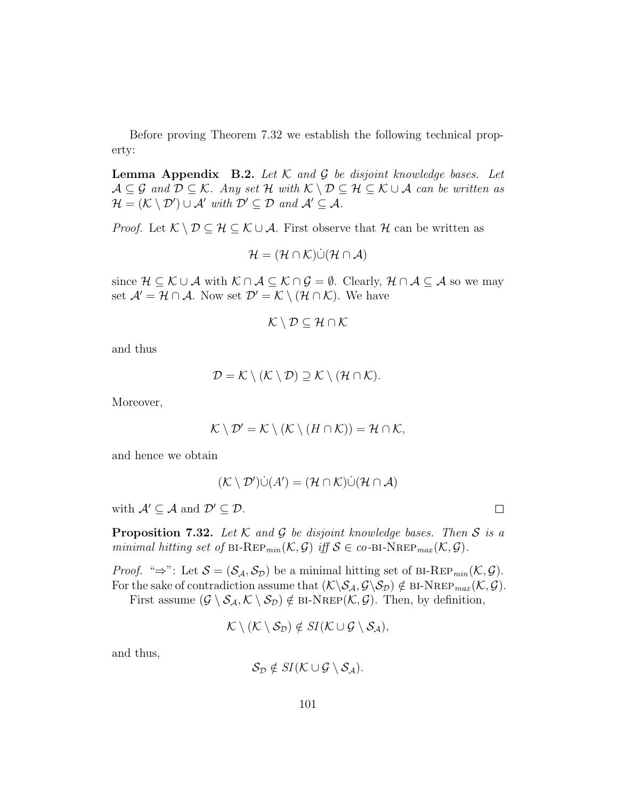Before proving Theorem 7.32 we establish the following technical property:

**Lemma Appendix B.2.** Let  $K$  and  $G$  be disjoint knowledge bases. Let  $\mathcal{A} \subseteq \mathcal{G}$  and  $\mathcal{D} \subseteq \mathcal{K}$ . Any set  $\mathcal{H}$  with  $\mathcal{K} \setminus \mathcal{D} \subseteq \mathcal{H} \subseteq \mathcal{K} \cup \mathcal{A}$  can be written as  $\mathcal{H} = (\mathcal{K} \setminus \mathcal{D}') \cup \mathcal{A}'$  with  $\mathcal{D}' \subseteq \mathcal{D}$  and  $\mathcal{A}' \subseteq \mathcal{A}$ .

*Proof.* Let  $K \setminus \mathcal{D} \subseteq \mathcal{H} \subseteq \mathcal{K} \cup \mathcal{A}$ . First observe that  $\mathcal{H}$  can be written as

$$
\mathcal{H} = (\mathcal{H} \cap \mathcal{K}) \dot{\cup} (\mathcal{H} \cap \mathcal{A})
$$

since  $\mathcal{H} \subseteq \mathcal{K} \cup \mathcal{A}$  with  $\mathcal{K} \cap \mathcal{A} \subseteq \mathcal{K} \cap \mathcal{G} = \emptyset$ . Clearly,  $\mathcal{H} \cap \mathcal{A} \subseteq \mathcal{A}$  so we may set  $\mathcal{A}' = \mathcal{H} \cap \mathcal{A}$ . Now set  $\mathcal{D}' = \mathcal{K} \setminus (\mathcal{H} \cap \mathcal{K})$ . We have

$$
\mathcal{K}\setminus\mathcal{D}\subseteq\mathcal{H}\cap\mathcal{K}
$$

and thus

$$
\mathcal{D} = \mathcal{K} \setminus (\mathcal{K} \setminus \mathcal{D}) \supseteq \mathcal{K} \setminus (\mathcal{H} \cap \mathcal{K}).
$$

Moreover,

$$
\mathcal{K} \setminus \mathcal{D}' = \mathcal{K} \setminus (\mathcal{K} \setminus (H \cap \mathcal{K})) = \mathcal{H} \cap \mathcal{K},
$$

and hence we obtain

$$
(\mathcal{K} \setminus \mathcal{D}') \dot{\cup} (A') = (\mathcal{H} \cap \mathcal{K}) \dot{\cup} (\mathcal{H} \cap \mathcal{A})
$$

with  $\mathcal{A}' \subseteq \mathcal{A}$  and  $\mathcal{D}' \subseteq \mathcal{D}$ .

**Proposition 7.32.** Let  $K$  and  $G$  be disjoint knowledge bases. Then  $S$  is a minimal hitting set of BI-REP<sub>min</sub> $(\mathcal{K}, \mathcal{G})$  iff  $\mathcal{S} \in co$ -BI-NREP<sub>max</sub> $(\mathcal{K}, \mathcal{G})$ .

*Proof.* "⇒": Let  $S = (\mathcal{S}_{\mathcal{A}}, \mathcal{S}_{\mathcal{D}})$  be a minimal hitting set of BI-REP<sub>min</sub>( $\mathcal{K}, \mathcal{G}$ ). For the sake of contradiction assume that  $(\mathcal{K}\backslash \mathcal{S}_{\mathcal{A}}, \mathcal{G}\backslash \mathcal{S}_{\mathcal{D}}) \notin \text{BI-NREF}_{max}(\mathcal{K}, \mathcal{G}).$ 

First assume  $(\mathcal{G} \setminus \mathcal{S}_{\mathcal{A}}, \mathcal{K} \setminus \mathcal{S}_{\mathcal{D}}) \notin \text{BI-NREF}(\mathcal{K}, \mathcal{G})$ . Then, by definition,

$$
\mathcal{K}\setminus(\mathcal{K}\setminus\mathcal{S}_{\mathcal{D}})\notin SI(\mathcal{K}\cup\mathcal{G}\setminus\mathcal{S}_{\mathcal{A}}),
$$

and thus,

$$
S_{\mathcal{D}} \notin SI(\mathcal{K} \cup \mathcal{G} \setminus \mathcal{S}_{\mathcal{A}}).
$$

 $\Box$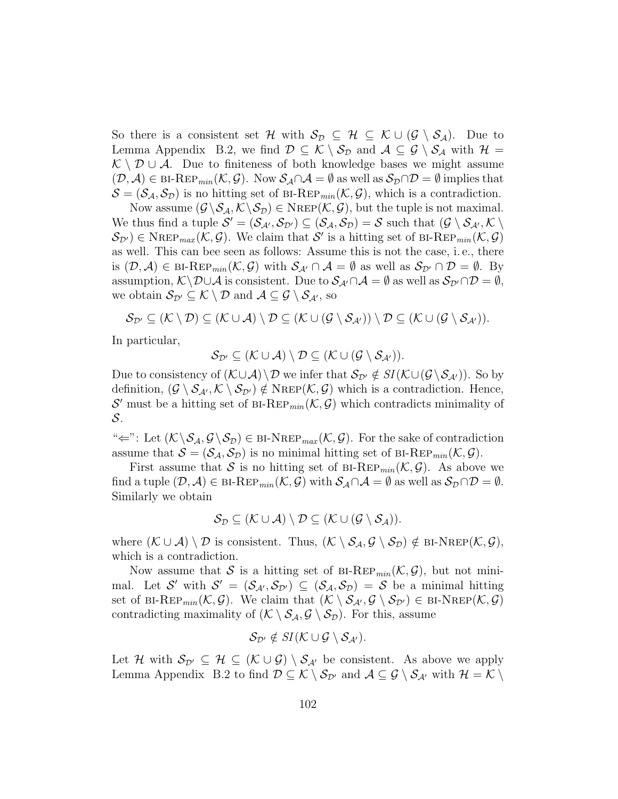So there is a consistent set H with  $S_{\mathcal{D}} \subseteq \mathcal{H} \subseteq \mathcal{K} \cup (\mathcal{G} \setminus \mathcal{S}_{\mathcal{A}})$ . Due to Lemma Appendix B.2, we find  $\mathcal{D} \subseteq \mathcal{K} \setminus \mathcal{S}_{\mathcal{D}}$  and  $\mathcal{A} \subseteq \mathcal{G} \setminus \mathcal{S}_{\mathcal{A}}$  with  $\mathcal{H} =$  $\mathcal{K} \setminus \mathcal{D} \cup \mathcal{A}$ . Due to finiteness of both knowledge bases we might assume  $(\mathcal{D}, \mathcal{A}) \in \text{BI-Rep}_{min}(\mathcal{K}, \mathcal{G})$ . Now  $\mathcal{S}_{\mathcal{A}} \cap \mathcal{A} = \emptyset$  as well as  $\mathcal{S}_{\mathcal{D}} \cap \mathcal{D} = \emptyset$  implies that  $\mathcal{S} = (\mathcal{S}_{\mathcal{A}}, \mathcal{S}_{\mathcal{D}})$  is no hitting set of BI-REP<sub>min</sub>( $\mathcal{K}, \mathcal{G}$ ), which is a contradiction.

Now assume  $(\mathcal{G} \backslash \mathcal{S}_{\mathcal{A}}, \mathcal{K} \backslash \mathcal{S}_{\mathcal{D}}) \in \text{NRep}(\mathcal{K}, \mathcal{G})$ , but the tuple is not maximal. We thus find a tuple  $\mathcal{S}' = (\mathcal{S}_{\mathcal{A}'}, \mathcal{S}_{\mathcal{D}'}) \subseteq (\mathcal{S}_{\mathcal{A}}, \mathcal{S}_{\mathcal{D}}) = \mathcal{S}$  such that  $(\mathcal{G} \setminus \mathcal{S}_{\mathcal{A}'}, \mathcal{K} \setminus \mathcal{S}_{\mathcal{A}'})$  $S_{\mathcal{D}'}$   $\in$  NREP<sub>max</sub>( $\mathcal{K}, \mathcal{G}$ ). We claim that S' is a hitting set of BI-REP<sub>min</sub>( $\mathcal{K}, \mathcal{G}$ ) as well. This can bee seen as follows: Assume this is not the case, i. e., there is  $(D, \mathcal{A}) \in \text{BI-Rep}_{min}(\mathcal{K}, \mathcal{G})$  with  $\mathcal{S}_{\mathcal{A}'} \cap \mathcal{A} = \emptyset$  as well as  $\mathcal{S}_{\mathcal{D}'} \cap \mathcal{D} = \emptyset$ . By assumption,  $K\D\cup\mathcal{A}$  is consistent. Due to  $\mathcal{S}_{\mathcal{A}}\cap\mathcal{A}=\emptyset$  as well as  $\mathcal{S}_{\mathcal{D}}\cap\mathcal{D}=\emptyset$ , we obtain  $\mathcal{S}_{\mathcal{D}'} \subseteq \mathcal{K} \setminus \mathcal{D}$  and  $\mathcal{A} \subseteq \mathcal{G} \setminus \mathcal{S}_{\mathcal{A}'},$  so

$$
\mathcal{S}_{\mathcal{D}'} \subseteq (\mathcal{K} \setminus \mathcal{D}) \subseteq (\mathcal{K} \cup \mathcal{A}) \setminus \mathcal{D} \subseteq (\mathcal{K} \cup (\mathcal{G} \setminus \mathcal{S}_{\mathcal{A}'})) \setminus \mathcal{D} \subseteq (\mathcal{K} \cup (\mathcal{G} \setminus \mathcal{S}_{\mathcal{A}'})).
$$

In particular,

 $\mathcal{S}_{\mathcal{D}'} \subseteq (\mathcal{K} \cup \mathcal{A}) \setminus \mathcal{D} \subseteq (\mathcal{K} \cup (\mathcal{G} \setminus \mathcal{S}_{\mathcal{A}'})).$ 

Due to consistency of  $(\mathcal{K}\cup\mathcal{A})\setminus\mathcal{D}$  we infer that  $\mathcal{S}_{\mathcal{D}'}\notin SI(\mathcal{K}\cup(\mathcal{G}\setminus\mathcal{S}_{\mathcal{A}'}))$ . So by definition,  $(G \setminus S_{\mathcal{A}}, \mathcal{K} \setminus S_{\mathcal{D}'}) \notin \text{NRep}(\mathcal{K}, \mathcal{G})$  which is a contradiction. Hence, S' must be a hitting set of BI-REP<sub>min</sub>( $K, G$ ) which contradicts minimality of S.

" $\Leftarrow$ ": Let  $(\mathcal{K} \backslash \mathcal{S}_{\mathcal{A}}, \mathcal{G} \backslash \mathcal{S}_{\mathcal{D}}) \in \text{BI-NREP}_{max}(\mathcal{K}, \mathcal{G})$ . For the sake of contradiction assume that  $S = (\mathcal{S}_{\mathcal{A}}, \mathcal{S}_{\mathcal{D}})$  is no minimal hitting set of BI-REP<sub>min</sub>( $\mathcal{K}, \mathcal{G}$ ).

First assume that S is no hitting set of BI-REP<sub>min</sub> $(\mathcal{K}, \mathcal{G})$ . As above we find a tuple  $(\mathcal{D}, \mathcal{A}) \in \text{BI-Rep}_{min}(\mathcal{K}, \mathcal{G})$  with  $\mathcal{S}_{\mathcal{A}} \cap \mathcal{A} = \emptyset$  as well as  $\mathcal{S}_{\mathcal{D}} \cap \mathcal{D} = \emptyset$ . Similarly we obtain

$$
\mathcal{S}_{\mathcal{D}} \subseteq (\mathcal{K} \cup \mathcal{A}) \setminus \mathcal{D} \subseteq (\mathcal{K} \cup (\mathcal{G} \setminus \mathcal{S}_{\mathcal{A}})).
$$

where  $(\mathcal{K} \cup \mathcal{A}) \setminus \mathcal{D}$  is consistent. Thus,  $(\mathcal{K} \setminus \mathcal{S}_{\mathcal{A}}, \mathcal{G} \setminus \mathcal{S}_{\mathcal{D}}) \notin \text{BI-NREF}(\mathcal{K}, \mathcal{G}),$ which is a contradiction.

Now assume that S is a hitting set of BI-REP<sub>min</sub> $(\mathcal{K}, \mathcal{G})$ , but not minimal. Let S' with  $S' = (S_{\mathcal{A}',S_{\mathcal{D}'}) \subseteq (S_{\mathcal{A}},S_{\mathcal{D}}) = S$  be a minimal hitting set of BI-REP<sub>min</sub> $(\mathcal{K}, \mathcal{G})$ . We claim that  $(\mathcal{K} \setminus \mathcal{S}_{\mathcal{A}}, \mathcal{G} \setminus \mathcal{S}_{\mathcal{D}'}) \in {\rm BI-NRep}(\mathcal{K}, \mathcal{G})$ contradicting maximality of  $(\mathcal{K} \setminus \mathcal{S}_{\mathcal{A}}, \mathcal{G} \setminus \mathcal{S}_{\mathcal{D}})$ . For this, assume

$$
\mathcal{S}_{\mathcal{D}'} \notin SI(\mathcal{K} \cup \mathcal{G} \setminus \mathcal{S}_{\mathcal{A}'}).
$$

Let H with  $S_{\mathcal{D}'} \subseteq \mathcal{H} \subseteq (\mathcal{K} \cup \mathcal{G}) \setminus S_{\mathcal{A}'}$  be consistent. As above we apply Lemma Appendix B.2 to find  $\mathcal{D} \subseteq \mathcal{K} \setminus \mathcal{S}_{\mathcal{D}'}$  and  $\mathcal{A} \subseteq \mathcal{G} \setminus \mathcal{S}_{\mathcal{A}'}$  with  $\mathcal{H} = \mathcal{K} \setminus$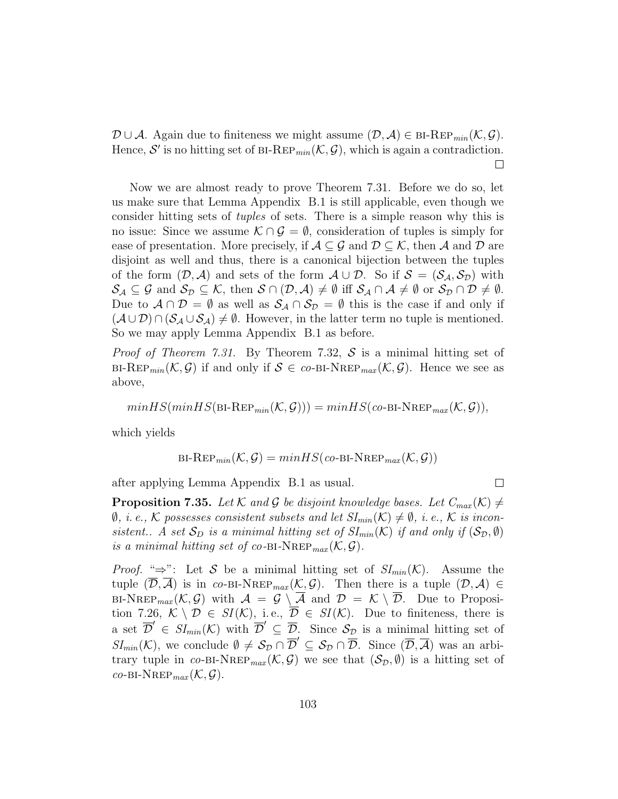$\mathcal{D} \cup \mathcal{A}$ . Again due to finiteness we might assume  $(\mathcal{D}, \mathcal{A}) \in \text{BI-Rep}_{min}(\mathcal{K}, \mathcal{G})$ . Hence,  $\mathcal{S}'$  is no hitting set of BI-REP<sub>min</sub> $(\mathcal{K}, \mathcal{G})$ , which is again a contradiction.  $\Box$ 

Now we are almost ready to prove Theorem 7.31. Before we do so, let us make sure that Lemma Appendix B.1 is still applicable, even though we consider hitting sets of tuples of sets. There is a simple reason why this is no issue: Since we assume  $K \cap G = \emptyset$ , consideration of tuples is simply for ease of presentation. More precisely, if  $A \subseteq \mathcal{G}$  and  $\mathcal{D} \subseteq \mathcal{K}$ , then A and D are disjoint as well and thus, there is a canonical bijection between the tuples of the form  $(D, \mathcal{A})$  and sets of the form  $\mathcal{A} \cup \mathcal{D}$ . So if  $\mathcal{S} = (\mathcal{S}_{\mathcal{A}}, \mathcal{S}_{\mathcal{D}})$  with  $\mathcal{S}_{\mathcal{A}}\subseteq\mathcal{G}$  and  $\mathcal{S}_{\mathcal{D}}\subseteq\mathcal{K}$ , then  $\mathcal{S}\cap(\mathcal{D},\mathcal{A})\neq\emptyset$  iff  $\mathcal{S}_{\mathcal{A}}\cap\mathcal{A}\neq\emptyset$  or  $\mathcal{S}_{\mathcal{D}}\cap\mathcal{D}\neq\emptyset$ . Due to  $A \cap D = \emptyset$  as well as  $S_A \cap S_D = \emptyset$  this is the case if and only if  $(\mathcal{A} \cup \mathcal{D}) \cap (\mathcal{S}_{\mathcal{A}} \cup \mathcal{S}_{\mathcal{A}}) \neq \emptyset$ . However, in the latter term no tuple is mentioned. So we may apply Lemma Appendix B.1 as before.

*Proof of Theorem 7.31.* By Theorem 7.32, S is a minimal hitting set of BI-REP<sub>min</sub>( $K, \mathcal{G}$ ) if and only if  $\mathcal{S} \in co-BI-NREP_{max}(\mathcal{K}, \mathcal{G})$ . Hence we see as above,

$$
minHS(minHS(B1-REP_{min}(\mathcal{K}, \mathcal{G}))) = minHS(co-BI-NREP_{max}(\mathcal{K}, \mathcal{G})),
$$

which yields

$$
\text{BI-Rep}_{min}(\mathcal{K}, \mathcal{G}) = minHS(co-BI-NREP_{max}(\mathcal{K}, \mathcal{G}))
$$

after applying Lemma Appendix B.1 as usual.

 $\Box$ 

**Proposition 7.35.** Let K and G be disjoint knowledge bases. Let  $C_{max}(\mathcal{K}) \neq$  $\emptyset$ , *i.e.*, K possesses consistent subsets and let  $SI_{min}(\mathcal{K}) \neq \emptyset$ , *i.e.*, K is inconsistent.. A set  $S_D$  is a minimal hitting set of  $SI_{min}(\mathcal{K})$  if and only if  $(S_D, \emptyset)$ is a minimal hitting set of co-BI-NREP<sub>max</sub> $(\mathcal{K}, \mathcal{G})$ .

*Proof.* " $\Rightarrow$ ": Let S be a minimal hitting set of  $SI_{min}(\mathcal{K})$ . Assume the tuple  $(\overline{\mathcal{D}}, \overline{\mathcal{A}})$  is in co-BI-NREP<sub>max</sub> $(\mathcal{K}, \mathcal{G})$ . Then there is a tuple  $(\mathcal{D}, \mathcal{A}) \in$ BI-NREP<sub>max</sub>  $(K, \mathcal{G})$  with  $\mathcal{A} = \mathcal{G} \setminus \overline{\mathcal{A}}$  and  $\mathcal{D} = \mathcal{K} \setminus \overline{\mathcal{D}}$ . Due to Proposition 7.26,  $\mathcal{K} \setminus \mathcal{D} \in SI(\mathcal{K})$ , i.e.,  $\overline{\mathcal{D}} \in SI(\mathcal{K})$ . Due to finiteness, there is a set  $\overline{D}' \in \overline{SI}_{min}(\mathcal{K})$  with  $\overline{D}' \subseteq \overline{D}$ . Since  $\mathcal{S}_{\mathcal{D}}$  is a minimal hitting set of  $SI_{min}(\mathcal{K})$ , we conclude  $\emptyset \neq \mathcal{S}_{\mathcal{D}} \cap \overline{\mathcal{D}}' \subseteq \mathcal{S}_{\mathcal{D}} \cap \overline{\mathcal{D}}$ . Since  $(\overline{\mathcal{D}}, \overline{\mathcal{A}})$  was an arbitrary tuple in co-BI-NREP<sub>max</sub>  $(\mathcal{K}, \mathcal{G})$  we see that  $(\mathcal{S}_{\mathcal{D}}, \emptyset)$  is a hitting set of  $co-BI-NREP_{max}(\mathcal{K}, \mathcal{G}).$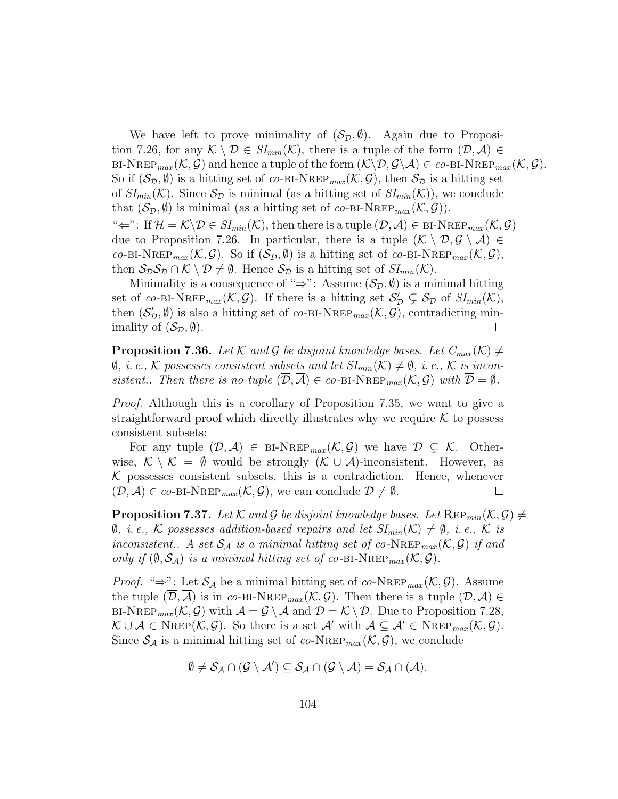We have left to prove minimality of  $(S_{\mathcal{D}}, \emptyset)$ . Again due to Proposition 7.26, for any  $\mathcal{K} \setminus \mathcal{D} \in SI_{min}(\mathcal{K})$ , there is a tuple of the form  $(\mathcal{D}, \mathcal{A}) \in$ BI-NREP<sub>max</sub>  $(\mathcal{K}, \mathcal{G})$  and hence a tuple of the form  $(\mathcal{K}\backslash\mathcal{D}, \mathcal{G}\backslash\mathcal{A}) \in co-BI-NREP_{max}(\mathcal{K}, \mathcal{G})$ . So if  $(\mathcal{S}_{\mathcal{D}}, \emptyset)$  is a hitting set of co-BI-NREP<sub>max</sub>  $(\mathcal{K}, \mathcal{G})$ , then  $\mathcal{S}_{\mathcal{D}}$  is a hitting set of  $SI_{min}(\mathcal{K})$ . Since  $\mathcal{S}_{\mathcal{D}}$  is minimal (as a hitting set of  $SI_{min}(\mathcal{K})$ ), we conclude that  $(\mathcal{S}_{\mathcal{D}}, \emptyset)$  is minimal (as a hitting set of co-BI-NREP<sub>max</sub> $(\mathcal{K}, \mathcal{G})$ ). " $\Leftarrow$ ": If  $\mathcal{H} = \mathcal{K} \setminus \mathcal{D} \in SI_{min}(\mathcal{K})$ , then there is a tuple  $(\mathcal{D}, \mathcal{A}) \in \text{BI-NREP}_{max}(\mathcal{K}, \mathcal{G})$ due to Proposition 7.26. In particular, there is a tuple  $(\mathcal{K} \setminus \mathcal{D}, \mathcal{G} \setminus \mathcal{A}) \in$ co-BI-NREP<sub>max</sub>  $(\mathcal{K}, \mathcal{G})$ . So if  $(\mathcal{S}_{\mathcal{D}}, \emptyset)$  is a hitting set of co-BI-NREP<sub>max</sub>  $(\mathcal{K}, \mathcal{G})$ , then  $S_{\mathcal{D}}S_{\mathcal{D}} \cap \mathcal{K} \setminus \mathcal{D} \neq \emptyset$ . Hence  $S_{\mathcal{D}}$  is a hitting set of  $SI_{min}(\mathcal{K})$ .

Minimality is a consequence of "⇒": Assume  $(S_{\mathcal{D}}, \emptyset)$  is a minimal hitting set of co-BI-NREP<sub>max</sub> $(\mathcal{K}, \mathcal{G})$ . If there is a hitting set  $\mathcal{S}'_{\mathcal{D}} \subsetneq \mathcal{S}_{\mathcal{D}}$  of  $SI_{min}(\mathcal{K}),$ then  $(S'_D, \emptyset)$  is also a hitting set of co-BI-NREP<sub>max</sub> $(\mathcal{K}, \mathcal{G})$ , contradicting minimality of  $(\mathcal{S}_{\mathcal{D}}, \emptyset)$ .  $\Box$ 

**Proposition 7.36.** Let K and G be disjoint knowledge bases. Let  $C_{max}(\mathcal{K}) \neq$  $\emptyset$ , *i.e.*, K possesses consistent subsets and let  $SI_{min}(\mathcal{K}) \neq \emptyset$ , *i.e.*, K is inconsistent.. Then there is no tuple  $(D, \mathcal{A}) \in co-BI-NREP_{max}(\mathcal{K}, \mathcal{G})$  with  $\mathcal{D} = \emptyset$ .

Proof. Although this is a corollary of Proposition 7.35, we want to give a straightforward proof which directly illustrates why we require  $K$  to possess consistent subsets:

For any tuple  $(\mathcal{D}, \mathcal{A}) \in {\text{BI-NREF}_{max}(\mathcal{K}, \mathcal{G})}$  we have  $\mathcal{D} \subsetneq \mathcal{K}$ . Otherwise,  $\mathcal{K} \setminus \mathcal{K} = \emptyset$  would be strongly  $(\mathcal{K} \cup \mathcal{A})$ -inconsistent. However, as  $K$  possesses consistent subsets, this is a contradiction. Hence, whenever  $(\overline{\mathcal{D}}, \overline{\mathcal{A}}) \in co-BI-NREP_{max}(\mathcal{K}, \mathcal{G})$ , we can conclude  $\overline{\mathcal{D}} \neq \emptyset$ .  $\Box$ 

**Proposition 7.37.** Let K and G be disjoint knowledge bases. Let  $\text{Rep}_{min}(\mathcal{K}, \mathcal{G}) \neq$  $\emptyset$ , *i.e.*, K possesses addition-based repairs and let  $SI_{min}(\mathcal{K}) \neq \emptyset$ , *i.e.*, K is inconsistent.. A set  $S_A$  is a minimal hitting set of co-NREP<sub>max</sub>  $(\mathcal{K}, \mathcal{G})$  if and only if  $(\emptyset, \mathcal{S}_{\mathcal{A}})$  is a minimal hitting set of co-BI-NREP<sub>max</sub> $(\mathcal{K}, \mathcal{G})$ .

*Proof.* " $\Rightarrow$ ": Let  $S_A$  be a minimal hitting set of co-NREP<sub>max</sub> (K, G). Assume the tuple  $(\overline{\mathcal{D}}, \overline{\mathcal{A}})$  is in co-BI-NREP<sub>max</sub>  $(\mathcal{K}, \mathcal{G})$ . Then there is a tuple  $(\mathcal{D}, \mathcal{A}) \in$ BI-NREP<sub>max</sub>  $(K, \mathcal{G})$  with  $\mathcal{A} = \mathcal{G} \setminus \overline{\mathcal{A}}$  and  $\mathcal{D} = \mathcal{K} \setminus \overline{\mathcal{D}}$ . Due to Proposition 7.28,  $\mathcal{K} \cup \mathcal{A} \in \text{Nrep}(\mathcal{K}, \mathcal{G})$ . So there is a set  $\mathcal{A}'$  with  $\mathcal{A} \subseteq \mathcal{A}' \in \text{NRep}_{max}(\mathcal{K}, \mathcal{G})$ . Since  $S_A$  is a minimal hitting set of co-NREP<sub>max</sub>  $(K, \mathcal{G})$ , we conclude

$$
\emptyset \neq \mathcal{S}_{\mathcal{A}} \cap (\mathcal{G} \setminus \mathcal{A}') \subseteq \mathcal{S}_{\mathcal{A}} \cap (\mathcal{G} \setminus \mathcal{A}) = \mathcal{S}_{\mathcal{A}} \cap (\overline{\mathcal{A}}).
$$